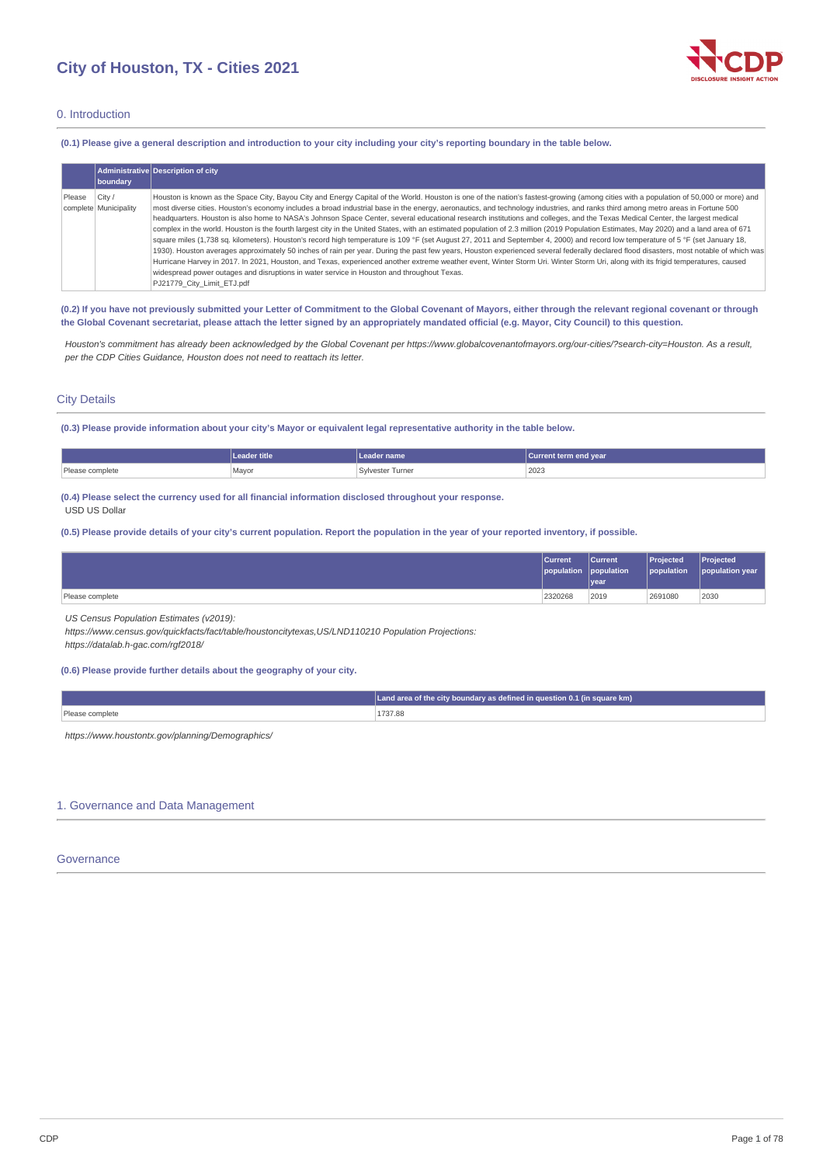

## 0. Introduction

(0.1) Please give a general description and introduction to your city including your city's reporting boundary in the table below.

|        | boundary                        | Administrative Description of city                                                                                                                                                                                                                                                                                                                                                                                                                                                                                                                                                                                                                                                                                                                                                                                                                                                                                                                                                                                                                                                                                                                                                                                                                                                                                                                                                                                                                |
|--------|---------------------------------|---------------------------------------------------------------------------------------------------------------------------------------------------------------------------------------------------------------------------------------------------------------------------------------------------------------------------------------------------------------------------------------------------------------------------------------------------------------------------------------------------------------------------------------------------------------------------------------------------------------------------------------------------------------------------------------------------------------------------------------------------------------------------------------------------------------------------------------------------------------------------------------------------------------------------------------------------------------------------------------------------------------------------------------------------------------------------------------------------------------------------------------------------------------------------------------------------------------------------------------------------------------------------------------------------------------------------------------------------------------------------------------------------------------------------------------------------|
| Please | City /<br>complete Municipality | Houston is known as the Space City, Bayou City and Energy Capital of the World. Houston is one of the nation's fastest-growing (among cities with a population of 50,000 or more) and<br>most diverse cities. Houston's economy includes a broad industrial base in the energy, aeronautics, and technology industries, and ranks third among metro areas in Fortune 500<br>headquarters. Houston is also home to NASA's Johnson Space Center, several educational research institutions and colleges, and the Texas Medical Center, the largest medical<br>complex in the world. Houston is the fourth largest city in the United States, with an estimated population of 2.3 million (2019 Population Estimates, May 2020) and a land area of 671<br>square miles (1,738 sq. kilometers). Houston's record high temperature is 109 °F (set August 27, 2011 and September 4, 2000) and record low temperature of 5 °F (set January 18,<br>1930). Houston averages approximately 50 inches of rain per year. During the past few years, Houston experienced several federally declared flood disasters, most notable of which was<br>Hurricane Harvey in 2017. In 2021, Houston, and Texas, experienced another extreme weather event, Winter Storm Uri. Winter Storm Uri, along with its frigid temperatures, caused<br>widespread power outages and disruptions in water service in Houston and throughout Texas.<br>PJ21779 City Limit ETJ.pdf |

(0.2) If you have not previously submitted your Letter of Commitment to the Global Covenant of Mayors, either through the relevant regional covenant or through the Global Covenant secretariat, please attach the letter signed by an appropriately mandated official (e.g. Mayor, City Council) to this question.

Houston's commitment has already been acknowledged by the Global Covenant per https://www.globalcovenantofmayors.org/our-cities/?search-city=Houston. As a result, *per the CDP Cities Guidance, Houston does not need to reattach its letter.*

## City Details

(0.3) Please provide information about your city's Mayor or equivalent legal representative authority in the table below.

|                            | title | name          | 'Current term end year , |
|----------------------------|-------|---------------|--------------------------|
| Please com,<br>mplete<br>. | Mayor | vester Turner | 2023                     |

**(0.4) Please select the currency used for all financial information disclosed throughout your response.** USD US Dollar

(0.5) Please provide details of your city's current population. Report the population in the year of your reported inventory, if possible.

|                 | <b>Current</b><br>population population | <b>Current</b> | <b>Projected</b><br>population | Projected<br>population year |
|-----------------|-----------------------------------------|----------------|--------------------------------|------------------------------|
|                 |                                         | <u>Ivear</u>   |                                |                              |
| Please complete | 2320268                                 | 2019           | 2691080                        | 2030                         |

*US Census Population Estimates (v2019):*

*https://www.census.gov/quickfacts/fact/table/houstoncitytexas,US/LND110210 Population Projections:*

*https://datalab.h-gac.com/rgf2018/*

## **(0.6) Please provide further details about the geography of your city.**

| Land area of the city boundary as defined in question 0.1 (in square km) |
|--------------------------------------------------------------------------|
| 1737.88                                                                  |

*https://www.houstontx.gov/planning/Demographics/*

## 1. Governance and Data Management

## Governance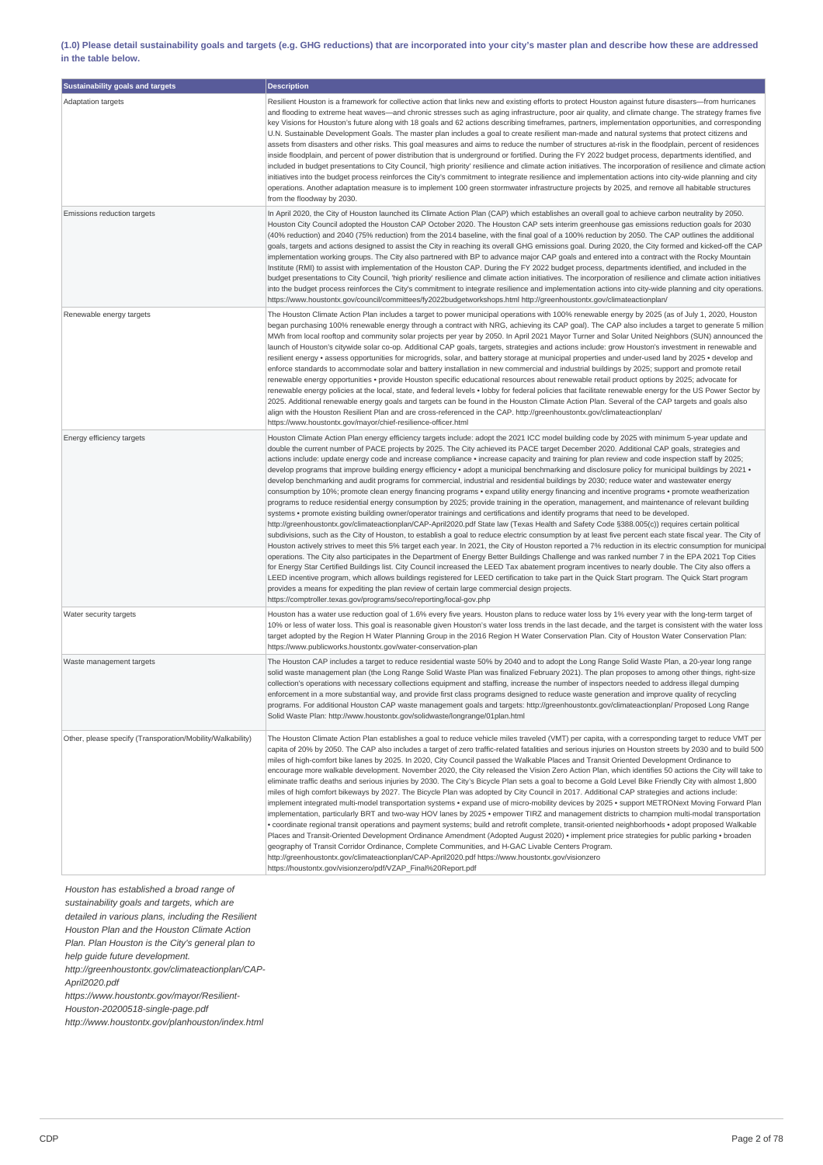(1.0) Please detail sustainability goals and targets (e.g. GHG reductions) that are incorporated into your city's master plan and describe how these are addressed **in the table below.**

| Sustainability goals and targets                           | <b>Description</b>                                                                                                                                                                                                                                                                                                                                                                                                                                                                                                                                                                                                                                                                                                                                                                                                                                                                                                                                                                                                                                                                                                                                                                                                                                                                                                                                                                                                                                                                                                                                                                                                                                                                                                                                                                                                                                                                                                                                                                                                                                                                                                                                                                                                                                                                                      |
|------------------------------------------------------------|---------------------------------------------------------------------------------------------------------------------------------------------------------------------------------------------------------------------------------------------------------------------------------------------------------------------------------------------------------------------------------------------------------------------------------------------------------------------------------------------------------------------------------------------------------------------------------------------------------------------------------------------------------------------------------------------------------------------------------------------------------------------------------------------------------------------------------------------------------------------------------------------------------------------------------------------------------------------------------------------------------------------------------------------------------------------------------------------------------------------------------------------------------------------------------------------------------------------------------------------------------------------------------------------------------------------------------------------------------------------------------------------------------------------------------------------------------------------------------------------------------------------------------------------------------------------------------------------------------------------------------------------------------------------------------------------------------------------------------------------------------------------------------------------------------------------------------------------------------------------------------------------------------------------------------------------------------------------------------------------------------------------------------------------------------------------------------------------------------------------------------------------------------------------------------------------------------------------------------------------------------------------------------------------------------|
| Adaptation targets                                         | Resilient Houston is a framework for collective action that links new and existing efforts to protect Houston against future disasters—from hurricanes<br>and flooding to extreme heat waves—and chronic stresses such as aging infrastructure, poor air quality, and climate change. The strategy frames five<br>key Visions for Houston's future along with 18 goals and 62 actions describing timeframes, partners, implementation opportunities, and corresponding<br>U.N. Sustainable Development Goals. The master plan includes a goal to create resilient man-made and natural systems that protect citizens and<br>assets from disasters and other risks. This goal measures and aims to reduce the number of structures at-risk in the floodplain, percent of residences<br>inside floodplain, and percent of power distribution that is underground or fortified. During the FY 2022 budget process, departments identified, and<br>included in budget presentations to City Council, 'high priority' resilience and climate action initiatives. The incorporation of resilience and climate action<br>initiatives into the budget process reinforces the City's commitment to integrate resilience and implementation actions into city-wide planning and city<br>operations. Another adaptation measure is to implement 100 green stormwater infrastructure projects by 2025, and remove all habitable structures<br>from the floodway by 2030.                                                                                                                                                                                                                                                                                                                                                                                                                                                                                                                                                                                                                                                                                                                                                                                                                                            |
| Emissions reduction targets                                | In April 2020, the City of Houston launched its Climate Action Plan (CAP) which establishes an overall goal to achieve carbon neutrality by 2050.<br>Houston City Council adopted the Houston CAP October 2020. The Houston CAP sets interim greenhouse gas emissions reduction goals for 2030<br>(40% reduction) and 2040 (75% reduction) from the 2014 baseline, with the final goal of a 100% reduction by 2050. The CAP outlines the additional<br>goals, targets and actions designed to assist the City in reaching its overall GHG emissions goal. During 2020, the City formed and kicked-off the CAP<br>implementation working groups. The City also partnered with BP to advance major CAP goals and entered into a contract with the Rocky Mountain<br>Institute (RMI) to assist with implementation of the Houston CAP. During the FY 2022 budget process, departments identified, and included in the<br>budget presentations to City Council, 'high priority' resilience and climate action initiatives. The incorporation of resilience and climate action initiatives<br>into the budget process reinforces the City's commitment to integrate resilience and implementation actions into city-wide planning and city operations.<br>https://www.houstontx.gov/council/committees/fy2022budgetworkshops.html http://greenhoustontx.gov/climateactionplan/                                                                                                                                                                                                                                                                                                                                                                                                                                                                                                                                                                                                                                                                                                                                                                                                                                                                                                                               |
| Renewable energy targets                                   | The Houston Climate Action Plan includes a target to power municipal operations with 100% renewable energy by 2025 (as of July 1, 2020, Houston<br>began purchasing 100% renewable energy through a contract with NRG, achieving its CAP goal). The CAP also includes a target to generate 5 million<br>MWh from local rooftop and community solar projects per year by 2050. In April 2021 Mayor Turner and Solar United Neighbors (SUN) announced the<br>launch of Houston's citywide solar co-op. Additional CAP goals, targets, strategies and actions include: grow Houston's investment in renewable and<br>resilient energy • assess opportunities for microgrids, solar, and battery storage at municipal properties and under-used land by 2025 • develop and<br>enforce standards to accommodate solar and battery installation in new commercial and industrial buildings by 2025; support and promote retail<br>renewable energy opportunities • provide Houston specific educational resources about renewable retail product options by 2025; advocate for<br>renewable energy policies at the local, state, and federal levels • lobby for federal policies that facilitate renewable energy for the US Power Sector by<br>2025. Additional renewable energy goals and targets can be found in the Houston Climate Action Plan. Several of the CAP targets and goals also<br>align with the Houston Resilient Plan and are cross-referenced in the CAP. http://greenhoustontx.gov/climateactionplan/<br>https://www.houstontx.gov/mayor/chief-resilience-officer.html                                                                                                                                                                                                                                                                                                                                                                                                                                                                                                                                                                                                                                                                                                                    |
| Energy efficiency targets                                  | Houston Climate Action Plan energy efficiency targets include: adopt the 2021 ICC model building code by 2025 with minimum 5-year update and<br>double the current number of PACE projects by 2025. The City achieved its PACE target December 2020. Additional CAP goals, strategies and<br>actions include: update energy code and increase compliance • increase capacity and training for plan review and code inspection staff by 2025;<br>develop programs that improve building energy efficiency • adopt a municipal benchmarking and disclosure policy for municipal buildings by 2021 •<br>develop benchmarking and audit programs for commercial, industrial and residential buildings by 2030; reduce water and wastewater energy<br>consumption by 10%; promote clean energy financing programs • expand utility energy financing and incentive programs • promote weatherization<br>programs to reduce residential energy consumption by 2025; provide training in the operation, management, and maintenance of relevant building<br>systems • promote existing building owner/operator trainings and certifications and identify programs that need to be developed.<br>http://greenhoustontx.gov/climateactionplan/CAP-April2020.pdf State law (Texas Health and Safety Code §388.005(c)) requires certain political<br>subdivisions, such as the City of Houston, to establish a goal to reduce electric consumption by at least five percent each state fiscal year. The City of<br>Houston actively strives to meet this 5% target each year. In 2021, the City of Houston reported a 7% reduction in its electric consumption for municipal<br>operations. The City also participates in the Department of Energy Better Buildings Challenge and was ranked number 7 in the EPA 2021 Top Cities<br>for Energy Star Certified Buildings list. City Council increased the LEED Tax abatement program incentives to nearly double. The City also offers a<br>LEED incentive program, which allows buildings registered for LEED certification to take part in the Quick Start program. The Quick Start program<br>provides a means for expediting the plan review of certain large commercial design projects.<br>https://comptroller.texas.gov/programs/seco/reporting/local-gov.php |
| Water security targets                                     | Houston has a water use reduction goal of 1.6% every five years. Houston plans to reduce water loss by 1% every year with the long-term target of<br>10% or less of water loss. This goal is reasonable given Houston's water loss trends in the last decade, and the target is consistent with the water loss<br>target adopted by the Region H Water Planning Group in the 2016 Region H Water Conservation Plan. City of Houston Water Conservation Plan:<br>https://www.publicworks.houstontx.gov/water-conservation-plan                                                                                                                                                                                                                                                                                                                                                                                                                                                                                                                                                                                                                                                                                                                                                                                                                                                                                                                                                                                                                                                                                                                                                                                                                                                                                                                                                                                                                                                                                                                                                                                                                                                                                                                                                                           |
| Waste management targets                                   | The Houston CAP includes a target to reduce residential waste 50% by 2040 and to adopt the Long Range Solid Waste Plan, a 20-year long range<br>solid waste management plan (the Long Range Solid Waste Plan was finalized February 2021). The plan proposes to among other things, right-size<br>collection's operations with necessary collections equipment and staffing, increase the number of inspectors needed to address illegal dumping<br>enforcement in a more substantial way, and provide first class programs designed to reduce waste generation and improve quality of recycling<br>programs. For additional Houston CAP waste management goals and targets: http://greenhoustontx.gov/climateactionplan/ Proposed Long Range<br>Solid Waste Plan: http://www.houstontx.gov/solidwaste/longrange/01plan.html                                                                                                                                                                                                                                                                                                                                                                                                                                                                                                                                                                                                                                                                                                                                                                                                                                                                                                                                                                                                                                                                                                                                                                                                                                                                                                                                                                                                                                                                            |
| Other, please specify (Transporation/Mobility/Walkability) | The Houston Climate Action Plan establishes a goal to reduce vehicle miles traveled (VMT) per capita, with a corresponding target to reduce VMT per<br>capita of 20% by 2050. The CAP also includes a target of zero traffic-related fatalities and serious injuries on Houston streets by 2030 and to build 500<br>miles of high-comfort bike lanes by 2025. In 2020, City Council passed the Walkable Places and Transit Oriented Development Ordinance to<br>encourage more walkable development. November 2020, the City released the Vision Zero Action Plan, which identifies 50 actions the City will take to<br>eliminate traffic deaths and serious injuries by 2030. The City's Bicycle Plan sets a goal to become a Gold Level Bike Friendly City with almost 1,800<br>miles of high comfort bikeways by 2027. The Bicycle Plan was adopted by City Council in 2017. Additional CAP strategies and actions include:<br>implement integrated multi-model transportation systems • expand use of micro-mobility devices by 2025 • support METRONext Moving Forward Plan<br>implementation, particularly BRT and two-way HOV lanes by 2025 • empower TIRZ and management districts to champion multi-modal transportation<br>• coordinate regional transit operations and payment systems; build and retrofit complete, transit-oriented neighborhoods • adopt proposed Walkable<br>Places and Transit-Oriented Development Ordinance Amendment (Adopted August 2020) • implement price strategies for public parking • broaden<br>geography of Transit Corridor Ordinance, Complete Communities, and H-GAC Livable Centers Program.<br>http://greenhoustontx.gov/climateactionplan/CAP-April2020.pdf https://www.houstontx.gov/visionzero<br>https://houstontx.gov/visionzero/pdf/VZAP Final%20Report.pdf                                                                                                                                                                                                                                                                                                                                                                                                                                                                                      |

*Houston has established a broad range of*

*sustainability goals and targets, which are detailed in various plans, including the Resilient Houston Plan and the Houston Climate Action*

*Plan. Plan Houston is the City's general plan to*

*help guide future development.*

*http://greenhoustontx.gov/climateactionplan/CAP-April2020.pdf*

*https://www.houstontx.gov/mayor/Resilient-*

*Houston-20200518-single-page.pdf*

*http://www.houstontx.gov/planhouston/index.html*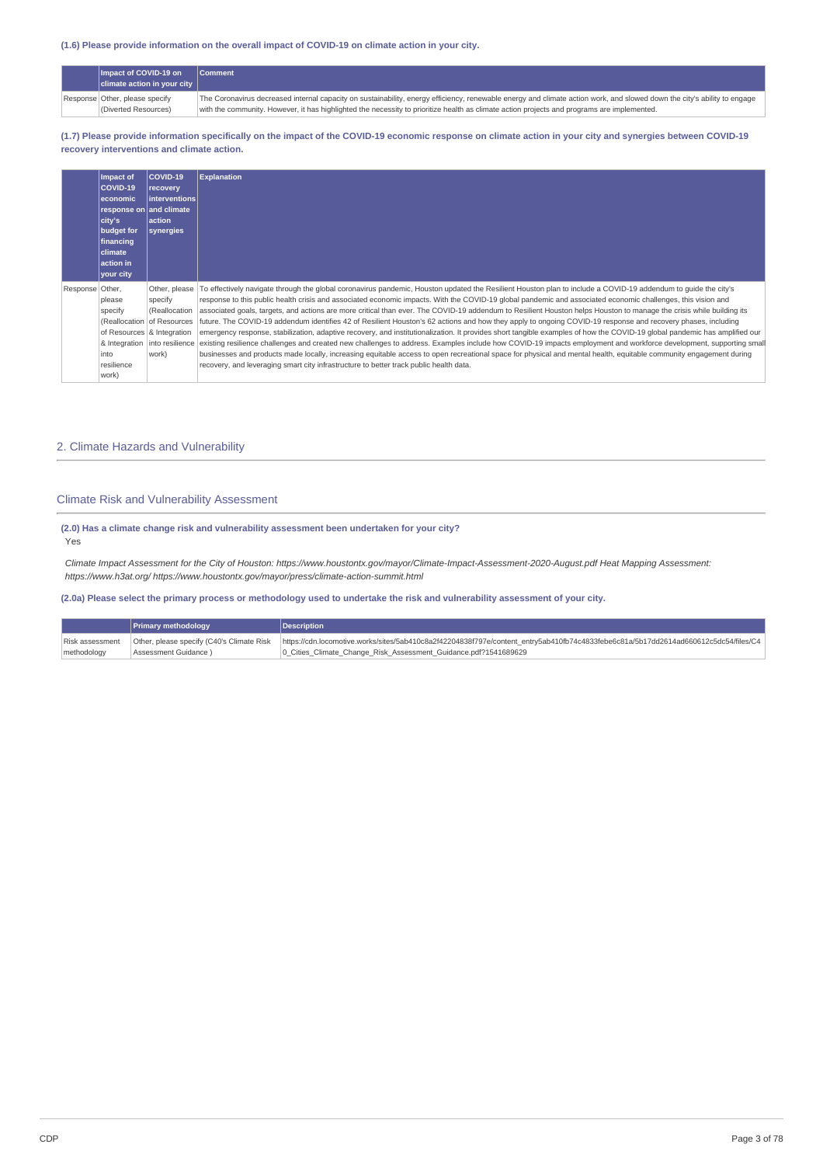## **(1.6) Please provide information on the overall impact of COVID-19 on climate action in your city.**

|  | Impact of COVID-19 on               | <b>Comment</b>                                                                                                                                                           |
|--|-------------------------------------|--------------------------------------------------------------------------------------------------------------------------------------------------------------------------|
|  | $ $ climate action in your city $ $ |                                                                                                                                                                          |
|  | Response Other, please specify      | The Coronavirus decreased internal capacity on sustainability, energy efficiency, renewable energy and climate action work, and slowed down the city's ability to engage |
|  | (Diverted Resources)                | with the community. However, it has highlighted the necessity to prioritize health as climate action projects and programs are implemented.                              |

(1.7) Please provide information specifically on the impact of the COVID-19 economic response on climate action in your city and synergies between COVID-19 **recovery interventions and climate action.**

|                 | Impact of<br>COVID-19<br>l economic<br>response on and climate<br>city's<br>budget for<br>financing<br><b>climate</b><br>action in<br>your city | COVID-19<br>recovery<br>Interventions<br>action<br>synergies                     | <b>Explanation</b>                                                                                                                                                                                                                                                                                                                                                                                                                                                                                                                                                                                                                                                                                                                                                                                                                                                                                                                                                                                                                                                                                                                                                                                                                                                                                                      |
|-----------------|-------------------------------------------------------------------------------------------------------------------------------------------------|----------------------------------------------------------------------------------|-------------------------------------------------------------------------------------------------------------------------------------------------------------------------------------------------------------------------------------------------------------------------------------------------------------------------------------------------------------------------------------------------------------------------------------------------------------------------------------------------------------------------------------------------------------------------------------------------------------------------------------------------------------------------------------------------------------------------------------------------------------------------------------------------------------------------------------------------------------------------------------------------------------------------------------------------------------------------------------------------------------------------------------------------------------------------------------------------------------------------------------------------------------------------------------------------------------------------------------------------------------------------------------------------------------------------|
| Response Other, | please<br>specify<br>of Resources & Integration<br>into<br>resilience<br>work)                                                                  | Other, please<br>specify<br>(Reallocation<br>(Reallocation of Resources<br>work) | To effectively navigate through the global coronavirus pandemic, Houston updated the Resilient Houston plan to include a COVID-19 addendum to quide the city's<br>response to this public health crisis and associated economic impacts. With the COVID-19 global pandemic and associated economic challenges, this vision and<br>associated goals, targets, and actions are more critical than ever. The COVID-19 addendum to Resilient Houston helps Houston to manage the crisis while building its<br>future. The COVID-19 addendum identifies 42 of Resilient Houston's 62 actions and how they apply to ongoing COVID-19 response and recovery phases, including<br>emergency response, stabilization, adaptive recovery, and institutionalization. It provides short tangible examples of how the COVID-19 global pandemic has amplified our<br>& Integration into resilience existing resilience challenges and created new challenges to address. Examples include how COVID-19 impacts employment and workforce development, supporting small<br>businesses and products made locally, increasing equitable access to open recreational space for physical and mental health, equitable community engagement during<br>recovery, and leveraging smart city infrastructure to better track public health data. |

## 2. Climate Hazards and Vulnerability

## Climate Risk and Vulnerability Assessment

## **(2.0) Has a climate change risk and vulnerability assessment been undertaken for your city?** Yes

Climate Impact Assessment for the City of Houston: https://www.houstontx.gov/mayor/Climate-Impact-Assessment-2020-August.pdf Heat Mapping Assessment: *https://www.h3at.org/ https://www.houstontx.gov/mayor/press/climate-action-summit.html*

(2.0a) Please select the primary process or methodology used to undertake the risk and vulnerability assessment of your city.

|                 | <b>Primary methodology</b>                | <b>Description</b>                                                                                                                  |
|-----------------|-------------------------------------------|-------------------------------------------------------------------------------------------------------------------------------------|
| Risk assessment | Other, please specify (C40's Climate Risk | https://cdn.locomotive.works/sites/5ab410c8a2f42204838f797e/content_entry5ab410fb74c4833febe6c81a/5b17dd2614ad660612c5dc54/files/C4 |
| methodology     | Assessment Guidance)                      | 10 Cities Climate Change Risk Assessment Guidance.pdf?1541689629                                                                    |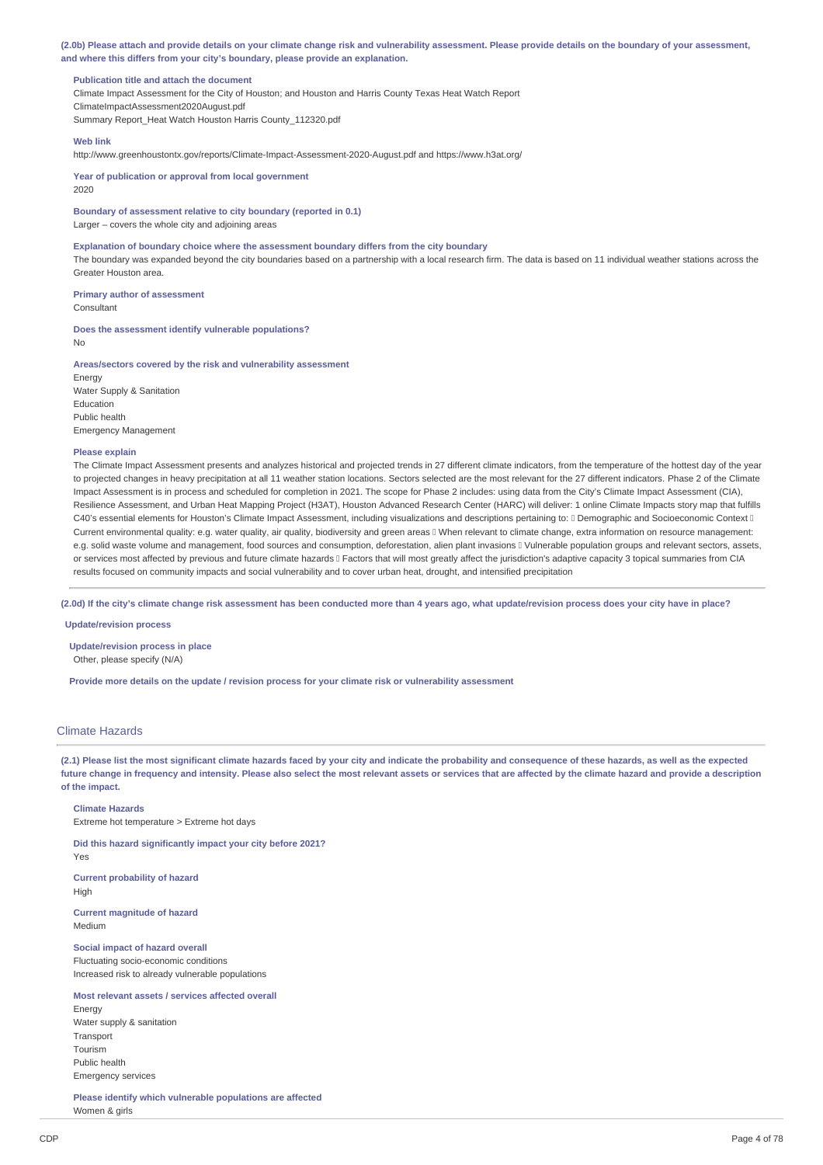(2.0b) Please attach and provide details on your climate change risk and vulnerability assessment. Please provide details on the boundary of your assessment, **and where this differs from your city's boundary, please provide an explanation.**

### **Publication title and attach the document**

Climate Impact Assessment for the City of Houston; and Houston and Harris County Texas Heat Watch Report ClimateImpactAssessment2020August.pdf Summary Report\_Heat Watch Houston Harris County\_112320.pdf

### **Web link**

http://www.greenhoustontx.gov/reports/Climate-Impact-Assessment-2020-August.pdf and https://www.h3at.org/

**Year of publication or approval from local government** 2020

**Boundary of assessment relative to city boundary (reported in 0.1)** Larger – covers the whole city and adjoining areas

### **Explanation of boundary choice where the assessment boundary differs from the city boundary**

The boundary was expanded beyond the city boundaries based on a partnership with a local research firm. The data is based on 11 individual weather stations across the Greater Houston area.

**Primary author of assessment** Consultant

**Does the assessment identify vulnerable populations?** No

### **Areas/sectors covered by the risk and vulnerability assessment**

Energy Water Supply & Sanitation Education Public health Emergency Management

#### **Please explain**

The Climate Impact Assessment presents and analyzes historical and projected trends in 27 different climate indicators, from the temperature of the hottest day of the year to projected changes in heavy precipitation at all 11 weather station locations. Sectors selected are the most relevant for the 27 different indicators. Phase 2 of the Climate Impact Assessment is in process and scheduled for completion in 2021. The scope for Phase 2 includes: using data from the City's Climate Impact Assessment (CIA), Resilience Assessment, and Urban Heat Mapping Project (H3AT), Houston Advanced Research Center (HARC) will deliver: 1 online Climate Impacts story map that fulfills C40's essential elements for Houston's Climate Impact Assessment, including visualizations and descriptions pertaining to: I Demographic and Socioeconomic Context II Current environmental quality: e.g. water quality, air quality, biodiversity and green areas When relevant to climate change, extra information on resource management: e.g. solid waste volume and management, food sources and consumption, deforestation, alien plant invasions II Vulnerable population groups and relevant sectors, assets, or services most affected by previous and future climate hazards II Factors that will most greatly affect the jurisdiction's adaptive capacity 3 topical summaries from CIA results focused on community impacts and social vulnerability and to cover urban heat, drought, and intensified precipitation

(2.0d) If the city's climate change risk assessment has been conducted more than 4 years ago, what update/revision process does your city have in place?

## **Update/revision process**

**Update/revision process in place** Other, please specify (N/A)

**Provide more details on the update / revision process for your climate risk or vulnerability assessment**

## Climate Hazards

(2.1) Please list the most significant climate hazards faced by your city and indicate the probability and consequence of these hazards, as well as the expected future change in frequency and intensity. Please also select the most relevant assets or services that are affected by the climate hazard and provide a description **of the impact.**

### **Climate Hazards**

Extreme hot temperature > Extreme hot days

**Did this hazard significantly impact your city before 2021?** Yes

**Current probability of hazard** High

**Current magnitude of hazard** Medium

**Social impact of hazard overall** Fluctuating socio-economic conditions Increased risk to already vulnerable populations

## **Most relevant assets / services affected overall**

Energy Water supply & sanitation Transport Tourism Public health Emergency services

**Please identify which vulnerable populations are affected** Women & girls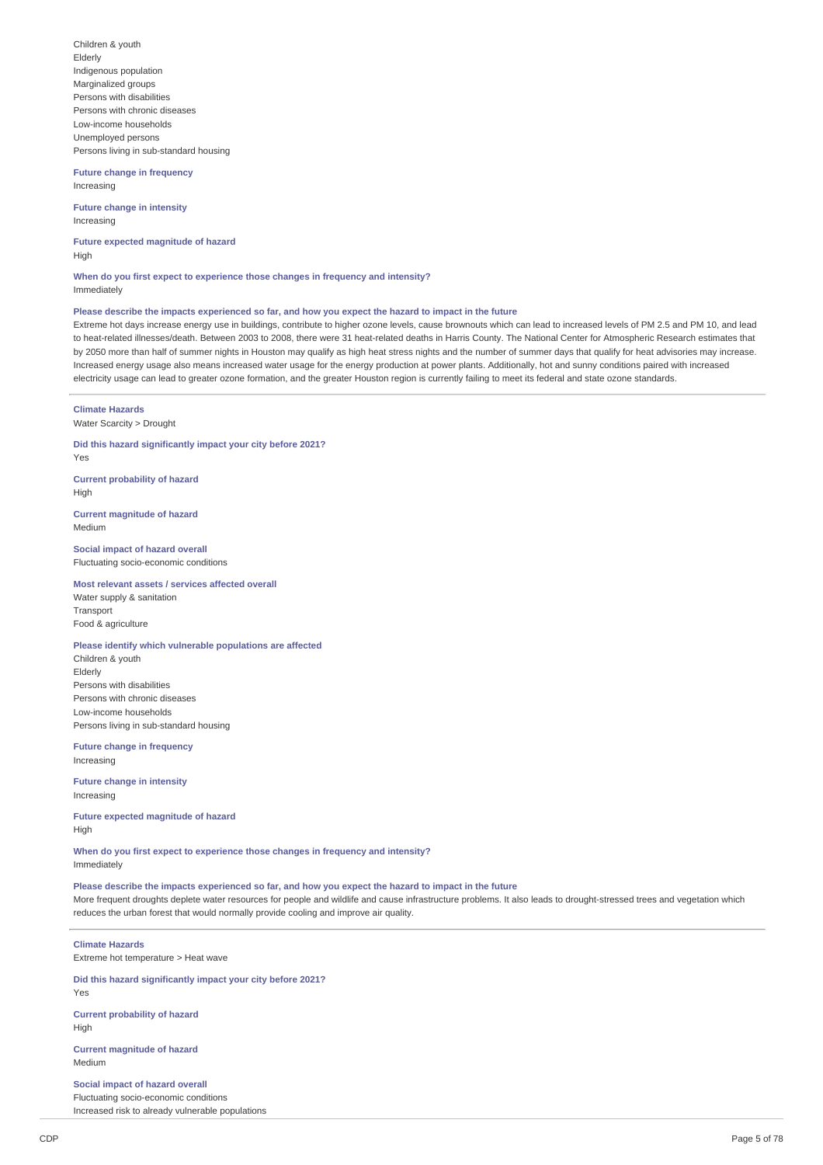Children & youth Elderly Indigenous population Marginalized groups Persons with disabilities Persons with chronic diseases Low-income households Unemployed persons Persons living in sub-standard housing

**Future change in frequency** Increasing

**Future change in intensity** Increasing

**Future expected magnitude of hazard** High

**When do you first expect to experience those changes in frequency and intensity?** Immediately

## Please describe the impacts experienced so far, and how you expect the hazard to impact in the future

Extreme hot days increase energy use in buildings, contribute to higher ozone levels, cause brownouts which can lead to increased levels of PM 2.5 and PM 10, and lead to heat-related illnesses/death. Between 2003 to 2008, there were 31 heat-related deaths in Harris County. The National Center for Atmospheric Research estimates that by 2050 more than half of summer nights in Houston may qualify as high heat stress nights and the number of summer days that qualify for heat advisories may increase. Increased energy usage also means increased water usage for the energy production at power plants. Additionally, hot and sunny conditions paired with increased electricity usage can lead to greater ozone formation, and the greater Houston region is currently failing to meet its federal and state ozone standards.

## **Climate Hazards**

Water Scarcity > Drought

**Did this hazard significantly impact your city before 2021?** Yes

**Current probability of hazard** High

**Current magnitude of hazard** Medium

**Social impact of hazard overall** Fluctuating socio-economic conditions

## **Most relevant assets / services affected overall**

Water supply & sanitation Transport Food & agriculture

## **Please identify which vulnerable populations are affected**

Children & youth Elderly Persons with disabilities Persons with chronic diseases Low-income households Persons living in sub-standard housing

**Future change in frequency** Increasing

**Future change in intensity** Increasing

**Future expected magnitude of hazard** High

**When do you first expect to experience those changes in frequency and intensity?** Immediately

Please describe the impacts experienced so far, and how you expect the hazard to impact in the future More frequent droughts deplete water resources for people and wildlife and cause infrastructure problems. It also leads to drought-stressed trees and vegetation which reduces the urban forest that would normally provide cooling and improve air quality.

# **Climate Hazards**

Extreme hot temperature > Heat wave

**Did this hazard significantly impact your city before 2021?** Yes

**Current probability of hazard** High

**Current magnitude of hazard** Medium

**Social impact of hazard overall** Fluctuating socio-economic conditions

Increased risk to already vulnerable populations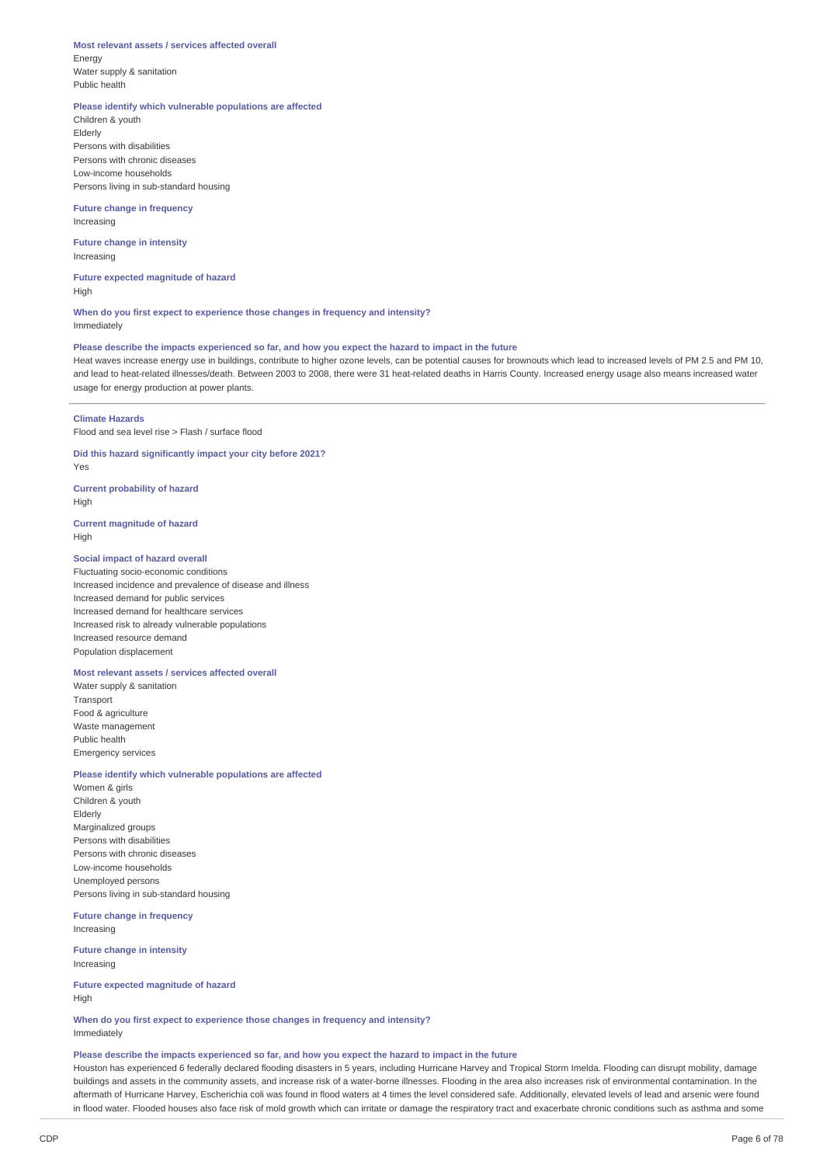### **Most relevant assets / services affected overall**

Energy Water supply & sanitation Public health

## **Please identify which vulnerable populations are affected**

Children & youth Elderly Persons with disabilities Persons with chronic diseases Low-income households Persons living in sub-standard housing

### **Future change in frequency** Increasing

**Future change in intensity** Increasing

**Future expected magnitude of hazard** High

**When do you first expect to experience those changes in frequency and intensity?** Immediately

## Please describe the impacts experienced so far, and how you expect the hazard to impact in the future

Heat waves increase energy use in buildings, contribute to higher ozone levels, can be potential causes for brownouts which lead to increased levels of PM 2.5 and PM 10, and lead to heat-related illnesses/death. Between 2003 to 2008, there were 31 heat-related deaths in Harris County. Increased energy usage also means increased water usage for energy production at power plants.

## **Climate Hazards**

Flood and sea level rise > Flash / surface flood

# **Did this hazard significantly impact your city before 2021?**

Yes

**Current probability of hazard**

High

## **Current magnitude of hazard** High

## **Social impact of hazard overall**

Fluctuating socio-economic conditions Increased incidence and prevalence of disease and illness Increased demand for public services Increased demand for healthcare services Increased risk to already vulnerable populations Increased resource demand Population displacement

## **Most relevant assets / services affected overall**

Water supply & sanitation Transport Food & agriculture Waste management Public health Emergency services

### **Please identify which vulnerable populations are affected**

Women & girls Children & youth Elderly Marginalized groups Persons with disabilities Persons with chronic diseases Low-income households Unemployed persons Persons living in sub-standard housing

**Future change in frequency** Increasing

**Future change in intensity** Increasing

**Future expected magnitude of hazard** High

**When do you first expect to experience those changes in frequency and intensity?** Immediately

### Please describe the impacts experienced so far, and how you expect the hazard to impact in the future

Houston has experienced 6 federally declared flooding disasters in 5 years, including Hurricane Harvey and Tropical Storm Imelda. Flooding can disrupt mobility, damage buildings and assets in the community assets, and increase risk of a water-borne illnesses. Flooding in the area also increases risk of environmental contamination. In the aftermath of Hurricane Harvey, Escherichia coli was found in flood waters at 4 times the level considered safe. Additionally, elevated levels of lead and arsenic were found in flood water. Flooded houses also face risk of mold growth which can irritate or damage the respiratory tract and exacerbate chronic conditions such as asthma and some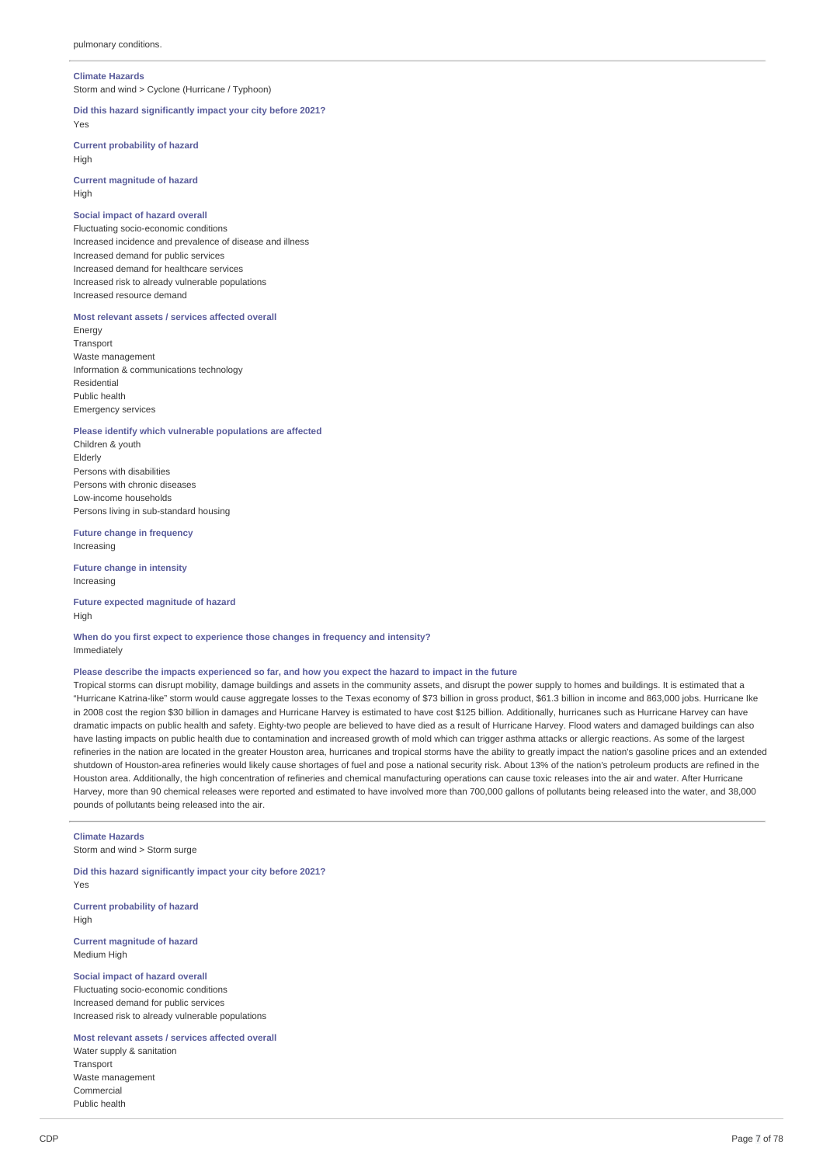### **Climate Hazards**

Storm and wind > Cyclone (Hurricane / Typhoon)

### **Did this hazard significantly impact your city before 2021?** Yes

**Current probability of hazard** High

**Current magnitude of hazard** High

## **Social impact of hazard overall**

Fluctuating socio-economic conditions Increased incidence and prevalence of disease and illness Increased demand for public services Increased demand for healthcare services Increased risk to already vulnerable populations Increased resource demand

## **Most relevant assets / services affected overall**

Energy Transport Waste management Information & communications technology Residential Public health Emergency services

## **Please identify which vulnerable populations are affected**

Children & youth Elderly Persons with disabilities Persons with chronic diseases Low-income households Persons living in sub-standard housing

**Future change in frequency** Increasing

**Future change in intensity** Increasing

**Future expected magnitude of hazard** High

**When do you first expect to experience those changes in frequency and intensity?** Immediately

## Please describe the impacts experienced so far, and how you expect the hazard to impact in the future

Tropical storms can disrupt mobility, damage buildings and assets in the community assets, and disrupt the power supply to homes and buildings. It is estimated that a "Hurricane Katrina-like" storm would cause aggregate losses to the Texas economy of \$73 billion in gross product, \$61.3 billion in income and 863,000 jobs. Hurricane Ike in 2008 cost the region \$30 billion in damages and Hurricane Harvey is estimated to have cost \$125 billion. Additionally, hurricanes such as Hurricane Harvey can have dramatic impacts on public health and safety. Eighty-two people are believed to have died as a result of Hurricane Harvey. Flood waters and damaged buildings can also have lasting impacts on public health due to contamination and increased growth of mold which can trigger asthma attacks or allergic reactions. As some of the largest refineries in the nation are located in the greater Houston area, hurricanes and tropical storms have the ability to greatly impact the nation's gasoline prices and an extended shutdown of Houston-area refineries would likely cause shortages of fuel and pose a national security risk. About 13% of the nation's petroleum products are refined in the Houston area. Additionally, the high concentration of refineries and chemical manufacturing operations can cause toxic releases into the air and water. After Hurricane Harvey, more than 90 chemical releases were reported and estimated to have involved more than 700,000 gallons of pollutants being released into the water, and 38,000 pounds of pollutants being released into the air.

## **Climate Hazards**

Storm and wind > Storm surge

**Did this hazard significantly impact your city before 2021?** Yes

**Current probability of hazard** High

**Current magnitude of hazard** Medium High

## **Social impact of hazard overall**

Fluctuating socio-economic conditions Increased demand for public services Increased risk to already vulnerable populations

**Most relevant assets / services affected overall**

Water supply & sanitation Transport Waste management Commercial Public health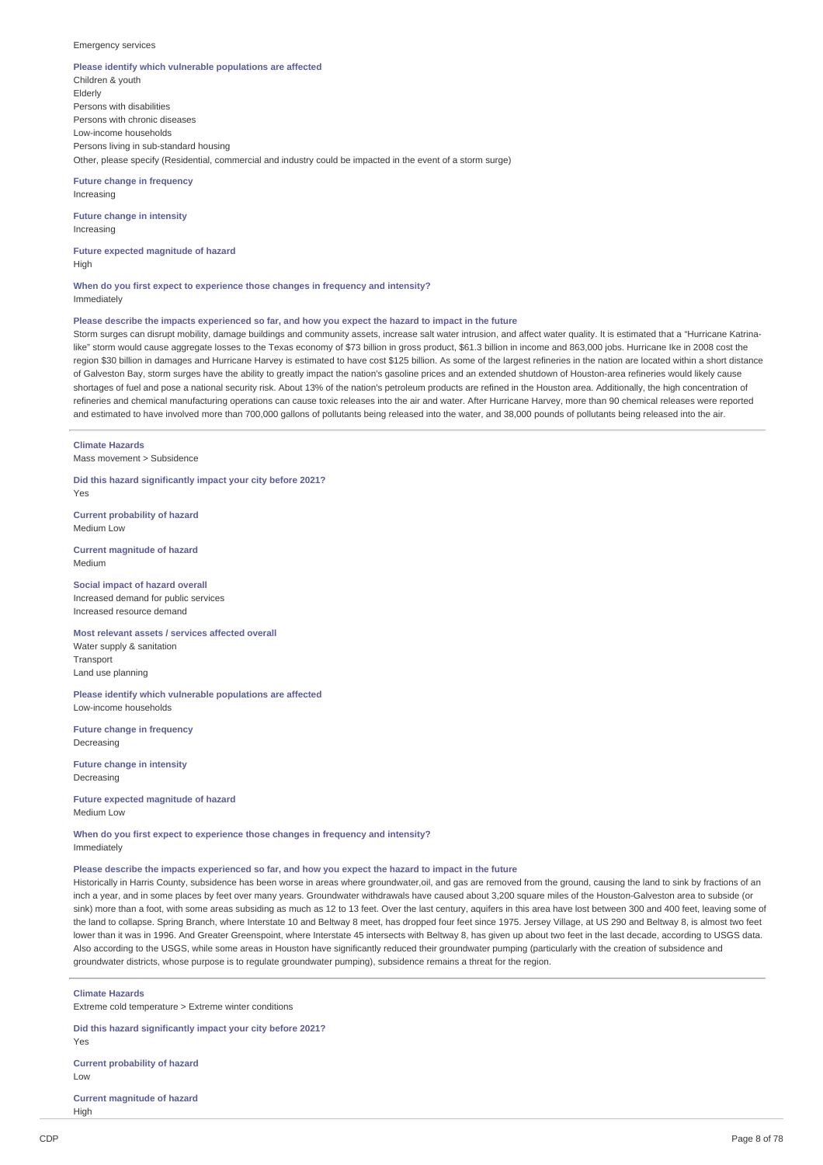### Emergency services

## **Please identify which vulnerable populations are affected**

Children & youth Elderly Persons with disabilities Persons with chronic diseases Low-income households Persons living in sub-standard housing Other, please specify (Residential, commercial and industry could be impacted in the event of a storm surge)

**Future change in frequency** Increasing

**Future change in intensity** Increasing

**Future expected magnitude of hazard** High

**When do you first expect to experience those changes in frequency and intensity?** Immediately

### Please describe the impacts experienced so far, and how you expect the hazard to impact in the future

Storm surges can disrupt mobility, damage buildings and community assets, increase salt water intrusion, and affect water quality. It is estimated that a "Hurricane Katrinalike" storm would cause aggregate losses to the Texas economy of \$73 billion in gross product, \$61.3 billion in income and 863,000 jobs. Hurricane Ike in 2008 cost the region \$30 billion in damages and Hurricane Harvey is estimated to have cost \$125 billion. As some of the largest refineries in the nation are located within a short distance of Galveston Bay, storm surges have the ability to greatly impact the nation's gasoline prices and an extended shutdown of Houston-area refineries would likely cause shortages of fuel and pose a national security risk. About 13% of the nation's petroleum products are refined in the Houston area. Additionally, the high concentration of refineries and chemical manufacturing operations can cause toxic releases into the air and water. After Hurricane Harvey, more than 90 chemical releases were reported and estimated to have involved more than 700,000 gallons of pollutants being released into the water, and 38,000 pounds of pollutants being released into the air.

**Climate Hazards** Mass movement > Subsidence

**Did this hazard significantly impact your city before 2021?** Yes

**Current probability of hazard** Medium Low

**Current magnitude of hazard** Medium

**Social impact of hazard overall** Increased demand for public services Increased resource demand

### **Most relevant assets / services affected overall** Water supply & sanitation

Transport Land use planning

**Please identify which vulnerable populations are affected** Low-income households

**Future change in frequency** Decreasing

**Future change in intensity** Decreasing

**Future expected magnitude of hazard** Medium Low

**When do you first expect to experience those changes in frequency and intensity?** Immediately

## Please describe the impacts experienced so far, and how you expect the hazard to impact in the future

Historically in Harris County, subsidence has been worse in areas where groundwater,oil, and gas are removed from the ground, causing the land to sink by fractions of an inch a year, and in some places by feet over many years. Groundwater withdrawals have caused about 3,200 square miles of the Houston-Galveston area to subside (or sink) more than a foot, with some areas subsiding as much as 12 to 13 feet. Over the last century, aquifers in this area have lost between 300 and 400 feet, leaving some of the land to collapse. Spring Branch, where Interstate 10 and Beltway 8 meet, has dropped four feet since 1975. Jersey Village, at US 290 and Beltway 8, is almost two feet lower than it was in 1996. And Greater Greenspoint, where Interstate 45 intersects with Beltway 8, has given up about two feet in the last decade, according to USGS data. Also according to the USGS, while some areas in Houston have significantly reduced their groundwater pumping (particularly with the creation of subsidence and groundwater districts, whose purpose is to regulate groundwater pumping), subsidence remains a threat for the region.

**Climate Hazards**

Extreme cold temperature > Extreme winter conditions

**Did this hazard significantly impact your city before 2021?** Yes **Current probability of hazard**

Low

**Current magnitude of hazard** High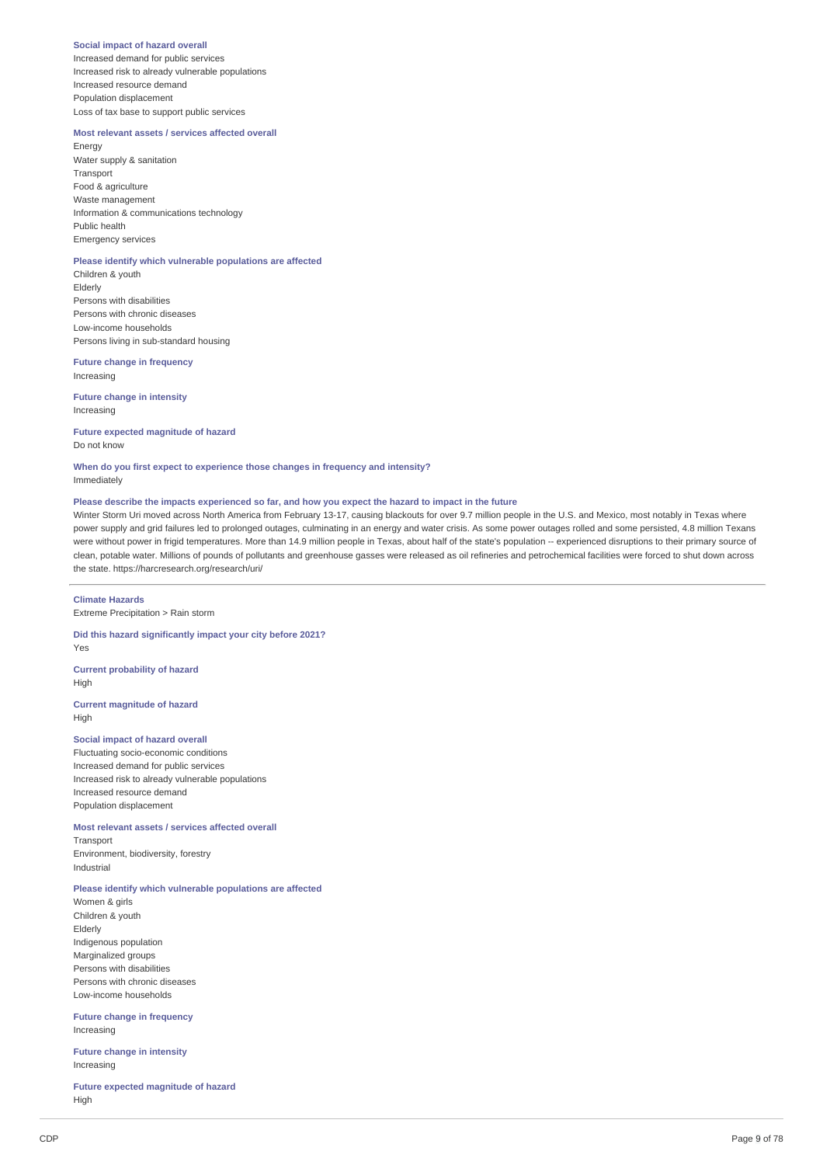### **Social impact of hazard overall**

Increased demand for public services Increased risk to already vulnerable populations Increased resource demand Population displacement Loss of tax base to support public services

## **Most relevant assets / services affected overall**

Energy Water supply & sanitation Transport Food & agriculture Waste management Information & communications technology Public health Emergency services

## **Please identify which vulnerable populations are affected**

Children & youth Elderly Persons with disabilities Persons with chronic diseases Low-income households Persons living in sub-standard housing

### **Future change in frequency** Increasing

**Future change in intensity** Increasing

## **Future expected magnitude of hazard** Do not know

### **When do you first expect to experience those changes in frequency and intensity?** Immediately

## Please describe the impacts experienced so far, and how you expect the hazard to impact in the future

Winter Storm Uri moved across North America from February 13-17, causing blackouts for over 9.7 million people in the U.S. and Mexico, most notably in Texas where power supply and grid failures led to prolonged outages, culminating in an energy and water crisis. As some power outages rolled and some persisted, 4.8 million Texans were without power in frigid temperatures. More than 14.9 million people in Texas, about half of the state's population -- experienced disruptions to their primary source of clean, potable water. Millions of pounds of pollutants and greenhouse gasses were released as oil refineries and petrochemical facilities were forced to shut down across the state. https://harcresearch.org/research/uri/

### **Climate Hazards**

Extreme Precipitation > Rain storm

## **Did this hazard significantly impact your city before 2021?**

Yes

## **Current probability of hazard** High

**Current magnitude of hazard** High

## **Social impact of hazard overall**

Fluctuating socio-economic conditions Increased demand for public services Increased risk to already vulnerable populations Increased resource demand Population displacement

## **Most relevant assets / services affected overall**

Transport Environment, biodiversity, forestry Industrial

## **Please identify which vulnerable populations are affected**

Women & girls Children & youth Elderly Indigenous population Marginalized groups Persons with disabilities Persons with chronic diseases Low-income households

### **Future change in frequency** Increasing

**Future change in intensity** Increasing

**Future expected magnitude of hazard** High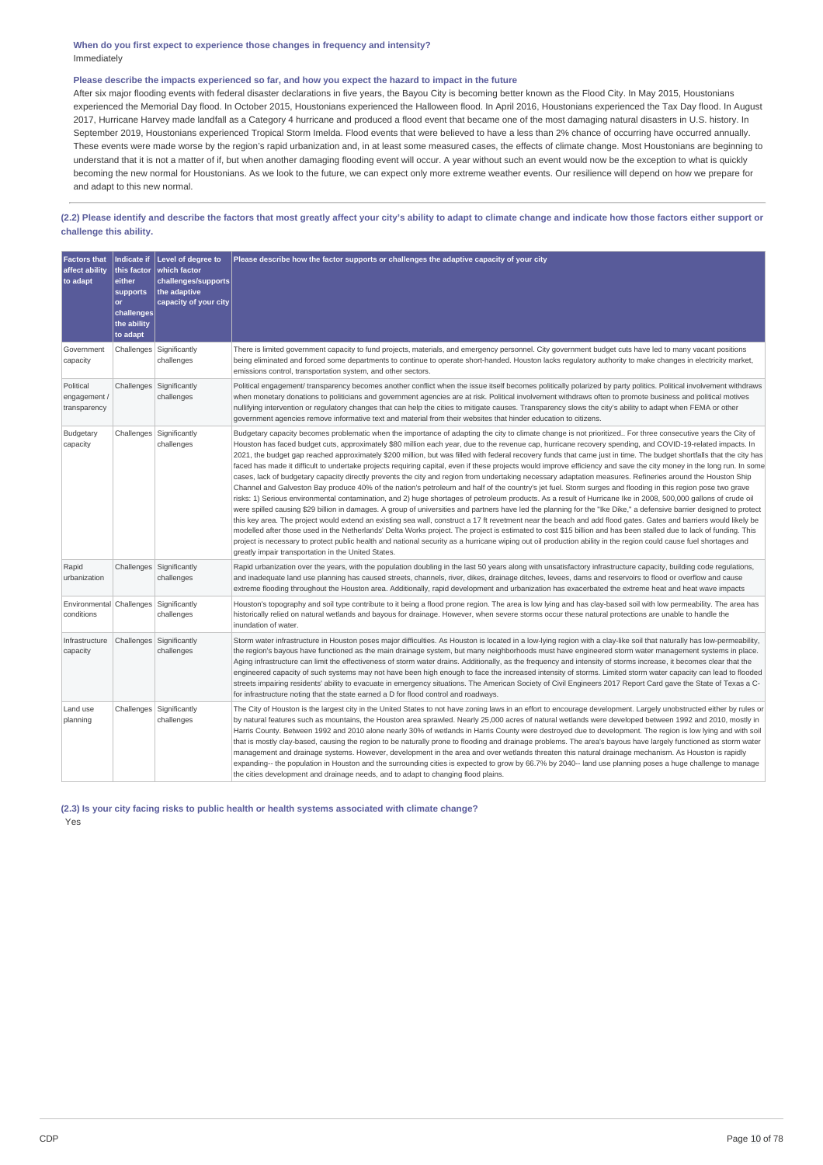## **When do you first expect to experience those changes in frequency and intensity?** Immediately

## Please describe the impacts experienced so far, and how you expect the hazard to impact in the future

After six major flooding events with federal disaster declarations in five years, the Bayou City is becoming better known as the Flood City. In May 2015, Houstonians experienced the Memorial Day flood. In October 2015, Houstonians experienced the Halloween flood. In April 2016, Houstonians experienced the Tax Day flood. In August 2017, Hurricane Harvey made landfall as a Category 4 hurricane and produced a flood event that became one of the most damaging natural disasters in U.S. history. In September 2019, Houstonians experienced Tropical Storm Imelda. Flood events that were believed to have a less than 2% chance of occurring have occurred annually. These events were made worse by the region's rapid urbanization and, in at least some measured cases, the effects of climate change. Most Houstonians are beginning to understand that it is not a matter of if, but when another damaging flooding event will occur. A year without such an event would now be the exception to what is quickly becoming the new normal for Houstonians. As we look to the future, we can expect only more extreme weather events. Our resilience will depend on how we prepare for and adapt to this new normal.

## (2.2) Please identify and describe the factors that most greatly affect your city's ability to adapt to climate change and indicate how those factors either support or **challenge this ability.**

| <b>Factors that</b><br>affect ability<br>to adapt    | <b>Indicate if</b><br>this factor<br>either<br>supports<br>or<br>challenges<br>the ability<br>to adapt | Level of degree to<br>which factor<br>challenges/supports<br>the adaptive<br>capacity of your city | Please describe how the factor supports or challenges the adaptive capacity of your city                                                                                                                                                                                                                                                                                                                                                                                                                                                                                                                                                                                                                                                                                                                                                                                                                                                                                                                                                                                                                                                                                                                                                                                                                                                                                                                                                                                                                                                                                                                                                                                                                                                                                                                                                                                                                                 |
|------------------------------------------------------|--------------------------------------------------------------------------------------------------------|----------------------------------------------------------------------------------------------------|--------------------------------------------------------------------------------------------------------------------------------------------------------------------------------------------------------------------------------------------------------------------------------------------------------------------------------------------------------------------------------------------------------------------------------------------------------------------------------------------------------------------------------------------------------------------------------------------------------------------------------------------------------------------------------------------------------------------------------------------------------------------------------------------------------------------------------------------------------------------------------------------------------------------------------------------------------------------------------------------------------------------------------------------------------------------------------------------------------------------------------------------------------------------------------------------------------------------------------------------------------------------------------------------------------------------------------------------------------------------------------------------------------------------------------------------------------------------------------------------------------------------------------------------------------------------------------------------------------------------------------------------------------------------------------------------------------------------------------------------------------------------------------------------------------------------------------------------------------------------------------------------------------------------------|
| Government<br>capacity                               |                                                                                                        | Challenges Significantly<br>challenges                                                             | There is limited government capacity to fund projects, materials, and emergency personnel. City government budget cuts have led to many vacant positions<br>being eliminated and forced some departments to continue to operate short-handed. Houston lacks regulatory authority to make changes in electricity market,<br>emissions control, transportation system, and other sectors.                                                                                                                                                                                                                                                                                                                                                                                                                                                                                                                                                                                                                                                                                                                                                                                                                                                                                                                                                                                                                                                                                                                                                                                                                                                                                                                                                                                                                                                                                                                                  |
| Political<br>engagement /<br>transparency            |                                                                                                        | Challenges Significantly<br>challenges                                                             | Political engagement/ transparency becomes another conflict when the issue itself becomes politically polarized by party politics. Political involvement withdraws<br>when monetary donations to politicians and government agencies are at risk. Political involvement withdraws often to promote business and political motives<br>nullifying intervention or regulatory changes that can help the cities to mitigate causes. Transparency slows the city's ability to adapt when FEMA or other<br>government agencies remove informative text and material from their websites that hinder education to citizens.                                                                                                                                                                                                                                                                                                                                                                                                                                                                                                                                                                                                                                                                                                                                                                                                                                                                                                                                                                                                                                                                                                                                                                                                                                                                                                     |
| Budgetary<br>capacity                                |                                                                                                        | Challenges Significantly<br>challenges                                                             | Budgetary capacity becomes problematic when the importance of adapting the city to climate change is not prioritized For three consecutive years the City of<br>Houston has faced budget cuts, approximately \$80 million each year, due to the revenue cap, hurricane recovery spending, and COVID-19-related impacts. In<br>2021, the budget gap reached approximately \$200 million, but was filled with federal recovery funds that came just in time. The budget shortfalls that the city has<br>faced has made it difficult to undertake projects requiring capital, even if these projects would improve efficiency and save the city money in the long run. In some<br>cases, lack of budgetary capacity directly prevents the city and region from undertaking necessary adaptation measures. Refineries around the Houston Ship<br>Channel and Galveston Bay produce 40% of the nation's petroleum and half of the country's jet fuel. Storm surges and flooding in this region pose two grave<br>risks: 1) Serious environmental contamination, and 2) huge shortages of petroleum products. As a result of Hurricane Ike in 2008, 500,000 gallons of crude oil<br>were spilled causing \$29 billion in damages. A group of universities and partners have led the planning for the "Ike Dike," a defensive barrier designed to protect<br>this key area. The project would extend an existing sea wall, construct a 17 ft revetment near the beach and add flood gates. Gates and barriers would likely be<br>modelled after those used in the Netherlands' Delta Works project. The project is estimated to cost \$15 billion and has been stalled due to lack of funding. This<br>project is necessary to protect public health and national security as a hurricane wiping out oil production ability in the region could cause fuel shortages and<br>greatly impair transportation in the United States. |
| Rapid<br>urbanization                                |                                                                                                        | Challenges Significantly<br>challenges                                                             | Rapid urbanization over the years, with the population doubling in the last 50 years along with unsatisfactory infrastructure capacity, building code regulations,<br>and inadequate land use planning has caused streets, channels, river, dikes, drainage ditches, levees, dams and reservoirs to flood or overflow and cause<br>extreme flooding throughout the Houston area. Additionally, rapid development and urbanization has exacerbated the extreme heat and heat wave impacts                                                                                                                                                                                                                                                                                                                                                                                                                                                                                                                                                                                                                                                                                                                                                                                                                                                                                                                                                                                                                                                                                                                                                                                                                                                                                                                                                                                                                                 |
| Environmental Challenges Significantly<br>conditions |                                                                                                        | challenges                                                                                         | Houston's topography and soil type contribute to it being a flood prone region. The area is low lying and has clay-based soil with low permeability. The area has<br>historically relied on natural wetlands and bayous for drainage. However, when severe storms occur these natural protections are unable to handle the<br>inundation of water.                                                                                                                                                                                                                                                                                                                                                                                                                                                                                                                                                                                                                                                                                                                                                                                                                                                                                                                                                                                                                                                                                                                                                                                                                                                                                                                                                                                                                                                                                                                                                                       |
| Infrastructure<br>capacity                           |                                                                                                        | Challenges Significantly<br>challenges                                                             | Storm water infrastructure in Houston poses major difficulties. As Houston is located in a low-lying region with a clay-like soil that naturally has low-permeability,<br>the region's bayous have functioned as the main drainage system, but many neighborhoods must have engineered storm water management systems in place.<br>Aging infrastructure can limit the effectiveness of storm water drains. Additionally, as the frequency and intensity of storms increase, it becomes clear that the<br>engineered capacity of such systems may not have been high enough to face the increased intensity of storms. Limited storm water capacity can lead to flooded<br>streets impairing residents' ability to evacuate in emergency situations. The American Society of Civil Engineers 2017 Report Card gave the State of Texas a C-<br>for infrastructure noting that the state earned a D for flood control and roadways.                                                                                                                                                                                                                                                                                                                                                                                                                                                                                                                                                                                                                                                                                                                                                                                                                                                                                                                                                                                         |
| Land use<br>planning                                 |                                                                                                        | Challenges Significantly<br>challenges                                                             | The City of Houston is the largest city in the United States to not have zoning laws in an effort to encourage development. Largely unobstructed either by rules or<br>by natural features such as mountains, the Houston area sprawled. Nearly 25,000 acres of natural wetlands were developed between 1992 and 2010, mostly in<br>Harris County. Between 1992 and 2010 alone nearly 30% of wetlands in Harris County were destroyed due to development. The region is low lying and with soil<br>that is mostly clay-based, causing the region to be naturally prone to flooding and drainage problems. The area's bayous have largely functioned as storm water<br>management and drainage systems. However, development in the area and over wetlands threaten this natural drainage mechanism. As Houston is rapidly<br>expanding-- the population in Houston and the surrounding cities is expected to grow by 66.7% by 2040-- land use planning poses a huge challenge to manage<br>the cities development and drainage needs, and to adapt to changing flood plains.                                                                                                                                                                                                                                                                                                                                                                                                                                                                                                                                                                                                                                                                                                                                                                                                                                             |

**(2.3) Is your city facing risks to public health or health systems associated with climate change?** Yes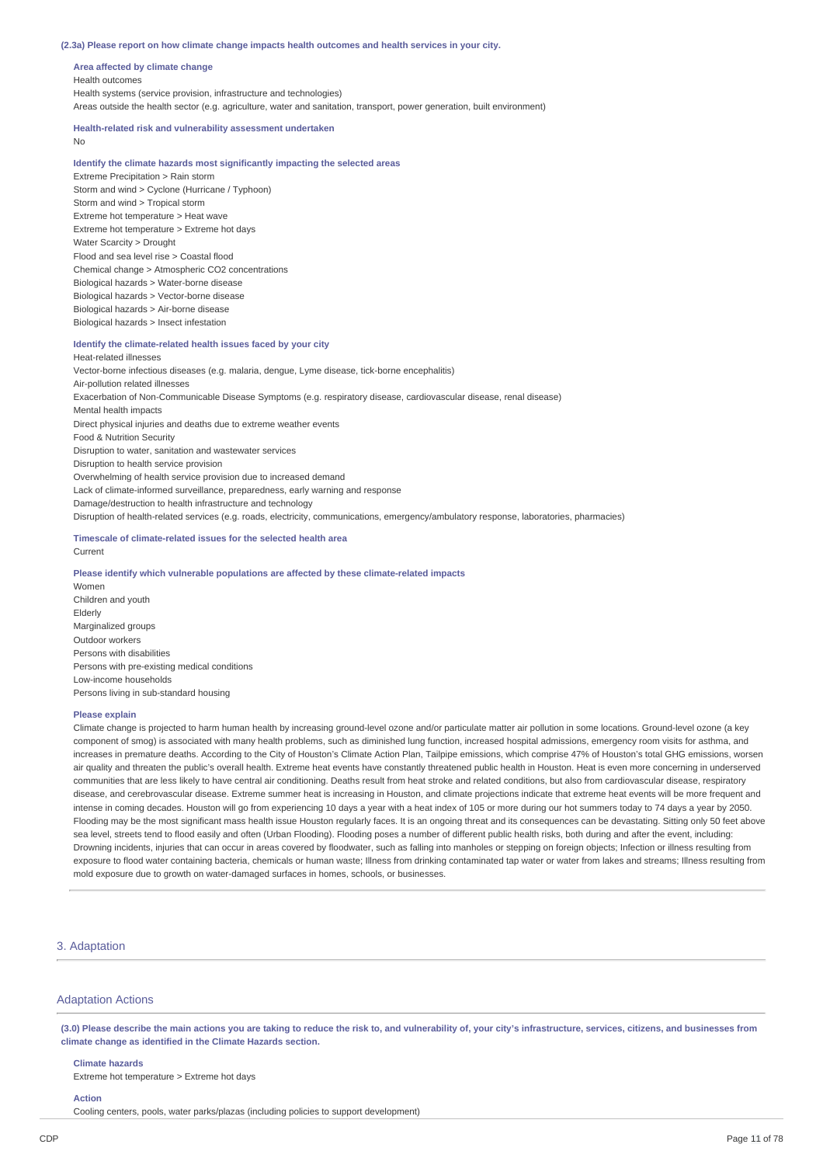### **(2.3a) Please report on how climate change impacts health outcomes and health services in your city.**

**Area affected by climate change** Health outcomes Health systems (service provision, infrastructure and technologies) Areas outside the health sector (e.g. agriculture, water and sanitation, transport, power generation, built environment)

## **Health-related risk and vulnerability assessment undertaken**

No

## **Identify the climate hazards most significantly impacting the selected areas**

Extreme Precipitation > Rain storm Storm and wind > Cyclone (Hurricane / Typhoon) Storm and wind > Tropical storm Extreme hot temperature > Heat wave Extreme hot temperature > Extreme hot days Water Scarcity > Drought Flood and sea level rise > Coastal flood Chemical change > Atmospheric CO2 concentrations Biological hazards > Water-borne disease Biological hazards > Vector-borne disease Biological hazards > Air-borne disease Biological hazards > Insect infestation

### **Identify the climate-related health issues faced by your city**

Heat-related illnesses Vector-borne infectious diseases (e.g. malaria, dengue, Lyme disease, tick-borne encephalitis) Air-pollution related illnesses Exacerbation of Non-Communicable Disease Symptoms (e.g. respiratory disease, cardiovascular disease, renal disease) Mental health impacts Direct physical injuries and deaths due to extreme weather events Food & Nutrition Security Disruption to water, sanitation and wastewater services Disruption to health service provision Overwhelming of health service provision due to increased demand Lack of climate-informed surveillance, preparedness, early warning and response Damage/destruction to health infrastructure and technology Disruption of health-related services (e.g. roads, electricity, communications, emergency/ambulatory response, laboratories, pharmacies)

## **Timescale of climate-related issues for the selected health area**

## Current

### **Please identify which vulnerable populations are affected by these climate-related impacts**

Women Children and youth Elderly Marginalized groups Outdoor workers Persons with disabilities Persons with pre-existing medical conditions Low-income households Persons living in sub-standard housing

### **Please explain**

Climate change is projected to harm human health by increasing ground-level ozone and/or particulate matter air pollution in some locations. Ground-level ozone (a key component of smog) is associated with many health problems, such as diminished lung function, increased hospital admissions, emergency room visits for asthma, and increases in premature deaths. According to the City of Houston's Climate Action Plan, Tailpipe emissions, which comprise 47% of Houston's total GHG emissions, worsen air quality and threaten the public's overall health. Extreme heat events have constantly threatened public health in Houston. Heat is even more concerning in underserved communities that are less likely to have central air conditioning. Deaths result from heat stroke and related conditions, but also from cardiovascular disease, respiratory disease, and cerebrovascular disease. Extreme summer heat is increasing in Houston, and climate projections indicate that extreme heat events will be more frequent and intense in coming decades. Houston will go from experiencing 10 days a year with a heat index of 105 or more during our hot summers today to 74 days a year by 2050. Flooding may be the most significant mass health issue Houston regularly faces. It is an ongoing threat and its consequences can be devastating. Sitting only 50 feet above sea level, streets tend to flood easily and often (Urban Flooding). Flooding poses a number of different public health risks, both during and after the event, including: Drowning incidents, injuries that can occur in areas covered by floodwater, such as falling into manholes or stepping on foreign objects; Infection or illness resulting from exposure to flood water containing bacteria, chemicals or human waste; Illness from drinking contaminated tap water or water from lakes and streams; Illness resulting from mold exposure due to growth on water-damaged surfaces in homes, schools, or businesses.

## 3. Adaptation

## Adaptation Actions

(3.0) Please describe the main actions you are taking to reduce the risk to, and vulnerability of, your city's infrastructure, services, citizens, and businesses from **climate change as identified in the Climate Hazards section.**

### **Climate hazards**

Extreme hot temperature > Extreme hot days

## **Action**

Cooling centers, pools, water parks/plazas (including policies to support development)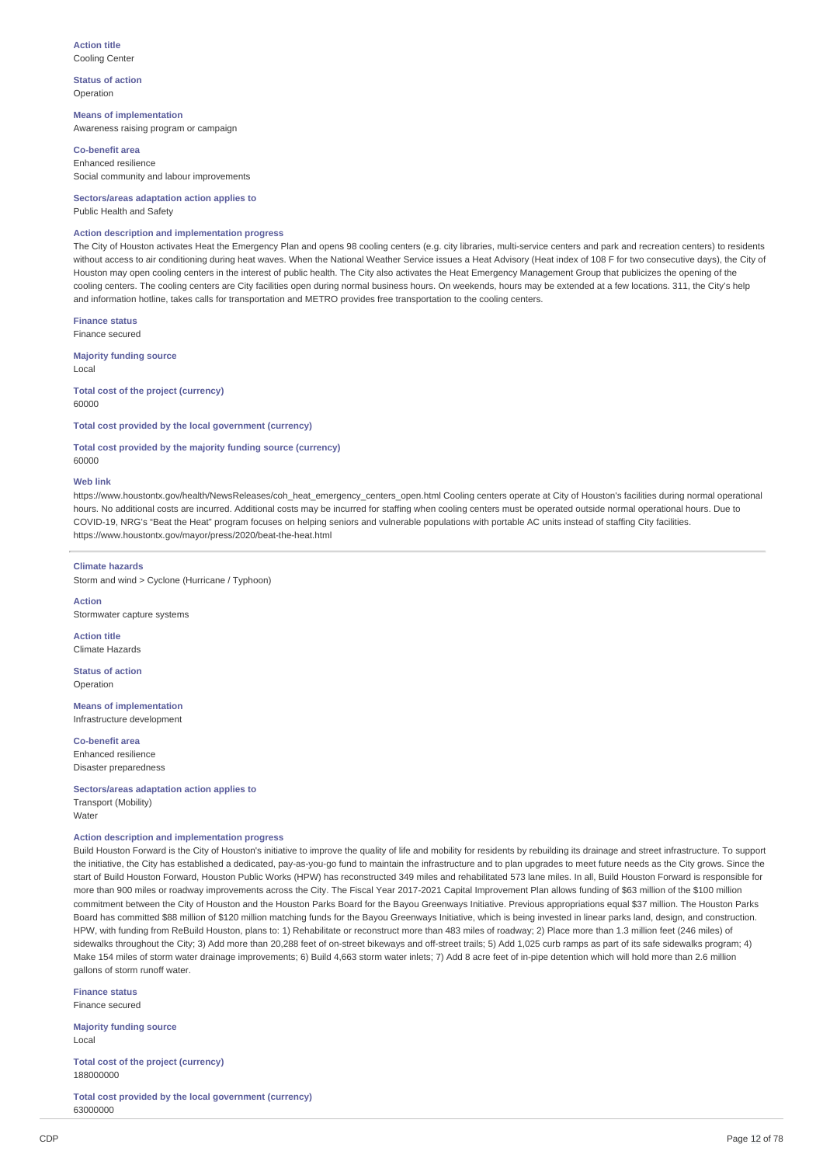### **Action title** Cooling Center

**Status of action** Operation

**Means of implementation** Awareness raising program or campaign

**Co-benefit area** Enhanced resilience Social community and labour improvements

**Sectors/areas adaptation action applies to** Public Health and Safety

## **Action description and implementation progress**

The City of Houston activates Heat the Emergency Plan and opens 98 cooling centers (e.g. city libraries, multi-service centers and park and recreation centers) to residents without access to air conditioning during heat waves. When the National Weather Service issues a Heat Advisory (Heat index of 108 F for two consecutive days), the City of Houston may open cooling centers in the interest of public health. The City also activates the Heat Emergency Management Group that publicizes the opening of the cooling centers. The cooling centers are City facilities open during normal business hours. On weekends, hours may be extended at a few locations. 311, the City's help and information hotline, takes calls for transportation and METRO provides free transportation to the cooling centers.

**Finance status** Finance secured

**Majority funding source** Local

**Total cost of the project (currency)** 60000

**Total cost provided by the local government (currency)**

**Total cost provided by the majority funding source (currency)** 60000

## **Web link**

https://www.houstontx.gov/health/NewsReleases/coh\_heat\_emergency\_centers\_open.html Cooling centers operate at City of Houston's facilities during normal operational hours. No additional costs are incurred. Additional costs may be incurred for staffing when cooling centers must be operated outside normal operational hours. Due to COVID-19, NRG's "Beat the Heat" program focuses on helping seniors and vulnerable populations with portable AC units instead of staffing City facilities. https://www.houstontx.gov/mayor/press/2020/beat-the-heat.html

## **Climate hazards**

Storm and wind > Cyclone (Hurricane / Typhoon)

**Action** Stormwater capture systems

**Action title** Climate Hazards

**Status of action** Operation

**Means of implementation** Infrastructure development

**Co-benefit area** Enhanced resilience Disaster preparedness

**Sectors/areas adaptation action applies to** Transport (Mobility) Water

### **Action description and implementation progress**

Build Houston Forward is the City of Houston's initiative to improve the quality of life and mobility for residents by rebuilding its drainage and street infrastructure. To support the initiative, the City has established a dedicated, pay-as-you-go fund to maintain the infrastructure and to plan upgrades to meet future needs as the City grows. Since the start of Build Houston Forward, Houston Public Works (HPW) has reconstructed 349 miles and rehabilitated 573 lane miles. In all, Build Houston Forward is responsible for more than 900 miles or roadway improvements across the City. The Fiscal Year 2017-2021 Capital Improvement Plan allows funding of \$63 million of the \$100 million commitment between the City of Houston and the Houston Parks Board for the Bayou Greenways Initiative. Previous appropriations equal \$37 million. The Houston Parks Board has committed \$88 million of \$120 million matching funds for the Bayou Greenways Initiative, which is being invested in linear parks land, design, and construction. HPW, with funding from ReBuild Houston, plans to: 1) Rehabilitate or reconstruct more than 483 miles of roadway; 2) Place more than 1.3 million feet (246 miles) of sidewalks throughout the City; 3) Add more than 20,288 feet of on-street bikeways and off-street trails; 5) Add 1,025 curb ramps as part of its safe sidewalks program; 4) Make 154 miles of storm water drainage improvements; 6) Build 4,663 storm water inlets; 7) Add 8 acre feet of in-pipe detention which will hold more than 2.6 million gallons of storm runoff water

**Finance status** Finance secured

**Majority funding source** Local

**Total cost of the project (currency)** 188000000

**Total cost provided by the local government (currency)** 63000000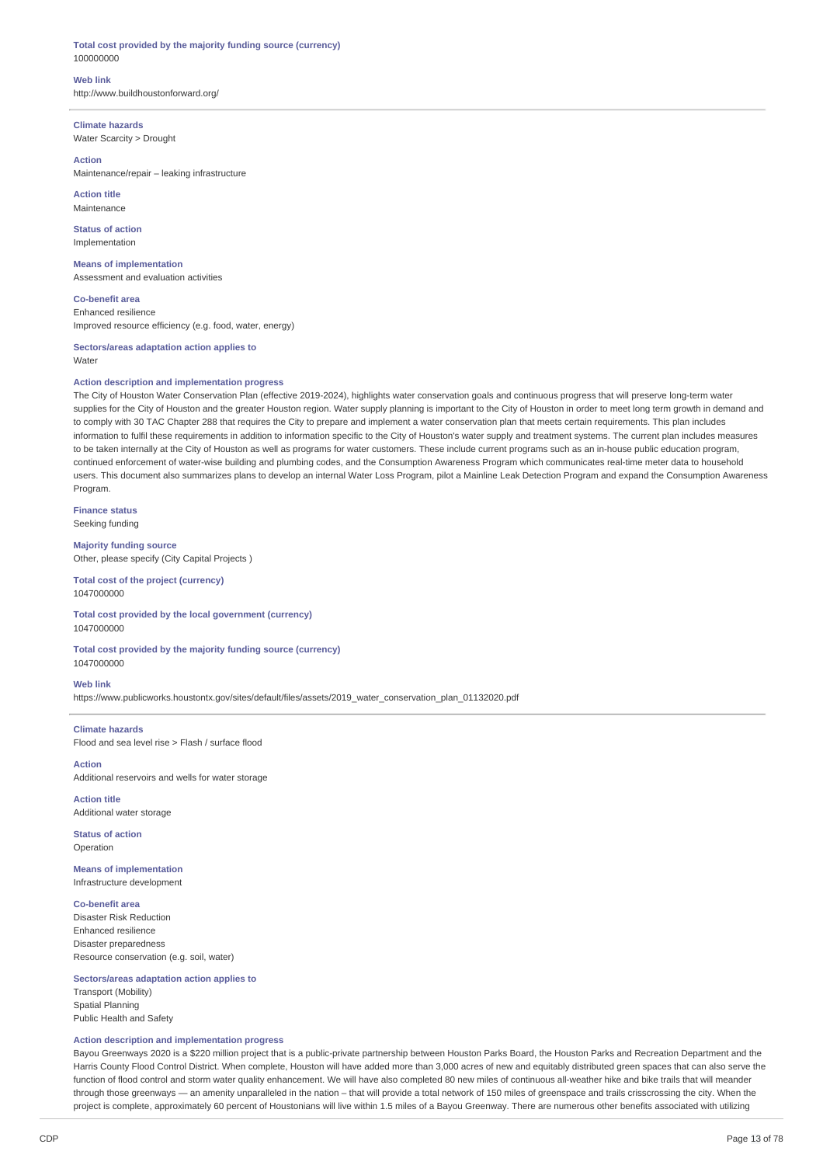## **Total cost provided by the majority funding source (currency)** 100000000

**Web link** http://www.buildhoustonforward.org/

**Climate hazards** Water Scarcity > Drought

## **Action**

Maintenance/repair – leaking infrastructure

**Action title** Maintenance

**Status of action** Implementation

**Means of implementation** Assessment and evaluation activities

**Co-benefit area** Enhanced resilience Improved resource efficiency (e.g. food, water, energy)

**Sectors/areas adaptation action applies to** Water

## **Action description and implementation progress**

The City of Houston Water Conservation Plan (effective 2019-2024), highlights water conservation goals and continuous progress that will preserve long-term water supplies for the City of Houston and the greater Houston region. Water supply planning is important to the City of Houston in order to meet long term growth in demand and to comply with 30 TAC Chapter 288 that requires the City to prepare and implement a water conservation plan that meets certain requirements. This plan includes information to fulfil these requirements in addition to information specific to the City of Houston's water supply and treatment systems. The current plan includes measures to be taken internally at the City of Houston as well as programs for water customers. These include current programs such as an in-house public education program, continued enforcement of water-wise building and plumbing codes, and the Consumption Awareness Program which communicates real-time meter data to household users. This document also summarizes plans to develop an internal Water Loss Program, pilot a Mainline Leak Detection Program and expand the Consumption Awareness Program.

**Finance status** Seeking funding

**Majority funding source** Other, please specify (City Capital Projects )

**Total cost of the project (currency)** 1047000000

**Total cost provided by the local government (currency)** 1047000000

**Total cost provided by the majority funding source (currency)** 1047000000

## **Web link**

https://www.publicworks.houstontx.gov/sites/default/files/assets/2019\_water\_conservation\_plan\_01132020.pdf

**Climate hazards** Flood and sea level rise > Flash / surface flood

**Action** Additional reservoirs and wells for water storage

**Action title** Additional water storage

**Status of action** Operation

**Means of implementation** Infrastructure development

**Co-benefit area**

Disaster Risk Reduction Enhanced resilience Disaster preparedness Resource conservation (e.g. soil, water)

## **Sectors/areas adaptation action applies to**

Transport (Mobility) Spatial Planning Public Health and Safety

## **Action description and implementation progress**

Bayou Greenways 2020 is a \$220 million project that is a public-private partnership between Houston Parks Board, the Houston Parks and Recreation Department and the Harris County Flood Control District. When complete, Houston will have added more than 3,000 acres of new and equitably distributed green spaces that can also serve the function of flood control and storm water quality enhancement. We will have also completed 80 new miles of continuous all-weather hike and bike trails that will meander through those greenways — an amenity unparalleled in the nation – that will provide a total network of 150 miles of greenspace and trails crisscrossing the city. When the project is complete, approximately 60 percent of Houstonians will live within 1.5 miles of a Bayou Greenway. There are numerous other benefits associated with utilizing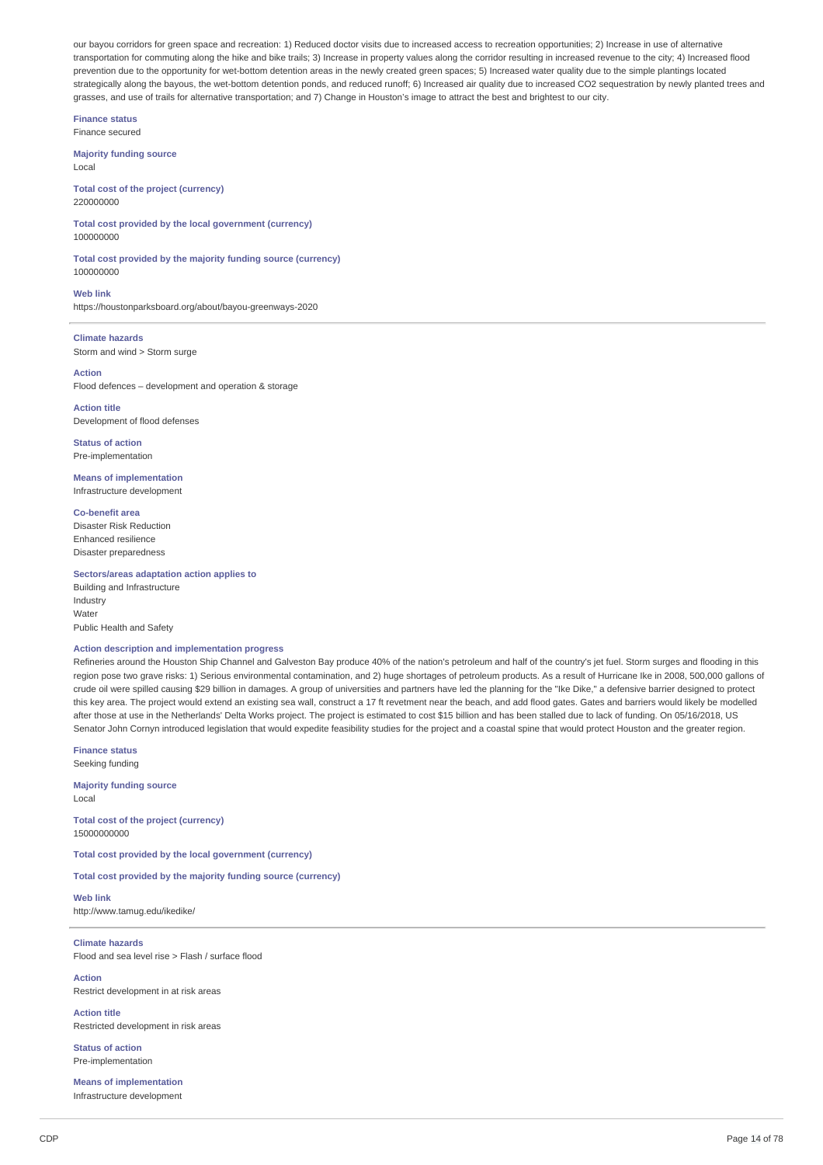our bayou corridors for green space and recreation: 1) Reduced doctor visits due to increased access to recreation opportunities; 2) Increase in use of alternative transportation for commuting along the hike and bike trails; 3) Increase in property values along the corridor resulting in increased revenue to the city; 4) Increased flood prevention due to the opportunity for wet-bottom detention areas in the newly created green spaces; 5) Increased water quality due to the simple plantings located strategically along the bayous, the wet-bottom detention ponds, and reduced runoff; 6) Increased air quality due to increased CO2 sequestration by newly planted trees and grasses, and use of trails for alternative transportation; and 7) Change in Houston's image to attract the best and brightest to our city.

**Finance status** Finance secured

**Majority funding source** Local

**Total cost of the project (currency)** 220000000

**Total cost provided by the local government (currency)** 100000000

**Total cost provided by the majority funding source (currency)** 100000000

**Web link** https://houstonparksboard.org/about/bayou-greenways-2020

**Climate hazards** Storm and wind > Storm surge

**Action** Flood defences – development and operation & storage

**Action title** Development of flood defenses

**Status of action** Pre-implementation

**Means of implementation** Infrastructure development

**Co-benefit area** Disaster Risk Reduction Enhanced resilience Disaster preparedness

**Sectors/areas adaptation action applies to**

Building and Infrastructure Industry Water Public Health and Safety

## **Action description and implementation progress**

Refineries around the Houston Ship Channel and Galveston Bay produce 40% of the nation's petroleum and half of the country's jet fuel. Storm surges and flooding in this region pose two grave risks: 1) Serious environmental contamination, and 2) huge shortages of petroleum products. As a result of Hurricane Ike in 2008, 500,000 gallons of crude oil were spilled causing \$29 billion in damages. A group of universities and partners have led the planning for the "Ike Dike," a defensive barrier designed to protect this key area. The project would extend an existing sea wall, construct a 17 ft revetment near the beach, and add flood gates. Gates and barriers would likely be modelled after those at use in the Netherlands' Delta Works project. The project is estimated to cost \$15 billion and has been stalled due to lack of funding. On 05/16/2018, US Senator John Cornyn introduced legislation that would expedite feasibility studies for the project and a coastal spine that would protect Houston and the greater region.

**Finance status** Seeking funding

**Majority funding source** Local

**Total cost of the project (currency)** 15000000000

**Total cost provided by the local government (currency)**

**Total cost provided by the majority funding source (currency)**

**Web link** http://www.tamug.edu/ikedike/

**Climate hazards** Flood and sea level rise > Flash / surface flood

**Action** Restrict development in at risk areas

**Action title** Restricted development in risk areas

**Status of action** Pre-implementation

**Means of implementation** Infrastructure development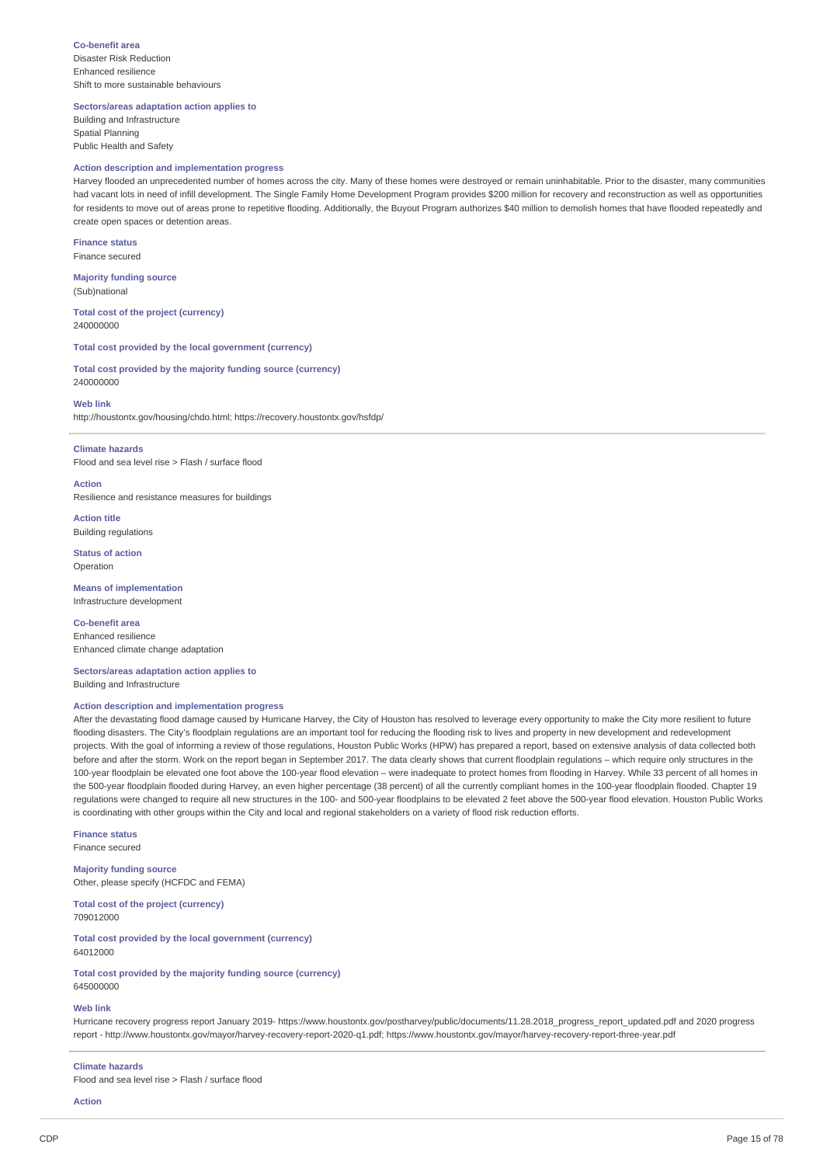**Co-benefit area** Disaster Risk Reduction Enhanced resilience Shift to more sustainable behaviours

**Sectors/areas adaptation action applies to**

Building and Infrastructure Spatial Planning Public Health and Safety

## **Action description and implementation progress**

Harvey flooded an unprecedented number of homes across the city. Many of these homes were destroyed or remain uninhabitable. Prior to the disaster, many communities had vacant lots in need of infill development. The Single Family Home Development Program provides \$200 million for recovery and reconstruction as well as opportunities for residents to move out of areas prone to repetitive flooding. Additionally, the Buyout Program authorizes \$40 million to demolish homes that have flooded repeatedly and create open spaces or detention areas.

**Finance status** Finance secured

**Majority funding source** (Sub)national

**Total cost of the project (currency)** 240000000

**Total cost provided by the local government (currency)**

**Total cost provided by the majority funding source (currency)** 240000000

**Web link**

http://houstontx.gov/housing/chdo.html; https://recovery.houstontx.gov/hsfdp/

#### **Climate hazards**

Flood and sea level rise > Flash / surface flood

**Action** Resilience and resistance measures for buildings

**Action title** Building regulations

**Status of action** Operation

**Means of implementation** Infrastructure development

**Co-benefit area** Enhanced resilience Enhanced climate change adaptation

**Sectors/areas adaptation action applies to** Building and Infrastructure

## **Action description and implementation progress**

After the devastating flood damage caused by Hurricane Harvey, the City of Houston has resolved to leverage every opportunity to make the City more resilient to future flooding disasters. The City's floodplain regulations are an important tool for reducing the flooding risk to lives and property in new development and redevelopment projects. With the goal of informing a review of those regulations, Houston Public Works (HPW) has prepared a report, based on extensive analysis of data collected both before and after the storm. Work on the report began in September 2017. The data clearly shows that current floodplain regulations – which require only structures in the 100-year floodplain be elevated one foot above the 100-year flood elevation – were inadequate to protect homes from flooding in Harvey. While 33 percent of all homes in the 500-year floodplain flooded during Harvey, an even higher percentage (38 percent) of all the currently compliant homes in the 100-year floodplain flooded. Chapter 19 regulations were changed to require all new structures in the 100- and 500-year floodplains to be elevated 2 feet above the 500-year flood elevation. Houston Public Works is coordinating with other groups within the City and local and regional stakeholders on a variety of flood risk reduction efforts.

**Finance status** Finance secured

**Majority funding source** Other, please specify (HCFDC and FEMA)

**Total cost of the project (currency)** 709012000

**Total cost provided by the local government (currency)** 64012000

**Total cost provided by the majority funding source (currency)** 645000000

### **Web link**

Hurricane recovery progress report January 2019- https://www.houstontx.gov/postharvey/public/documents/11.28.2018\_progress\_report\_updated.pdf and 2020 progress report - http://www.houstontx.gov/mayor/harvey-recovery-report-2020-q1.pdf; https://www.houstontx.gov/mayor/harvey-recovery-report-three-year.pdf

#### **Climate hazards**

Flood and sea level rise > Flash / surface flood

**Action**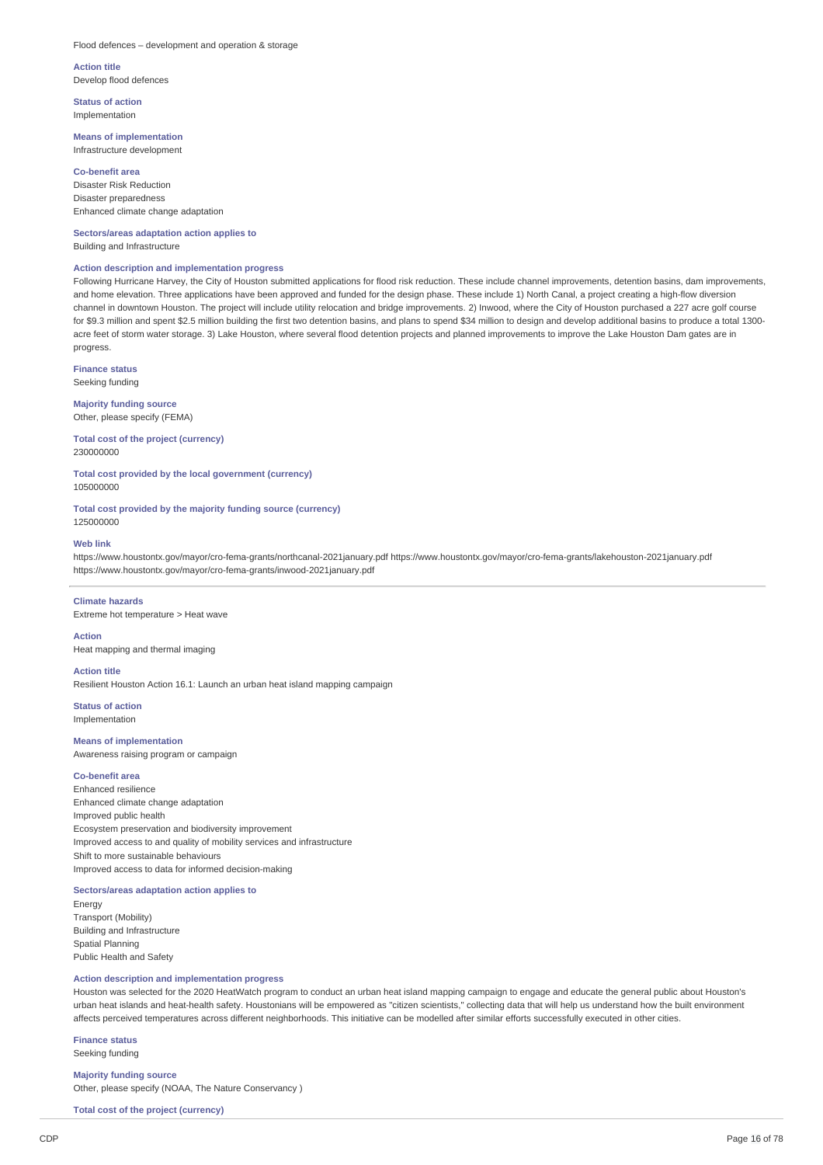### Flood defences – development and operation & storage

**Action title** Develop flood defences

**Status of action** Implementation

## **Means of implementation** Infrastructure development

**Co-benefit area** Disaster Risk Reduction Disaster preparedness Enhanced climate change adaptation

**Sectors/areas adaptation action applies to** Building and Infrastructure

## **Action description and implementation progress**

Following Hurricane Harvey, the City of Houston submitted applications for flood risk reduction. These include channel improvements, detention basins, dam improvements, and home elevation. Three applications have been approved and funded for the design phase. These include 1) North Canal, a project creating a high-flow diversion channel in downtown Houston. The project will include utility relocation and bridge improvements. 2) Inwood, where the City of Houston purchased a 227 acre golf course for \$9.3 million and spent \$2.5 million building the first two detention basins, and plans to spend \$34 million to design and develop additional basins to produce a total 1300 acre feet of storm water storage. 3) Lake Houston, where several flood detention projects and planned improvements to improve the Lake Houston Dam gates are in progress.

**Finance status** Seeking funding

**Majority funding source** Other, please specify (FEMA)

**Total cost of the project (currency)** 230000000

**Total cost provided by the local government (currency)** 105000000

**Total cost provided by the majority funding source (currency)** 125000000

## **Web link**

https://www.houstontx.gov/mayor/cro-fema-grants/northcanal-2021january.pdf https://www.houstontx.gov/mayor/cro-fema-grants/lakehouston-2021january.pdf https://www.houstontx.gov/mayor/cro-fema-grants/inwood-2021january.pdf

## **Climate hazards**

Extreme hot temperature > Heat wave

## **Action**

Heat mapping and thermal imaging

# **Action title**

Resilient Houston Action 16.1: Launch an urban heat island mapping campaign

**Status of action** Implementation

# **Means of implementation**

Awareness raising program or campaign

# **Co-benefit area**

Enhanced resilience Enhanced climate change adaptation Improved public health Ecosystem preservation and biodiversity improvement Improved access to and quality of mobility services and infrastructure Shift to more sustainable behaviours Improved access to data for informed decision-making

## **Sectors/areas adaptation action applies to**

Energy Transport (Mobility) Building and Infrastructure Spatial Planning Public Health and Safety

## **Action description and implementation progress**

Houston was selected for the 2020 HeatWatch program to conduct an urban heat island mapping campaign to engage and educate the general public about Houston's urban heat islands and heat-health safety. Houstonians will be empowered as "citizen scientists," collecting data that will help us understand how the built environment affects perceived temperatures across different neighborhoods. This initiative can be modelled after similar efforts successfully executed in other cities.

**Finance status** Seeking funding

## **Majority funding source**

Other, please specify (NOAA, The Nature Conservancy )

**Total cost of the project (currency)**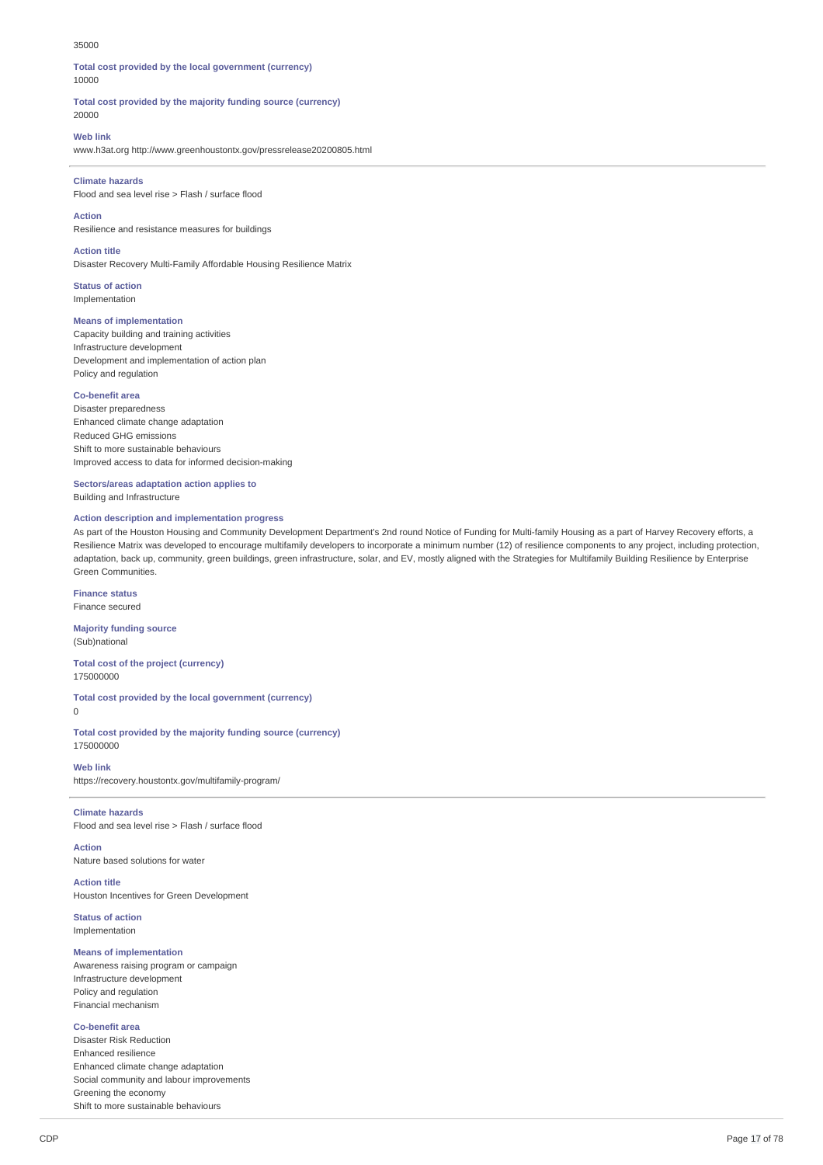#### 35000

**Total cost provided by the local government (currency)** 10000

**Total cost provided by the majority funding source (currency)** 20000

### **Web link**

www.h3at.org http://www.greenhoustontx.gov/pressrelease20200805.html

### **Climate hazards**

Flood and sea level rise > Flash / surface flood

**Action**

Resilience and resistance measures for buildings

**Action title** Disaster Recovery Multi-Family Affordable Housing Resilience Matrix

**Status of action**

Implementation

## **Means of implementation**

Capacity building and training activities Infrastructure development Development and implementation of action plan Policy and regulation

## **Co-benefit area**

Disaster preparedness Enhanced climate change adaptation Reduced GHG emissions Shift to more sustainable behaviours Improved access to data for informed decision-making

**Sectors/areas adaptation action applies to** Building and Infrastructure

### **Action description and implementation progress**

As part of the Houston Housing and Community Development Department's 2nd round Notice of Funding for Multi-family Housing as a part of Harvey Recovery efforts, a Resilience Matrix was developed to encourage multifamily developers to incorporate a minimum number (12) of resilience components to any project, including protection, adaptation, back up, community, green buildings, green infrastructure, solar, and EV, mostly aligned with the Strategies for Multifamily Building Resilience by Enterprise Green Communities.

**Finance status** Finance secured

**Majority funding source** (Sub)national

**Total cost of the project (currency)** 175000000

**Total cost provided by the local government (currency)**  $\Omega$ 

**Total cost provided by the majority funding source (currency)**

**Web link**

https://recovery.houstontx.gov/multifamily-program/

# **Climate hazards**

175000000

Flood and sea level rise > Flash / surface flood

**Action** Nature based solutions for water

**Action title** Houston Incentives for Green Development

**Status of action** Implementation

### **Means of implementation**

Awareness raising program or campaign Infrastructure development Policy and regulation Financial mechanism

## **Co-benefit area**

Disaster Risk Reduction Enhanced resilience Enhanced climate change adaptation Social community and labour improvements Greening the economy Shift to more sustainable behaviours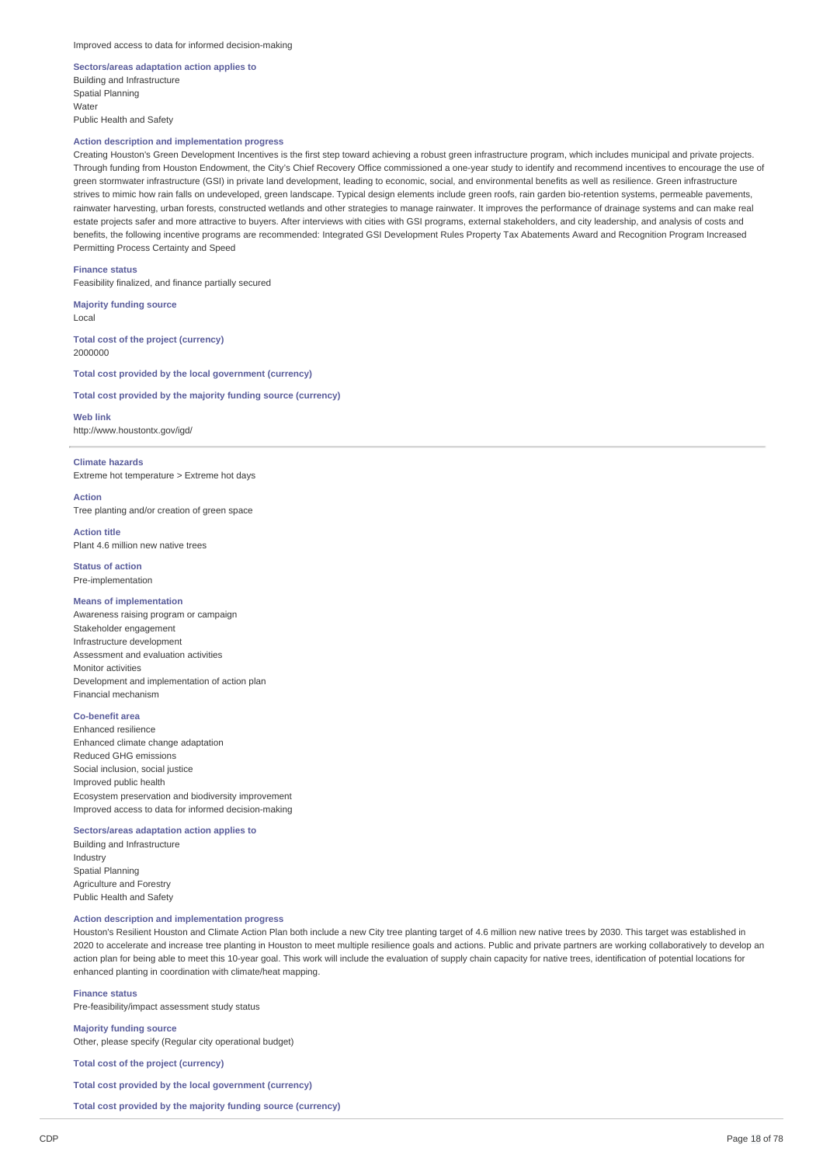## **Sectors/areas adaptation action applies to** Building and Infrastructure Spatial Planning **Water** Public Health and Safety

## **Action description and implementation progress**

Creating Houston's Green Development Incentives is the first step toward achieving a robust green infrastructure program, which includes municipal and private projects. Through funding from Houston Endowment, the City's Chief Recovery Office commissioned a one-year study to identify and recommend incentives to encourage the use of green stormwater infrastructure (GSI) in private land development, leading to economic, social, and environmental benefits as well as resilience. Green infrastructure strives to mimic how rain falls on undeveloped, green landscape. Typical design elements include green roofs, rain garden bio-retention systems, permeable pavements, rainwater harvesting, urban forests, constructed wetlands and other strategies to manage rainwater. It improves the performance of drainage systems and can make real estate projects safer and more attractive to buyers. After interviews with cities with GSI programs, external stakeholders, and city leadership, and analysis of costs and benefits, the following incentive programs are recommended: Integrated GSI Development Rules Property Tax Abatements Award and Recognition Program Increased Permitting Process Certainty and Speed

**Finance status**

Feasibility finalized, and finance partially secured

**Majority funding source** Local

**Total cost of the project (currency)** 2000000

**Total cost provided by the local government (currency)**

**Total cost provided by the majority funding source (currency)**

**Web link** http://www.houstontx.gov/igd/

## **Climate hazards**

Extreme hot temperature > Extreme hot days

**Action**

Tree planting and/or creation of green space

**Action title** Plant 4.6 million new native trees

**Status of action** Pre-implementation

## **Means of implementation**

Awareness raising program or campaign Stakeholder engagement Infrastructure development Assessment and evaluation activities Monitor activities Development and implementation of action plan Financial mechanism

## **Co-benefit area**

Enhanced resilience Enhanced climate change adaptation Reduced GHG emissions Social inclusion, social justice Improved public health Ecosystem preservation and biodiversity improvement Improved access to data for informed decision-making

## **Sectors/areas adaptation action applies to**

Building and Infrastructure Industry Spatial Planning Agriculture and Forestry Public Health and Safety

## **Action description and implementation progress**

Houston's Resilient Houston and Climate Action Plan both include a new City tree planting target of 4.6 million new native trees by 2030. This target was established in 2020 to accelerate and increase tree planting in Houston to meet multiple resilience goals and actions. Public and private partners are working collaboratively to develop an action plan for being able to meet this 10-year goal. This work will include the evaluation of supply chain capacity for native trees, identification of potential locations for enhanced planting in coordination with climate/heat mapping.

**Finance status** Pre-feasibility/impact assessment study status

**Majority funding source** Other, please specify (Regular city operational budget)

**Total cost of the project (currency)**

**Total cost provided by the local government (currency)**

**Total cost provided by the majority funding source (currency)**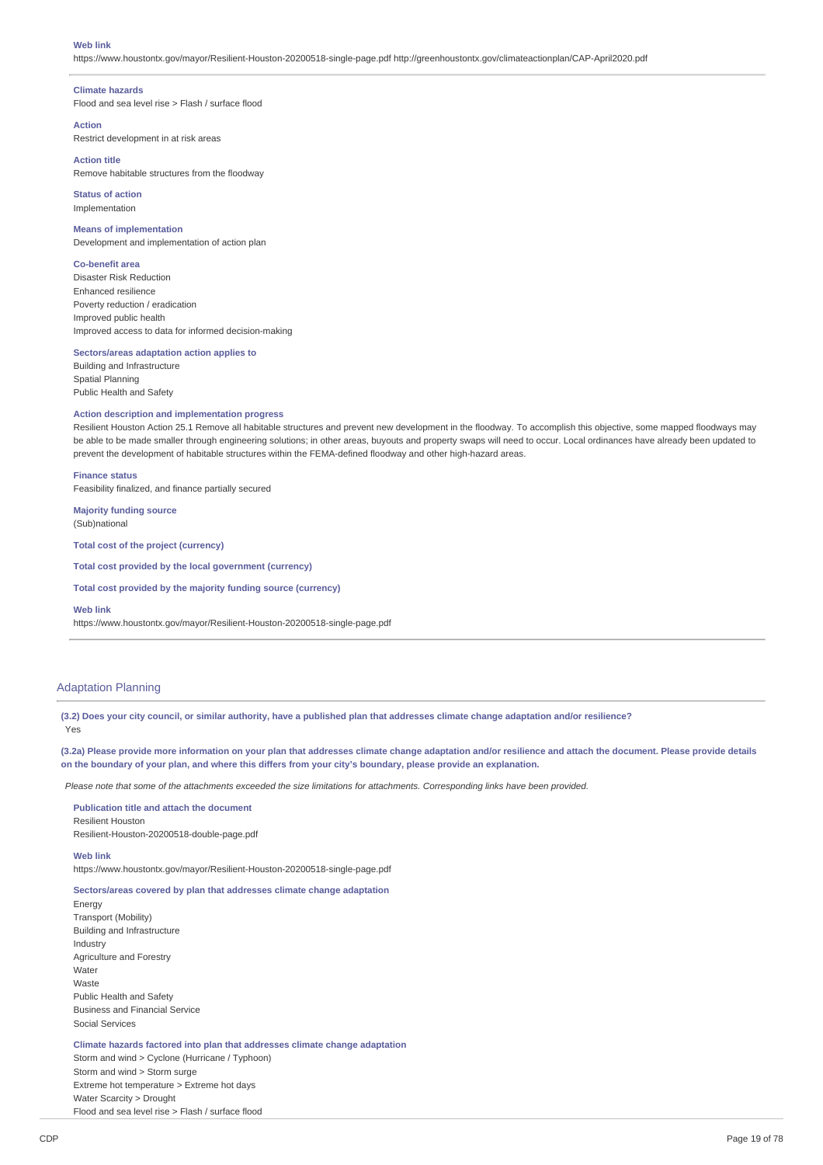### **Web link**

https://www.houstontx.gov/mayor/Resilient-Houston-20200518-single-page.pdf http://greenhoustontx.gov/climateactionplan/CAP-April2020.pdf

### **Climate hazards**

Flood and sea level rise > Flash / surface flood

### **Action**

Restrict development in at risk areas

## **Action title**

Remove habitable structures from the floodway

**Status of action** Implementation

### **Means of implementation**

Development and implementation of action plan

## **Co-benefit area**

Disaster Risk Reduction Enhanced resilience Poverty reduction / eradication Improved public health Improved access to data for informed decision-making

## **Sectors/areas adaptation action applies to**

Building and Infrastructure Spatial Planning Public Health and Safety

## **Action description and implementation progress**

Resilient Houston Action 25.1 Remove all habitable structures and prevent new development in the floodway. To accomplish this objective, some mapped floodways may be able to be made smaller through engineering solutions; in other areas, buyouts and property swaps will need to occur. Local ordinances have already been updated to prevent the development of habitable structures within the FEMA-defined floodway and other high-hazard areas.

### **Finance status**

Feasibility finalized, and finance partially secured

**Majority funding source** (Sub)national

**Total cost of the project (currency)**

**Total cost provided by the local government (currency)**

**Total cost provided by the majority funding source (currency)**

#### **Web link**

https://www.houstontx.gov/mayor/Resilient-Houston-20200518-single-page.pdf

## Adaptation Planning

(3.2) Does your city council, or similar authority, have a published plan that addresses climate change adaptation and/or resilience? Yes

(3.2a) Please provide more information on your plan that addresses climate change adaptation and/or resilience and attach the document. Please provide details on the boundary of your plan, and where this differs from your city's boundary, please provide an explanation.

Please note that some of the attachments exceeded the size limitations for attachments. Corresponding links have been provided.

**Publication title and attach the document** Resilient Houston Resilient-Houston-20200518-double-page.pdf

#### **Web link**

https://www.houstontx.gov/mayor/Resilient-Houston-20200518-single-page.pdf

### **Sectors/areas covered by plan that addresses climate change adaptation**

Energy Transport (Mobility) Building and Infrastructure Industry Agriculture and Forestry Water Waste Public Health and Safety Business and Financial Service Social Services

**Climate hazards factored into plan that addresses climate change adaptation** Storm and wind > Cyclone (Hurricane / Typhoon) Storm and wind > Storm surge Extreme hot temperature > Extreme hot days

Water Scarcity > Drought Flood and sea level rise > Flash / surface flood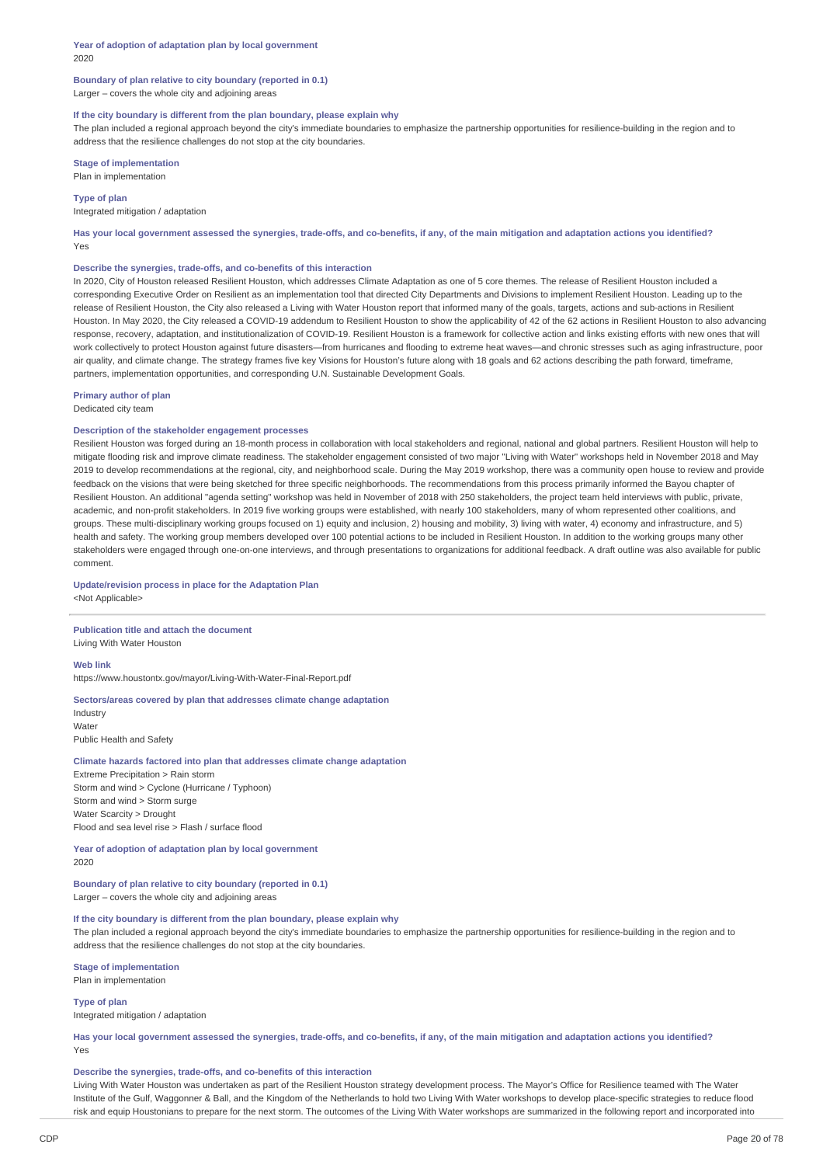**Year of adoption of adaptation plan by local government** 2020

## **Boundary of plan relative to city boundary (reported in 0.1)** Larger – covers the whole city and adjoining areas

## **If the city boundary is different from the plan boundary, please explain why**

The plan included a regional approach beyond the city's immediate boundaries to emphasize the partnership opportunities for resilience-building in the region and to address that the resilience challenges do not stop at the city boundaries.

**Stage of implementation** Plan in implementation

## **Type of plan**

Integrated mitigation / adaptation

Has your local government assessed the synergies, trade-offs, and co-benefits, if any, of the main mitigation and adaptation actions you identified? Yes

## **Describe the synergies, trade-offs, and co-benefits of this interaction**

In 2020, City of Houston released Resilient Houston, which addresses Climate Adaptation as one of 5 core themes. The release of Resilient Houston included a corresponding Executive Order on Resilient as an implementation tool that directed City Departments and Divisions to implement Resilient Houston. Leading up to the release of Resilient Houston, the City also released a Living with Water Houston report that informed many of the goals, targets, actions and sub-actions in Resilient Houston. In May 2020, the City released a COVID-19 addendum to Resilient Houston to show the applicability of 42 of the 62 actions in Resilient Houston to also advancing response, recovery, adaptation, and institutionalization of COVID-19. Resilient Houston is a framework for collective action and links existing efforts with new ones that will work collectively to protect Houston against future disasters—from hurricanes and flooding to extreme heat waves—and chronic stresses such as aging infrastructure, poor air quality, and climate change. The strategy frames five key Visions for Houston's future along with 18 goals and 62 actions describing the path forward, timeframe, partners, implementation opportunities, and corresponding U.N. Sustainable Development Goals.

**Primary author of plan** Dedicated city team

## **Description of the stakeholder engagement processes**

Resilient Houston was forged during an 18-month process in collaboration with local stakeholders and regional, national and global partners. Resilient Houston will help to mitigate flooding risk and improve climate readiness. The stakeholder engagement consisted of two major "Living with Water" workshops held in November 2018 and May 2019 to develop recommendations at the regional, city, and neighborhood scale. During the May 2019 workshop, there was a community open house to review and provide feedback on the visions that were being sketched for three specific neighborhoods. The recommendations from this process primarily informed the Bayou chapter of Resilient Houston. An additional "agenda setting" workshop was held in November of 2018 with 250 stakeholders, the project team held interviews with public, private academic, and non-profit stakeholders. In 2019 five working groups were established, with nearly 100 stakeholders, many of whom represented other coalitions, and groups. These multi-disciplinary working groups focused on 1) equity and inclusion, 2) housing and mobility, 3) living with water, 4) economy and infrastructure, and 5) health and safety. The working group members developed over 100 potential actions to be included in Resilient Houston. In addition to the working groups many other stakeholders were engaged through one-on-one interviews, and through presentations to organizations for additional feedback. A draft outline was also available for public comment.

### **Update/revision process in place for the Adaptation Plan** <Not Applicable>

**Publication title and attach the document**

Living With Water Houston

## **Web link**

https://www.houstontx.gov/mayor/Living-With-Water-Final-Report.pdf

## **Sectors/areas covered by plan that addresses climate change adaptation** Industry Water

Public Health and Safety

### **Climate hazards factored into plan that addresses climate change adaptation**

Extreme Precipitation > Rain storm Storm and wind > Cyclone (Hurricane / Typhoon) Storm and wind > Storm surge Water Scarcity > Drought Flood and sea level rise > Flash / surface flood

**Year of adoption of adaptation plan by local government** 2020

**Boundary of plan relative to city boundary (reported in 0.1)** Larger – covers the whole city and adjoining areas

## **If the city boundary is different from the plan boundary, please explain why**

The plan included a regional approach beyond the city's immediate boundaries to emphasize the partnership opportunities for resilience-building in the region and to address that the resilience challenges do not stop at the city boundaries.

**Stage of implementation** Plan in implementation

**Type of plan**

Integrated mitigation / adaptation

Has your local government assessed the synergies, trade-offs, and co-benefits, if any, of the main mitigation and adaptation actions you identified? Yes

## **Describe the synergies, trade-offs, and co-benefits of this interaction**

Living With Water Houston was undertaken as part of the Resilient Houston strategy development process. The Mayor's Office for Resilience teamed with The Water Institute of the Gulf, Waggonner & Ball, and the Kingdom of the Netherlands to hold two Living With Water workshops to develop place-specific strategies to reduce flood risk and equip Houstonians to prepare for the next storm. The outcomes of the Living With Water workshops are summarized in the following report and incorporated into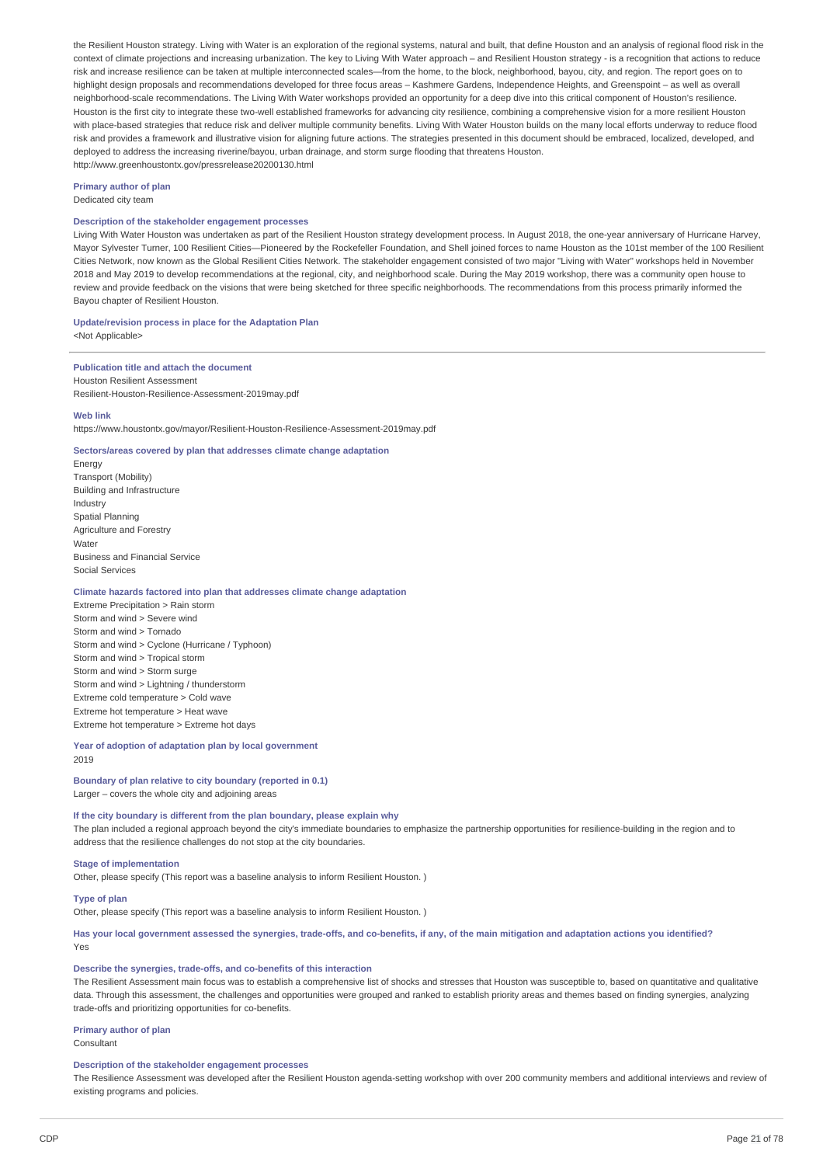the Resilient Houston strategy. Living with Water is an exploration of the regional systems, natural and built, that define Houston and an analysis of regional flood risk in the context of climate projections and increasing urbanization. The key to Living With Water approach – and Resilient Houston strategy - is a recognition that actions to reduce risk and increase resilience can be taken at multiple interconnected scales—from the home, to the block, neighborhood, bayou, city, and region. The report goes on to highlight design proposals and recommendations developed for three focus areas – Kashmere Gardens, Independence Heights, and Greenspoint – as well as overall neighborhood-scale recommendations. The Living With Water workshops provided an opportunity for a deep dive into this critical component of Houston's resilience. Houston is the first city to integrate these two-well established frameworks for advancing city resilience, combining a comprehensive vision for a more resilient Houston with place-based strategies that reduce risk and deliver multiple community benefits. Living With Water Houston builds on the many local efforts underway to reduce flood risk and provides a framework and illustrative vision for aligning future actions. The strategies presented in this document should be embraced, localized, developed, and deployed to address the increasing riverine/bayou, urban drainage, and storm surge flooding that threatens Houston. http://www.greenhoustontx.gov/pressrelease20200130.html

**Primary author of plan**

Dedicated city team

## **Description of the stakeholder engagement processes**

Living With Water Houston was undertaken as part of the Resilient Houston strategy development process. In August 2018, the one-year anniversary of Hurricane Harvey, Mayor Sylvester Turner, 100 Resilient Cities—Pioneered by the Rockefeller Foundation, and Shell joined forces to name Houston as the 101st member of the 100 Resilient Cities Network, now known as the Global Resilient Cities Network. The stakeholder engagement consisted of two major "Living with Water" workshops held in November 2018 and May 2019 to develop recommendations at the regional, city, and neighborhood scale. During the May 2019 workshop, there was a community open house to review and provide feedback on the visions that were being sketched for three specific neighborhoods. The recommendations from this process primarily informed the Bayou chapter of Resilient Houston.

# **Update/revision process in place for the Adaptation Plan**

<Not Applicable>

## **Publication title and attach the document** Houston Resilient Assessment

Resilient-Houston-Resilience-Assessment-2019may.pdf

## **Web link**

https://www.houstontx.gov/mayor/Resilient-Houston-Resilience-Assessment-2019may.pdf

## **Sectors/areas covered by plan that addresses climate change adaptation**

Energy Transport (Mobility) Building and Infrastructure Industry Spatial Planning Agriculture and Forestry Water Business and Financial Service Social Services

## **Climate hazards factored into plan that addresses climate change adaptation**

Extreme Precipitation > Rain storm Storm and wind > Severe wind Storm and wind > Tornado Storm and wind > Cyclone (Hurricane / Typhoon) Storm and wind > Tropical storm Storm and wind > Storm surge Storm and wind > Lightning / thunderstorm Extreme cold temperature > Cold wave Extreme hot temperature > Heat wave Extreme hot temperature > Extreme hot days

### **Year of adoption of adaptation plan by local government** 2019

## **Boundary of plan relative to city boundary (reported in 0.1)** Larger – covers the whole city and adjoining areas

**If the city boundary is different from the plan boundary, please explain why**

The plan included a regional approach beyond the city's immediate boundaries to emphasize the partnership opportunities for resilience-building in the region and to address that the resilience challenges do not stop at the city boundaries.

### **Stage of implementation**

Other, please specify (This report was a baseline analysis to inform Resilient Houston. )

**Type of plan**

Other, please specify (This report was a baseline analysis to inform Resilient Houston. )

Has your local government assessed the synergies, trade-offs, and co-benefits, if any, of the main mitigation and adaptation actions you identified? Yes

### **Describe the synergies, trade-offs, and co-benefits of this interaction**

The Resilient Assessment main focus was to establish a comprehensive list of shocks and stresses that Houston was susceptible to, based on quantitative and qualitative data. Through this assessment, the challenges and opportunities were grouped and ranked to establish priority areas and themes based on finding synergies, analyzing trade-offs and prioritizing opportunities for co-benefits.

## **Primary author of plan**

Consultant

### **Description of the stakeholder engagement processes**

The Resilience Assessment was developed after the Resilient Houston agenda-setting workshop with over 200 community members and additional interviews and review of existing programs and policies.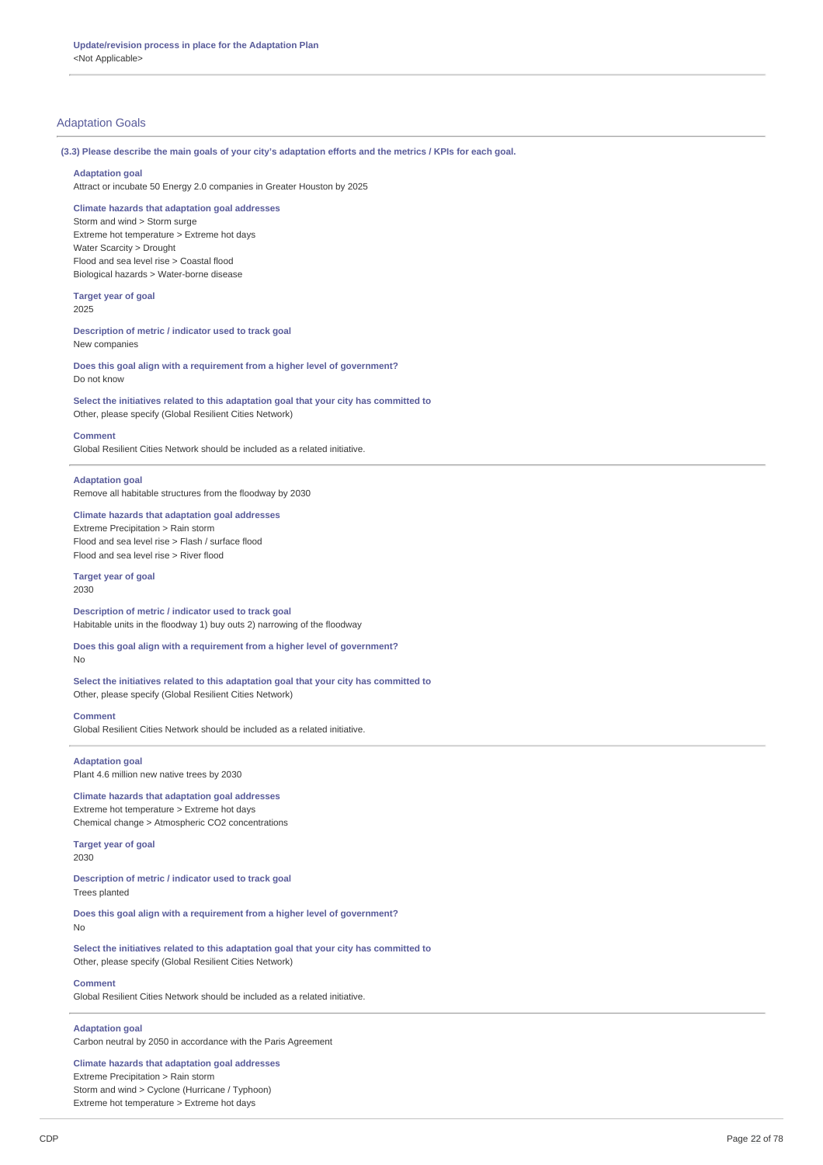## Adaptation Goals

(3.3) Please describe the main goals of your city's adaptation efforts and the metrics / KPIs for each goal.

### **Adaptation goal**

Attract or incubate 50 Energy 2.0 companies in Greater Houston by 2025

### **Climate hazards that adaptation goal addresses**

Storm and wind > Storm surge Extreme hot temperature > Extreme hot days Water Scarcity > Drought Flood and sea level rise > Coastal flood Biological hazards > Water-borne disease

#### **Target year of goal** 2025

## **Description of metric / indicator used to track goal** New companies

**Does this goal align with a requirement from a higher level of government?** Do not know

## **Select the initiatives related to this adaptation goal that your city has committed to** Other, please specify (Global Resilient Cities Network)

### **Comment**

Global Resilient Cities Network should be included as a related initiative.

## **Adaptation goal**

Remove all habitable structures from the floodway by 2030

## **Climate hazards that adaptation goal addresses** Extreme Precipitation > Rain storm Flood and sea level rise > Flash / surface flood Flood and sea level rise > River flood

### **Target year of goal**

2030

**Description of metric / indicator used to track goal** Habitable units in the floodway 1) buy outs 2) narrowing of the floodway

## **Does this goal align with a requirement from a higher level of government?** No

**Select the initiatives related to this adaptation goal that your city has committed to** Other, please specify (Global Resilient Cities Network)

**Comment** Global Resilient Cities Network should be included as a related initiative.

## **Adaptation goal**

Plant 4.6 million new native trees by 2030

**Climate hazards that adaptation goal addresses** Extreme hot temperature > Extreme hot days Chemical change > Atmospheric CO2 concentrations

### **Target year of goal** 2030

**Description of metric / indicator used to track goal** Trees planted

**Does this goal align with a requirement from a higher level of government?** No

**Select the initiatives related to this adaptation goal that your city has committed to** Other, please specify (Global Resilient Cities Network)

## **Comment**

Global Resilient Cities Network should be included as a related initiative.

## **Adaptation goal**

Carbon neutral by 2050 in accordance with the Paris Agreement

**Climate hazards that adaptation goal addresses** Extreme Precipitation > Rain storm Storm and wind > Cyclone (Hurricane / Typhoon) Extreme hot temperature > Extreme hot days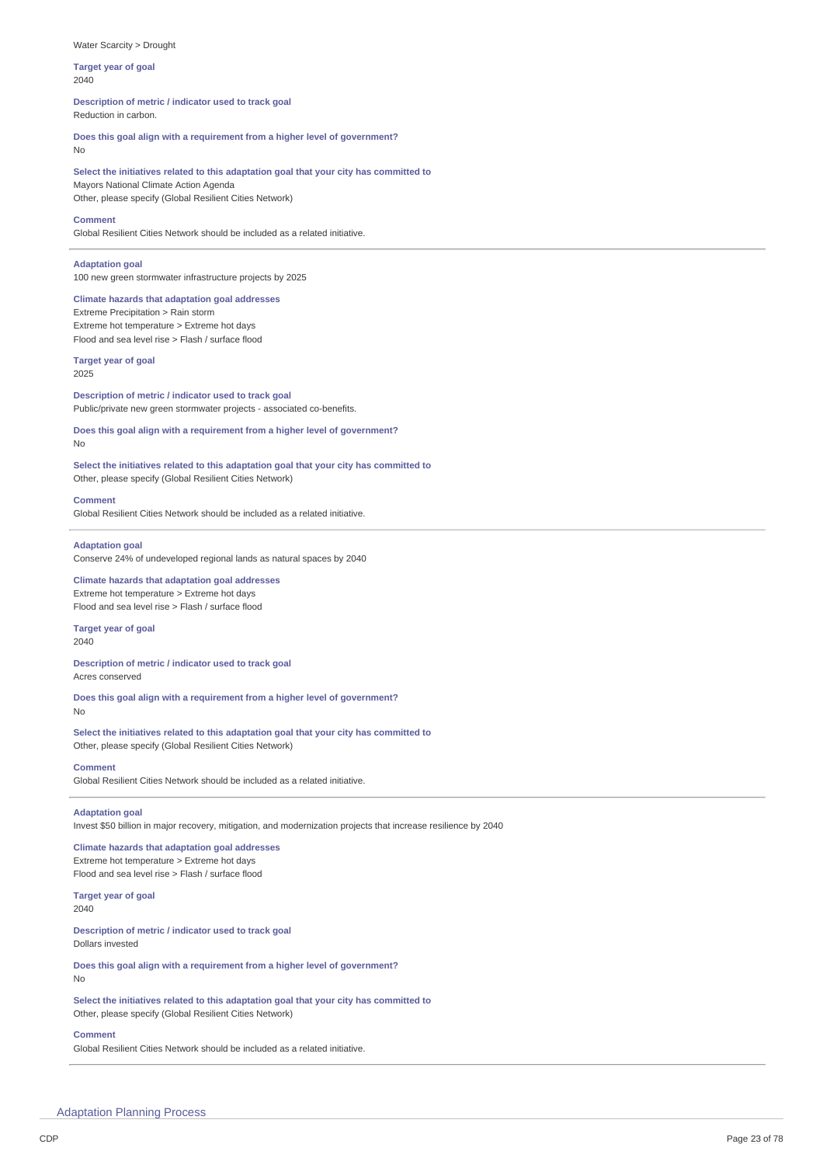### Water Scarcity > Drought

**Target year of goal** 2040

**Description of metric / indicator used to track goal** Reduction in carbon.

**Does this goal align with a requirement from a higher level of government?** No

**Select the initiatives related to this adaptation goal that your city has committed to** Mayors National Climate Action Agenda Other, please specify (Global Resilient Cities Network)

### **Comment**

Global Resilient Cities Network should be included as a related initiative.

## **Adaptation goal**

100 new green stormwater infrastructure projects by 2025

## **Climate hazards that adaptation goal addresses**

Extreme Precipitation > Rain storm Extreme hot temperature > Extreme hot days Flood and sea level rise > Flash / surface flood

## **Target year of goal**

2025

**Description of metric / indicator used to track goal** Public/private new green stormwater projects - associated co-benefits.

**Does this goal align with a requirement from a higher level of government?** No

**Select the initiatives related to this adaptation goal that your city has committed to** Other, please specify (Global Resilient Cities Network)

#### **Comment**

Global Resilient Cities Network should be included as a related initiative.

### **Adaptation goal**

Conserve 24% of undeveloped regional lands as natural spaces by 2040

**Climate hazards that adaptation goal addresses** Extreme hot temperature > Extreme hot days Flood and sea level rise > Flash / surface flood

### **Target year of goal** 2040

**Description of metric / indicator used to track goal** Acres conserved

**Does this goal align with a requirement from a higher level of government?** No

**Select the initiatives related to this adaptation goal that your city has committed to** Other, please specify (Global Resilient Cities Network)

### **Comment**

Global Resilient Cities Network should be included as a related initiative.

## **Adaptation goal**

Invest \$50 billion in major recovery, mitigation, and modernization projects that increase resilience by 2040

## **Climate hazards that adaptation goal addresses** Extreme hot temperature > Extreme hot days Flood and sea level rise > Flash / surface flood

**Target year of goal** 2040

**Description of metric / indicator used to track goal** Dollars invested

**Does this goal align with a requirement from a higher level of government?**

**Select the initiatives related to this adaptation goal that your city has committed to** Other, please specify (Global Resilient Cities Network)

### **Comment**

No

Global Resilient Cities Network should be included as a related initiative.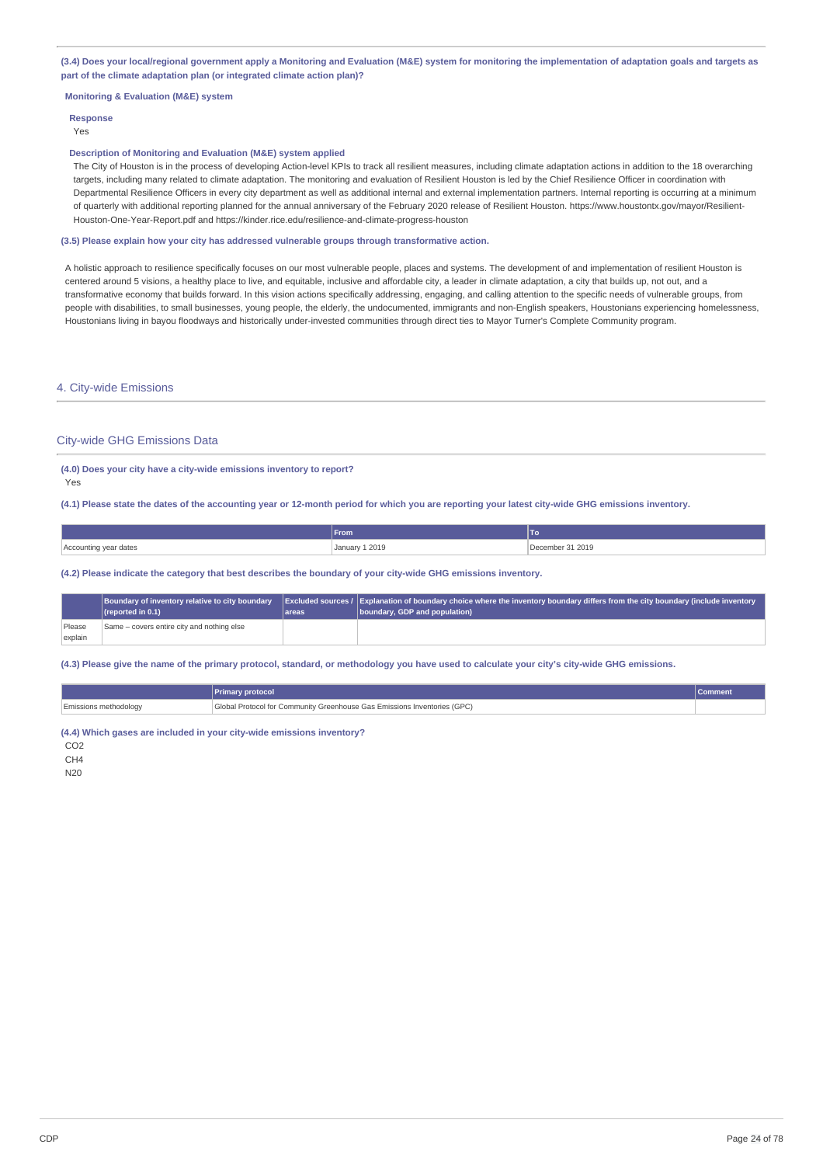## (3.4) Does your local/regional government apply a Monitoring and Evaluation (M&E) system for monitoring the implementation of adaptation goals and targets as **part of the climate adaptation plan (or integrated climate action plan)?**

## **Monitoring & Evaluation (M&E) system**

## **Response** Yes

### **Description of Monitoring and Evaluation (M&E) system applied**

The City of Houston is in the process of developing Action-level KPIs to track all resilient measures, including climate adaptation actions in addition to the 18 overarching targets, including many related to climate adaptation. The monitoring and evaluation of Resilient Houston is led by the Chief Resilience Officer in coordination with Departmental Resilience Officers in every city department as well as additional internal and external implementation partners. Internal reporting is occurring at a minimum of quarterly with additional reporting planned for the annual anniversary of the February 2020 release of Resilient Houston. https://www.houstontx.gov/mayor/Resilient-Houston-One-Year-Report.pdf and https://kinder.rice.edu/resilience-and-climate-progress-houston

## **(3.5) Please explain how your city has addressed vulnerable groups through transformative action.**

A holistic approach to resilience specifically focuses on our most vulnerable people, places and systems. The development of and implementation of resilient Houston is centered around 5 visions, a healthy place to live, and equitable, inclusive and affordable city, a leader in climate adaptation, a city that builds up, not out, and a transformative economy that builds forward. In this vision actions specifically addressing, engaging, and calling attention to the specific needs of vulnerable groups, from people with disabilities, to small businesses, young people, the elderly, the undocumented, immigrants and non-English speakers, Houstonians experiencing homelessness, Houstonians living in bayou floodways and historically under-invested communities through direct ties to Mayor Turner's Complete Community program.

## 4. City-wide Emissions

### City-wide GHG Emissions Data

### **(4.0) Does your city have a city-wide emissions inventory to report?** Yes

(4.1) Please state the dates of the accounting year or 12-month period for which you are reporting your latest city-wide GHG emissions inventory.

|                       | <b>From</b>    | 10               |
|-----------------------|----------------|------------------|
| Accounting year dates | January 1 2019 | December 31 2019 |

**(4.2) Please indicate the category that best describes the boundary of your city-wide GHG emissions inventory.**

|                   | Boundary of inventory relative to city boundary<br>$\Gamma$ (reported in 0.1) | lareas | Excluded sources / Explanation of boundary choice where the inventory boundary differs from the city boundary (include inventory<br>boundary, GDP and population) |
|-------------------|-------------------------------------------------------------------------------|--------|-------------------------------------------------------------------------------------------------------------------------------------------------------------------|
| Please<br>explain | Same - covers entire city and nothing else                                    |        |                                                                                                                                                                   |

(4.3) Please give the name of the primary protocol, standard, or methodology you have used to calculate your city's city-wide GHG emissions.

|                              | Primary protocol                                                         | <b>Comment</b> |
|------------------------------|--------------------------------------------------------------------------|----------------|
| <b>Emissions methodology</b> | Global Protocol for Community Greenhouse Gas Emissions Inventories (GPC) |                |

**(4.4) Which gases are included in your city-wide emissions inventory?**

CO2

C<sub>H4</sub>

N20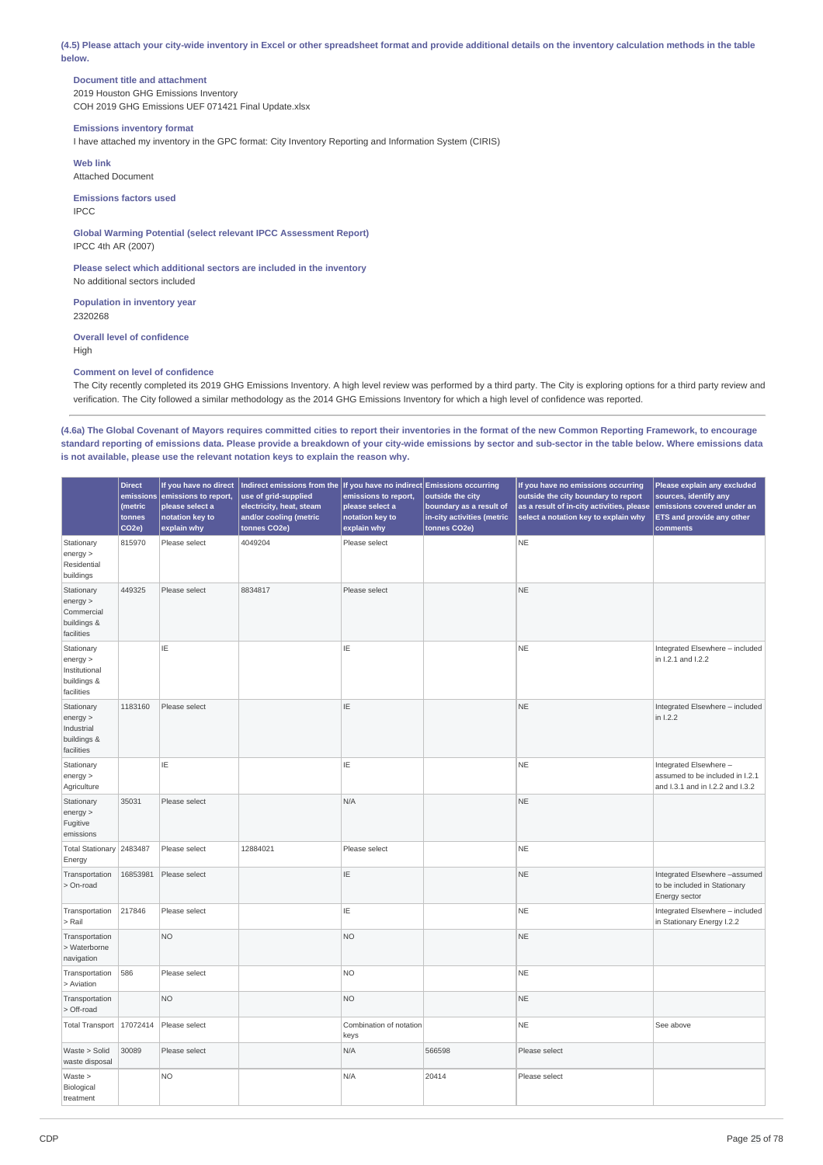(4.5) Please attach your city-wide inventory in Excel or other spreadsheet format and provide additional details on the inventory calculation methods in the table **below.**

## **Document title and attachment**

2019 Houston GHG Emissions Inventory COH 2019 GHG Emissions UEF 071421 Final Update.xlsx

# **Emissions inventory format**

I have attached my inventory in the GPC format: City Inventory Reporting and Information System (CIRIS)

**Web link** Attached Document

**Emissions factors used** IPCC

**Global Warming Potential (select relevant IPCC Assessment Report)** IPCC 4th AR (2007)

**Please select which additional sectors are included in the inventory** No additional sectors included

**Population in inventory year** 2320268

**Overall level of confidence** High

## **Comment on level of confidence**

The City recently completed its 2019 GHG Emissions Inventory. A high level review was performed by a third party. The City is exploring options for a third party review and verification. The City followed a similar methodology as the 2014 GHG Emissions Inventory for which a high level of confidence was reported.

(4.6a) The Global Covenant of Mayors requires committed cities to report their inventories in the format of the new Common Reporting Framework, to encourage standard reporting of emissions data. Please provide a breakdown of your city-wide emissions by sector and sub-sector in the table below. Where emissions data **is not available, please use the relevant notation keys to explain the reason why.**

|                                                                    | <b>Direct</b><br>emissions<br>(metric<br>tonnes<br>CO <sub>2e</sub> ) | If you have no direct<br>emissions to report,<br>please select a<br>notation key to<br>explain why | $\vert$ Indirect emissions from the $\vert$ If you have no indirect Emissions occurring<br>use of grid-supplied<br>electricity, heat, steam<br>and/or cooling (metric<br>tonnes CO2e) | emissions to report,<br>please select a<br>notation key to<br>explain why | outside the city<br>boundary as a result of<br>in-city activities (metric<br>tonnes CO2e) | If you have no emissions occurring<br>outside the city boundary to report<br>as a result of in-city activities, please<br>select a notation key to explain why | Please explain any excluded<br>sources, identify any<br>emissions covered under an<br><b>ETS and provide any other</b><br>comments |
|--------------------------------------------------------------------|-----------------------------------------------------------------------|----------------------------------------------------------------------------------------------------|---------------------------------------------------------------------------------------------------------------------------------------------------------------------------------------|---------------------------------------------------------------------------|-------------------------------------------------------------------------------------------|----------------------------------------------------------------------------------------------------------------------------------------------------------------|------------------------------------------------------------------------------------------------------------------------------------|
| Stationary<br>energy<br>Residential<br>buildings                   | 815970                                                                | Please select                                                                                      | 4049204                                                                                                                                                                               | Please select                                                             |                                                                                           | <b>NE</b>                                                                                                                                                      |                                                                                                                                    |
| Stationary<br>energy<br>Commercial<br>buildings &<br>facilities    | 449325                                                                | Please select                                                                                      | 8834817                                                                                                                                                                               | Please select                                                             |                                                                                           | <b>NE</b>                                                                                                                                                      |                                                                                                                                    |
| Stationary<br>energy<br>Institutional<br>buildings &<br>facilities |                                                                       | ΙE                                                                                                 |                                                                                                                                                                                       | IE                                                                        |                                                                                           | <b>NE</b>                                                                                                                                                      | Integrated Elsewhere - included<br>in 1.2.1 and 1.2.2                                                                              |
| Stationary<br>energy<br>Industrial<br>buildings &<br>facilities    | 1183160                                                               | Please select                                                                                      |                                                                                                                                                                                       | IE                                                                        |                                                                                           | <b>NE</b>                                                                                                                                                      | Integrated Elsewhere - included<br>in 1.2.2                                                                                        |
| Stationary<br>energy<br>Agriculture                                |                                                                       | ΙE                                                                                                 |                                                                                                                                                                                       | ΙE                                                                        |                                                                                           | <b>NE</b>                                                                                                                                                      | Integrated Elsewhere -<br>assumed to be included in I.2.1<br>and I.3.1 and in I.2.2 and I.3.2                                      |
| Stationary<br>energy<br>Fugitive<br>emissions                      | 35031                                                                 | Please select                                                                                      |                                                                                                                                                                                       | N/A                                                                       |                                                                                           | <b>NE</b>                                                                                                                                                      |                                                                                                                                    |
| Total Stationary 2483487<br>Energy                                 |                                                                       | Please select                                                                                      | 12884021                                                                                                                                                                              | Please select                                                             |                                                                                           | <b>NE</b>                                                                                                                                                      |                                                                                                                                    |
| Transportation<br>> On-road                                        | 16853981                                                              | Please select                                                                                      |                                                                                                                                                                                       | IE                                                                        |                                                                                           | <b>NE</b>                                                                                                                                                      | Integrated Elsewhere -assumed<br>to be included in Stationary<br>Energy sector                                                     |
| Transportation<br>> Rail                                           | 217846                                                                | Please select                                                                                      |                                                                                                                                                                                       | ΙE                                                                        |                                                                                           | <b>NE</b>                                                                                                                                                      | Integrated Elsewhere - included<br>in Stationary Energy I.2.2                                                                      |
| Transportation<br>> Waterborne<br>navigation                       |                                                                       | <b>NO</b>                                                                                          |                                                                                                                                                                                       | <b>NO</b>                                                                 |                                                                                           | <b>NE</b>                                                                                                                                                      |                                                                                                                                    |
| Transportation<br>> Aviation                                       | 586                                                                   | Please select                                                                                      |                                                                                                                                                                                       | <b>NO</b>                                                                 |                                                                                           | <b>NE</b>                                                                                                                                                      |                                                                                                                                    |
| Transportation<br>> Off-road                                       |                                                                       | <b>NO</b>                                                                                          |                                                                                                                                                                                       | <b>NO</b>                                                                 |                                                                                           | <b>NE</b>                                                                                                                                                      |                                                                                                                                    |
| Total Transport   17072414                                         |                                                                       | Please select                                                                                      |                                                                                                                                                                                       | Combination of notation<br>keys                                           |                                                                                           | <b>NE</b>                                                                                                                                                      | See above                                                                                                                          |
| Waste > Solid<br>waste disposal                                    | 30089                                                                 | Please select                                                                                      |                                                                                                                                                                                       | N/A                                                                       | 566598                                                                                    | Please select                                                                                                                                                  |                                                                                                                                    |
| Waste ><br>Biological<br>treatment                                 |                                                                       | <b>NO</b>                                                                                          |                                                                                                                                                                                       | N/A                                                                       | 20414                                                                                     | Please select                                                                                                                                                  |                                                                                                                                    |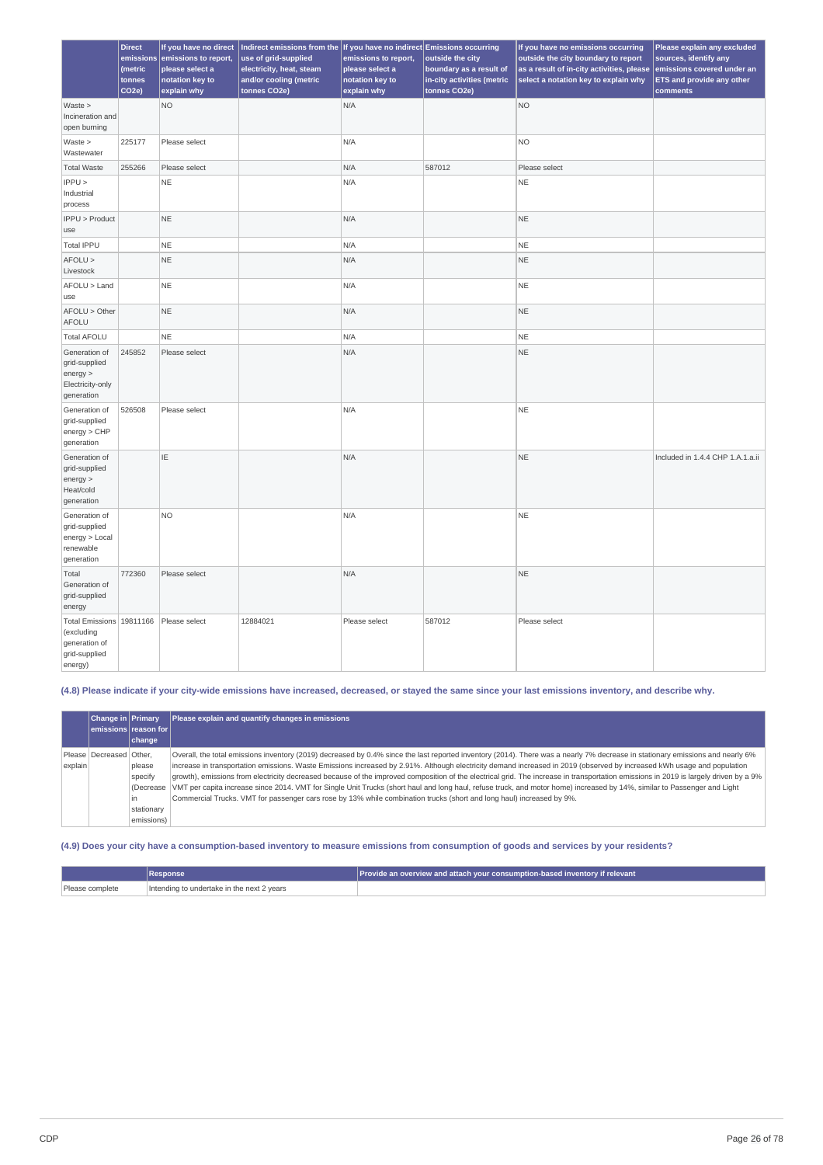|                                                                                     | <b>Direct</b><br>emissions<br>(metric<br>tonnes<br>CO <sub>2e</sub> | If you have no direct<br>emissions to report,<br>please select a<br>notation key to<br>explain why | Indirect emissions from the If you have no indirect Emissions occurring<br>use of grid-supplied<br>electricity, heat, steam<br>and/or cooling (metric<br>tonnes CO2e) | emissions to report,<br>please select a<br>notation key to<br>explain why | outside the city<br>boundary as a result of<br>in-city activities (metric<br>tonnes CO2e) | If you have no emissions occurring<br>outside the city boundary to report<br>as a result of in-city activities, please<br>select a notation key to explain why | Please explain any excluded<br>sources, identify any<br>emissions covered under an<br><b>ETS and provide any other</b><br>comments |
|-------------------------------------------------------------------------------------|---------------------------------------------------------------------|----------------------------------------------------------------------------------------------------|-----------------------------------------------------------------------------------------------------------------------------------------------------------------------|---------------------------------------------------------------------------|-------------------------------------------------------------------------------------------|----------------------------------------------------------------------------------------------------------------------------------------------------------------|------------------------------------------------------------------------------------------------------------------------------------|
| Waste<br>Incineration and<br>open burning                                           |                                                                     | <b>NO</b>                                                                                          |                                                                                                                                                                       | N/A                                                                       |                                                                                           | <b>NO</b>                                                                                                                                                      |                                                                                                                                    |
| Waste<br>Wastewater                                                                 | 225177                                                              | Please select                                                                                      |                                                                                                                                                                       | N/A                                                                       |                                                                                           | <b>NO</b>                                                                                                                                                      |                                                                                                                                    |
| <b>Total Waste</b>                                                                  | 255266                                                              | Please select                                                                                      |                                                                                                                                                                       | N/A                                                                       | 587012                                                                                    | Please select                                                                                                                                                  |                                                                                                                                    |
| IPPU<br>Industrial<br>process                                                       |                                                                     | <b>NE</b>                                                                                          |                                                                                                                                                                       | N/A                                                                       |                                                                                           | <b>NE</b>                                                                                                                                                      |                                                                                                                                    |
| IPPU > Product<br>use                                                               |                                                                     | <b>NE</b>                                                                                          |                                                                                                                                                                       | N/A                                                                       |                                                                                           | <b>NE</b>                                                                                                                                                      |                                                                                                                                    |
| <b>Total IPPU</b>                                                                   |                                                                     | <b>NE</b>                                                                                          |                                                                                                                                                                       | N/A                                                                       |                                                                                           | <b>NE</b>                                                                                                                                                      |                                                                                                                                    |
| AFOLU ><br>Livestock                                                                |                                                                     | <b>NE</b>                                                                                          |                                                                                                                                                                       | N/A                                                                       |                                                                                           | <b>NE</b>                                                                                                                                                      |                                                                                                                                    |
| AFOLU > Land<br>use                                                                 |                                                                     | <b>NE</b>                                                                                          |                                                                                                                                                                       | N/A                                                                       |                                                                                           | <b>NE</b>                                                                                                                                                      |                                                                                                                                    |
| AFOLU > Other<br>AFOLU                                                              |                                                                     | <b>NE</b>                                                                                          |                                                                                                                                                                       | N/A                                                                       |                                                                                           | <b>NE</b>                                                                                                                                                      |                                                                                                                                    |
| <b>Total AFOLU</b>                                                                  |                                                                     | <b>NE</b>                                                                                          |                                                                                                                                                                       | N/A                                                                       |                                                                                           | <b>NE</b>                                                                                                                                                      |                                                                                                                                    |
| Generation of<br>grid-supplied<br>energy ><br>Electricity-only<br>generation        | 245852                                                              | Please select                                                                                      |                                                                                                                                                                       | N/A                                                                       |                                                                                           | <b>NE</b>                                                                                                                                                      |                                                                                                                                    |
| Generation of<br>grid-supplied<br>energy > CHP<br>generation                        | 526508                                                              | Please select                                                                                      |                                                                                                                                                                       | N/A                                                                       |                                                                                           | NE                                                                                                                                                             |                                                                                                                                    |
| Generation of<br>grid-supplied<br>energy ><br>Heat/cold<br>generation               |                                                                     | IE                                                                                                 |                                                                                                                                                                       | N/A                                                                       |                                                                                           | <b>NE</b>                                                                                                                                                      | Included in 1.4.4 CHP 1.A.1.a.ii                                                                                                   |
| Generation of<br>grid-supplied<br>energy > Local<br>renewable<br>generation         |                                                                     | <b>NO</b>                                                                                          |                                                                                                                                                                       | N/A                                                                       |                                                                                           | <b>NE</b>                                                                                                                                                      |                                                                                                                                    |
| Total<br>Generation of<br>grid-supplied<br>energy                                   | 772360                                                              | Please select                                                                                      |                                                                                                                                                                       | N/A                                                                       |                                                                                           | <b>NE</b>                                                                                                                                                      |                                                                                                                                    |
| Total Emissions 19811166<br>(excluding<br>generation of<br>grid-supplied<br>energy) |                                                                     | Please select                                                                                      | 12884021                                                                                                                                                              | Please select                                                             | 587012                                                                                    | Please select                                                                                                                                                  |                                                                                                                                    |

## (4.8) Please indicate if your city-wide emissions have increased, decreased, or stayed the same since your last emissions inventory, and describe why.

|         | <b>Change in Primary</b><br>emissions reason for l | change                                               | Please explain and quantify changes in emissions                                                                                                                                                                                                                                                                                                                                                                                                                                                                                                                                                                                                                                                                                                                                                                                                                 |
|---------|----------------------------------------------------|------------------------------------------------------|------------------------------------------------------------------------------------------------------------------------------------------------------------------------------------------------------------------------------------------------------------------------------------------------------------------------------------------------------------------------------------------------------------------------------------------------------------------------------------------------------------------------------------------------------------------------------------------------------------------------------------------------------------------------------------------------------------------------------------------------------------------------------------------------------------------------------------------------------------------|
| explain | Please   Decreased   Other,                        | please<br>specify<br>in.<br>stationary<br>emissions) | Overall, the total emissions inventory (2019) decreased by 0.4% since the last reported inventory (2014). There was a nearly 7% decrease in stationary emissions and nearly 6%<br>increase in transportation emissions. Waste Emissions increased by 2.91%. Although electricity demand increased in 2019 (observed by increased kWh usage and population<br>growth), emissions from electricity decreased because of the improved composition of the electrical grid. The increase in transportation emissions in 2019 is largely driven by a 9%<br>(Decrease VMT per capita increase since 2014. VMT for Single Unit Trucks (short haul and long haul, refuse truck, and motor home) increased by 14%, similar to Passenger and Light<br>Commercial Trucks. VMT for passenger cars rose by 13% while combination trucks (short and long haul) increased by 9%. |

# (4.9) Does your city have a consumption-based inventory to measure emissions from consumption of goods and services by your residents?

|                 | <b>Response</b>                            | $\mid$ Provide an overview and attach your consumption-based inventory if relevant |
|-----------------|--------------------------------------------|------------------------------------------------------------------------------------|
| Please complete | Intending to undertake in the next 2 years |                                                                                    |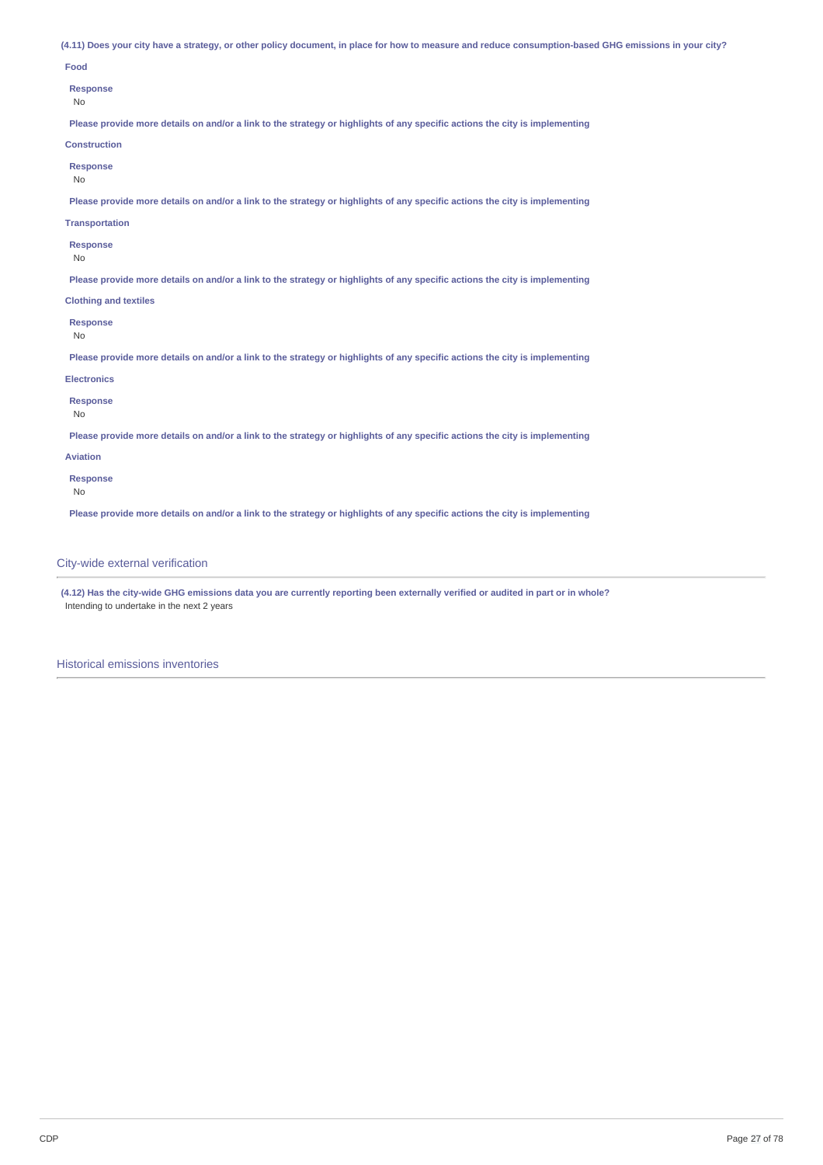(4.11) Does your city have a strategy, or other policy document, in place for how to measure and reduce consumption-based GHG emissions in your city?

## **Food**

#### **Response**

No

Please provide more details on and/or a link to the strategy or highlights of any specific actions the city is implementing

## **Construction**

- **Response**
- No

Please provide more details on and/or a link to the strategy or highlights of any specific actions the city is implementing

### **Transportation**

**Response**

### No

Please provide more details on and/or a link to the strategy or highlights of any specific actions the city is implementing

## **Clothing and textiles**

**Response**

#### No

Please provide more details on and/or a link to the strategy or highlights of any specific actions the city is implementing

### **Electronics**

## **Response**

No

Please provide more details on and/or a link to the strategy or highlights of any specific actions the city is implementing

## **Aviation**

**Response**

No

Please provide more details on and/or a link to the strategy or highlights of any specific actions the city is implementing

## City-wide external verification

(4.12) Has the city-wide GHG emissions data you are currently reporting been externally verified or audited in part or in whole? Intending to undertake in the next 2 years

Historical emissions inventories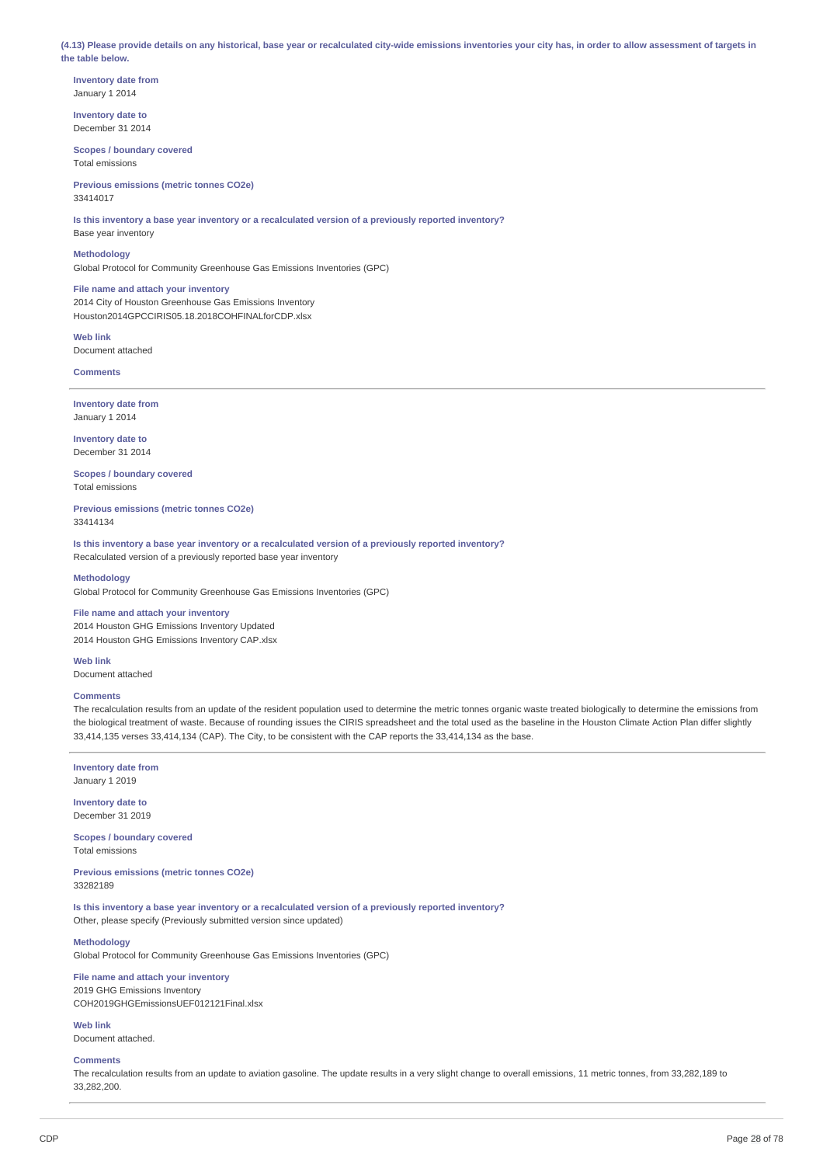(4.13) Please provide details on any historical, base year or recalculated city-wide emissions inventories your city has, in order to allow assessment of targets in **the table below.**

**Inventory date from** January 1 2014

**Inventory date to** December 31 2014

**Scopes / boundary covered** Total emissions

**Previous emissions (metric tonnes CO2e)** 33414017

**Is this inventory a base year inventory or a recalculated version of a previously reported inventory?** Base year inventory

**Methodology**

Global Protocol for Community Greenhouse Gas Emissions Inventories (GPC)

**File name and attach your inventory** 2014 City of Houston Greenhouse Gas Emissions Inventory Houston2014GPCCIRIS05.18.2018COHFINALforCDP.xlsx

**Web link** Document attached

**Comments**

**Inventory date from** January 1 2014

**Inventory date to** December 31 2014

**Scopes / boundary covered** Total emissions

**Previous emissions (metric tonnes CO2e)** 33414134

**Is this inventory a base year inventory or a recalculated version of a previously reported inventory?** Recalculated version of a previously reported base year inventory

### **Methodology**

Global Protocol for Community Greenhouse Gas Emissions Inventories (GPC)

## **File name and attach your inventory**

2014 Houston GHG Emissions Inventory Updated 2014 Houston GHG Emissions Inventory CAP.xlsx

**Web link** Document attached

## **Comments**

The recalculation results from an update of the resident population used to determine the metric tonnes organic waste treated biologically to determine the emissions from the biological treatment of waste. Because of rounding issues the CIRIS spreadsheet and the total used as the baseline in the Houston Climate Action Plan differ slightly 33,414,135 verses 33,414,134 (CAP). The City, to be consistent with the CAP reports the 33,414,134 as the base.

**Inventory date from**

January 1 2019

**Inventory date to** December 31 2019

**Scopes / boundary covered** Total emissions

**Previous emissions (metric tonnes CO2e)** 33282189

**Is this inventory a base year inventory or a recalculated version of a previously reported inventory?** Other, please specify (Previously submitted version since updated)

## **Methodology**

Global Protocol for Community Greenhouse Gas Emissions Inventories (GPC)

# **File name and attach your inventory**

2019 GHG Emissions Inventory COH2019GHGEmissionsUEF012121Final.xlsx

**Web link** Document attached.

## **Comments**

The recalculation results from an update to aviation gasoline. The update results in a very slight change to overall emissions, 11 metric tonnes, from 33,282,189 to 33,282,200.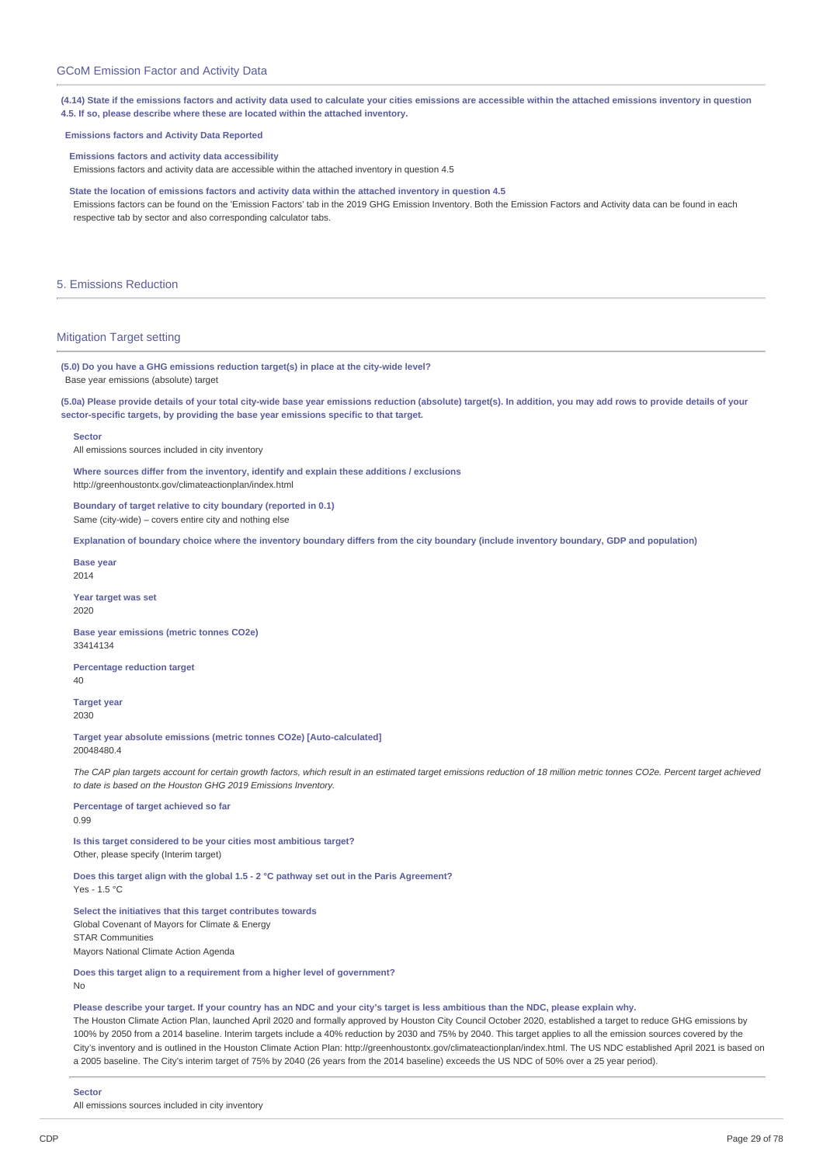(4.14) State if the emissions factors and activity data used to calculate your cities emissions are accessible within the attached emissions inventory in question **4.5. If so, please describe where these are located within the attached inventory.**

### **Emissions factors and Activity Data Reported**

**Emissions factors and activity data accessibility**

Emissions factors and activity data are accessible within the attached inventory in question 4.5

**State the location of emissions factors and activity data within the attached inventory in question 4.5** Emissions factors can be found on the 'Emission Factors' tab in the 2019 GHG Emission Inventory. Both the Emission Factors and Activity data can be found in each respective tab by sector and also corresponding calculator tabs.

## 5. Emissions Reduction

## Mitigation Target setting

**(5.0) Do you have a GHG emissions reduction target(s) in place at the city-wide level?** Base year emissions (absolute) target

(5.0a) Please provide details of your total city-wide base year emissions reduction (absolute) target(s). In addition, you may add rows to provide details of your **sector-specific targets, by providing the base year emissions specific to that target.**

#### **Sector**

All emissions sources included in city inventory

**Where sources differ from the inventory, identify and explain these additions / exclusions** http://greenhoustontx.gov/climateactionplan/index.html

**Boundary of target relative to city boundary (reported in 0.1)** Same (city-wide) – covers entire city and nothing else

Explanation of boundary choice where the inventory boundary differs from the city boundary (include inventory boundary, GDP and population)

**Base year** 2014

**Year target was set** 2020

**Base year emissions (metric tonnes CO2e)** 33414134

**Percentage reduction target**  $40$ 

**Target year** 2030

**Target year absolute emissions (metric tonnes CO2e) [Auto-calculated]** 20048480.4

The CAP plan targets account for certain growth factors, which result in an estimated target emissions reduction of 18 million metric tonnes CO2e. Percent target achieved *to date is based on the Houston GHG 2019 Emissions Inventory.*

**Percentage of target achieved so far** 0.99

**Is this target considered to be your cities most ambitious target?** Other, please specify (Interim target)

**Does this target align with the global 1.5 - 2 °C pathway set out in the Paris Agreement?**

 $Yes - 1.5 °C$ 

**Select the initiatives that this target contributes towards** Global Covenant of Mayors for Climate & Energy STAR Communities Mayors National Climate Action Agenda

**Does this target align to a requirement from a higher level of government?** No

### Please describe your target. If your country has an NDC and your city's target is less ambitious than the NDC, please explain why.

The Houston Climate Action Plan, launched April 2020 and formally approved by Houston City Council October 2020, established a target to reduce GHG emissions by 100% by 2050 from a 2014 baseline. Interim targets include a 40% reduction by 2030 and 75% by 2040. This target applies to all the emission sources covered by the City's inventory and is outlined in the Houston Climate Action Plan: http://greenhoustontx.gov/climateactionplan/index.html. The US NDC established April 2021 is based on a 2005 baseline. The City's interim target of 75% by 2040 (26 years from the 2014 baseline) exceeds the US NDC of 50% over a 25 year period).

#### **Sector**

All emissions sources included in city inventory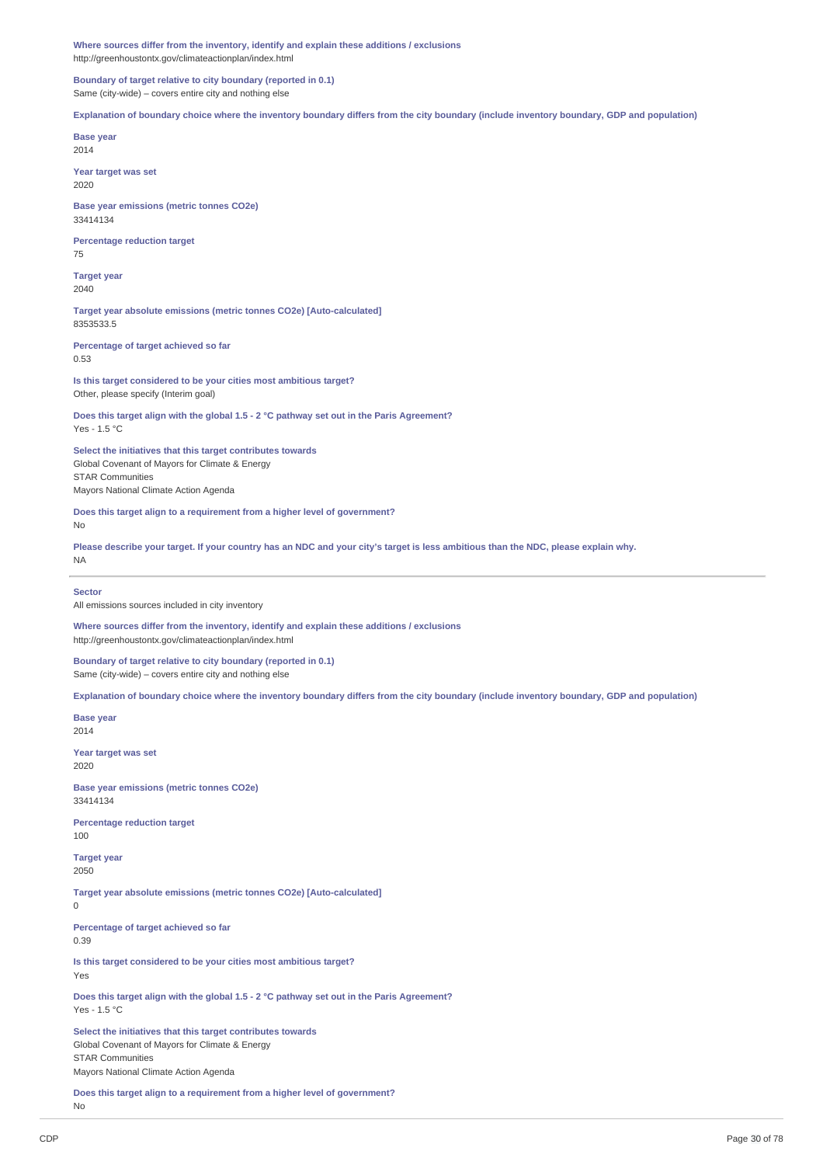**Where sources differ from the inventory, identify and explain these additions / exclusions** http://greenhoustontx.gov/climateactionplan/index.html

**Boundary of target relative to city boundary (reported in 0.1)** Same (city-wide) – covers entire city and nothing else

Explanation of boundary choice where the inventory boundary differs from the city boundary (include inventory boundary, GDP and population)

**Base year** 2014

**Year target was set** 2020

**Base year emissions (metric tonnes CO2e)** 33414134

**Percentage reduction target** 75

**Target year** 2040

**Target year absolute emissions (metric tonnes CO2e) [Auto-calculated]** 8353533.5

**Percentage of target achieved so far** 0.53

**Is this target considered to be your cities most ambitious target?** Other, please specify (Interim goal)

**Does this target align with the global 1.5 - 2 °C pathway set out in the Paris Agreement?** Yes - 1.5 °C

**Select the initiatives that this target contributes towards** Global Covenant of Mayors for Climate & Energy STAR Communities Mayors National Climate Action Agenda

**Does this target align to a requirement from a higher level of government?** No

Please describe your target. If your country has an NDC and your city's target is less ambitious than the NDC, please explain why. NA

**Sector**

All emissions sources included in city inventory

**Where sources differ from the inventory, identify and explain these additions / exclusions** http://greenhoustontx.gov/climateactionplan/index.html

**Boundary of target relative to city boundary (reported in 0.1)** Same (city-wide) – covers entire city and nothing else

Explanation of boundary choice where the inventory boundary differs from the city boundary (include inventory boundary, GDP and population)

**Base year** 2014

**Year target was set** 2020

**Base year emissions (metric tonnes CO2e)** 33414134

**Percentage reduction target** 100

**Target year** 2050

**Target year absolute emissions (metric tonnes CO2e) [Auto-calculated]** 0

**Percentage of target achieved so far** 0.39

**Is this target considered to be your cities most ambitious target?** Yes

**Does this target align with the global 1.5 - 2 °C pathway set out in the Paris Agreement?** Yes - 1.5 °C

**Select the initiatives that this target contributes towards** Global Covenant of Mayors for Climate & Energy STAR Communities Mayors National Climate Action Agenda

**Does this target align to a requirement from a higher level of government?** No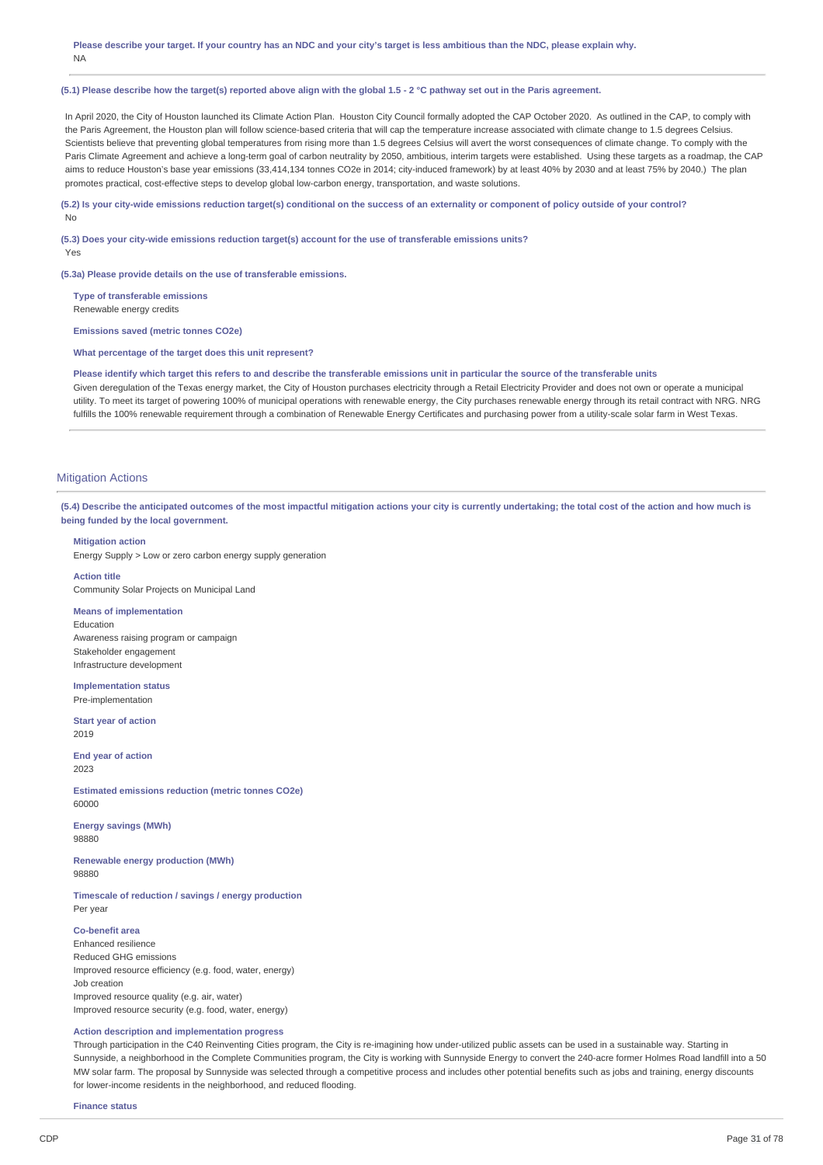Please describe your target. If your country has an NDC and your city's target is less ambitious than the NDC, please explain why. NA

### (5.1) Please describe how the target(s) reported above align with the global 1.5 - 2 °C pathway set out in the Paris agreement.

In April 2020, the City of Houston launched its Climate Action Plan. Houston City Council formally adopted the CAP October 2020. As outlined in the CAP, to comply with the Paris Agreement, the Houston plan will follow science-based criteria that will cap the temperature increase associated with climate change to 1.5 degrees Celsius. Scientists believe that preventing global temperatures from rising more than 1.5 degrees Celsius will avert the worst consequences of climate change. To comply with the Paris Climate Agreement and achieve a long-term goal of carbon neutrality by 2050, ambitious, interim targets were established. Using these targets as a roadmap, the CAP aims to reduce Houston's base year emissions (33,414,134 tonnes CO2e in 2014; city-induced framework) by at least 40% by 2030 and at least 75% by 2040.) The plan promotes practical, cost-effective steps to develop global low-carbon energy, transportation, and waste solutions.

## (5.2) Is your city-wide emissions reduction target(s) conditional on the success of an externality or component of policy outside of your control? No

**(5.3) Does your city-wide emissions reduction target(s) account for the use of transferable emissions units?** Yes

**(5.3a) Please provide details on the use of transferable emissions.**

**Type of transferable emissions** Renewable energy credits

**Emissions saved (metric tonnes CO2e)**

**What percentage of the target does this unit represent?**

Please identify which target this refers to and describe the transferable emissions unit in particular the source of the transferable units Given deregulation of the Texas energy market, the City of Houston purchases electricity through a Retail Electricity Provider and does not own or operate a municipal utility. To meet its target of powering 100% of municipal operations with renewable energy, the City purchases renewable energy through its retail contract with NRG. NRG fulfills the 100% renewable requirement through a combination of Renewable Energy Certificates and purchasing power from a utility-scale solar farm in West Texas.

## **Mitigation Actions**

(5.4) Describe the anticipated outcomes of the most impactful mitigation actions your city is currently undertaking; the total cost of the action and how much is **being funded by the local government.**

## **Mitigation action**

Energy Supply > Low or zero carbon energy supply generation

**Action title** Community Solar Projects on Municipal Land

#### **Means of implementation**

Education Awareness raising program or campaign Stakeholder engagement Infrastructure development

**Implementation status** Pre-implementation

**Start year of action** 2019

**End year of action** 2023

**Estimated emissions reduction (metric tonnes CO2e)** 60000

**Energy savings (MWh)** 98880

**Renewable energy production (MWh)** 98880

**Timescale of reduction / savings / energy production** Per year

## **Co-benefit area**

Enhanced resilience Reduced GHG emissions Improved resource efficiency (e.g. food, water, energy) Job creation Improved resource quality (e.g. air, water) Improved resource security (e.g. food, water, energy)

## **Action description and implementation progress**

Through participation in the C40 Reinventing Cities program, the City is re-imagining how under-utilized public assets can be used in a sustainable way. Starting in Sunnyside, a neighborhood in the Complete Communities program, the City is working with Sunnyside Energy to convert the 240-acre former Holmes Road landfill into a 50 MW solar farm. The proposal by Sunnyside was selected through a competitive process and includes other potential benefits such as jobs and training, energy discounts for lower-income residents in the neighborhood, and reduced flooding.

**Finance status**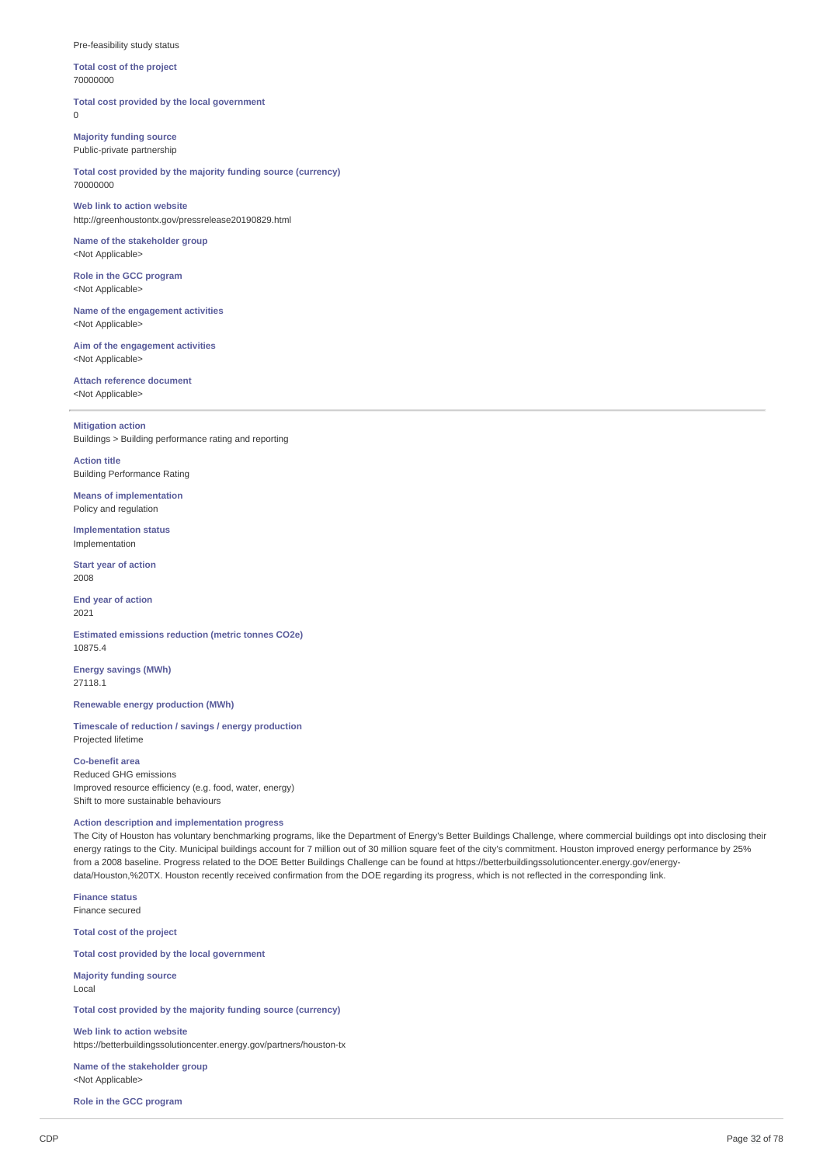### Pre-feasibility study status

**Total cost of the project** 70000000

**Total cost provided by the local government**  $\theta$ 

**Majority funding source** Public-private partnership

**Total cost provided by the majority funding source (currency)** 70000000

**Web link to action website** http://greenhoustontx.gov/pressrelease20190829.html

**Name of the stakeholder group** <Not Applicable>

**Role in the GCC program** <Not Applicable>

**Name of the engagement activities** <Not Applicable>

**Aim of the engagement activities** <Not Applicable>

**Attach reference document** <Not Applicable>

**Mitigation action**

Buildings > Building performance rating and reporting

**Action title** Building Performance Rating

**Means of implementation** Policy and regulation

**Implementation status** Implementation

**Start year of action** 2008

**End year of action** 2021

**Estimated emissions reduction (metric tonnes CO2e)** 10875.4

**Energy savings (MWh)** 27118.1

**Renewable energy production (MWh)**

**Timescale of reduction / savings / energy production** Projected lifetime

## **Co-benefit area**

Reduced GHG emissions Improved resource efficiency (e.g. food, water, energy) Shift to more sustainable behaviours

## **Action description and implementation progress**

The City of Houston has voluntary benchmarking programs, like the Department of Energy's Better Buildings Challenge, where commercial buildings opt into disclosing their energy ratings to the City. Municipal buildings account for 7 million out of 30 million square feet of the city's commitment. Houston improved energy performance by 25% from a 2008 baseline. Progress related to the DOE Better Buildings Challenge can be found at https://betterbuildingssolutioncenter.energy.gov/energydata/Houston,%20TX. Houston recently received confirmation from the DOE regarding its progress, which is not reflected in the corresponding link.

**Finance status** Finance secured

**Total cost of the project**

**Total cost provided by the local government**

**Majority funding source** Local

**Total cost provided by the majority funding source (currency)**

**Web link to action website** https://betterbuildingssolutioncenter.energy.gov/partners/houston-tx

**Name of the stakeholder group** <Not Applicable>

**Role in the GCC program**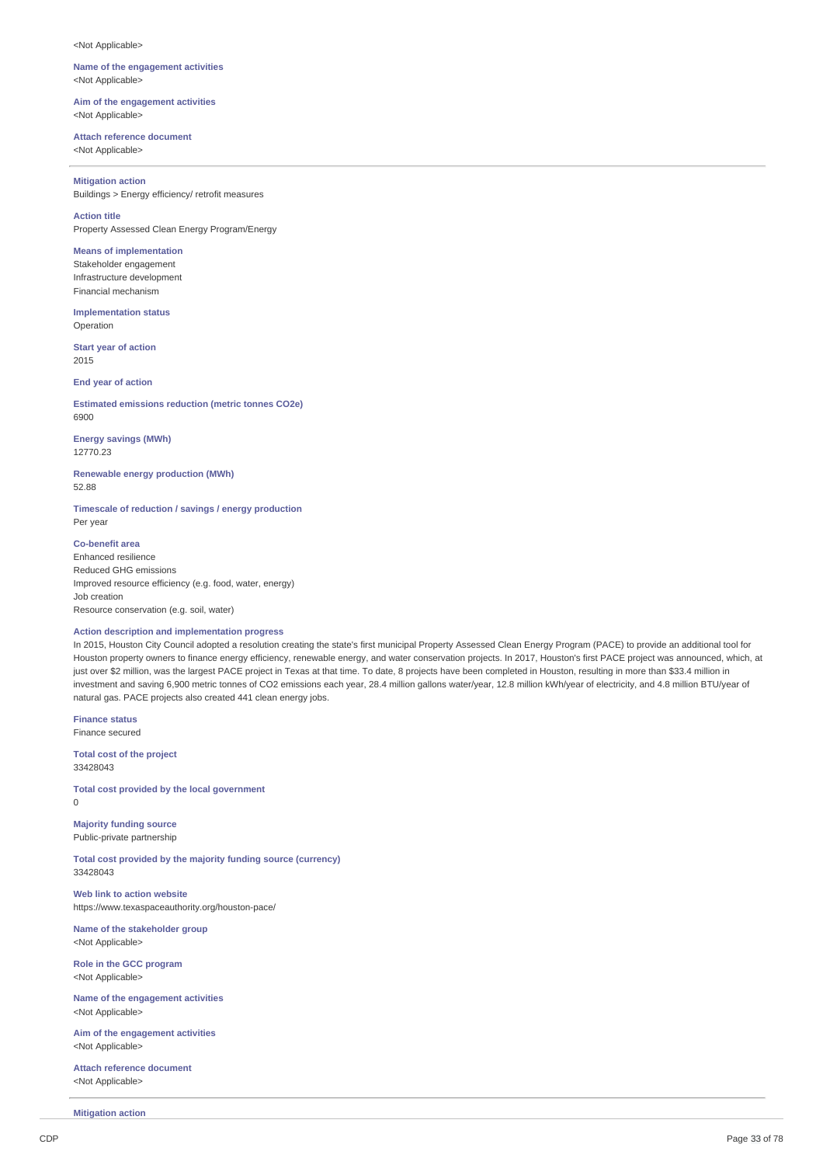<Not Applicable>

### **Name of the engagement activities** <Not Applicable>

**Aim of the engagement activities** <Not Applicable>

## **Attach reference document**

<Not Applicable>

## **Mitigation action**

Buildings > Energy efficiency/ retrofit measures

## **Action title**

Property Assessed Clean Energy Program/Energy

## **Means of implementation**

Stakeholder engagement Infrastructure development Financial mechanism

**Implementation status** Operation

**Start year of action** 2015

**End year of action**

**Estimated emissions reduction (metric tonnes CO2e)** 6900

**Energy savings (MWh)** 12770.23

**Renewable energy production (MWh)** 52.88

**Timescale of reduction / savings / energy production** Per year

**Co-benefit area** Enhanced resilience Reduced GHG emissions Improved resource efficiency (e.g. food, water, energy) Job creation Resource conservation (e.g. soil, water)

## **Action description and implementation progress**

In 2015, Houston City Council adopted a resolution creating the state's first municipal Property Assessed Clean Energy Program (PACE) to provide an additional tool for Houston property owners to finance energy efficiency, renewable energy, and water conservation projects. In 2017, Houston's first PACE project was announced, which, at just over \$2 million, was the largest PACE project in Texas at that time. To date, 8 projects have been completed in Houston, resulting in more than \$33.4 million in investment and saving 6,900 metric tonnes of CO2 emissions each year, 28.4 million gallons water/year, 12.8 million kWh/year of electricity, and 4.8 million BTU/year of natural gas. PACE projects also created 441 clean energy jobs.

**Finance status** Finance secured

**Total cost of the project** 33428043

**Total cost provided by the local government**  $\Omega$ 

**Majority funding source** Public-private partnership

**Total cost provided by the majority funding source (currency)** 33428043

**Web link to action website** https://www.texaspaceauthority.org/houston-pace/

**Name of the stakeholder group** <Not Applicable>

**Role in the GCC program** <Not Applicable>

**Name of the engagement activities** <Not Applicable>

**Aim of the engagement activities** <Not Applicable>

**Attach reference document** <Not Applicable>

**Mitigation action**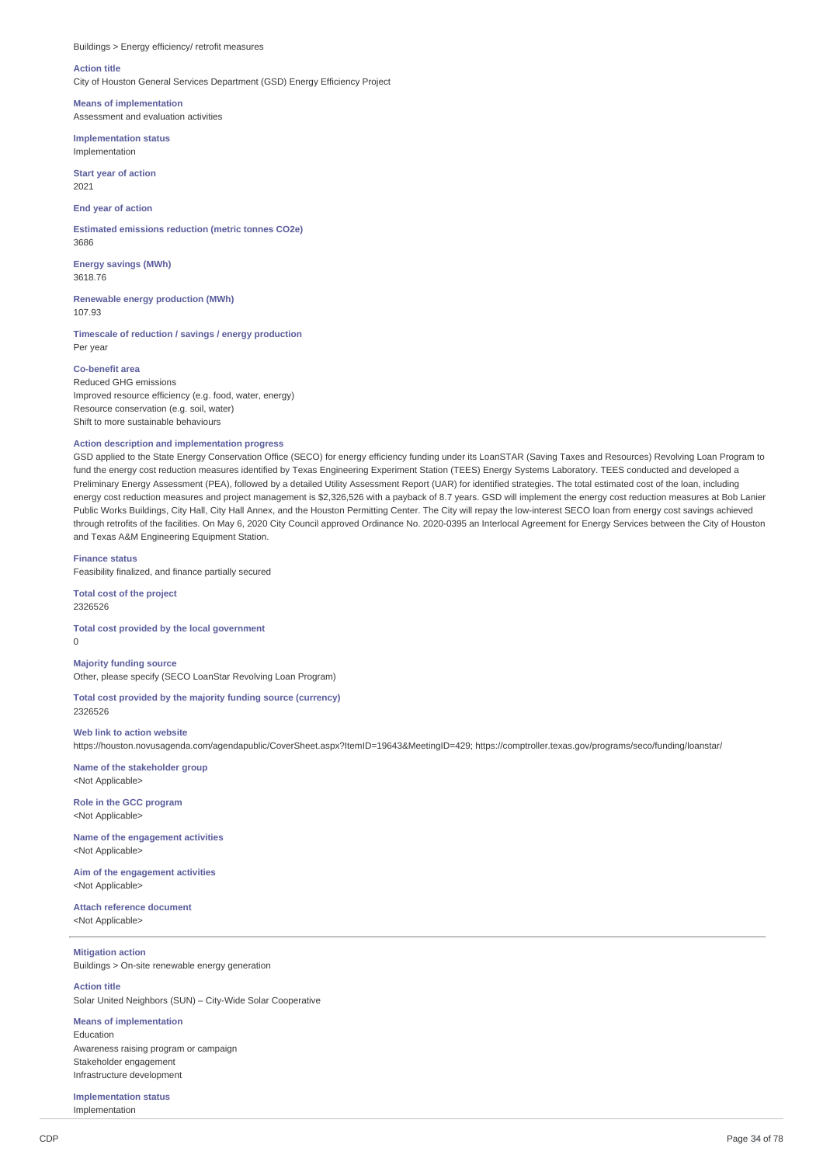## Buildings > Energy efficiency/ retrofit measures

#### **Action title**

City of Houston General Services Department (GSD) Energy Efficiency Project

**Means of implementation** Assessment and evaluation activities

**Implementation status** Implementation

**Start year of action** 2021

**End year of action**

**Estimated emissions reduction (metric tonnes CO2e)** 3686

**Energy savings (MWh)** 3618.76

**Renewable energy production (MWh)** 107.93

**Timescale of reduction / savings / energy production** Per year

### **Co-benefit area**

Reduced GHG emissions Improved resource efficiency (e.g. food, water, energy) Resource conservation (e.g. soil, water) Shift to more sustainable behaviours

## **Action description and implementation progress**

GSD applied to the State Energy Conservation Office (SECO) for energy efficiency funding under its LoanSTAR (Saving Taxes and Resources) Revolving Loan Program to fund the energy cost reduction measures identified by Texas Engineering Experiment Station (TEES) Energy Systems Laboratory. TEES conducted and developed a Preliminary Energy Assessment (PEA), followed by a detailed Utility Assessment Report (UAR) for identified strategies. The total estimated cost of the loan, including energy cost reduction measures and project management is \$2,326,526 with a payback of 8.7 years. GSD will implement the energy cost reduction measures at Bob Lanier Public Works Buildings, City Hall, City Hall Annex, and the Houston Permitting Center. The City will repay the low-interest SECO loan from energy cost savings achieved through retrofits of the facilities. On May 6, 2020 City Council approved Ordinance No. 2020-0395 an Interlocal Agreement for Energy Services between the City of Houston and Texas A&M Engineering Equipment Station.

Feasibility finalized, and finance partially secured

**Total cost of the project** 2326526

**Finance status**

**Total cost provided by the local government** 0

**Majority funding source** Other, please specify (SECO LoanStar Revolving Loan Program)

**Total cost provided by the majority funding source (currency)** 2326526

**Web link to action website** https://houston.novusagenda.com/agendapublic/CoverSheet.aspx?ItemID=19643&MeetingID=429; https://comptroller.texas.gov/programs/seco/funding/loanstar/

**Name of the stakeholder group** <Not Applicable>

**Role in the GCC program** <Not Applicable>

**Name of the engagement activities** <Not Applicable>

**Aim of the engagement activities** <Not Applicable>

**Attach reference document** <Not Applicable>

# **Mitigation action**

Buildings > On-site renewable energy generation

**Action title**

Solar United Neighbors (SUN) – City-Wide Solar Cooperative

## **Means of implementation**

Education Awareness raising program or campaign Stakeholder engagement Infrastructure development

**Implementation status** Implementation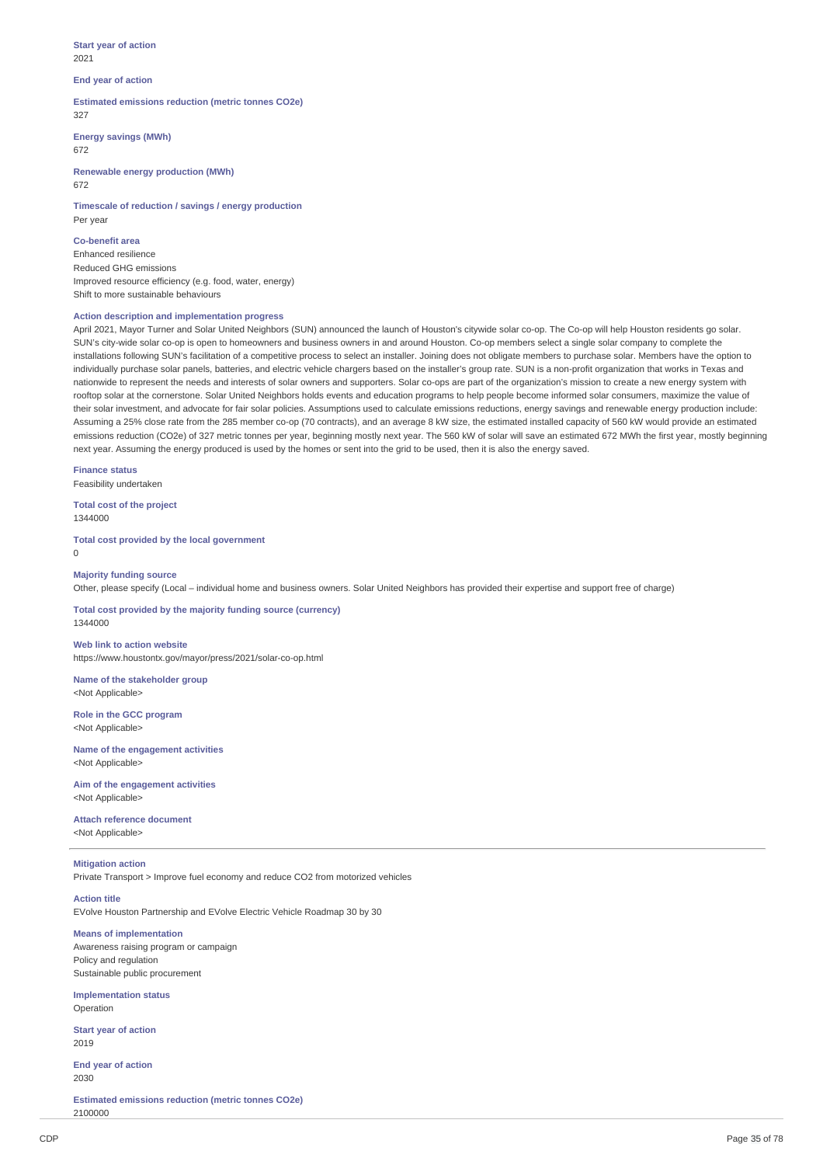**Start year of action** 2021

## **End year of action**

**Estimated emissions reduction (metric tonnes CO2e)** 327

**Energy savings (MWh)**

672

**Renewable energy production (MWh)** 672

**Timescale of reduction / savings / energy production** Per year

**Co-benefit area** Enhanced resilience Reduced GHG emissions Improved resource efficiency (e.g. food, water, energy) Shift to more sustainable behaviours

## **Action description and implementation progress**

April 2021, Mayor Turner and Solar United Neighbors (SUN) announced the launch of Houston's citywide solar co-op. The Co-op will help Houston residents go solar. SUN's city-wide solar co-op is open to homeowners and business owners in and around Houston. Co-op members select a single solar company to complete the installations following SUN's facilitation of a competitive process to select an installer. Joining does not obligate members to purchase solar. Members have the option to individually purchase solar panels, batteries, and electric vehicle chargers based on the installer's group rate. SUN is a non-profit organization that works in Texas and nationwide to represent the needs and interests of solar owners and supporters. Solar co-ops are part of the organization's mission to create a new energy system with rooftop solar at the cornerstone. Solar United Neighbors holds events and education programs to help people become informed solar consumers, maximize the value of their solar investment, and advocate for fair solar policies. Assumptions used to calculate emissions reductions, energy savings and renewable energy production include: Assuming a 25% close rate from the 285 member co-op (70 contracts), and an average 8 kW size, the estimated installed capacity of 560 kW would provide an estimated emissions reduction (CO2e) of 327 metric tonnes per year, beginning mostly next year. The 560 kW of solar will save an estimated 672 MWh the first year, mostly beginning next year. Assuming the energy produced is used by the homes or sent into the grid to be used, then it is also the energy saved.

**Finance status** Feasibility undertaken

**Total cost of the project** 1344000

**Total cost provided by the local government** 0

### **Majority funding source**

Other, please specify (Local – individual home and business owners. Solar United Neighbors has provided their expertise and support free of charge)

**Total cost provided by the majority funding source (currency)** 1344000

**Web link to action website** https://www.houstontx.gov/mayor/press/2021/solar-co-op.html

**Name of the stakeholder group** <Not Applicable>

**Role in the GCC program** <Not Applicable>

**Name of the engagement activities** <Not Applicable>

**Aim of the engagement activities** <Not Applicable>

**Attach reference document** <Not Applicable>

### **Mitigation action**

Private Transport > Improve fuel economy and reduce CO2 from motorized vehicles

### **Action title**

EVolve Houston Partnership and EVolve Electric Vehicle Roadmap 30 by 30

**Means of implementation** Awareness raising program or campaign

Policy and regulation Sustainable public procurement

**Implementation status** Operation

**Start year of action** 2019

**End year of action** 2030

**Estimated emissions reduction (metric tonnes CO2e)** 2100000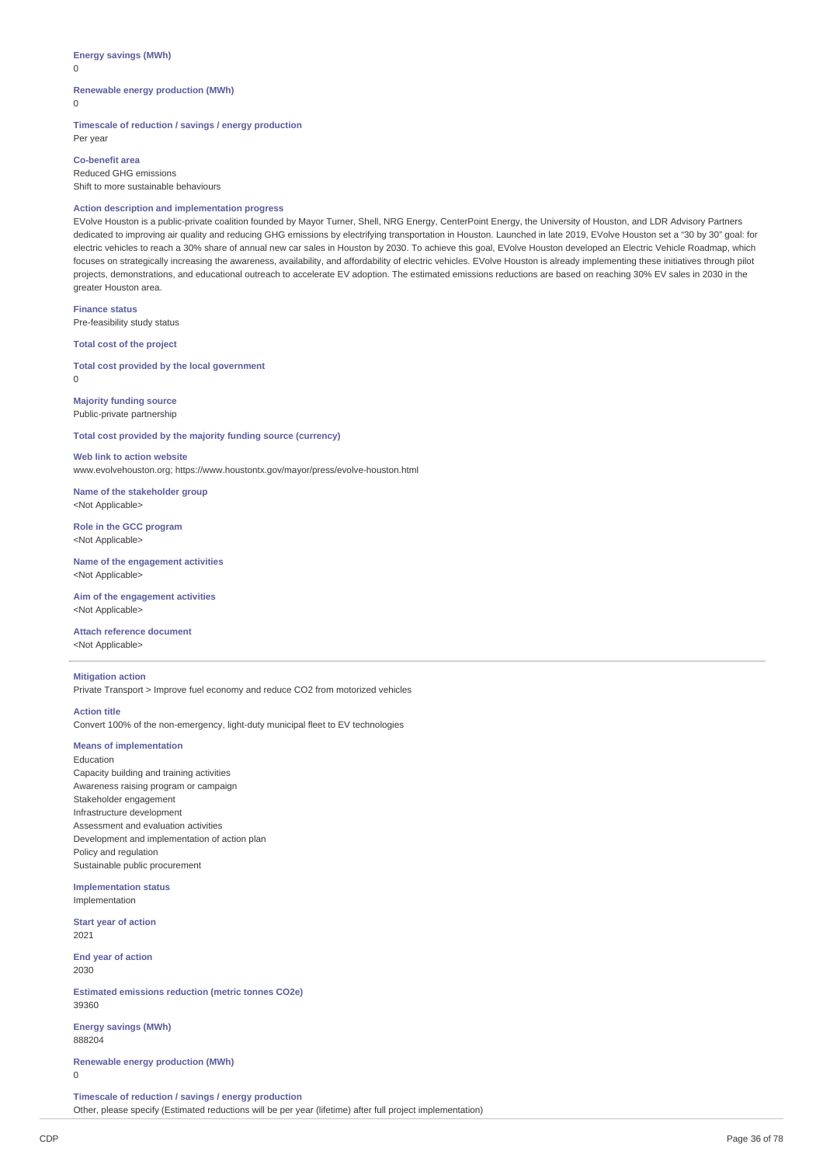# **Energy savings (MWh)**

 $\Omega$ 

## **Renewable energy production (MWh)**

 $\Omega$ 

Per year

**Timescale of reduction / savings / energy production**

**Co-benefit area** Reduced GHG emissions Shift to more sustainable behaviours

## **Action description and implementation progress**

EVolve Houston is a public-private coalition founded by Mayor Turner, Shell, NRG Energy, CenterPoint Energy, the University of Houston, and LDR Advisory Partners dedicated to improving air quality and reducing GHG emissions by electrifying transportation in Houston. Launched in late 2019, EVolve Houston set a "30 by 30" goal: for electric vehicles to reach a 30% share of annual new car sales in Houston by 2030. To achieve this goal, EVolve Houston developed an Electric Vehicle Roadmap, which focuses on strategically increasing the awareness, availability, and affordability of electric vehicles. EVolve Houston is already implementing these initiatives through pilot projects, demonstrations, and educational outreach to accelerate EV adoption. The estimated emissions reductions are based on reaching 30% EV sales in 2030 in the greater Houston area.

**Finance status** Pre-feasibility study status

**Total cost of the project**

**Total cost provided by the local government** 0

**Majority funding source** Public-private partnership

**Total cost provided by the majority funding source (currency)**

**Web link to action website** www.evolvehouston.org; https://www.houstontx.gov/mayor/press/evolve-houston.html

**Name of the stakeholder group** <Not Applicable>

**Role in the GCC program** <Not Applicable>

**Name of the engagement activities** <Not Applicable>

**Aim of the engagement activities** <Not Applicable>

**Attach reference document** <Not Applicable>

**Mitigation action** Private Transport > Improve fuel economy and reduce CO2 from motorized vehicles

**Action title**

Convert 100% of the non-emergency, light-duty municipal fleet to EV technologies

## **Means of implementation**

Education Capacity building and training activities Awareness raising program or campaign Stakeholder engagement Infrastructure development Assessment and evaluation activities Development and implementation of action plan Policy and regulation Sustainable public procurement

**Implementation status** Implementation

**Start year of action** 2021

**End year of action** 2030

**Estimated emissions reduction (metric tonnes CO2e)** 39360

**Energy savings (MWh)** 888204

**Renewable energy production (MWh)**  $\theta$ 

**Timescale of reduction / savings / energy production** Other, please specify (Estimated reductions will be per year (lifetime) after full project implementation)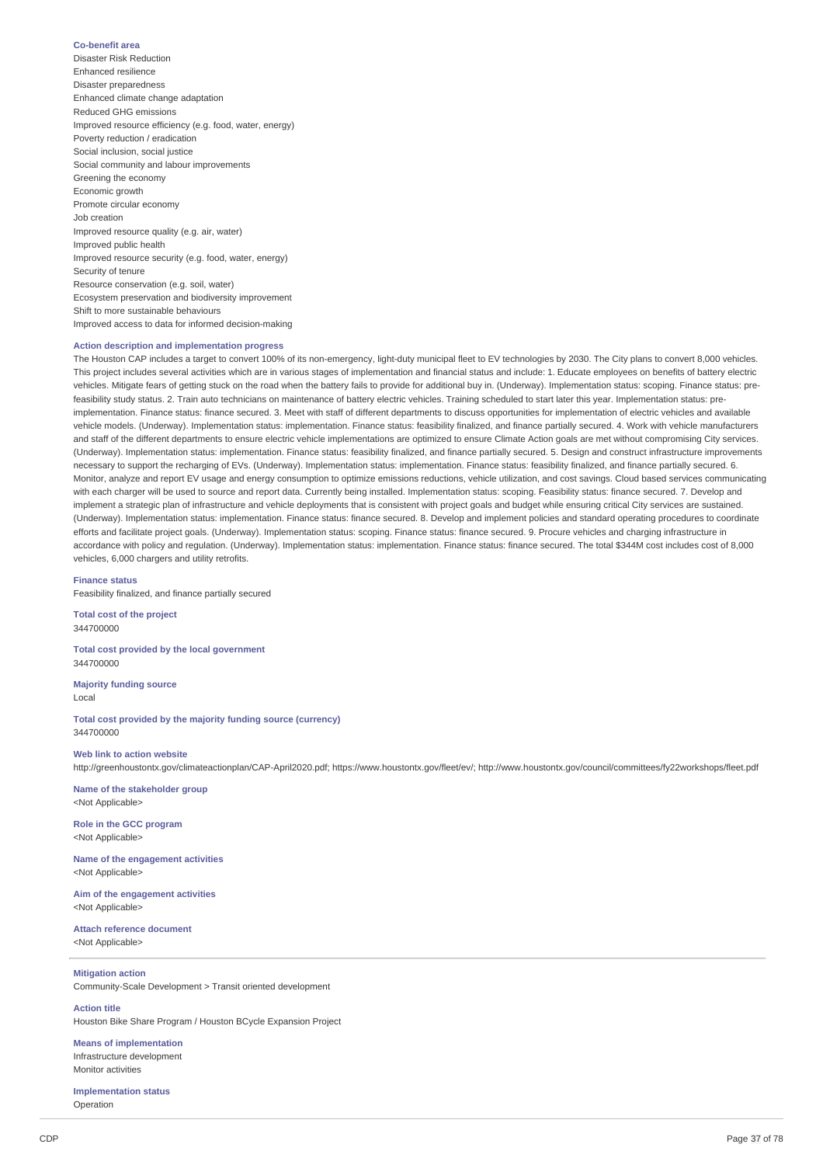#### **Co-benefit area**

Disaster Risk Reduction Enhanced resilience Disaster preparedness Enhanced climate change adaptation Reduced GHG emissions Improved resource efficiency (e.g. food, water, energy) Poverty reduction / eradication Social inclusion, social justice Social community and labour improvements Greening the economy Economic growth Promote circular economy Job creation Improved resource quality (e.g. air, water) Improved public health Improved resource security (e.g. food, water, energy) Security of tenure Resource conservation (e.g. soil, water) Ecosystem preservation and biodiversity improvement Shift to more sustainable behaviours Improved access to data for informed decision-making

#### **Action description and implementation progress**

The Houston CAP includes a target to convert 100% of its non-emergency, light-duty municipal fleet to EV technologies by 2030. The City plans to convert 8,000 vehicles. This project includes several activities which are in various stages of implementation and financial status and include: 1. Educate employees on benefits of battery electric vehicles. Mitigate fears of getting stuck on the road when the battery fails to provide for additional buy in. (Underway). Implementation status: scoping. Finance status: prefeasibility study status. 2. Train auto technicians on maintenance of battery electric vehicles. Training scheduled to start later this year. Implementation status: preimplementation. Finance status: finance secured. 3. Meet with staff of different departments to discuss opportunities for implementation of electric vehicles and available vehicle models. (Underway). Implementation status: implementation. Finance status: feasibility finalized, and finance partially secured. 4. Work with vehicle manufacturers and staff of the different departments to ensure electric vehicle implementations are optimized to ensure Climate Action goals are met without compromising City services. (Underway). Implementation status: implementation. Finance status: feasibility finalized, and finance partially secured. 5. Design and construct infrastructure improvements necessary to support the recharging of EVs. (Underway). Implementation status: implementation. Finance status: feasibility finalized, and finance partially secured. 6. Monitor, analyze and report EV usage and energy consumption to optimize emissions reductions, vehicle utilization, and cost savings. Cloud based services communicating with each charger will be used to source and report data. Currently being installed. Implementation status: scoping. Feasibility status: finance secured. 7. Develop and implement a strategic plan of infrastructure and vehicle deployments that is consistent with project goals and budget while ensuring critical City services are sustained. (Underway). Implementation status: implementation. Finance status: finance secured. 8. Develop and implement policies and standard operating procedures to coordinate efforts and facilitate project goals. (Underway). Implementation status: scoping. Finance status: finance secured. 9. Procure vehicles and charging infrastructure in accordance with policy and regulation. (Underway). Implementation status: implementation. Finance status: finance secured. The total \$344M cost includes cost of 8,000 vehicles, 6,000 chargers and utility retrofits.

**Finance status**

Feasibility finalized, and finance partially secured

**Total cost of the project** 344700000

**Total cost provided by the local government** 344700000

**Majority funding source** Local

**Total cost provided by the majority funding source (currency)** 344700000

#### **Web link to action website**

http://greenhoustontx.gov/climateactionplan/CAP-April2020.pdf; https://www.houstontx.gov/fleet/ev/; http://www.houstontx.gov/council/committees/fy22workshops/fleet.pdf

**Name of the stakeholder group** <Not Applicable>

**Role in the GCC program** <Not Applicable>

**Name of the engagement activities** <Not Applicable>

**Aim of the engagement activities** <Not Applicable>

**Attach reference document** <Not Applicable>

# **Mitigation action**

Community-Scale Development > Transit oriented development

**Action title** Houston Bike Share Program / Houston BCycle Expansion Project

**Means of implementation** Infrastructure development Monitor activities

**Implementation status** Operation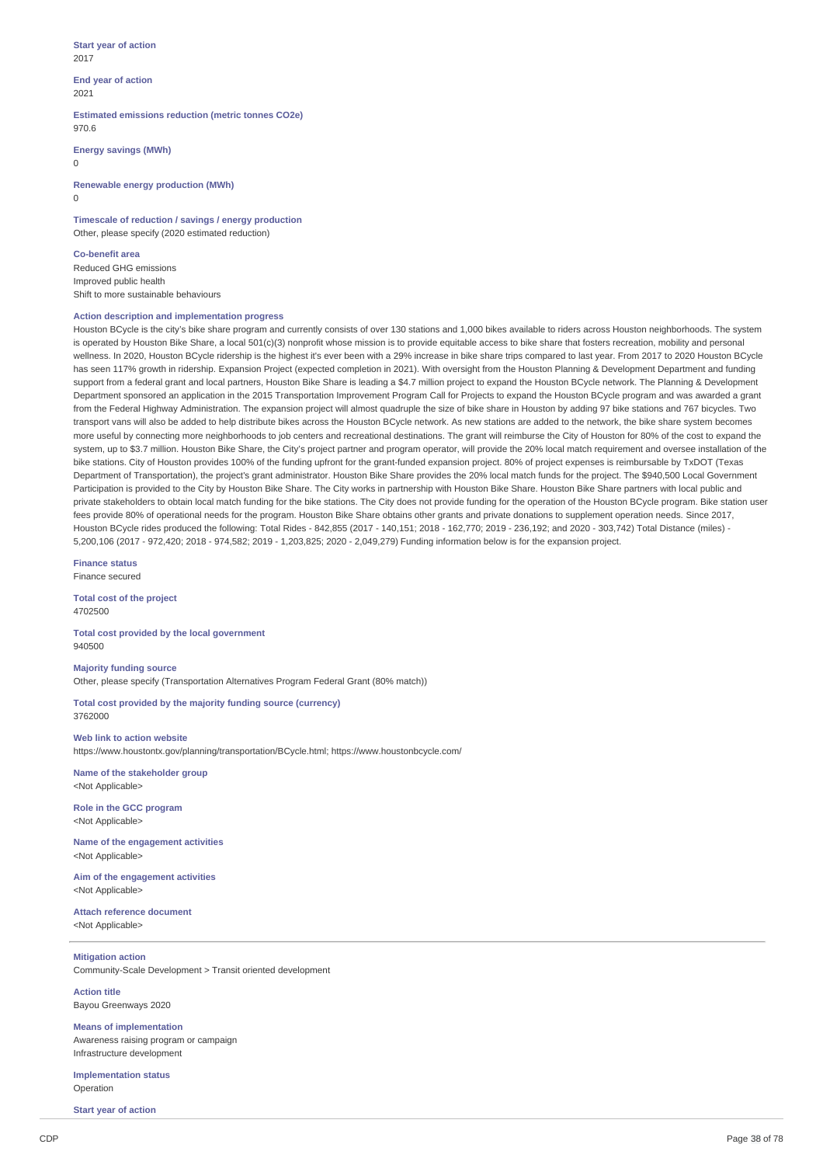#### **Start year of action** 2017

**End year of action** 2021

**Estimated emissions reduction (metric tonnes CO2e)** 970.6

**Energy savings (MWh)**

 $\Omega$ 

**Renewable energy production (MWh)** 0

**Timescale of reduction / savings / energy production** Other, please specify (2020 estimated reduction)

**Co-benefit area** Reduced GHG emissions Improved public health Shift to more sustainable behaviours

#### **Action description and implementation progress**

Houston BCycle is the city's bike share program and currently consists of over 130 stations and 1,000 bikes available to riders across Houston neighborhoods. The system is operated by Houston Bike Share, a local 501(c)(3) nonprofit whose mission is to provide equitable access to bike share that fosters recreation, mobility and personal wellness. In 2020, Houston BCycle ridership is the highest it's ever been with a 29% increase in bike share trips compared to last year. From 2017 to 2020 Houston BCycle has seen 117% growth in ridership. Expansion Project (expected completion in 2021). With oversight from the Houston Planning & Development Department and funding support from a federal grant and local partners, Houston Bike Share is leading a \$4.7 million project to expand the Houston BCycle network. The Planning & Development Department sponsored an application in the 2015 Transportation Improvement Program Call for Projects to expand the Houston BCycle program and was awarded a grant from the Federal Highway Administration. The expansion project will almost quadruple the size of bike share in Houston by adding 97 bike stations and 767 bicycles. Two transport vans will also be added to help distribute bikes across the Houston BCycle network. As new stations are added to the network, the bike share system becomes more useful by connecting more neighborhoods to job centers and recreational destinations. The grant will reimburse the City of Houston for 80% of the cost to expand the system, up to \$3.7 million. Houston Bike Share, the City's project partner and program operator, will provide the 20% local match requirement and oversee installation of the bike stations. City of Houston provides 100% of the funding upfront for the grant-funded expansion project. 80% of project expenses is reimbursable by TxDOT (Texas Department of Transportation), the project's grant administrator. Houston Bike Share provides the 20% local match funds for the project. The \$940,500 Local Government Participation is provided to the City by Houston Bike Share. The City works in partnership with Houston Bike Share. Houston Bike Share partners with local public and private stakeholders to obtain local match funding for the bike stations. The City does not provide funding for the operation of the Houston BCycle program. Bike station user fees provide 80% of operational needs for the program. Houston Bike Share obtains other grants and private donations to supplement operation needs. Since 2017, Houston BCycle rides produced the following: Total Rides - 842,855 (2017 - 140,151; 2018 - 162,770; 2019 - 236,192; and 2020 - 303,742) Total Distance (miles) - 5,200,106 (2017 - 972,420; 2018 - 974,582; 2019 - 1,203,825; 2020 - 2,049,279) Funding information below is for the expansion project.

**Finance status** Finance secured

**Total cost of the project** 4702500

**Total cost provided by the local government** 940500

#### **Majority funding source**

Other, please specify (Transportation Alternatives Program Federal Grant (80% match))

**Total cost provided by the majority funding source (currency)** 3762000

**Web link to action website**

https://www.houstontx.gov/planning/transportation/BCycle.html; https://www.houstonbcycle.com/

**Name of the stakeholder group** <Not Applicable>

**Role in the GCC program** <Not Applicable>

**Name of the engagement activities** <Not Applicable>

**Aim of the engagement activities** <Not Applicable>

**Attach reference document** <Not Applicable>

#### **Mitigation action**

Community-Scale Development > Transit oriented development

**Action title** Bayou Greenways 2020

**Means of implementation** Awareness raising program or campaign Infrastructure development

**Implementation status** Operation

**Start year of action**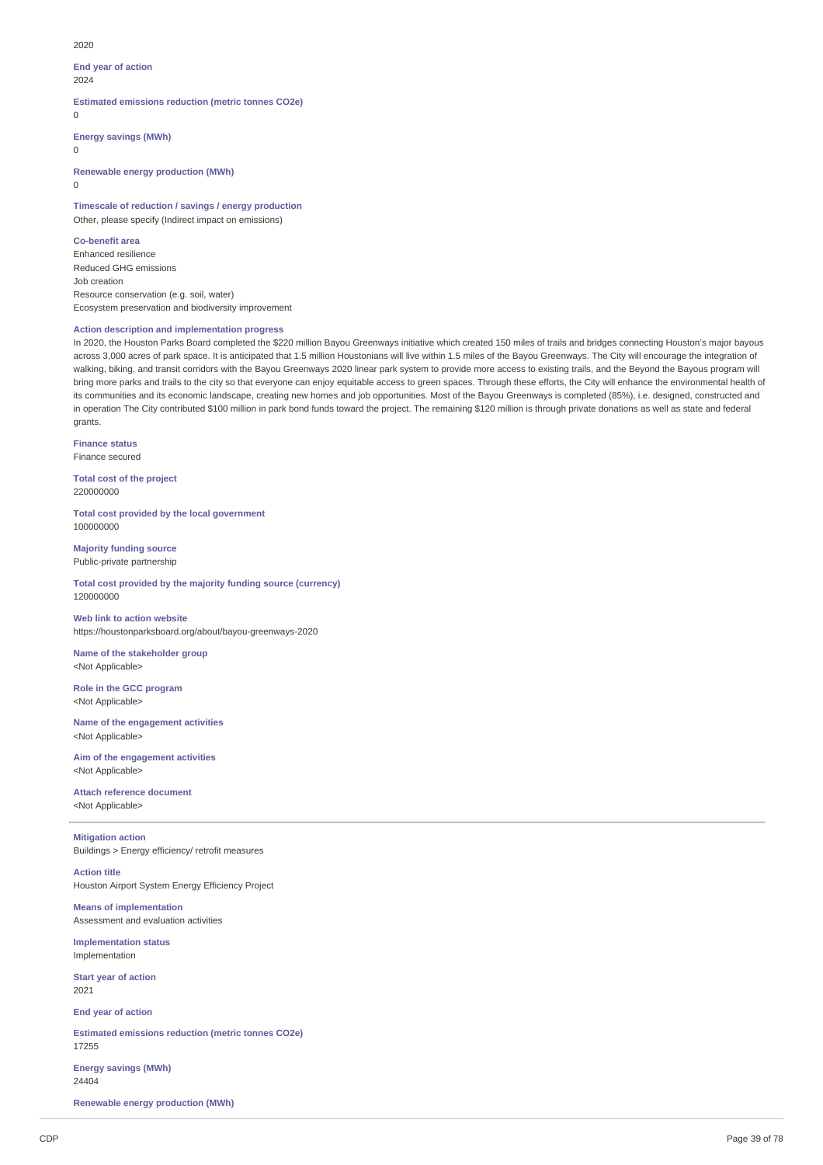2020

# **End year of action**

 $2024$ 

**Estimated emissions reduction (metric tonnes CO2e)**

 $\Omega$ 

**Energy savings (MWh)**

0

**Renewable energy production (MWh)**

 $\Omega$ 

**Timescale of reduction / savings / energy production** Other, please specify (Indirect impact on emissions)

**Co-benefit area**

Enhanced resilience Reduced GHG emissions Job creation Resource conservation (e.g. soil, water) Ecosystem preservation and biodiversity improvement

# **Action description and implementation progress**

In 2020, the Houston Parks Board completed the \$220 million Bayou Greenways initiative which created 150 miles of trails and bridges connecting Houston's major bayous across 3,000 acres of park space. It is anticipated that 1.5 million Houstonians will live within 1.5 miles of the Bayou Greenways. The City will encourage the integration of walking, biking, and transit corridors with the Bayou Greenways 2020 linear park system to provide more access to existing trails, and the Beyond the Bayous program will bring more parks and trails to the city so that everyone can enjoy equitable access to green spaces. Through these efforts, the City will enhance the environmental health of its communities and its economic landscape, creating new homes and job opportunities. Most of the Bayou Greenways is completed (85%), i.e. designed, constructed and in operation The City contributed \$100 million in park bond funds toward the project. The remaining \$120 million is through private donations as well as state and federal grants.

**Finance status** Finance secured

**Total cost of the project** 220000000

**Total cost provided by the local government** 100000000

**Majority funding source** Public-private partnership

**Total cost provided by the majority funding source (currency)** 120000000

**Web link to action website** https://houstonparksboard.org/about/bayou-greenways-2020

**Name of the stakeholder group** <Not Applicable>

**Role in the GCC program** <Not Applicable>

**Name of the engagement activities** <Not Applicable>

**Aim of the engagement activities** <Not Applicable>

**Attach reference document** <Not Applicable>

**Mitigation action** Buildings > Energy efficiency/ retrofit measures

**Action title** Houston Airport System Energy Efficiency Project

**Means of implementation** Assessment and evaluation activities

**Implementation status** Implementation

**Start year of action** 2021

**End year of action**

**Estimated emissions reduction (metric tonnes CO2e)** 17255

**Energy savings (MWh)** 24404

**Renewable energy production (MWh)**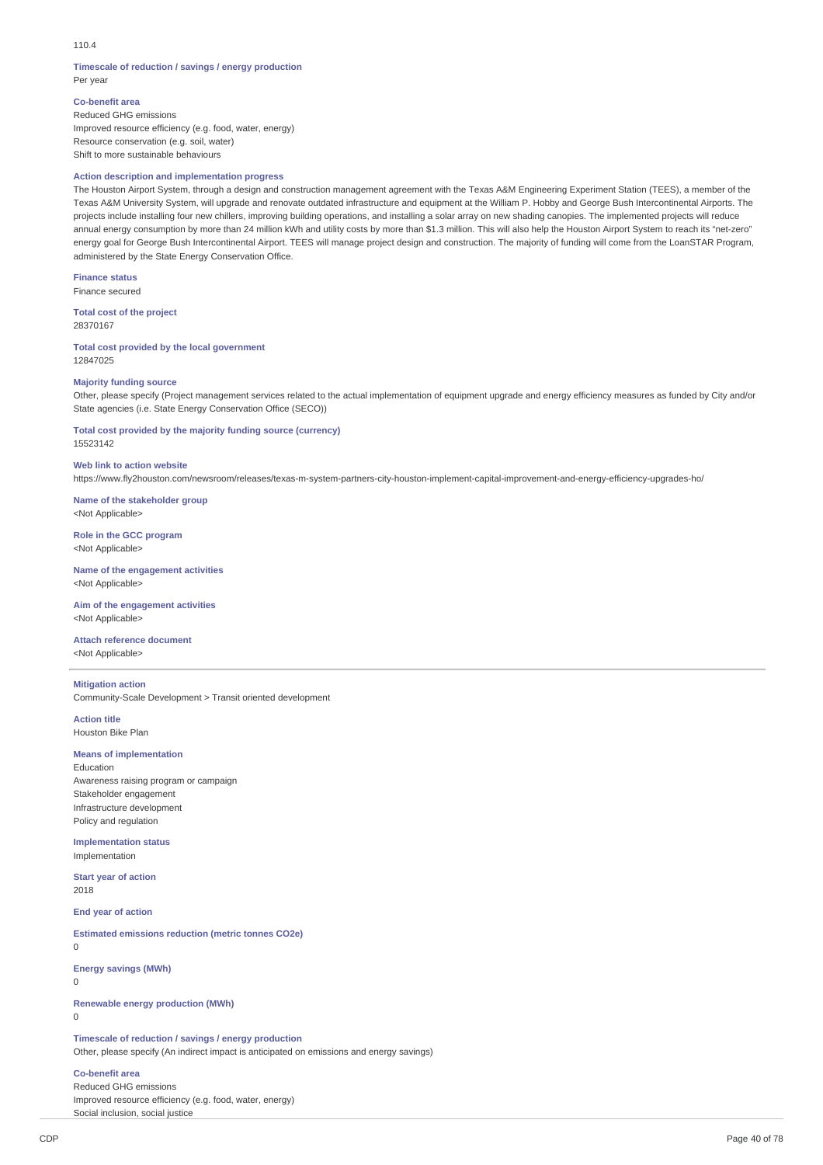110.4

#### **Timescale of reduction / savings / energy production** Per year

**Co-benefit area** Reduced GHG emissions Improved resource efficiency (e.g. food, water, energy) Resource conservation (e.g. soil, water)

Shift to more sustainable behaviours

#### **Action description and implementation progress**

The Houston Airport System, through a design and construction management agreement with the Texas A&M Engineering Experiment Station (TEES), a member of the Texas A&M University System, will upgrade and renovate outdated infrastructure and equipment at the William P. Hobby and George Bush Intercontinental Airports. The projects include installing four new chillers, improving building operations, and installing a solar array on new shading canopies. The implemented projects will reduce annual energy consumption by more than 24 million kWh and utility costs by more than \$1.3 million. This will also help the Houston Airport System to reach its "net-zero" energy goal for George Bush Intercontinental Airport. TEES will manage project design and construction. The majority of funding will come from the LoanSTAR Program, administered by the State Energy Conservation Office.

**Finance status**

Finance secured

**Total cost of the project** 28370167

**Total cost provided by the local government** 12847025

#### **Majority funding source**

Other, please specify (Project management services related to the actual implementation of equipment upgrade and energy efficiency measures as funded by City and/or State agencies (i.e. State Energy Conservation Office (SECO))

**Total cost provided by the majority funding source (currency)** 15523142

**Web link to action website**

https://www.fly2houston.com/newsroom/releases/texas-m-system-partners-city-houston-implement-capital-improvement-and-energy-efficiency-upgrades-ho/

**Name of the stakeholder group** <Not Applicable>

**Role in the GCC program** <Not Applicable>

**Name of the engagement activities** <Not Applicable>

**Aim of the engagement activities** <Not Applicable>

**Attach reference document** <Not Applicable>

# **Mitigation action**

Community-Scale Development > Transit oriented development

**Action title** Houston Bike Plan

#### **Means of implementation**

Education Awareness raising program or campaign Stakeholder engagement Infrastructure development Policy and regulation

**Implementation status** Implementation

**Start year of action** 2018

**End year of action**

**Estimated emissions reduction (metric tonnes CO2e)**  $\theta$ 

**Energy savings (MWh)**

0

**Renewable energy production (MWh)**

 $\Omega$ 

**Timescale of reduction / savings / energy production**

Other, please specify (An indirect impact is anticipated on emissions and energy savings)

#### **Co-benefit area**

Reduced GHG emissions Improved resource efficiency (e.g. food, water, energy) Social inclusion, social justice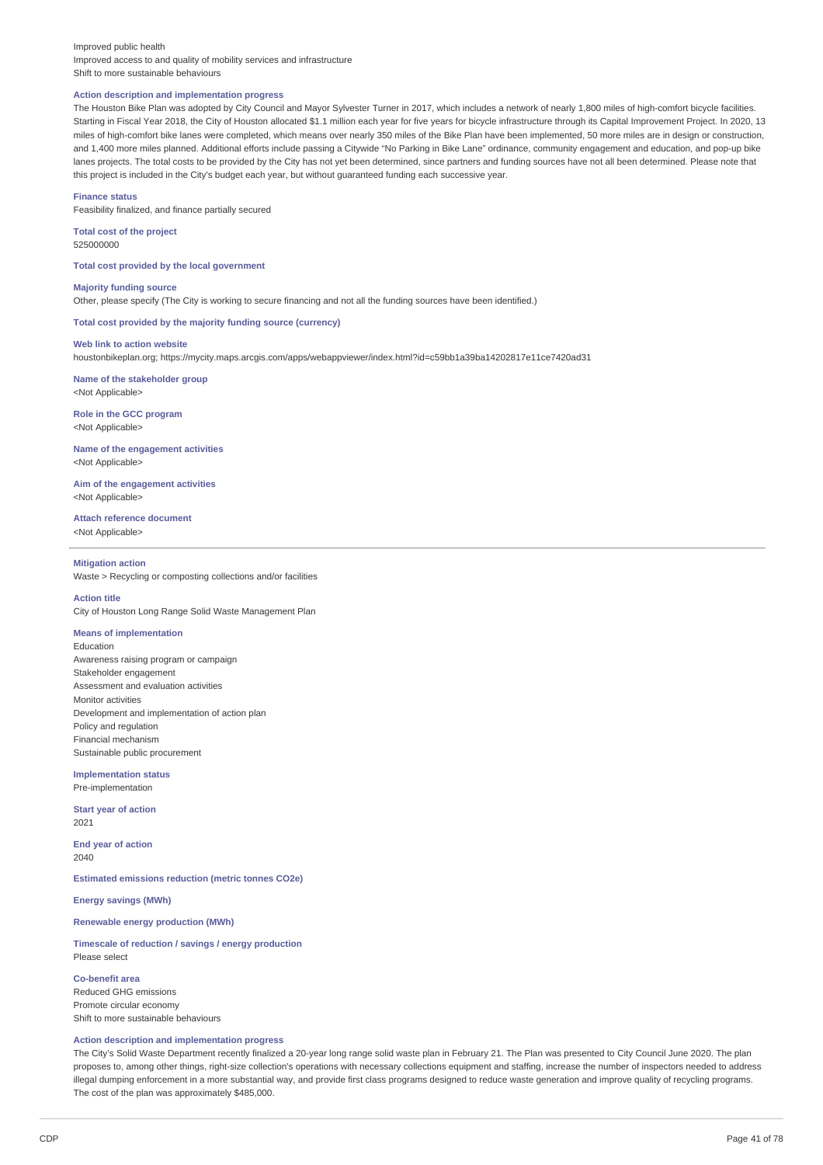#### Improved public health Improved access to and quality of mobility services and infrastructure Shift to more sustainable behaviours

#### **Action description and implementation progress**

The Houston Bike Plan was adopted by City Council and Mayor Sylvester Turner in 2017, which includes a network of nearly 1,800 miles of high-comfort bicycle facilities. Starting in Fiscal Year 2018, the City of Houston allocated \$1.1 million each year for five years for bicycle infrastructure through its Capital Improvement Project. In 2020, 13 miles of high-comfort bike lanes were completed, which means over nearly 350 miles of the Bike Plan have been implemented, 50 more miles are in design or construction, and 1,400 more miles planned. Additional efforts include passing a Citywide "No Parking in Bike Lane" ordinance, community engagement and education, and pop-up bike lanes projects. The total costs to be provided by the City has not yet been determined, since partners and funding sources have not all been determined. Please note that this project is included in the City's budget each year, but without guaranteed funding each successive year.

**Finance status** Feasibility finalized, and finance partially secured

**Total cost of the project** 525000000

**Total cost provided by the local government**

**Majority funding source** Other, please specify (The City is working to secure financing and not all the funding sources have been identified.)

**Total cost provided by the majority funding source (currency)**

**Web link to action website**

houstonbikeplan.org; https://mycity.maps.arcgis.com/apps/webappviewer/index.html?id=c59bb1a39ba14202817e11ce7420ad31

**Name of the stakeholder group** <Not Applicable>

**Role in the GCC program** <Not Applicable>

**Name of the engagement activities** <Not Applicable>

**Aim of the engagement activities** <Not Applicable>

**Attach reference document**

<Not Applicable>

#### **Mitigation action**

Waste > Recycling or composting collections and/or facilities

#### **Action title**

City of Houston Long Range Solid Waste Management Plan

# **Means of implementation**

Education Awareness raising program or campaign Stakeholder engagement Assessment and evaluation activities Monitor activities Development and implementation of action plan Policy and regulation Financial mechanism Sustainable public procurement

**Implementation status** Pre-implementation

**Start year of action** 2021

**End year of action** 2040

**Estimated emissions reduction (metric tonnes CO2e)**

**Energy savings (MWh)**

# **Renewable energy production (MWh)**

**Timescale of reduction / savings / energy production** Please select

**Co-benefit area** Reduced GHG emissions Promote circular economy Shift to more sustainable behaviours

# **Action description and implementation progress**

The City's Solid Waste Department recently finalized a 20-year long range solid waste plan in February 21. The Plan was presented to City Council June 2020. The plan proposes to, among other things, right-size collection's operations with necessary collections equipment and staffing, increase the number of inspectors needed to address illegal dumping enforcement in a more substantial way, and provide first class programs designed to reduce waste generation and improve quality of recycling programs. The cost of the plan was approximately \$485,000.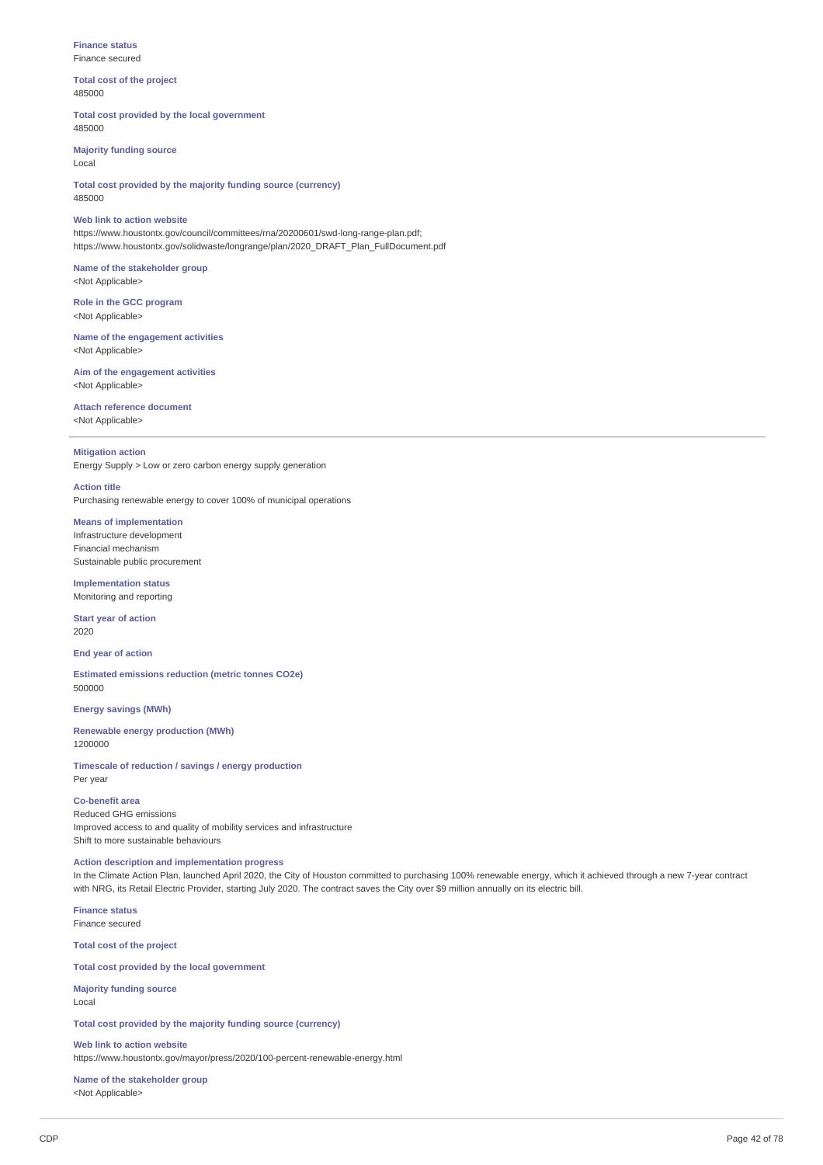#### **Finance status** Finance secured

**Total cost of the project** 485000

#### **Total cost provided by the local government** 485000

**Majority funding source** Local

**Total cost provided by the majority funding source (currency)** 485000

# **Web link to action website** https://www.houstontx.gov/council/committees/rna/20200601/swd-long-range-plan.pdf; https://www.houstontx.gov/solidwaste/longrange/plan/2020\_DRAFT\_Plan\_FullDocument.pdf

#### **Name of the stakeholder group** <Not Applicable>

**Role in the GCC program** <Not Applicable>

**Name of the engagement activities** <Not Applicable>

**Aim of the engagement activities** <Not Applicable>

#### **Attach reference document** <Not Applicable>

# **Mitigation action**

Energy Supply > Low or zero carbon energy supply generation

#### **Action title**

Purchasing renewable energy to cover 100% of municipal operations

# **Means of implementation**

Infrastructure development Financial mechanism Sustainable public procurement

#### **Implementation status** Monitoring and reporting

**Start year of action**

2020

**End year of action**

**Estimated emissions reduction (metric tonnes CO2e)** 500000

#### **Energy savings (MWh)**

**Renewable energy production (MWh)** 1200000

**Timescale of reduction / savings / energy production** Per year

# **Co-benefit area**

Reduced GHG emissions Improved access to and quality of mobility services and infrastructure Shift to more sustainable behaviours

# **Action description and implementation progress**

In the Climate Action Plan, launched April 2020, the City of Houston committed to purchasing 100% renewable energy, which it achieved through a new 7-year contract with NRG, its Retail Electric Provider, starting July 2020. The contract saves the City over \$9 million annually on its electric bill.

**Finance status** Finance secured

**Total cost of the project**

# **Total cost provided by the local government**

**Majority funding source** Local

**Total cost provided by the majority funding source (currency)**

**Web link to action website** https://www.houstontx.gov/mayor/press/2020/100-percent-renewable-energy.html

**Name of the stakeholder group** <Not Applicable>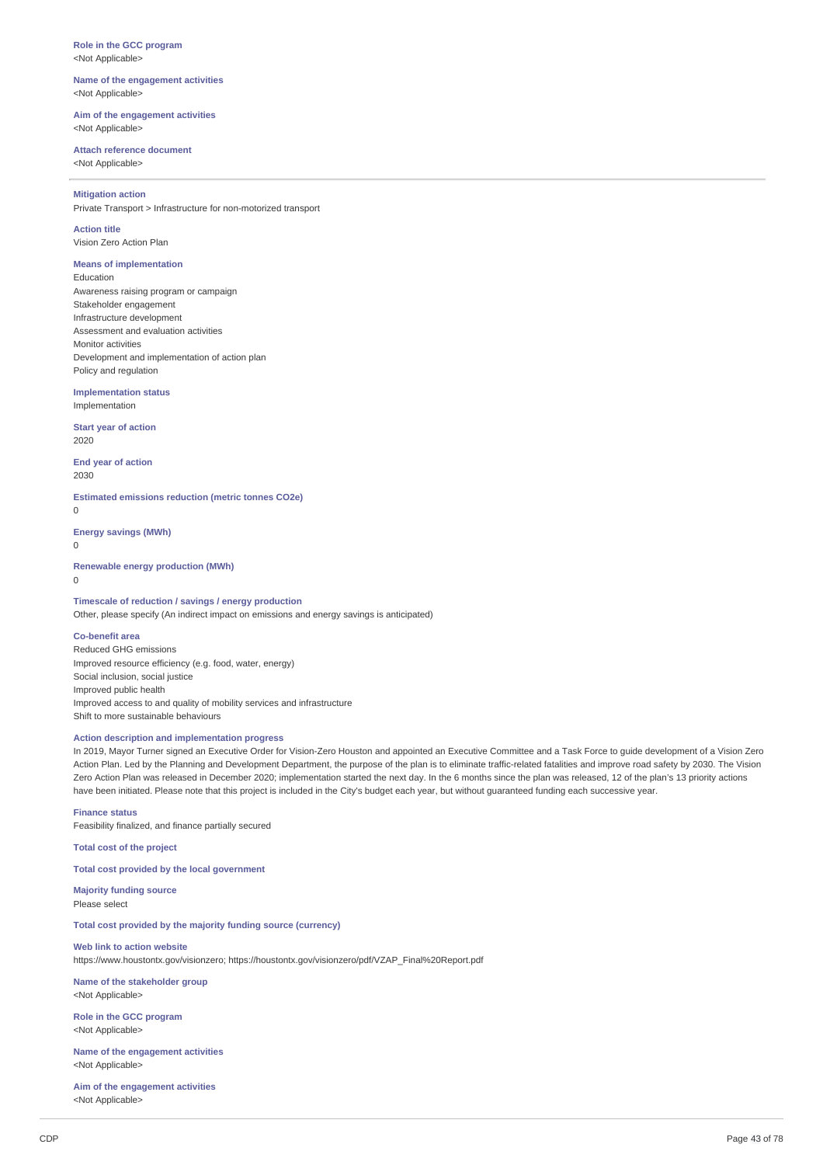**Role in the GCC program** <Not Applicable>

**Name of the engagement activities** <Not Applicable>

**Aim of the engagement activities** <Not Applicable>

#### **Attach reference document** <Not Applicable>

#### **Mitigation action**

Private Transport > Infrastructure for non-motorized transport

# **Action title**

Vision Zero Action Plan

# **Means of implementation**

Education Awareness raising program or campaign Stakeholder engagement Infrastructure development Assessment and evaluation activities Monitor activities Development and implementation of action plan Policy and regulation

**Implementation status** Implementation

**Start year of action** 2020

**End year of action** 2030

**Estimated emissions reduction (metric tonnes CO2e)**  $\Omega$ 

**Energy savings (MWh)**

 $\Omega$ 

#### **Renewable energy production (MWh)**

 $\Omega$ 

# **Timescale of reduction / savings / energy production**

Other, please specify (An indirect impact on emissions and energy savings is anticipated)

# **Co-benefit area**

Reduced GHG emissions Improved resource efficiency (e.g. food, water, energy) Social inclusion, social justice Improved public health Improved access to and quality of mobility services and infrastructure Shift to more sustainable behaviours

# **Action description and implementation progress**

In 2019, Mayor Turner signed an Executive Order for Vision-Zero Houston and appointed an Executive Committee and a Task Force to guide development of a Vision Zero Action Plan. Led by the Planning and Development Department, the purpose of the plan is to eliminate traffic-related fatalities and improve road safety by 2030. The Vision Zero Action Plan was released in December 2020; implementation started the next day. In the 6 months since the plan was released, 12 of the plan's 13 priority actions have been initiated. Please note that this project is included in the City's budget each year, but without guaranteed funding each successive year.

# **Finance status**

Feasibility finalized, and finance partially secured

**Total cost of the project**

# **Total cost provided by the local government**

**Majority funding source** Please select

**Total cost provided by the majority funding source (currency)**

# **Web link to action website**

https://www.houstontx.gov/visionzero; https://houstontx.gov/visionzero/pdf/VZAP\_Final%20Report.pdf

**Name of the stakeholder group** <Not Applicable>

**Role in the GCC program** <Not Applicable>

**Name of the engagement activities** <Not Applicable>

**Aim of the engagement activities** <Not Applicable>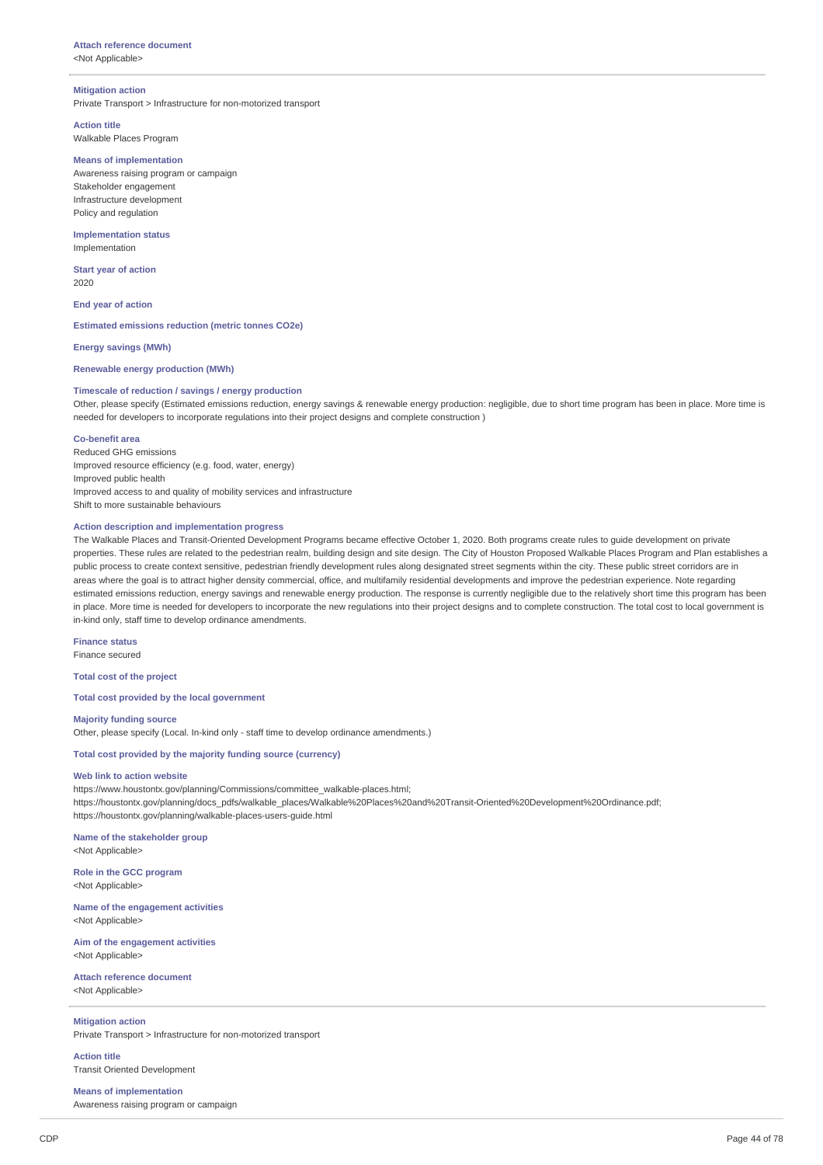# **Attach reference document**

<Not Applicable>

#### **Mitigation action**

Private Transport > Infrastructure for non-motorized transport

**Action title** Walkable Places Program

#### **Means of implementation**

Awareness raising program or campaign Stakeholder engagement Infrastructure development Policy and regulation

**Implementation status** Implementation

**Start year of action** 2020

**End year of action**

**Estimated emissions reduction (metric tonnes CO2e)**

**Energy savings (MWh)**

# **Renewable energy production (MWh)**

#### **Timescale of reduction / savings / energy production**

Other, please specify (Estimated emissions reduction, energy savings & renewable energy production: negligible, due to short time program has been in place. More time is needed for developers to incorporate regulations into their project designs and complete construction )

#### **Co-benefit area**

Reduced GHG emissions Improved resource efficiency (e.g. food, water, energy) Improved public health Improved access to and quality of mobility services and infrastructure Shift to more sustainable behaviours

#### **Action description and implementation progress**

The Walkable Places and Transit-Oriented Development Programs became effective October 1, 2020. Both programs create rules to guide development on private properties. These rules are related to the pedestrian realm, building design and site design. The City of Houston Proposed Walkable Places Program and Plan establishes a public process to create context sensitive, pedestrian friendly development rules along designated street segments within the city. These public street corridors are in areas where the goal is to attract higher density commercial, office, and multifamily residential developments and improve the pedestrian experience. Note regarding estimated emissions reduction, energy savings and renewable energy production. The response is currently negligible due to the relatively short time this program has been in place. More time is needed for developers to incorporate the new regulations into their project designs and to complete construction. The total cost to local government is in-kind only, staff time to develop ordinance amendments.

#### **Finance status** Finance secured

**Total cost of the project**

**Total cost provided by the local government**

#### **Majority funding source**

Other, please specify (Local. In-kind only - staff time to develop ordinance amendments.)

# **Total cost provided by the majority funding source (currency)**

#### **Web link to action website**

https://www.houstontx.gov/planning/Commissions/committee\_walkable-places.html; https://houstontx.gov/planning/docs\_pdfs/walkable\_places/Walkable%20Places%20and%20Transit-Oriented%20Development%20Ordinance.pdf; https://houstontx.gov/planning/walkable-places-users-guide.html

# **Name of the stakeholder group**

<Not Applicable>

**Role in the GCC program** <Not Applicable>

**Name of the engagement activities** <Not Applicable>

**Aim of the engagement activities** <Not Applicable>

**Attach reference document** <Not Applicable>

# **Mitigation action**

Private Transport > Infrastructure for non-motorized transport

**Action title**

Transit Oriented Development

**Means of implementation** Awareness raising program or campaign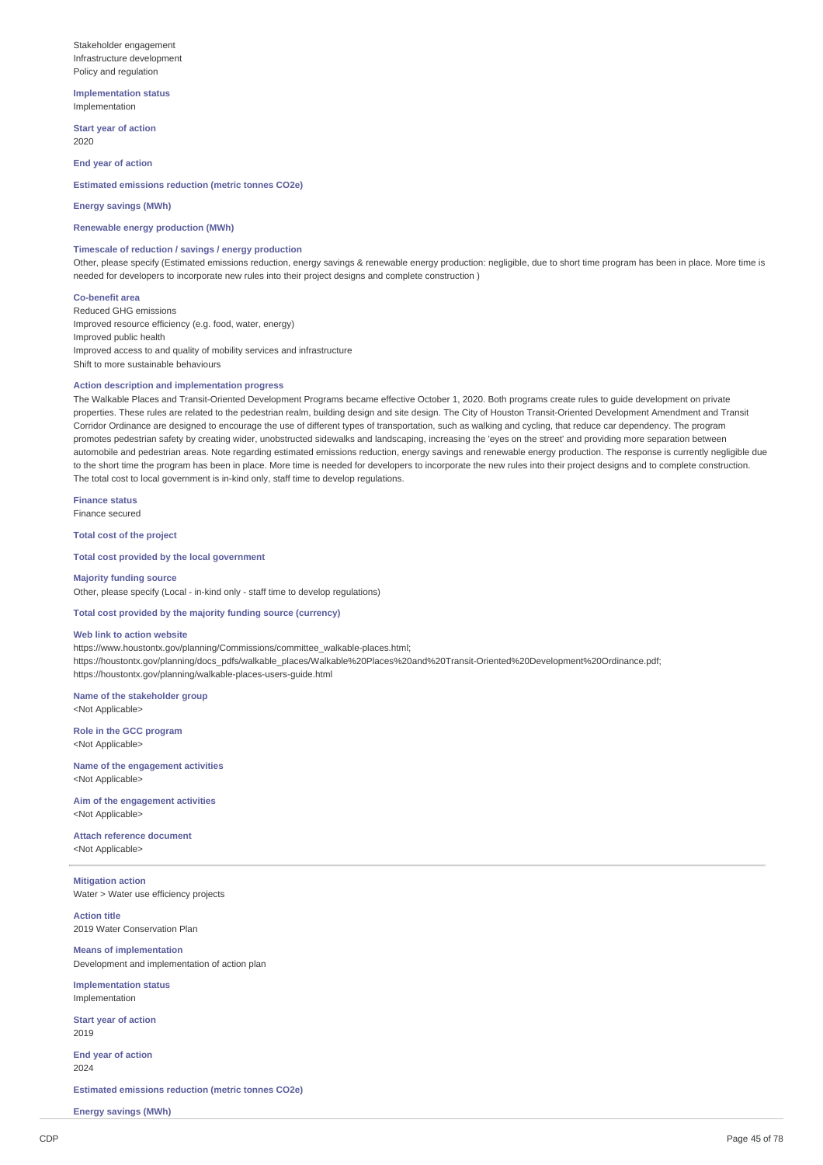Stakeholder engagement Infrastructure development Policy and regulation

**Implementation status** Implementation

**Start year of action** 2020

**End year of action**

**Estimated emissions reduction (metric tonnes CO2e)**

#### **Energy savings (MWh)**

**Renewable energy production (MWh)**

# **Timescale of reduction / savings / energy production**

Other, please specify (Estimated emissions reduction, energy savings & renewable energy production: negligible, due to short time program has been in place. More time is needed for developers to incorporate new rules into their project designs and complete construction )

#### **Co-benefit area**

Reduced GHG emissions Improved resource efficiency (e.g. food, water, energy) Improved public health Improved access to and quality of mobility services and infrastructure Shift to more sustainable behaviours

# **Action description and implementation progress**

The Walkable Places and Transit-Oriented Development Programs became effective October 1, 2020. Both programs create rules to guide development on private properties. These rules are related to the pedestrian realm, building design and site design. The City of Houston Transit-Oriented Development Amendment and Transit Corridor Ordinance are designed to encourage the use of different types of transportation, such as walking and cycling, that reduce car dependency. The program promotes pedestrian safety by creating wider, unobstructed sidewalks and landscaping, increasing the 'eyes on the street' and providing more separation between automobile and pedestrian areas. Note regarding estimated emissions reduction, energy savings and renewable energy production. The response is currently negligible due to the short time the program has been in place. More time is needed for developers to incorporate the new rules into their project designs and to complete construction. The total cost to local government is in-kind only, staff time to develop regulations.

**Finance status** Finance secured

**Total cost of the project**

**Total cost provided by the local government**

**Majority funding source** Other, please specify (Local - in-kind only - staff time to develop regulations)

# **Total cost provided by the majority funding source (currency)**

#### **Web link to action website**

https://www.houstontx.gov/planning/Commissions/committee\_walkable-places.html; https://houstontx.gov/planning/docs\_pdfs/walkable\_places/Walkable%20Places%20and%20Transit-Oriented%20Development%20Ordinance.pdf; https://houstontx.gov/planning/walkable-places-users-guide.html

**Name of the stakeholder group** <Not Applicable>

**Role in the GCC program** <Not Applicable>

**Name of the engagement activities** <Not Applicable>

**Aim of the engagement activities** <Not Applicable>

**Attach reference document** <Not Applicable>

**Mitigation action** Water > Water use efficiency projects

**Action title** 2019 Water Conservation Plan

**Means of implementation** Development and implementation of action plan

**Implementation status** Implementation

**Start year of action** 2019

**End year of action** 2024

**Estimated emissions reduction (metric tonnes CO2e)**

**Energy savings (MWh)**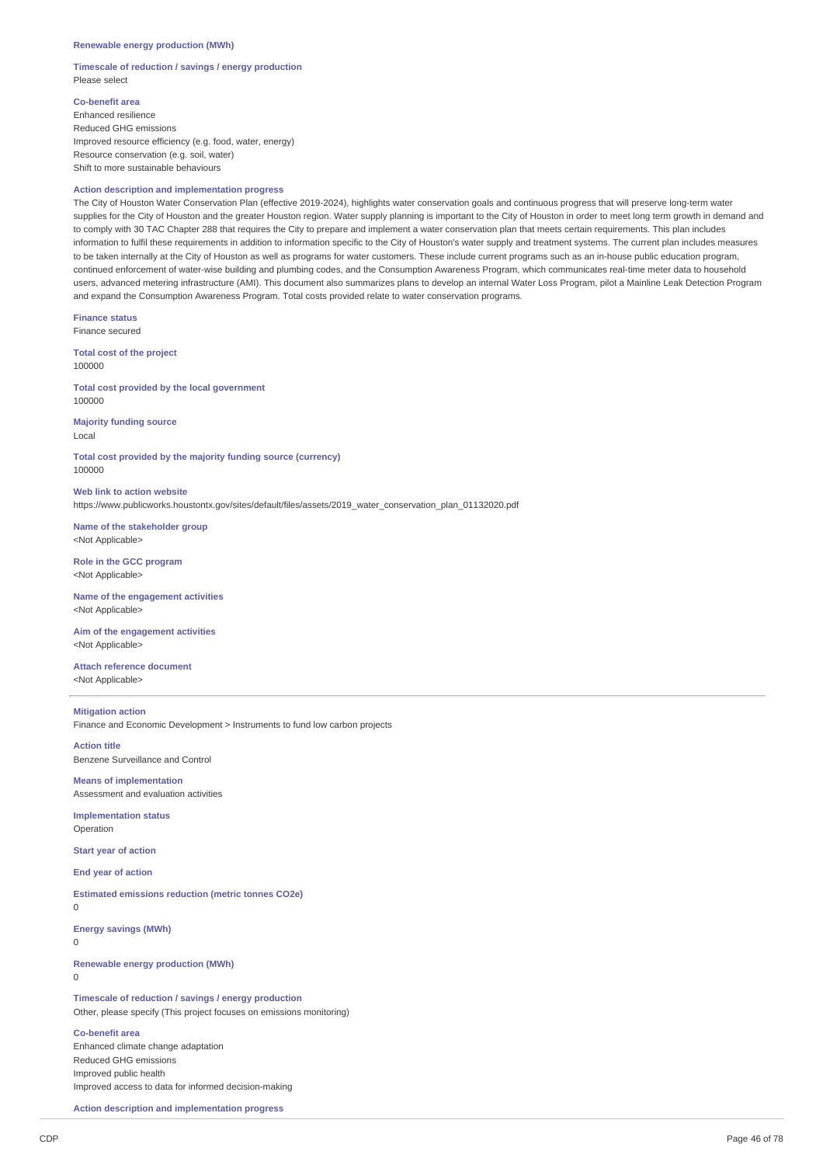#### **Timescale of reduction / savings / energy production** Please select

**Co-benefit area**

Enhanced resilience Reduced GHG emissions Improved resource efficiency (e.g. food, water, energy) Resource conservation (e.g. soil, water) Shift to more sustainable behaviours

# **Action description and implementation progress**

The City of Houston Water Conservation Plan (effective 2019-2024), highlights water conservation goals and continuous progress that will preserve long-term water supplies for the City of Houston and the greater Houston region. Water supply planning is important to the City of Houston in order to meet long term growth in demand and to comply with 30 TAC Chapter 288 that requires the City to prepare and implement a water conservation plan that meets certain requirements. This plan includes information to fulfil these requirements in addition to information specific to the City of Houston's water supply and treatment systems. The current plan includes measures to be taken internally at the City of Houston as well as programs for water customers. These include current programs such as an in-house public education program, continued enforcement of water-wise building and plumbing codes, and the Consumption Awareness Program, which communicates real-time meter data to household users, advanced metering infrastructure (AMI). This document also summarizes plans to develop an internal Water Loss Program, pilot a Mainline Leak Detection Program and expand the Consumption Awareness Program. Total costs provided relate to water conservation programs.

**Finance status** Finance secured

**Total cost of the project** 100000

**Total cost provided by the local government** 100000

**Majority funding source** Local

**Total cost provided by the majority funding source (currency)** 100000

**Web link to action website** https://www.publicworks.houstontx.gov/sites/default/files/assets/2019\_water\_conservation\_plan\_01132020.pdf

**Name of the stakeholder group** <Not Applicable>

**Role in the GCC program** <Not Applicable>

**Name of the engagement activities** <Not Applicable>

**Aim of the engagement activities** <Not Applicable>

**Attach reference document** <Not Applicable>

# **Mitigation action**

Finance and Economic Development > Instruments to fund low carbon projects

**Action title** Benzene Surveillance and Control

**Means of implementation** Assessment and evaluation activities

**Implementation status** Operation

**Start year of action**

**End year of action**

0

**Estimated emissions reduction (metric tonnes CO2e)**

**Energy savings (MWh)**  $\Omega$ 

**Renewable energy production (MWh)**  $\theta$ 

**Timescale of reduction / savings / energy production** Other, please specify (This project focuses on emissions monitoring)

#### **Co-benefit area**

Enhanced climate change adaptation Reduced GHG emissions Improved public health Improved access to data for informed decision-making

**Action description and implementation progress**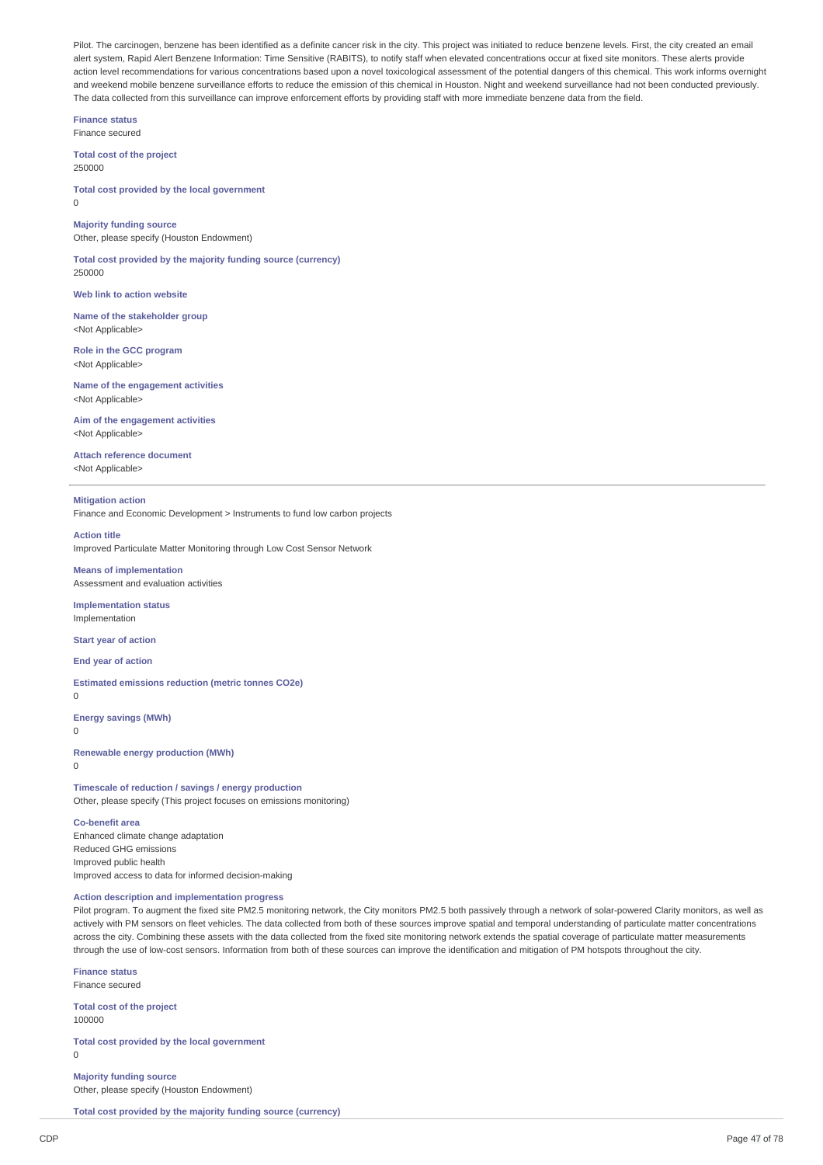Pilot. The carcinogen, benzene has been identified as a definite cancer risk in the city. This project was initiated to reduce benzene levels. First, the city created an email alert system, Rapid Alert Benzene Information: Time Sensitive (RABITS), to notify staff when elevated concentrations occur at fixed site monitors. These alerts provide action level recommendations for various concentrations based upon a novel toxicological assessment of the potential dangers of this chemical. This work informs overnight and weekend mobile benzene surveillance efforts to reduce the emission of this chemical in Houston. Night and weekend surveillance had not been conducted previously. The data collected from this surveillance can improve enforcement efforts by providing staff with more immediate benzene data from the field.

**Finance status** Finance secured

**Total cost of the project** 250000

**Total cost provided by the local government**  $\theta$ 

# **Majority funding source** Other, please specify (Houston Endowment)

**Total cost provided by the majority funding source (currency)** 250000

**Web link to action website**

**Name of the stakeholder group** <Not Applicable>

**Role in the GCC program** <Not Applicable>

**Name of the engagement activities** <Not Applicable>

**Aim of the engagement activities** <Not Applicable>

**Attach reference document** <Not Applicable>

#### **Mitigation action**

Finance and Economic Development > Instruments to fund low carbon projects

**Action title** Improved Particulate Matter Monitoring through Low Cost Sensor Network

#### **Means of implementation** Assessment and evaluation activities

**Implementation status**

Implementation

**Start year of action**

**End year of action**

**Estimated emissions reduction (metric tonnes CO2e)**

 $\Omega$ 

**Energy savings (MWh)**  $\theta$ 

**Renewable energy production (MWh)**

0

**Timescale of reduction / savings / energy production** Other, please specify (This project focuses on emissions monitoring)

**Co-benefit area**

Enhanced climate change adaptation Reduced GHG emissions Improved public health Improved access to data for informed decision-making

#### **Action description and implementation progress**

Pilot program. To augment the fixed site PM2.5 monitoring network, the City monitors PM2.5 both passively through a network of solar-powered Clarity monitors, as well as actively with PM sensors on fleet vehicles. The data collected from both of these sources improve spatial and temporal understanding of particulate matter concentrations across the city. Combining these assets with the data collected from the fixed site monitoring network extends the spatial coverage of particulate matter measurements through the use of low-cost sensors. Information from both of these sources can improve the identification and mitigation of PM hotspots throughout the city.

**Finance status** Finance secured

**Total cost of the project** 100000

**Total cost provided by the local government**  $\theta$ 

**Majority funding source** Other, please specify (Houston Endowment)

**Total cost provided by the majority funding source (currency)**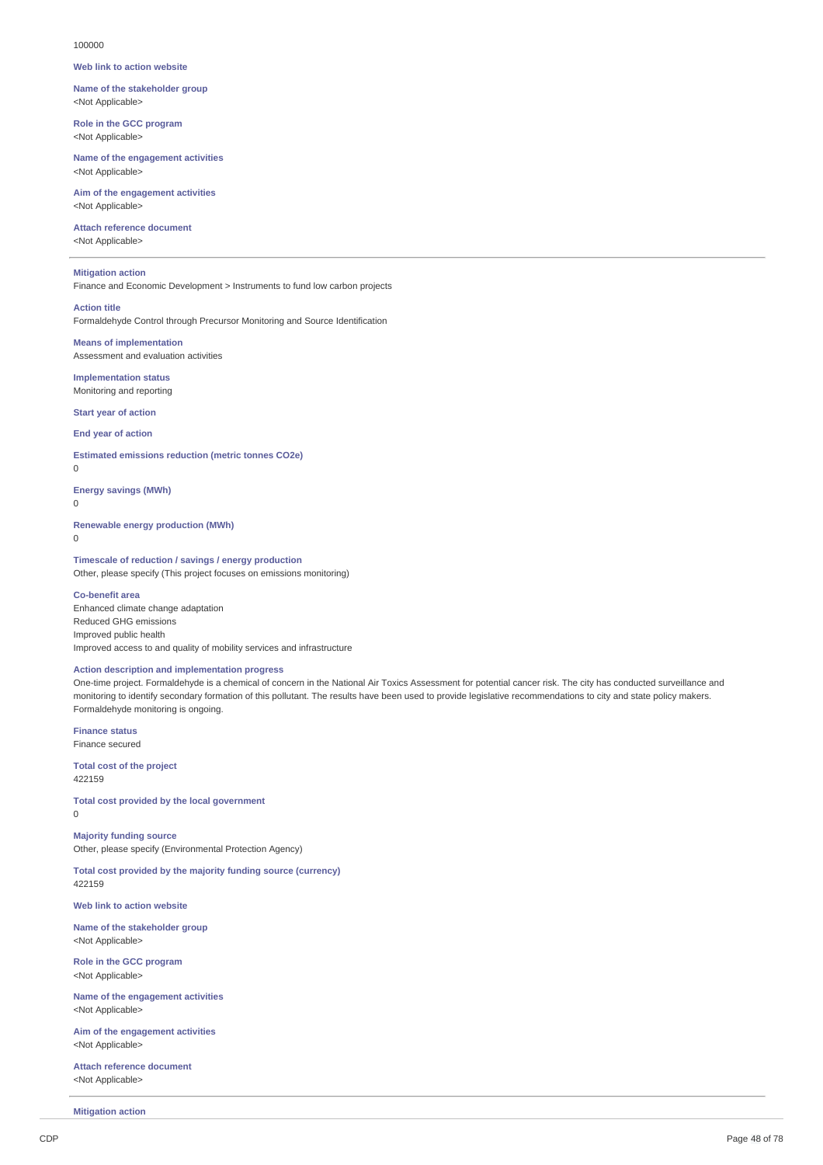#### 100000

#### **Web link to action website**

**Name of the stakeholder group** <Not Applicable>

**Role in the GCC program** <Not Applicable>

**Name of the engagement activities** <Not Applicable>

**Aim of the engagement activities** <Not Applicable>

**Attach reference document** <Not Applicable>

# **Mitigation action**

Finance and Economic Development > Instruments to fund low carbon projects

# **Action title**

Formaldehyde Control through Precursor Monitoring and Source Identification

**Means of implementation** Assessment and evaluation activities

**Implementation status** Monitoring and reporting

**Start year of action**

**End year of action**

# **Estimated emissions reduction (metric tonnes CO2e)**

 $\theta$ 

**Energy savings (MWh)**

0

**Renewable energy production (MWh)**

 $\Omega$ 

#### **Timescale of reduction / savings / energy production** Other, please specify (This project focuses on emissions monitoring)

**Co-benefit area** Enhanced climate change adaptation Reduced GHG emissions Improved public health Improved access to and quality of mobility services and infrastructure

# **Action description and implementation progress**

One-time project. Formaldehyde is a chemical of concern in the National Air Toxics Assessment for potential cancer risk. The city has conducted surveillance and monitoring to identify secondary formation of this pollutant. The results have been used to provide legislative recommendations to city and state policy makers. Formaldehyde monitoring is ongoing.

**Finance status** Finance secured

**Total cost of the project** 422159

**Total cost provided by the local government**  $\Omega$ 

**Majority funding source** Other, please specify (Environmental Protection Agency)

**Total cost provided by the majority funding source (currency)** 422159

**Web link to action website**

**Name of the stakeholder group** <Not Applicable>

**Role in the GCC program** <Not Applicable>

**Name of the engagement activities** <Not Applicable>

**Aim of the engagement activities** <Not Applicable>

**Attach reference document** <Not Applicable>

**Mitigation action**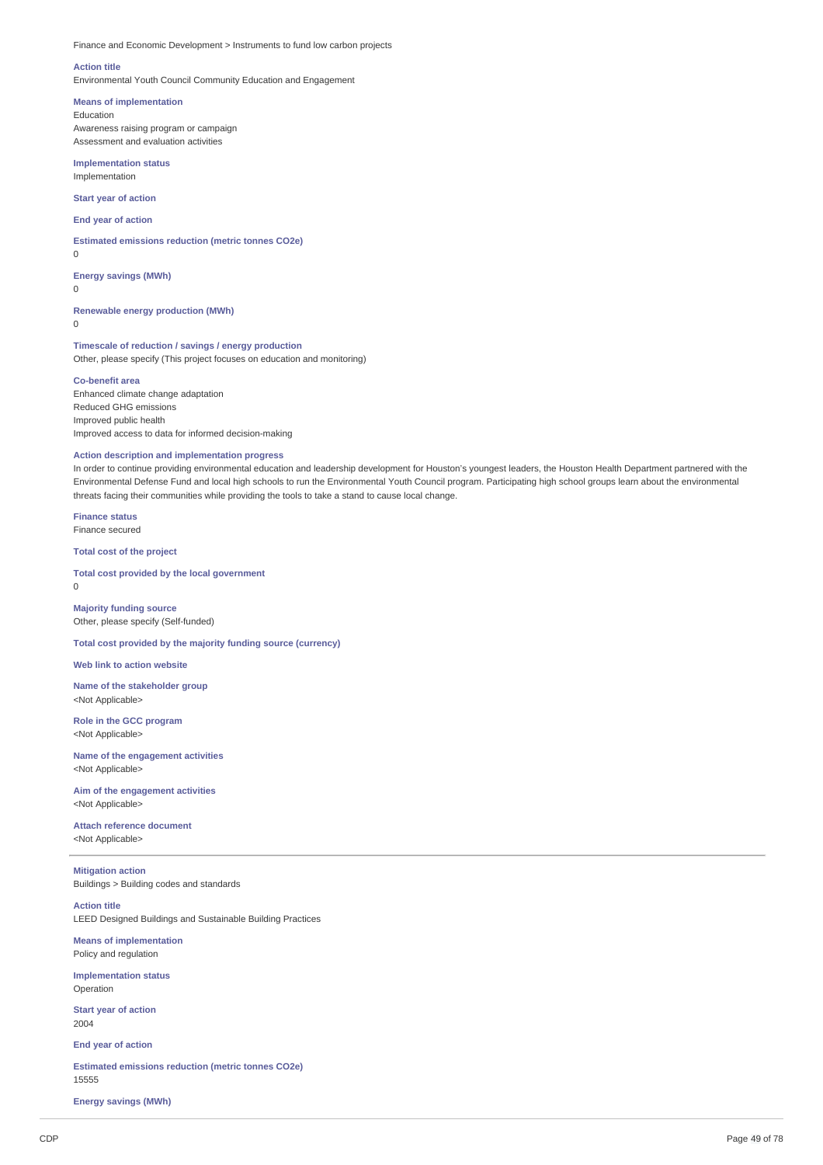Finance and Economic Development > Instruments to fund low carbon projects

#### **Action title**

Environmental Youth Council Community Education and Engagement

#### **Means of implementation**

Education Awareness raising program or campaign Assessment and evaluation activities

**Implementation status** Implementation

**Start year of action**

**End year of action**

**Estimated emissions reduction (metric tonnes CO2e)**

 $\Omega$ 

 $\Omega$ 

**Energy savings (MWh)**

**Renewable energy production (MWh)**  $\theta$ 

**Timescale of reduction / savings / energy production** Other, please specify (This project focuses on education and monitoring)

#### **Co-benefit area**

Enhanced climate change adaptation Reduced GHG emissions Improved public health Improved access to data for informed decision-making

#### **Action description and implementation progress**

In order to continue providing environmental education and leadership development for Houston's youngest leaders, the Houston Health Department partnered with the Environmental Defense Fund and local high schools to run the Environmental Youth Council program. Participating high school groups learn about the environmental threats facing their communities while providing the tools to take a stand to cause local change.

**Finance status** Finance secured

**Total cost of the project**

**Total cost provided by the local government** 0

**Majority funding source** Other, please specify (Self-funded)

**Total cost provided by the majority funding source (currency)**

**Web link to action website**

**Name of the stakeholder group** <Not Applicable>

**Role in the GCC program** <Not Applicable>

**Name of the engagement activities** <Not Applicable>

**Aim of the engagement activities** <Not Applicable>

**Attach reference document** <Not Applicable>

**Mitigation action** Buildings > Building codes and standards

**Action title** LEED Designed Buildings and Sustainable Building Practices

**Means of implementation** Policy and regulation

**Implementation status** Operation

**Start year of action** 2004

**End year of action**

**Estimated emissions reduction (metric tonnes CO2e)** 15555

**Energy savings (MWh)**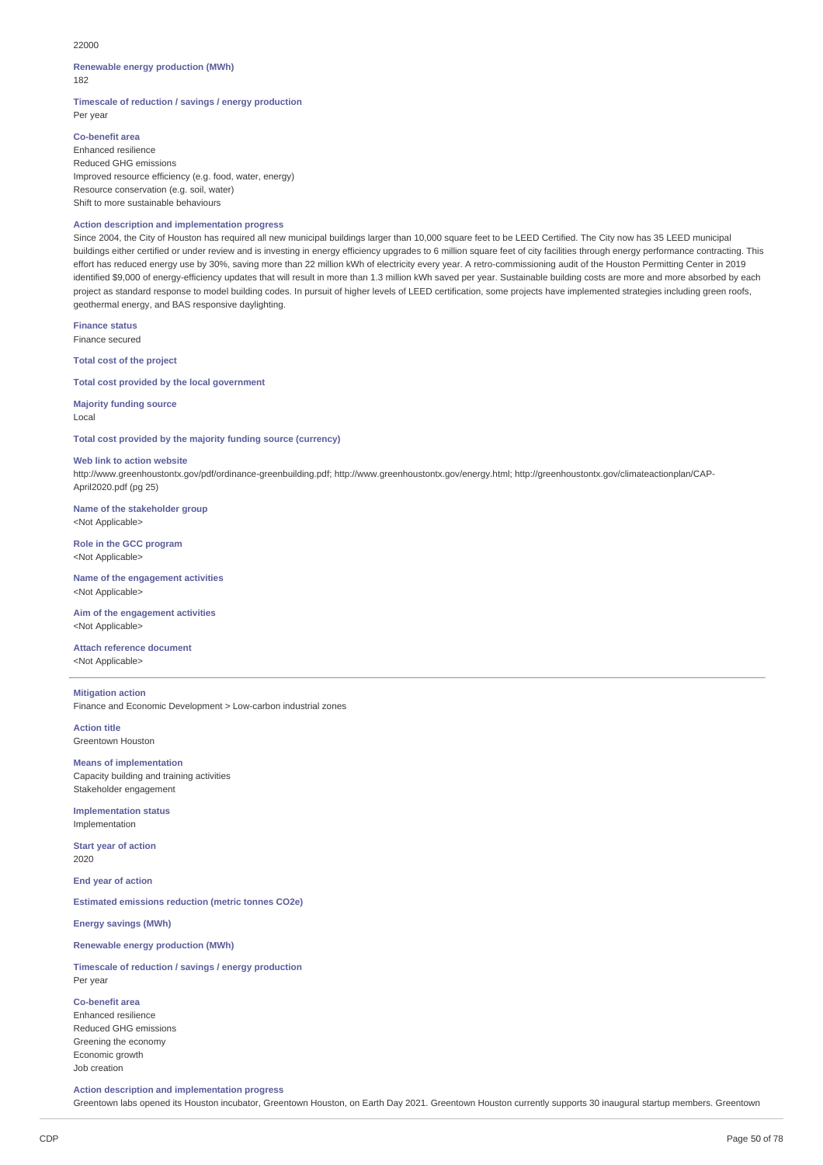#### 22000

#### **Renewable energy production (MWh)** 182

**Timescale of reduction / savings / energy production** Per year

# **Co-benefit area**

Enhanced resilience Reduced GHG emissions Improved resource efficiency (e.g. food, water, energy) Resource conservation (e.g. soil, water) Shift to more sustainable behaviours

#### **Action description and implementation progress**

Since 2004, the City of Houston has required all new municipal buildings larger than 10,000 square feet to be LEED Certified. The City now has 35 LEED municipal buildings either certified or under review and is investing in energy efficiency upgrades to 6 million square feet of city facilities through energy performance contracting. This effort has reduced energy use by 30%, saving more than 22 million kWh of electricity every year. A retro-commissioning audit of the Houston Permitting Center in 2019 identified \$9,000 of energy-efficiency updates that will result in more than 1.3 million kWh saved per year. Sustainable building costs are more and more absorbed by each project as standard response to model building codes. In pursuit of higher levels of LEED certification, some projects have implemented strategies including green roofs, geothermal energy, and BAS responsive daylighting.

**Finance status** Finance secured

**Total cost of the project**

**Total cost provided by the local government**

**Majority funding source** Local

**Total cost provided by the majority funding source (currency)**

#### **Web link to action website**

http://www.greenhoustontx.gov/pdf/ordinance-greenbuilding.pdf; http://www.greenhoustontx.gov/energy.html; http://greenhoustontx.gov/climateactionplan/CAP-April2020.pdf (pg 25)

**Name of the stakeholder group** <Not Applicable>

**Role in the GCC program** <Not Applicable>

**Name of the engagement activities** <Not Applicable>

**Aim of the engagement activities** <Not Applicable>

**Attach reference document** <Not Applicable>

**Mitigation action** Finance and Economic Development > Low-carbon industrial zones

**Action title** Greentown Houston

**Means of implementation** Capacity building and training activities Stakeholder engagement

**Implementation status** Implementation

**Start year of action** 2020

**End year of action**

**Estimated emissions reduction (metric tonnes CO2e)**

**Energy savings (MWh)**

# **Renewable energy production (MWh)**

**Timescale of reduction / savings / energy production** Per year

**Co-benefit area**

Enhanced resilience Reduced GHG emissions Greening the economy Economic growth Job creation

**Action description and implementation progress**

Greentown labs opened its Houston incubator, Greentown Houston, on Earth Day 2021. Greentown Houston currently supports 30 inaugural startup members. Greentown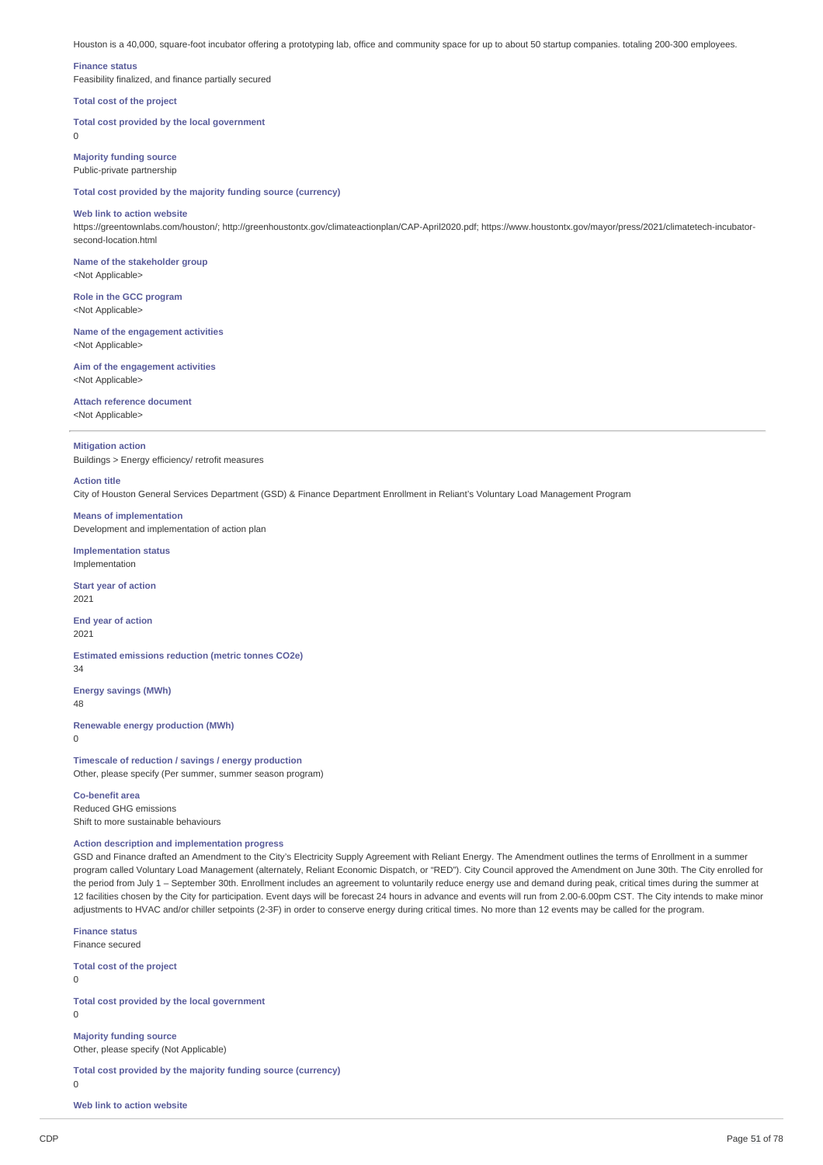Houston is a 40,000, square-foot incubator offering a prototyping lab, office and community space for up to about 50 startup companies. totaling 200-300 employees.

#### **Finance status**

 $\theta$ 

Feasibility finalized, and finance partially secured

#### **Total cost of the project**

**Total cost provided by the local government**

**Majority funding source** Public-private partnership

**Total cost provided by the majority funding source (currency)**

#### **Web link to action website**

https://greentownlabs.com/houston/; http://greenhoustontx.gov/climateactionplan/CAP-April2020.pdf; https://www.houstontx.gov/mayor/press/2021/climatetech-incubatorsecond-location.html

**Name of the stakeholder group** <Not Applicable>

**Role in the GCC program** <Not Applicable>

**Name of the engagement activities** <Not Applicable>

**Aim of the engagement activities** <Not Applicable>

# **Attach reference document**

<Not Applicable>

# **Mitigation action**

Buildings > Energy efficiency/ retrofit measures

#### **Action title**

City of Houston General Services Department (GSD) & Finance Department Enrollment in Reliant's Voluntary Load Management Program

# **Means of implementation**

Development and implementation of action plan

**Implementation status** Implementation

**Start year of action** 2021

**End year of action** 2021

**Estimated emissions reduction (metric tonnes CO2e)** 34

**Energy savings (MWh)** 48

**Renewable energy production (MWh)**

0

**Timescale of reduction / savings / energy production** Other, please specify (Per summer, summer season program)

**Co-benefit area** Reduced GHG emissions Shift to more sustainable behaviours

# **Action description and implementation progress**

GSD and Finance drafted an Amendment to the City's Electricity Supply Agreement with Reliant Energy. The Amendment outlines the terms of Enrollment in a summer program called Voluntary Load Management (alternately, Reliant Economic Dispatch, or "RED"). City Council approved the Amendment on June 30th. The City enrolled for the period from July 1 – September 30th. Enrollment includes an agreement to voluntarily reduce energy use and demand during peak, critical times during the summer at 12 facilities chosen by the City for participation. Event days will be forecast 24 hours in advance and events will run from 2.00-6.00pm CST. The City intends to make minor adjustments to HVAC and/or chiller setpoints (2-3F) in order to conserve energy during critical times. No more than 12 events may be called for the program.

**Finance status** Finance secured

**Total cost of the project**

 $\overline{0}$ 

 $\Omega$ 

**Total cost provided by the local government**

**Majority funding source** Other, please specify (Not Applicable)

**Total cost provided by the majority funding source (currency)**

 $\overline{0}$ 

**Web link to action website**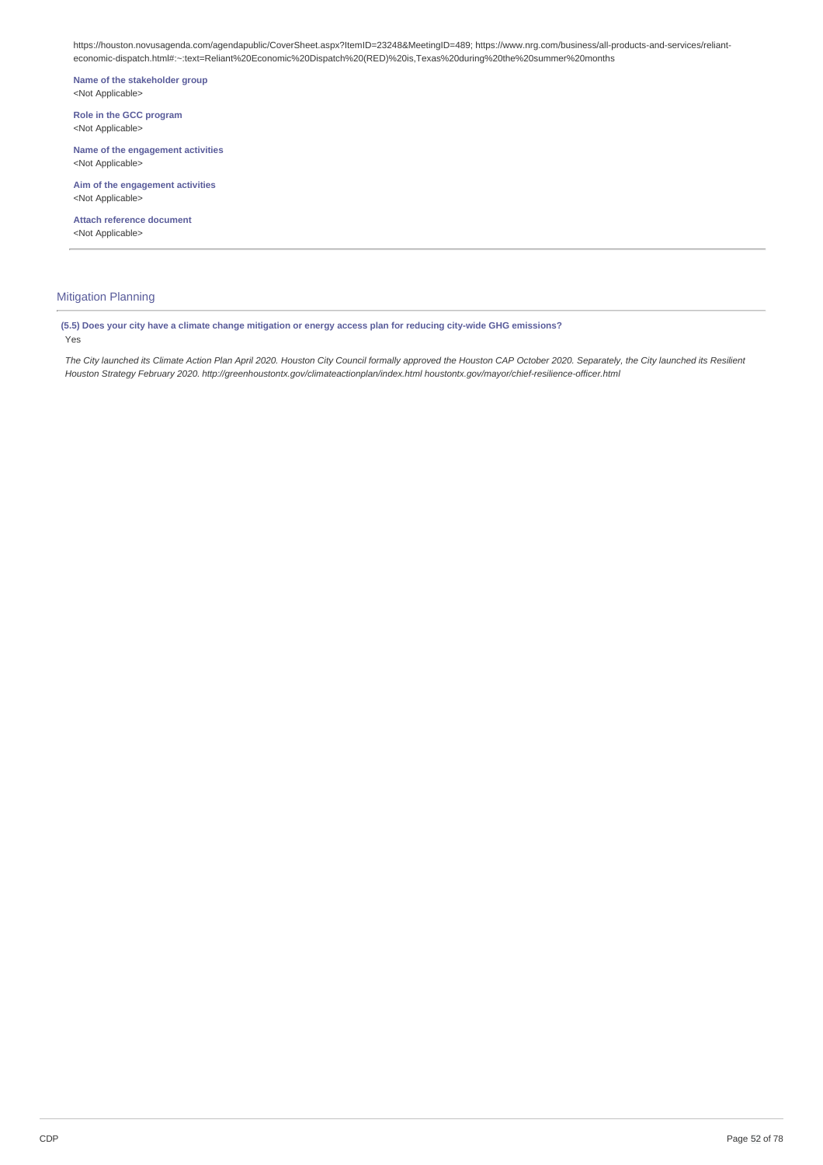https://houston.novusagenda.com/agendapublic/CoverSheet.aspx?ItemID=23248&MeetingID=489; https://www.nrg.com/business/all-products-and-services/relianteconomic-dispatch.html#:~:text=Reliant%20Economic%20Dispatch%20(RED)%20is,Texas%20during%20the%20summer%20months

**Name of the stakeholder group** <Not Applicable>

**Role in the GCC program** <Not Applicable>

**Name of the engagement activities** <Not Applicable>

**Aim of the engagement activities** <Not Applicable>

**Attach reference document** <Not Applicable>

# Mitigation Planning

(5.5) Does your city have a climate change mitigation or energy access plan for reducing city-wide GHG emissions? Yes

The City launched its Climate Action Plan April 2020. Houston City Council formally approved the Houston CAP October 2020. Separately, the City launched its Resilient *Houston Strategy February 2020. http://greenhoustontx.gov/climateactionplan/index.html houstontx.gov/mayor/chief-resilience-officer.html*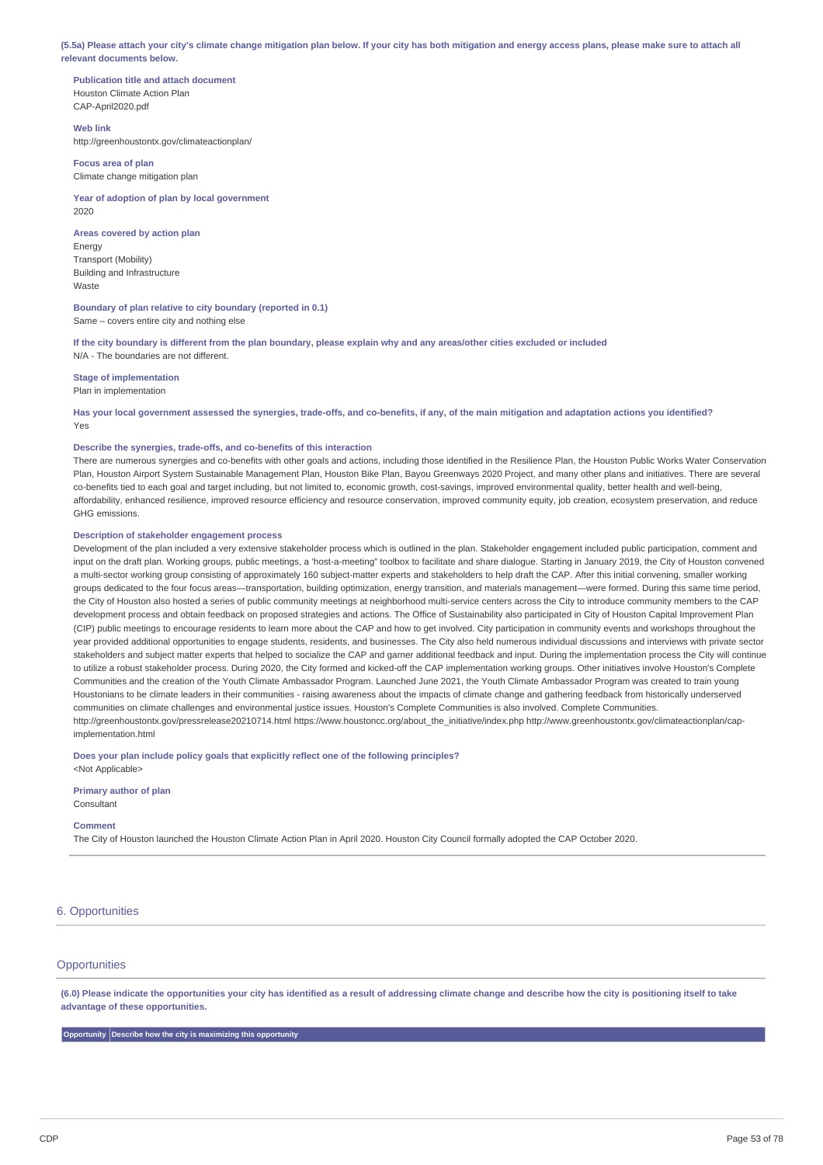(5.5a) Please attach your city's climate change mitigation plan below. If your city has both mitigation and energy access plans, please make sure to attach all **relevant documents below.**

**Publication title and attach document** Houston Climate Action Plan CAP-April2020.pdf

#### **Web link**

Waste

http://greenhoustontx.gov/climateactionplan/

**Focus area of plan** Climate change mitigation plan

**Year of adoption of plan by local government** 2020

**Areas covered by action plan** Energy Transport (Mobility) Building and Infrastructure

**Boundary of plan relative to city boundary (reported in 0.1)** Same – covers entire city and nothing else

If the city boundary is different from the plan boundary, please explain why and any areas/other cities excluded or included N/A - The boundaries are not different.

**Stage of implementation**

Plan in implementation

Has your local government assessed the synergies, trade-offs, and co-benefits, if any, of the main mitigation and adaptation actions you identified? Yes

# **Describe the synergies, trade-offs, and co-benefits of this interaction**

There are numerous synergies and co-benefits with other goals and actions, including those identified in the Resilience Plan, the Houston Public Works Water Conservation Plan, Houston Airport System Sustainable Management Plan, Houston Bike Plan, Bayou Greenways 2020 Project, and many other plans and initiatives. There are several co-benefits tied to each goal and target including, but not limited to, economic growth, cost-savings, improved environmental quality, better health and well-being, affordability, enhanced resilience, improved resource efficiency and resource conservation, improved community equity, job creation, ecosystem preservation, and reduce GHG emissions.

# **Description of stakeholder engagement process**

Development of the plan included a very extensive stakeholder process which is outlined in the plan. Stakeholder engagement included public participation, comment and input on the draft plan. Working groups, public meetings, a 'host-a-meeting" toolbox to facilitate and share dialogue. Starting in January 2019, the City of Houston convened a multi-sector working group consisting of approximately 160 subject-matter experts and stakeholders to help draft the CAP. After this initial convening, smaller working groups dedicated to the four focus areas—transportation, building optimization, energy transition, and materials management—were formed. During this same time period, the City of Houston also hosted a series of public community meetings at neighborhood multi-service centers across the City to introduce community members to the CAP development process and obtain feedback on proposed strategies and actions. The Office of Sustainability also participated in City of Houston Capital Improvement Plan (CIP) public meetings to encourage residents to learn more about the CAP and how to get involved. City participation in community events and workshops throughout the year provided additional opportunities to engage students, residents, and businesses. The City also held numerous individual discussions and interviews with private sector stakeholders and subject matter experts that helped to socialize the CAP and garner additional feedback and input. During the implementation process the City will continue to utilize a robust stakeholder process. During 2020, the City formed and kicked-off the CAP implementation working groups. Other initiatives involve Houston's Complete Communities and the creation of the Youth Climate Ambassador Program. Launched June 2021, the Youth Climate Ambassador Program was created to train young Houstonians to be climate leaders in their communities - raising awareness about the impacts of climate change and gathering feedback from historically underserved communities on climate challenges and environmental justice issues. Houston's Complete Communities is also involved. Complete Communities. http://greenhoustontx.gov/pressrelease20210714.html https://www.houstoncc.org/about\_the\_initiative/index.php http://www.greenhoustontx.gov/climateactionplan/capimplementation.html

**Does your plan include policy goals that explicitly reflect one of the following principles?** <Not Applicable>

**Primary author of plan**

Consultant

#### **Comment**

The City of Houston launched the Houston Climate Action Plan in April 2020. Houston City Council formally adopted the CAP October 2020.

#### 6. Opportunities

## **Opportunities**

(6.0) Please indicate the opportunities your city has identified as a result of addressing climate change and describe how the city is positioning itself to take **advantage of these opportunities.**

**Opportunity Describe how the city is maximizing this opportunity**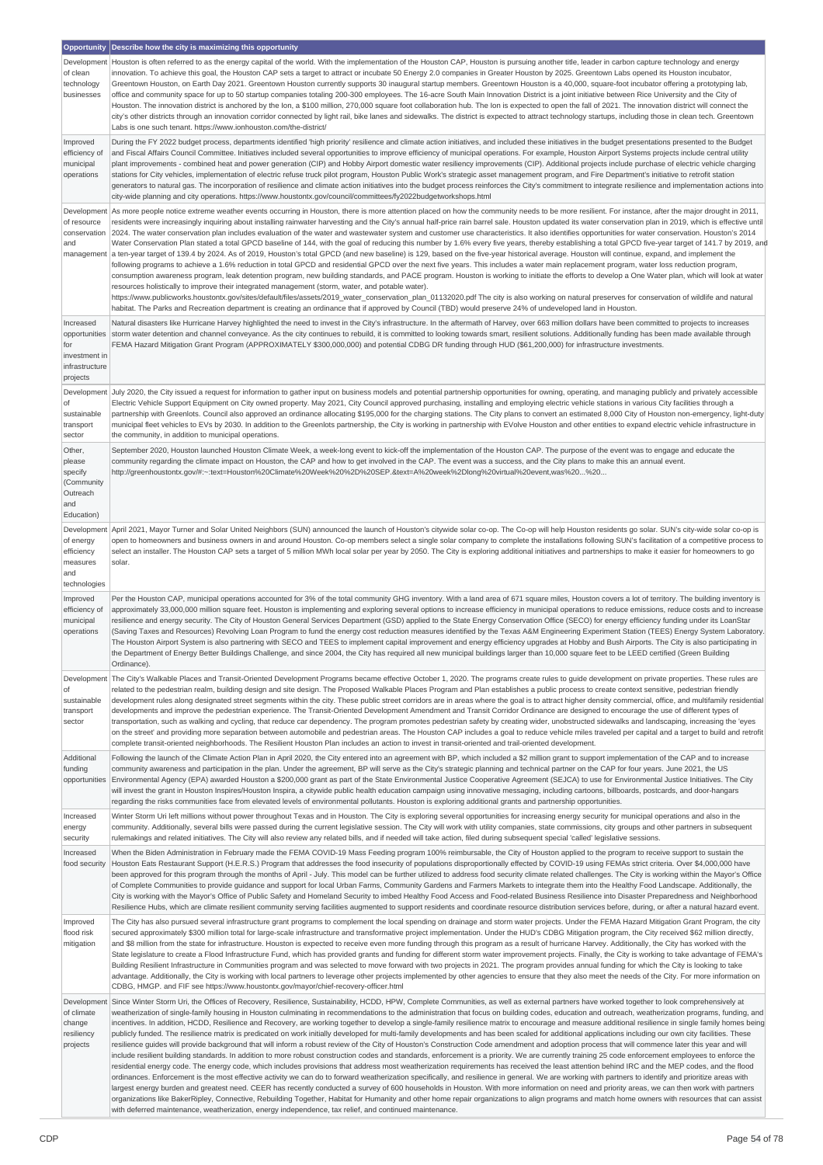|                                 | Opportunity   Describe how the city is maximizing this opportunity                                                                                                                                                                                                                                                                                                                                                                                                                                                                                                                                         |
|---------------------------------|------------------------------------------------------------------------------------------------------------------------------------------------------------------------------------------------------------------------------------------------------------------------------------------------------------------------------------------------------------------------------------------------------------------------------------------------------------------------------------------------------------------------------------------------------------------------------------------------------------|
| Development                     | Houston is often referred to as the energy capital of the world. With the implementation of the Houston CAP, Houston is pursuing another title, leader in carbon capture technology and energy                                                                                                                                                                                                                                                                                                                                                                                                             |
| of clean<br>technology          | innovation. To achieve this goal, the Houston CAP sets a target to attract or incubate 50 Energy 2.0 companies in Greater Houston by 2025. Greentown Labs opened its Houston incubator,<br>Greentown Houston, on Earth Day 2021. Greentown Houston currently supports 30 inaugural startup members. Greentown Houston is a 40,000, square-foot incubator offering a prototyping lab,                                                                                                                                                                                                                       |
| businesses                      | office and community space for up to 50 startup companies totaling 200-300 employees. The 16-acre South Main Innovation District is a joint initiative between Rice University and the City of                                                                                                                                                                                                                                                                                                                                                                                                             |
|                                 | Houston. The innovation district is anchored by the Ion, a \$100 million, 270,000 square foot collaboration hub. The Ion is expected to open the fall of 2021. The innovation district will connect the                                                                                                                                                                                                                                                                                                                                                                                                    |
|                                 | city's other districts through an innovation corridor connected by light rail, bike lanes and sidewalks. The district is expected to attract technology startups, including those in clean tech. Greentown<br>Labs is one such tenant. https://www.ionhouston.com/the-district/                                                                                                                                                                                                                                                                                                                            |
| Improved<br>efficiency of       | During the FY 2022 budget process, departments identified 'high priority' resilience and climate action initiatives, and included these initiatives in the budget presentations presented to the Budget<br>and Fiscal Affairs Council Committee. Initiatives included several opportunities to improve efficiency of municipal operations. For example, Houston Airport Systems projects include central utility                                                                                                                                                                                           |
| municipal                       | plant improvements - combined heat and power generation (CIP) and Hobby Airport domestic water resiliency improvements (CIP). Additional projects include purchase of electric vehicle charging                                                                                                                                                                                                                                                                                                                                                                                                            |
| operations                      | stations for City vehicles, implementation of electric refuse truck pilot program, Houston Public Work's strategic asset management program, and Fire Department's initiative to retrofit station                                                                                                                                                                                                                                                                                                                                                                                                          |
|                                 | generators to natural gas. The incorporation of resilience and climate action initiatives into the budget process reinforces the City's commitment to integrate resilience and implementation actions into<br>city-wide planning and city operations. https://www.houstontx.gov/council/committees/fy2022budgetworkshops.html                                                                                                                                                                                                                                                                              |
| Development                     | As more people notice extreme weather events occurring in Houston, there is more attention placed on how the community needs to be more resilient. For instance, after the major drought in 2011,                                                                                                                                                                                                                                                                                                                                                                                                          |
| of resource                     | residents were increasingly inquiring about installing rainwater harvesting and the City's annual half-price rain barrel sale. Houston updated its water conservation plan in 2019, which is effective until                                                                                                                                                                                                                                                                                                                                                                                               |
| conservation<br>and             | 2024. The water conservation plan includes evaluation of the water and wastewater system and customer use characteristics. It also identifies opportunities for water conservation. Houston's 2014<br>Water Conservation Plan stated a total GPCD baseline of 144, with the goal of reducing this number by 1.6% every five years, thereby establishing a total GPCD five-year target of 141.7 by 2019, and                                                                                                                                                                                                |
| management                      | a ten-year target of 139.4 by 2024. As of 2019, Houston's total GPCD (and new baseline) is 129, based on the five-year historical average. Houston will continue, expand, and implement the                                                                                                                                                                                                                                                                                                                                                                                                                |
|                                 | following programs to achieve a 1.6% reduction in total GPCD and residential GPCD over the next five years. This includes a water main replacement program, water loss reduction program,<br>consumption awareness program, leak detention program, new building standards, and PACE program. Houston is working to initiate the efforts to develop a One Water plan, which will look at water                                                                                                                                                                                                             |
|                                 | resources holistically to improve their integrated management (storm, water, and potable water).                                                                                                                                                                                                                                                                                                                                                                                                                                                                                                           |
|                                 | https://www.publicworks.houstontx.gov/sites/default/files/assets/2019_water_conservation_plan_01132020.pdf The city is also working on natural preserves for conservation of wildlife and natural<br>habitat. The Parks and Recreation department is creating an ordinance that if approved by Council (TBD) would preserve 24% of undeveloped land in Houston.                                                                                                                                                                                                                                            |
| Increased                       | Natural disasters like Hurricane Harvey highlighted the need to invest in the City's infrastructure. In the aftermath of Harvey, over 663 million dollars have been committed to projects to increases                                                                                                                                                                                                                                                                                                                                                                                                     |
| opportunities                   | storm water detention and channel conveyance. As the city continues to rebuild, it is committed to looking towards smart, resilient solutions. Additionally funding has been made available through                                                                                                                                                                                                                                                                                                                                                                                                        |
| for                             | FEMA Hazard Mitigation Grant Program (APPROXIMATELY \$300,000,000) and potential CDBG DR funding through HUD (\$61,200,000) for infrastructure investments.                                                                                                                                                                                                                                                                                                                                                                                                                                                |
| investment in<br>infrastructure |                                                                                                                                                                                                                                                                                                                                                                                                                                                                                                                                                                                                            |
| projects                        |                                                                                                                                                                                                                                                                                                                                                                                                                                                                                                                                                                                                            |
| Development                     | July 2020, the City issued a request for information to gather input on business models and potential partnership opportunities for owning, operating, and managing publicly and privately accessible                                                                                                                                                                                                                                                                                                                                                                                                      |
| of<br>sustainable               | Electric Vehicle Support Equipment on City owned property. May 2021, City Council approved purchasing, installing and employing electric vehicle stations in various City facilities through a<br>partnership with Greenlots. Council also approved an ordinance allocating \$195,000 for the charging stations. The City plans to convert an estimated 8,000 City of Houston non-emergency, light-duty                                                                                                                                                                                                    |
| transport                       | municipal fleet vehicles to EVs by 2030. In addition to the Greenlots partnership, the City is working in partnership with EVolve Houston and other entities to expand electric vehicle infrastructure in                                                                                                                                                                                                                                                                                                                                                                                                  |
| sector                          | the community, in addition to municipal operations.                                                                                                                                                                                                                                                                                                                                                                                                                                                                                                                                                        |
| Other,<br>please                | September 2020, Houston launched Houston Climate Week, a week-long event to kick-off the implementation of the Houston CAP. The purpose of the event was to engage and educate the<br>community regarding the climate impact on Houston, the CAP and how to get involved in the CAP. The event was a success, and the City plans to make this an annual event.                                                                                                                                                                                                                                             |
| specify                         | http://greenhoustontx.gov/#:~:text=Houston%20Climate%20Week%20%2D%20SEP.&text=A%20week%2Dlong%20virtual%20event,was%20%20                                                                                                                                                                                                                                                                                                                                                                                                                                                                                  |
| (Community<br>Outreach          |                                                                                                                                                                                                                                                                                                                                                                                                                                                                                                                                                                                                            |
| and                             |                                                                                                                                                                                                                                                                                                                                                                                                                                                                                                                                                                                                            |
| Education)                      |                                                                                                                                                                                                                                                                                                                                                                                                                                                                                                                                                                                                            |
| Development<br>of energy        | April 2021, Mayor Turner and Solar United Neighbors (SUN) announced the launch of Houston's citywide solar co-op. The Co-op will help Houston residents go solar. SUN's city-wide solar co-op is<br>open to homeowners and business owners in and around Houston. Co-op members select a single solar company to complete the installations following SUN's facilitation of a competitive process to                                                                                                                                                                                                       |
| efficiency                      | select an installer. The Houston CAP sets a target of 5 million MWh local solar per year by 2050. The City is exploring additional initiatives and partnerships to make it easier for homeowners to go                                                                                                                                                                                                                                                                                                                                                                                                     |
| measures<br>and                 | solar.                                                                                                                                                                                                                                                                                                                                                                                                                                                                                                                                                                                                     |
| technologies                    |                                                                                                                                                                                                                                                                                                                                                                                                                                                                                                                                                                                                            |
|                                 |                                                                                                                                                                                                                                                                                                                                                                                                                                                                                                                                                                                                            |
| Improved                        | Per the Houston CAP, municipal operations accounted for 3% of the total community GHG inventory. With a land area of 671 square miles, Houston covers a lot of territory. The building inventory is                                                                                                                                                                                                                                                                                                                                                                                                        |
| efficiency of<br>municipal      | approximately 33,000,000 million square feet. Houston is implementing and exploring several options to increase efficiency in municipal operations to reduce emissions, reduce costs and to increase<br>resilience and energy security. The City of Houston General Services Department (GSD) applied to the State Energy Conservation Office (SECO) for energy efficiency funding under its LoanStar                                                                                                                                                                                                      |
| operations                      | (Saving Taxes and Resources) Revolving Loan Program to fund the energy cost reduction measures identified by the Texas A&M Engineering Experiment Station (TEES) Energy System Laboratory.                                                                                                                                                                                                                                                                                                                                                                                                                 |
|                                 | The Houston Airport System is also partnering with SECO and TEES to implement capital improvement and energy efficiency upgrades at Hobby and Bush Airports. The City is also participating in<br>the Department of Energy Better Buildings Challenge, and since 2004, the City has required all new municipal buildings larger than 10,000 square feet to be LEED certified (Green Building                                                                                                                                                                                                               |
|                                 | Ordinance).                                                                                                                                                                                                                                                                                                                                                                                                                                                                                                                                                                                                |
| of                              | Development   The City's Walkable Places and Transit-Oriented Development Programs became effective October 1, 2020. The programs create rules to guide development on private properties. These rules are<br>related to the pedestrian realm, building design and site design. The Proposed Walkable Places Program and Plan establishes a public process to create context sensitive, pedestrian friendly                                                                                                                                                                                                |
| sustainable                     | development rules along designated street segments within the city. These public street corridors are in areas where the goal is to attract higher density commercial, office, and multifamily residential                                                                                                                                                                                                                                                                                                                                                                                                 |
| transport<br>sector             | developments and improve the pedestrian experience. The Transit-Oriented Development Amendment and Transit Corridor Ordinance are designed to encourage the use of different types of<br>transportation, such as walking and cycling, that reduce car dependency. The program promotes pedestrian safety by creating wider, unobstructed sidewalks and landscaping, increasing the 'eyes                                                                                                                                                                                                                   |
|                                 | on the street' and providing more separation between automobile and pedestrian areas. The Houston CAP includes a goal to reduce vehicle miles traveled per capital and a target to build and retrofit                                                                                                                                                                                                                                                                                                                                                                                                      |
|                                 | complete transit-oriented neighborhoods. The Resilient Houston Plan includes an action to invest in transit-oriented and trail-oriented development.                                                                                                                                                                                                                                                                                                                                                                                                                                                       |
| Additional<br>funding           | Following the launch of the Climate Action Plan in April 2020, the City entered into an agreement with BP, which included a \$2 million grant to support implementation of the CAP and to increase<br>community awareness and participation in the plan. Under the agreement, BP will serve as the City's strategic planning and technical partner on the CAP for four years. June 2021, the US                                                                                                                                                                                                            |
| opportunities                   | Environmental Agency (EPA) awarded Houston a \$200,000 grant as part of the State Environmental Justice Cooperative Agreement (SEJCA) to use for Environmental Justice Initiatives. The City                                                                                                                                                                                                                                                                                                                                                                                                               |
|                                 | will invest the grant in Houston Inspires/Houston Inspira, a citywide public health education campaign using innovative messaging, including cartoons, billboards, postcards, and door-hangars<br>regarding the risks communities face from elevated levels of environmental pollutants. Houston is exploring additional grants and partnership opportunities.                                                                                                                                                                                                                                             |
| Increased                       | Winter Storm Uri left millions without power throughout Texas and in Houston. The City is exploring several opportunities for increasing energy security for municipal operations and also in the                                                                                                                                                                                                                                                                                                                                                                                                          |
| energy                          | community. Additionally, several bills were passed during the current legislative session. The City will work with utility companies, state commissions, city groups and other partners in subsequent                                                                                                                                                                                                                                                                                                                                                                                                      |
| security                        | rulemakings and related initiatives. The City will also review any related bills, and if needed will take action, filed during subsequent special 'called' legislative sessions.                                                                                                                                                                                                                                                                                                                                                                                                                           |
| Increased<br>food security      | When the Biden Administration in February made the FEMA COVID-19 Mass Feeding program 100% reimbursable, the City of Houston applied to the program to receive support to sustain the<br>Houston Eats Restaurant Support (H.E.R.S.) Program that addresses the food insecurity of populations disproportionally effected by COVID-19 using FEMAs strict criteria. Over \$4,000,000 have                                                                                                                                                                                                                    |
|                                 | been approved for this program through the months of April - July. This model can be further utilized to address food security climate related challenges. The City is working within the Mayor's Office                                                                                                                                                                                                                                                                                                                                                                                                   |
|                                 | of Complete Communities to provide guidance and support for local Urban Farms, Community Gardens and Farmers Markets to integrate them into the Healthy Food Landscape. Additionally, the<br>City is working with the Mayor's Office of Public Safety and Homeland Security to imbed Healthy Food Access and Food-related Business Resilience into Disaster Preparedness and Neighborhood                                                                                                                                                                                                                  |
|                                 | Resilience Hubs, which are climate resilient community serving facilities augmented to support residents and coordinate resource distribution services before, during, or after a natural hazard event.                                                                                                                                                                                                                                                                                                                                                                                                    |
| Improved<br>flood risk          | The City has also pursued several infrastructure grant programs to complement the local spending on drainage and storm water projects. Under the FEMA Hazard Mitigation Grant Program, the city<br>secured approximately \$300 million total for large-scale infrastructure and transformative project implementation. Under the HUD's CDBG Mitigation program, the City received \$62 million directly,                                                                                                                                                                                                   |
| mitigation                      | and \$8 million from the state for infrastructure. Houston is expected to receive even more funding through this program as a result of hurricane Harvey. Additionally, the City has worked with the                                                                                                                                                                                                                                                                                                                                                                                                       |
|                                 | State legislature to create a Flood Infrastructure Fund, which has provided grants and funding for different storm water improvement projects. Finally, the City is working to take advantage of FEMA's                                                                                                                                                                                                                                                                                                                                                                                                    |
|                                 | Building Resilient Infrastructure in Communities program and was selected to move forward with two projects in 2021. The program provides annual funding for which the City is looking to take<br>advantage. Additionally, the City is working with local partners to leverage other projects implemented by other agencies to ensure that they also meet the needs of the City. For more information on                                                                                                                                                                                                   |
|                                 | CDBG, HMGP. and FIF see https://www.houstontx.gov/mayor/chief-recovery-officer.html                                                                                                                                                                                                                                                                                                                                                                                                                                                                                                                        |
| Development<br>of climate       | Since Winter Storm Uri, the Offices of Recovery, Resilience, Sustainability, HCDD, HPW, Complete Communities, as well as external partners have worked together to look comprehensively at<br>weatherization of single-family housing in Houston culminating in recommendations to the administration that focus on building codes, education and outreach, weatherization programs, funding, and                                                                                                                                                                                                          |
| change                          | incentives. In addition, HCDD, Resilience and Recovery, are working together to develop a single-family resilience matrix to encourage and measure additional resilience in single family homes being                                                                                                                                                                                                                                                                                                                                                                                                      |
| resiliency                      | publicly funded. The resilience matrix is predicated on work initially developed for multi-family developments and has been scaled for additional applications including our own city facilities. These                                                                                                                                                                                                                                                                                                                                                                                                    |
| projects                        | resilience guides will provide background that will inform a robust review of the City of Houston's Construction Code amendment and adoption process that will commence later this year and will<br>include resilient building standards. In addition to more robust construction codes and standards, enforcement is a priority. We are currently training 25 code enforcement employees to enforce the                                                                                                                                                                                                   |
|                                 | residential energy code. The energy code, which includes provisions that address most weatherization requirements has received the least attention behind IRC and the MEP codes, and the flood                                                                                                                                                                                                                                                                                                                                                                                                             |
|                                 | ordinances. Enforcement is the most effective activity we can do to forward weatherization specifically, and resilience in general. We are working with partners to identify and prioritize areas with<br>largest energy burden and greatest need. CEER has recently conducted a survey of 600 households in Houston. With more information on need and priority areas, we can then work with partners<br>organizations like BakerRipley, Connective, Rebuilding Together, Habitat for Humanity and other home repair organizations to align programs and match home owners with resources that can assist |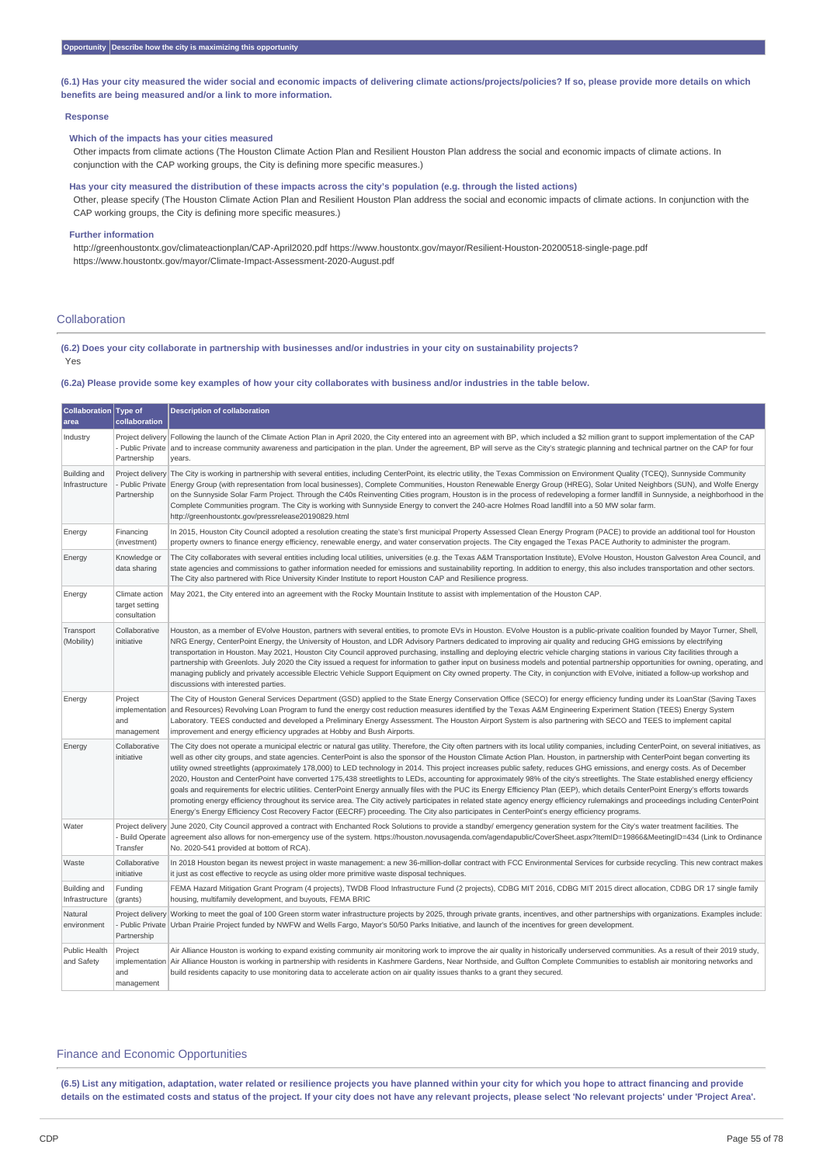(6.1) Has your city measured the wider social and economic impacts of delivering climate actions/projects/policies? If so, please provide more details on which **benefits are being measured and/or a link to more information.**

#### **Response**

#### **Which of the impacts has your cities measured**

Other impacts from climate actions (The Houston Climate Action Plan and Resilient Houston Plan address the social and economic impacts of climate actions. In conjunction with the CAP working groups, the City is defining more specific measures.)

Has your city measured the distribution of these impacts across the city's population (e.g. through the listed actions) Other, please specify (The Houston Climate Action Plan and Resilient Houston Plan address the social and economic impacts of climate actions. In conjunction with the CAP working groups, the City is defining more specific measures.)

#### **Further information**

http://greenhoustontx.gov/climateactionplan/CAP-April2020.pdf https://www.houstontx.gov/mayor/Resilient-Houston-20200518-single-page.pdf https://www.houstontx.gov/mayor/Climate-Impact-Assessment-2020-August.pdf

# Collaboration

(6.2) Does your city collaborate in partnership with businesses and/or industries in your city on sustainability projects? Yes

(6.2a) Please provide some key examples of how your city collaborates with business and/or industries in the table below.

| Collaboration Type of<br>area  | collaboration                                       | <b>Description of collaboration</b>                                                                                                                                                                                                                                                                                                                                                                                                                                                                                                                                                                                                                                                                                                                                                                                                                                                                                                                                                                                                                                                                                                                                                                                                                                             |
|--------------------------------|-----------------------------------------------------|---------------------------------------------------------------------------------------------------------------------------------------------------------------------------------------------------------------------------------------------------------------------------------------------------------------------------------------------------------------------------------------------------------------------------------------------------------------------------------------------------------------------------------------------------------------------------------------------------------------------------------------------------------------------------------------------------------------------------------------------------------------------------------------------------------------------------------------------------------------------------------------------------------------------------------------------------------------------------------------------------------------------------------------------------------------------------------------------------------------------------------------------------------------------------------------------------------------------------------------------------------------------------------|
| Industry                       | Partnership                                         | Project delivery Following the launch of the Climate Action Plan in April 2020, the City entered into an agreement with BP, which included a \$2 million grant to support implementation of the CAP<br>Public Private and to increase community awareness and participation in the plan. Under the agreement, BP will serve as the City's strategic planning and technical partner on the CAP for four<br>years.                                                                                                                                                                                                                                                                                                                                                                                                                                                                                                                                                                                                                                                                                                                                                                                                                                                                |
| Building and<br>Infrastructure | Project delivery<br>- Public Private<br>Partnership | The City is working in partnership with several entities, including CenterPoint, its electric utility, the Texas Commission on Environment Quality (TCEQ), Sunnyside Community<br>Energy Group (with representation from local businesses), Complete Communities, Houston Renewable Energy Group (HREG), Solar United Neighbors (SUN), and Wolfe Energy<br>on the Sunnyside Solar Farm Project. Through the C40s Reinventing Cities program, Houston is in the process of redeveloping a former landfill in Sunnyside, a neighborhood in the<br>Complete Communities program. The City is working with Sunnyside Energy to convert the 240-acre Holmes Road landfill into a 50 MW solar farm.<br>http://greenhoustontx.gov/pressrelease20190829.html                                                                                                                                                                                                                                                                                                                                                                                                                                                                                                                            |
| Energy                         | Financing<br>(investment)                           | In 2015, Houston City Council adopted a resolution creating the state's first municipal Property Assessed Clean Energy Program (PACE) to provide an additional tool for Houston<br>property owners to finance energy efficiency, renewable energy, and water conservation projects. The City engaged the Texas PACE Authority to administer the program.                                                                                                                                                                                                                                                                                                                                                                                                                                                                                                                                                                                                                                                                                                                                                                                                                                                                                                                        |
| Energy                         | Knowledge or<br>data sharing                        | The City collaborates with several entities including local utilities, universities (e.g. the Texas A&M Transportation Institute), EVolve Houston, Houston Galveston Area Council, and<br>state agencies and commissions to gather information needed for emissions and sustainability reporting. In addition to energy, this also includes transportation and other sectors.<br>The City also partnered with Rice University Kinder Institute to report Houston CAP and Resilience progress.                                                                                                                                                                                                                                                                                                                                                                                                                                                                                                                                                                                                                                                                                                                                                                                   |
| Energy                         | Climate action<br>target setting<br>consultation    | May 2021, the City entered into an agreement with the Rocky Mountain Institute to assist with implementation of the Houston CAP.                                                                                                                                                                                                                                                                                                                                                                                                                                                                                                                                                                                                                                                                                                                                                                                                                                                                                                                                                                                                                                                                                                                                                |
| Transport<br>(Mobility)        | Collaborative<br>initiative                         | Houston, as a member of EVolve Houston, partners with several entities, to promote EVs in Houston. EVolve Houston is a public-private coalition founded by Mayor Turner, Shell,<br>NRG Energy, CenterPoint Energy, the University of Houston, and LDR Advisory Partners dedicated to improving air quality and reducing GHG emissions by electrifying<br>transportation in Houston. May 2021, Houston City Council approved purchasing, installing and deploying electric vehicle charging stations in various City facilities through a<br>partnership with Greenlots. July 2020 the City issued a request for information to gather input on business models and potential partnership opportunities for owning, operating, and<br>managing publicly and privately accessible Electric Vehicle Support Equipment on City owned property. The City, in conjunction with EVolve, initiated a follow-up workshop and<br>discussions with interested parties.                                                                                                                                                                                                                                                                                                                     |
| Energy                         | Project<br>implementation<br>and<br>management      | The City of Houston General Services Department (GSD) applied to the State Energy Conservation Office (SECO) for energy efficiency funding under its LoanStar (Saving Taxes<br>and Resources) Revolving Loan Program to fund the energy cost reduction measures identified by the Texas A&M Engineering Experiment Station (TEES) Energy System<br>Laboratory. TEES conducted and developed a Preliminary Energy Assessment. The Houston Airport System is also partnering with SECO and TEES to implement capital<br>improvement and energy efficiency upgrades at Hobby and Bush Airports.                                                                                                                                                                                                                                                                                                                                                                                                                                                                                                                                                                                                                                                                                    |
| Energy                         | Collaborative<br>initiative                         | The City does not operate a municipal electric or natural gas utility. Therefore, the City often partners with its local utility companies, including CenterPoint, on several initiatives, as<br>well as other city groups, and state agencies. CenterPoint is also the sponsor of the Houston Climate Action Plan. Houston, in partnership with CenterPoint began converting its<br>utility owned streetlights (approximately 178,000) to LED technology in 2014. This project increases public safety, reduces GHG emissions, and energy costs. As of December<br>2020, Houston and CenterPoint have converted 175,438 streetlights to LEDs, accounting for approximately 98% of the city's streetlights. The State established energy efficiency<br>goals and requirements for electric utilities. CenterPoint Energy annually files with the PUC its Energy Efficiency Plan (EEP), which details CenterPoint Energy's efforts towards<br>promoting energy efficiency throughout its service area. The City actively participates in related state agency energy efficiency rulemakings and proceedings including CenterPoint<br>Energy's Energy Efficiency Cost Recovery Factor (EECRF) proceeding. The City also participates in CenterPoint's energy efficiency programs. |
| Water                          | Project delivery<br>- Build Operate<br>Transfer     | June 2020, City Council approved a contract with Enchanted Rock Solutions to provide a standby/ emergency generation system for the City's water treatment facilities. The<br>agreement also allows for non-emergency use of the system. https://houston.novusagenda.com/agendapublic/CoverSheet.aspx?ItemID=19866&MeetingID=434 (Link to Ordinance<br>No. 2020-541 provided at bottom of RCA).                                                                                                                                                                                                                                                                                                                                                                                                                                                                                                                                                                                                                                                                                                                                                                                                                                                                                 |
| Waste                          | Collaborative<br>initiative                         | In 2018 Houston began its newest project in waste management: a new 36-million-dollar contract with FCC Environmental Services for curbside recycling. This new contract makes<br>it just as cost effective to recycle as using older more primitive waste disposal techniques.                                                                                                                                                                                                                                                                                                                                                                                                                                                                                                                                                                                                                                                                                                                                                                                                                                                                                                                                                                                                 |
| Building and<br>Infrastructure | Funding<br>(grants)                                 | FEMA Hazard Mitigation Grant Program (4 projects), TWDB Flood Infrastructure Fund (2 projects), CDBG MIT 2016, CDBG MIT 2015 direct allocation, CDBG DR 17 single family<br>housing, multifamily development, and buyouts, FEMA BRIC                                                                                                                                                                                                                                                                                                                                                                                                                                                                                                                                                                                                                                                                                                                                                                                                                                                                                                                                                                                                                                            |
| Natural<br>environment         | Project delivery<br>Partnership                     | Working to meet the goal of 100 Green storm water infrastructure projects by 2025, through private grants, incentives, and other partnerships with organizations. Examples include:<br>- Public Private Urban Prairie Project funded by NWFW and Wells Fargo, Mayor's 50/50 Parks Initiative, and launch of the incentives for green development.                                                                                                                                                                                                                                                                                                                                                                                                                                                                                                                                                                                                                                                                                                                                                                                                                                                                                                                               |
| Public Health<br>and Safety    | Project<br>and<br>management                        | Air Alliance Houston is working to expand existing community air monitoring work to improve the air quality in historically underserved communities. As a result of their 2019 study,<br>implementation Air Alliance Houston is working in partnership with residents in Kashmere Gardens, Near Northside, and Gulfton Complete Communities to establish air monitoring networks and<br>build residents capacity to use monitoring data to accelerate action on air quality issues thanks to a grant they secured.                                                                                                                                                                                                                                                                                                                                                                                                                                                                                                                                                                                                                                                                                                                                                              |

#### Finance and Economic Opportunities

(6.5) List any mitigation, adaptation, water related or resilience projects you have planned within your city for which you hope to attract financing and provide details on the estimated costs and status of the project. If your city does not have any relevant projects, please select 'No relevant projects' under 'Project Area'.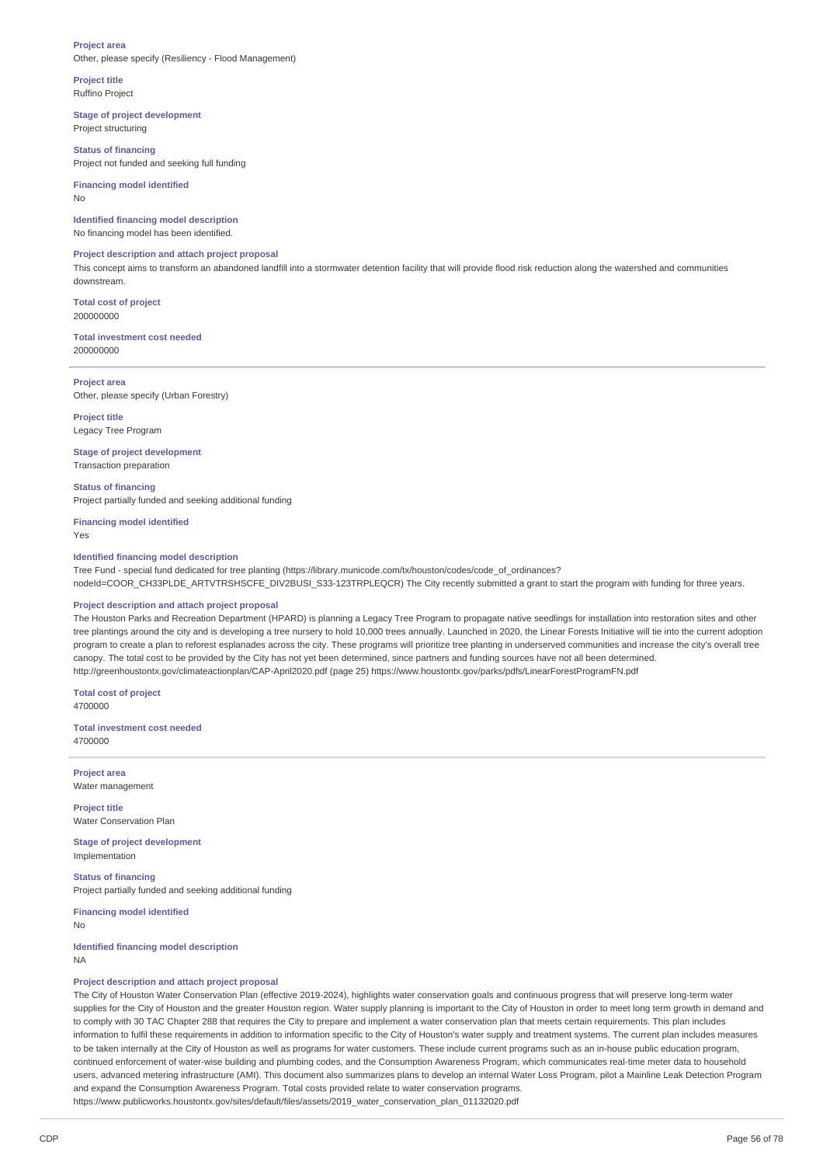#### **Project area** Other, please specify (Resiliency - Flood Management)

#### **Project title** Ruffino Project

**Stage of project development** Project structuring

**Status of financing** Project not funded and seeking full funding

# **Financing model identified**

No

# **Identified financing model description**

No financing model has been identified.

# **Project description and attach project proposal**

This concept aims to transform an abandoned landfill into a stormwater detention facility that will provide flood risk reduction along the watershed and communities downstream.

**Total cost of project** 200000000

#### **Total investment cost needed** 200000000

**Project area** Other, please specify (Urban Forestry)

**Project title** Legacy Tree Program

# **Stage of project development**

Transaction preparation

**Status of financing** Project partially funded and seeking additional funding

**Financing model identified**

Yes

# **Identified financing model description**

Tree Fund - special fund dedicated for tree planting (https://library.municode.com/tx/houston/codes/code\_of\_ordinances? nodeId=COOR\_CH33PLDE\_ARTVTRSHSCFE\_DIV2BUSI\_S33-123TRPLEQCR) The City recently submitted a grant to start the program with funding for three years.

# **Project description and attach project proposal**

The Houston Parks and Recreation Department (HPARD) is planning a Legacy Tree Program to propagate native seedlings for installation into restoration sites and other tree plantings around the city and is developing a tree nursery to hold 10,000 trees annually. Launched in 2020, the Linear Forests Initiative will tie into the current adoption program to create a plan to reforest esplanades across the city. These programs will prioritize tree planting in underserved communities and increase the city's overall tree canopy. The total cost to be provided by the City has not yet been determined, since partners and funding sources have not all been determined. http://greenhoustontx.gov/climateactionplan/CAP-April2020.pdf (page 25) https://www.houstontx.gov/parks/pdfs/LinearForestProgramFN.pdf

**Total cost of project** 4700000

**Total investment cost needed** 4700000

**Project area** Water management

**Project title** Water Conservation Plan

**Stage of project development** Implementation

**Status of financing** Project partially funded and seeking additional funding

**Financing model identified**

No

**Identified financing model description** NA

# **Project description and attach project proposal**

The City of Houston Water Conservation Plan (effective 2019-2024), highlights water conservation goals and continuous progress that will preserve long-term water supplies for the City of Houston and the greater Houston region. Water supply planning is important to the City of Houston in order to meet long term growth in demand and to comply with 30 TAC Chapter 288 that requires the City to prepare and implement a water conservation plan that meets certain requirements. This plan includes information to fulfil these requirements in addition to information specific to the City of Houston's water supply and treatment systems. The current plan includes measures to be taken internally at the City of Houston as well as programs for water customers. These include current programs such as an in-house public education program, continued enforcement of water-wise building and plumbing codes, and the Consumption Awareness Program, which communicates real-time meter data to household users, advanced metering infrastructure (AMI). This document also summarizes plans to develop an internal Water Loss Program, pilot a Mainline Leak Detection Program and expand the Consumption Awareness Program. Total costs provided relate to water conservation programs. https://www.publicworks.houstontx.gov/sites/default/files/assets/2019\_water\_conservation\_plan\_01132020.pdf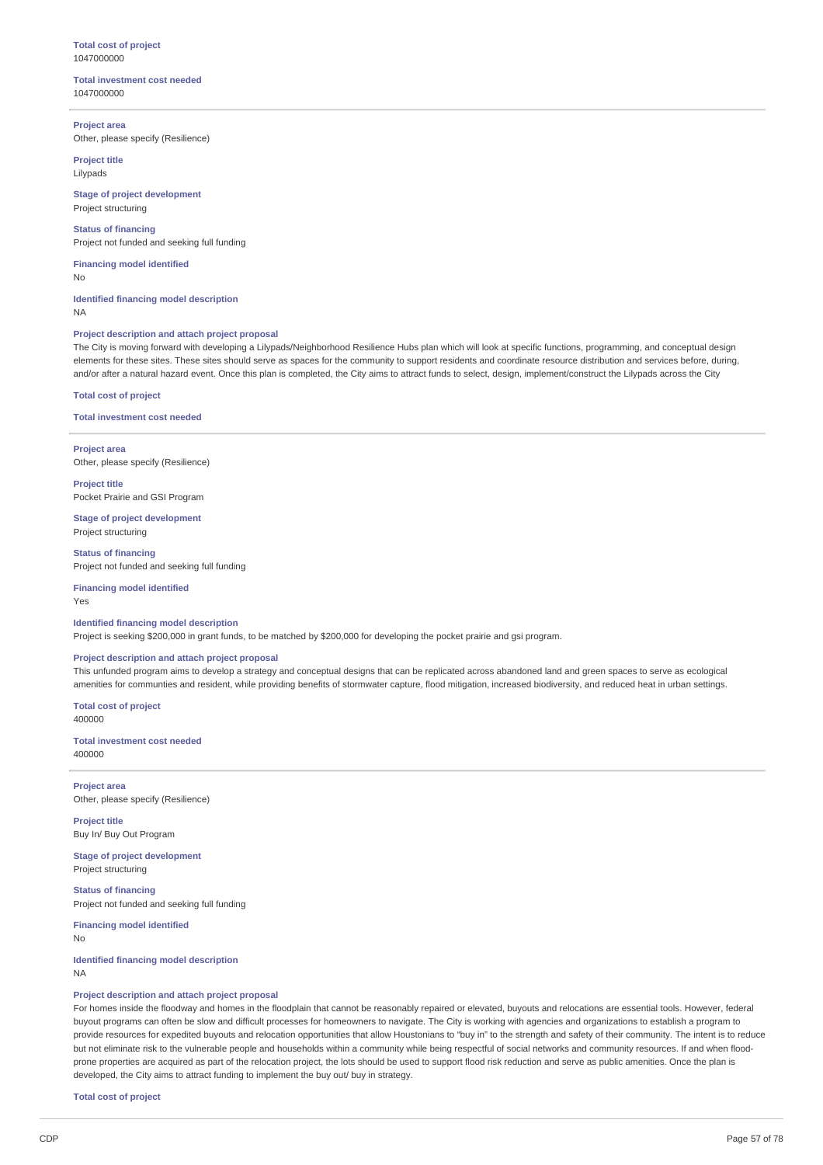#### **Total cost of project** 1047000000

#### **Total investment cost needed** 1047000000

**Project area** Other, please specify (Resilience)

**Project title** Lilypads

**Stage of project development** Project structuring

**Status of financing** Project not funded and seeking full funding

**Financing model identified** No

**Identified financing model description** NA

#### **Project description and attach project proposal**

The City is moving forward with developing a Lilypads/Neighborhood Resilience Hubs plan which will look at specific functions, programming, and conceptual design elements for these sites. These sites should serve as spaces for the community to support residents and coordinate resource distribution and services before, during, and/or after a natural hazard event. Once this plan is completed, the City aims to attract funds to select, design, implement/construct the Lilypads across the City

**Total cost of project**

**Total investment cost needed**

**Project area** Other, please specify (Resilience)

**Project title** Pocket Prairie and GSI Program

**Stage of project development** Project structuring

**Status of financing** Project not funded and seeking full funding

**Financing model identified** Yes

#### **Identified financing model description**

Project is seeking \$200,000 in grant funds, to be matched by \$200,000 for developing the pocket prairie and gsi program.

# **Project description and attach project proposal**

This unfunded program aims to develop a strategy and conceptual designs that can be replicated across abandoned land and green spaces to serve as ecological amenities for communties and resident, while providing benefits of stormwater capture, flood mitigation, increased biodiversity, and reduced heat in urban settings.

**Total cost of project** 400000

**Total investment cost needed** 400000

**Project area** Other, please specify (Resilience)

**Project title** Buy In/ Buy Out Program

**Stage of project development** Project structuring

**Status of financing** Project not funded and seeking full funding

**Financing model identified** No

**Identified financing model description** NA

#### **Project description and attach project proposal**

For homes inside the floodway and homes in the floodplain that cannot be reasonably repaired or elevated, buyouts and relocations are essential tools. However, federal buyout programs can often be slow and difficult processes for homeowners to navigate. The City is working with agencies and organizations to establish a program to provide resources for expedited buyouts and relocation opportunities that allow Houstonians to "buy in" to the strength and safety of their community. The intent is to reduce but not eliminate risk to the vulnerable people and households within a community while being respectful of social networks and community resources. If and when floodprone properties are acquired as part of the relocation project, the lots should be used to support flood risk reduction and serve as public amenities. Once the plan is developed, the City aims to attract funding to implement the buy out/ buy in strategy.

**Total cost of project**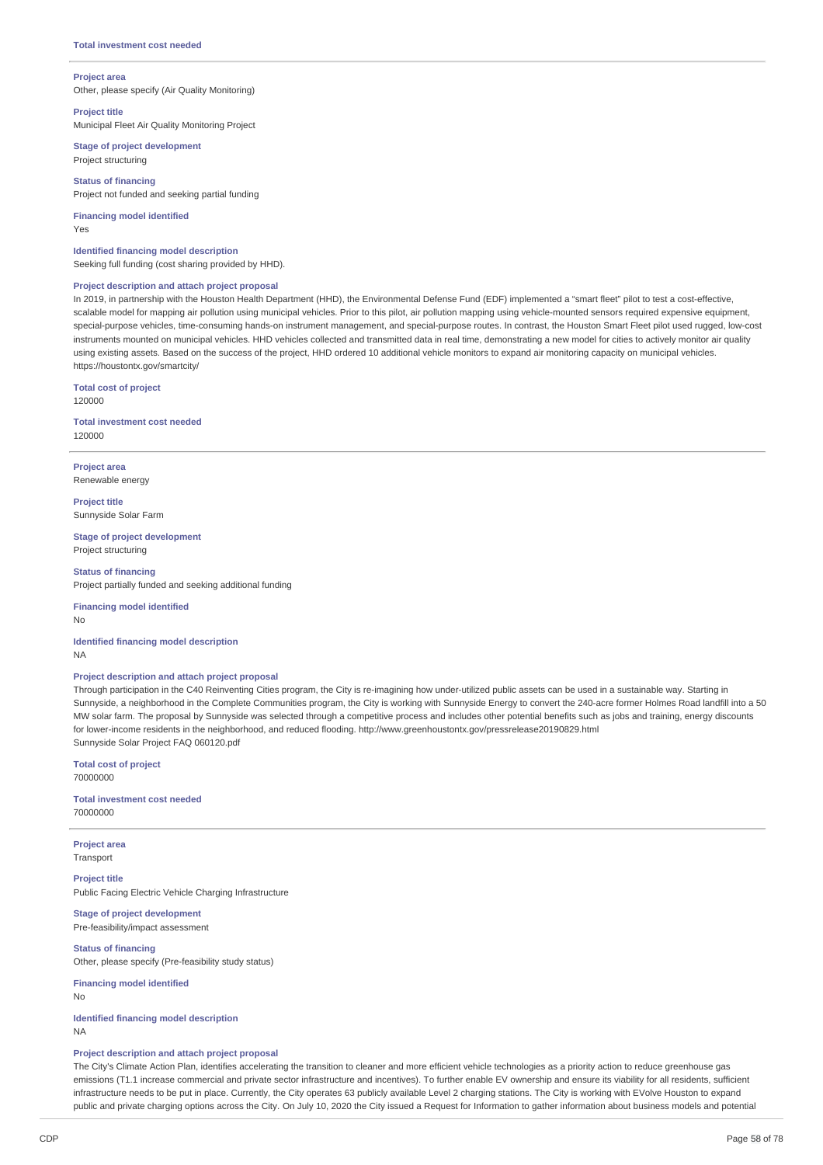#### **Project area**

Other, please specify (Air Quality Monitoring)

# **Project title**

Municipal Fleet Air Quality Monitoring Project

**Stage of project development** Project structuring

**Status of financing** Project not funded and seeking partial funding

**Financing model identified** Yes

**Identified financing model description** Seeking full funding (cost sharing provided by HHD).

#### **Project description and attach project proposal**

In 2019, in partnership with the Houston Health Department (HHD), the Environmental Defense Fund (EDF) implemented a "smart fleet" pilot to test a cost-effective, scalable model for mapping air pollution using municipal vehicles. Prior to this pilot, air pollution mapping using vehicle-mounted sensors required expensive equipment, special-purpose vehicles, time-consuming hands-on instrument management, and special-purpose routes. In contrast, the Houston Smart Fleet pilot used rugged, low-cost instruments mounted on municipal vehicles. HHD vehicles collected and transmitted data in real time, demonstrating a new model for cities to actively monitor air quality using existing assets. Based on the success of the project, HHD ordered 10 additional vehicle monitors to expand air monitoring capacity on municipal vehicles. https://houstontx.gov/smartcity/

**Total cost of project** 120000

**Total investment cost needed** 120000

**Project area** Renewable energy

**Project title** Sunnyside Solar Farm

**Stage of project development** Project structuring

**Status of financing** Project partially funded and seeking additional funding

**Financing model identified**

No

**Identified financing model description** NA

# **Project description and attach project proposal**

Through participation in the C40 Reinventing Cities program, the City is re-imagining how under-utilized public assets can be used in a sustainable way. Starting in Sunnyside, a neighborhood in the Complete Communities program, the City is working with Sunnyside Energy to convert the 240-acre former Holmes Road landfill into a 50 MW solar farm. The proposal by Sunnyside was selected through a competitive process and includes other potential benefits such as jobs and training, energy discounts for lower-income residents in the neighborhood, and reduced flooding. http://www.greenhoustontx.gov/pressrelease20190829.html Sunnyside Solar Project FAQ 060120.pdf

**Total cost of project** 70000000

**Total investment cost needed** 70000000

**Project area** Transport

**Project title** Public Facing Electric Vehicle Charging Infrastructure

**Stage of project development** Pre-feasibility/impact assessment

**Status of financing** Other, please specify (Pre-feasibility study status)

**Financing model identified** No

**Identified financing model description**

NA

**Project description and attach project proposal**

The City's Climate Action Plan, identifies accelerating the transition to cleaner and more efficient vehicle technologies as a priority action to reduce greenhouse gas emissions (T1.1 increase commercial and private sector infrastructure and incentives). To further enable EV ownership and ensure its viability for all residents, sufficient infrastructure needs to be put in place. Currently, the City operates 63 publicly available Level 2 charging stations. The City is working with EVolve Houston to expand public and private charging options across the City. On July 10, 2020 the City issued a Request for Information to gather information about business models and potential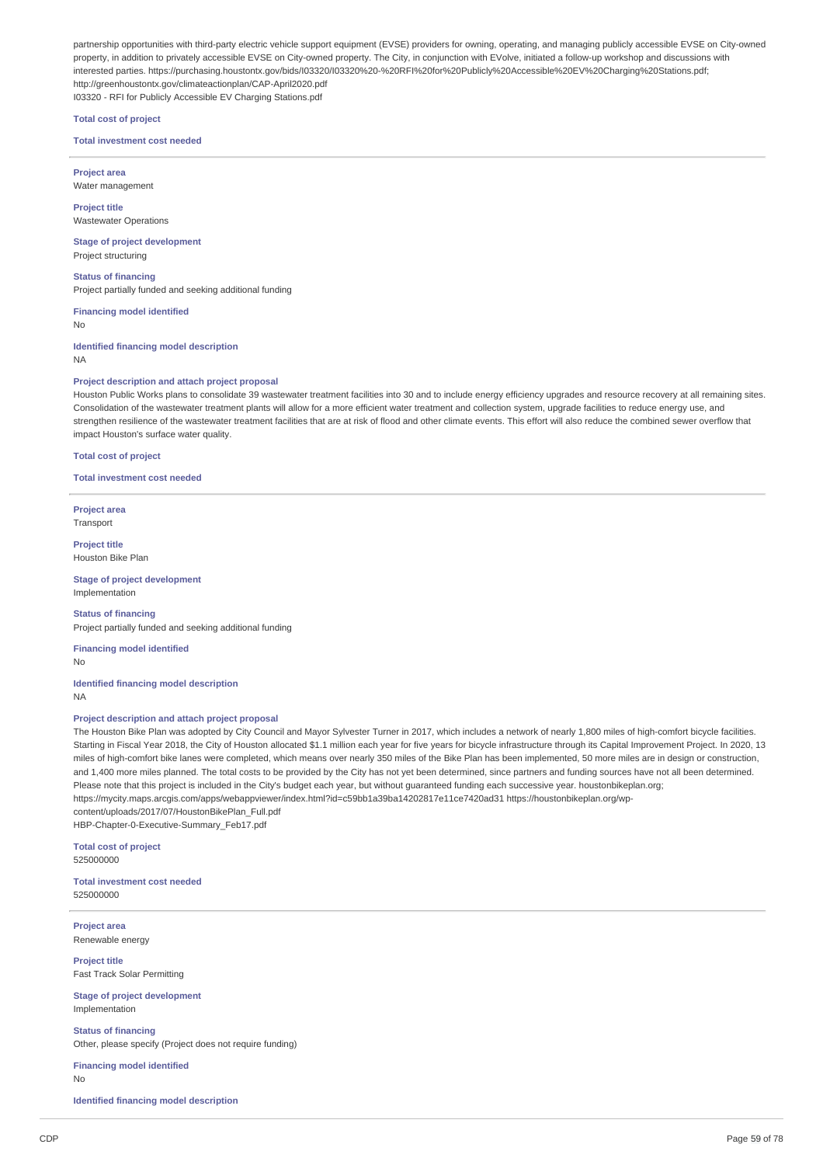partnership opportunities with third-party electric vehicle support equipment (EVSE) providers for owning, operating, and managing publicly accessible EVSE on City-owned property, in addition to privately accessible EVSE on City-owned property. The City, in conjunction with EVolve, initiated a follow-up workshop and discussions with interested parties. https://purchasing.houstontx.gov/bids/I03320/I03320%20-%20RFI%20for%20Publicly%20Accessible%20EV%20Charging%20Stations.pdf; http://greenhoustontx.gov/climateactionplan/CAP-April2020.pdf

I03320 - RFI for Publicly Accessible EV Charging Stations.pdf

**Total cost of project**

**Total investment cost needed**

**Project area** Water management

**Project title** Wastewater Operations

**Stage of project development** Project structuring

**Status of financing** Project partially funded and seeking additional funding

**Financing model identified**

No

**Identified financing model description** NA

#### **Project description and attach project proposal**

Houston Public Works plans to consolidate 39 wastewater treatment facilities into 30 and to include energy efficiency upgrades and resource recovery at all remaining sites. Consolidation of the wastewater treatment plants will allow for a more efficient water treatment and collection system, upgrade facilities to reduce energy use, and strengthen resilience of the wastewater treatment facilities that are at risk of flood and other climate events. This effort will also reduce the combined sewer overflow that impact Houston's surface water quality.

**Total cost of project**

**Total investment cost needed**

**Project area** Transport

**Project title** Houston Bike Plan

**Stage of project development** Implementation

**Status of financing** Project partially funded and seeking additional funding

**Financing model identified**

No

**Identified financing model description**

NA

# **Project description and attach project proposal**

The Houston Bike Plan was adopted by City Council and Mayor Sylvester Turner in 2017, which includes a network of nearly 1,800 miles of high-comfort bicycle facilities. Starting in Fiscal Year 2018, the City of Houston allocated \$1.1 million each year for five years for bicycle infrastructure through its Capital Improvement Project. In 2020, 13 miles of high-comfort bike lanes were completed, which means over nearly 350 miles of the Bike Plan has been implemented. 50 more miles are in design or construction, and 1,400 more miles planned. The total costs to be provided by the City has not yet been determined, since partners and funding sources have not all been determined. Please note that this project is included in the City's budget each year, but without guaranteed funding each successive year. houstonbikeplan.org; https://mycity.maps.arcgis.com/apps/webappviewer/index.html?id=c59bb1a39ba14202817e11ce7420ad31 https://houstonbikeplan.org/wpcontent/uploads/2017/07/HoustonBikePlan\_Full.pdf

HBP-Chapter-0-Executive-Summary\_Feb17.pdf

**Total cost of project** 525000000

**Total investment cost needed** 525000000

**Project area** Renewable energy

**Project title** Fast Track Solar Permitting

**Stage of project development** Implementation

**Status of financing** Other, please specify (Project does not require funding)

**Financing model identified** No

**Identified financing model description**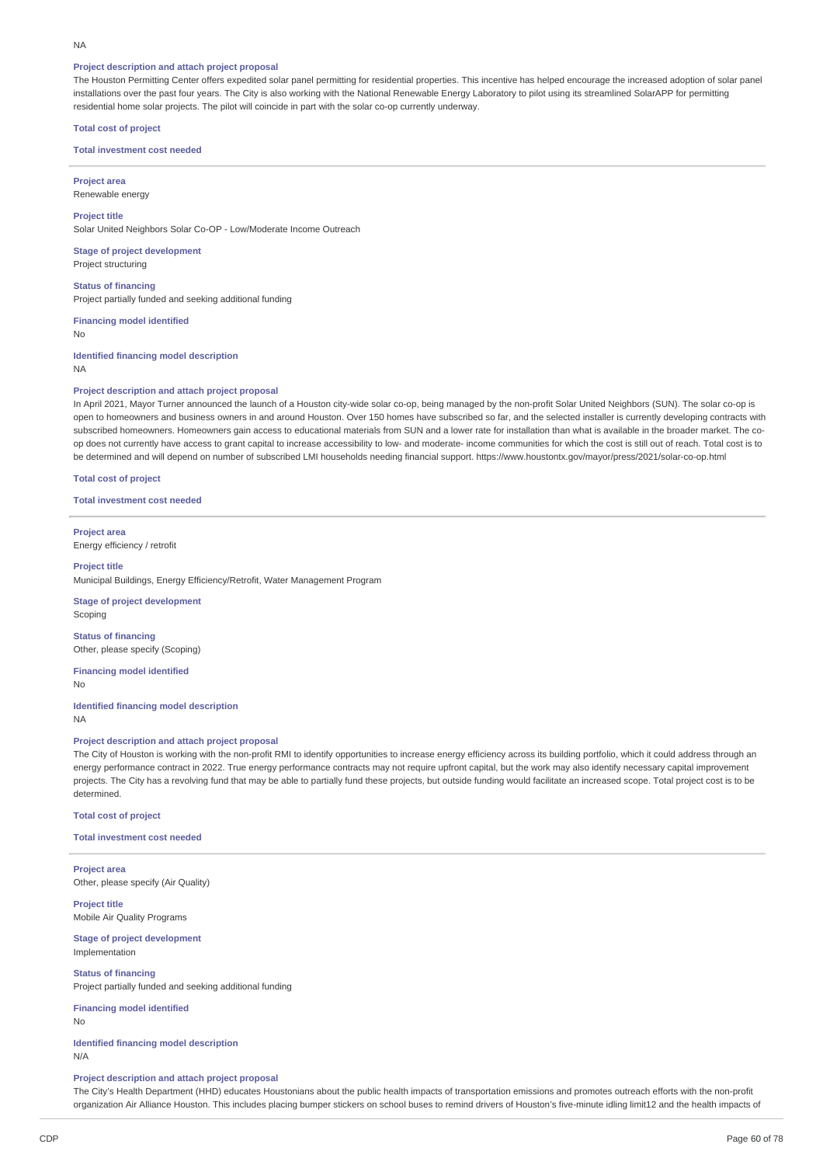#### NA

#### **Project description and attach project proposal**

The Houston Permitting Center offers expedited solar panel permitting for residential properties. This incentive has helped encourage the increased adoption of solar panel installations over the past four years. The City is also working with the National Renewable Energy Laboratory to pilot using its streamlined SolarAPP for permitting residential home solar projects. The pilot will coincide in part with the solar co-op currently underway.

#### **Total cost of project**

#### **Total investment cost needed**

**Project area** Renewable energy

**Project title** Solar United Neighbors Solar Co-OP - Low/Moderate Income Outreach

**Stage of project development** Project structuring

**Status of financing** Project partially funded and seeking additional funding

**Financing model identified** No

**Identified financing model description** NA

#### **Project description and attach project proposal**

In April 2021, Mayor Turner announced the launch of a Houston city-wide solar co-op, being managed by the non-profit Solar United Neighbors (SUN). The solar co-op is open to homeowners and business owners in and around Houston. Over 150 homes have subscribed so far, and the selected installer is currently developing contracts with subscribed homeowners. Homeowners gain access to educational materials from SUN and a lower rate for installation than what is available in the broader market. The coop does not currently have access to grant capital to increase accessibility to low- and moderate- income communities for which the cost is still out of reach. Total cost is to be determined and will depend on number of subscribed LMI households needing financial support. https://www.houstontx.gov/mayor/press/2021/solar-co-op.html

**Total cost of project**

**Total investment cost needed**

**Project area** Energy efficiency / retrofit

#### **Project title**

Municipal Buildings, Energy Efficiency/Retrofit, Water Management Program

**Stage of project development** Scoping

**Status of financing** Other, please specify (Scoping)

**Financing model identified** No

**Identified financing model description** NA

**Project description and attach project proposal**

The City of Houston is working with the non-profit RMI to identify opportunities to increase energy efficiency across its building portfolio, which it could address through an energy performance contract in 2022. True energy performance contracts may not require upfront capital, but the work may also identify necessary capital improvement projects. The City has a revolving fund that may be able to partially fund these projects, but outside funding would facilitate an increased scope. Total project cost is to be determined.

**Total cost of project**

**Total investment cost needed**

**Project area** Other, please specify (Air Quality)

**Project title** Mobile Air Quality Programs

**Stage of project development** Implementation

**Status of financing** Project partially funded and seeking additional funding

**Financing model identified**

No

**Identified financing model description** N/A

#### **Project description and attach project proposal**

The City's Health Department (HHD) educates Houstonians about the public health impacts of transportation emissions and promotes outreach efforts with the non-profit organization Air Alliance Houston. This includes placing bumper stickers on school buses to remind drivers of Houston's five-minute idling limit12 and the health impacts of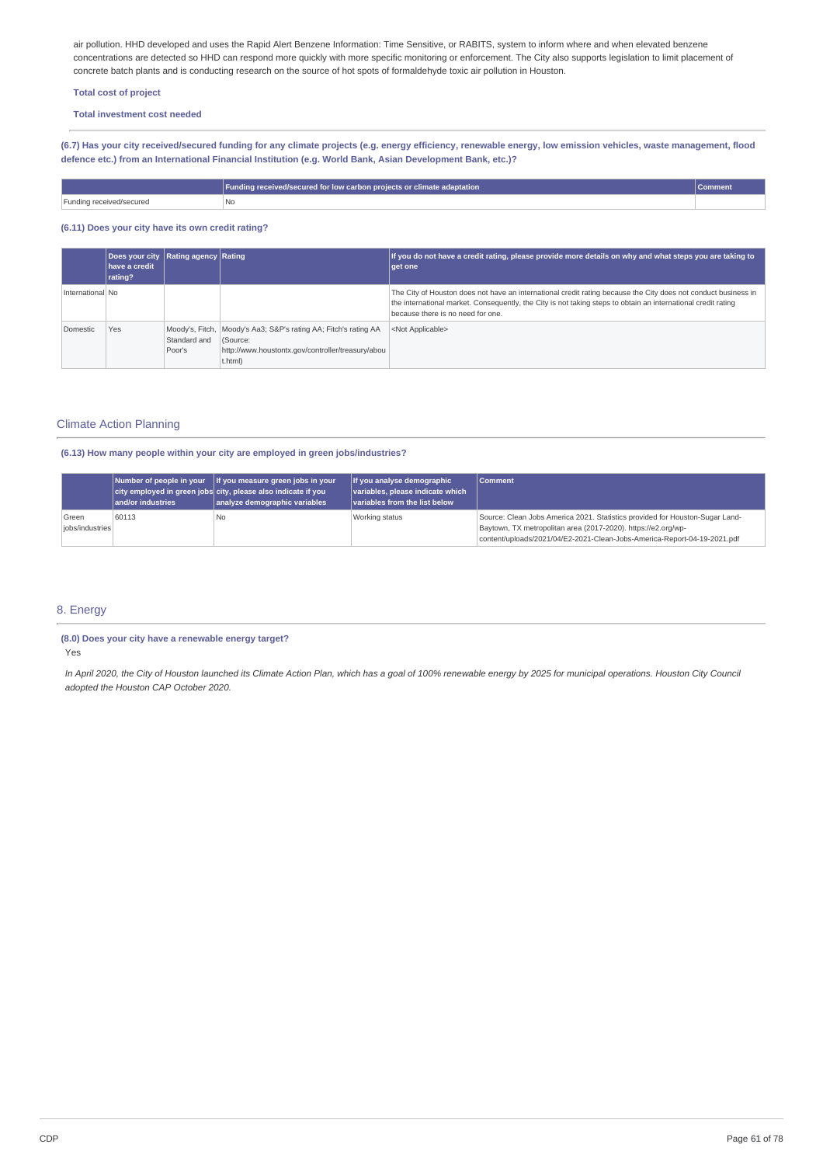air pollution. HHD developed and uses the Rapid Alert Benzene Information: Time Sensitive, or RABITS, system to inform where and when elevated benzene concentrations are detected so HHD can respond more quickly with more specific monitoring or enforcement. The City also supports legislation to limit placement of concrete batch plants and is conducting research on the source of hot spots of formaldehyde toxic air pollution in Houston.

# **Total cost of project**

**Total investment cost needed**

(6.7) Has your city received/secured funding for any climate projects (e.g. energy efficiency, renewable energy, low emission vehicles, waste management, flood **defence etc.) from an International Financial Institution (e.g. World Bank, Asian Development Bank, etc.)?**

|                          | Funding received/secured for low carbon projects or climate adaptation | l Comment |
|--------------------------|------------------------------------------------------------------------|-----------|
| Funding received/secured | No                                                                     |           |

# **(6.11) Does your city have its own credit rating?**

|                  | Does your city Rating agency Rating<br><b>have a credit</b><br>rating? |                        |                                                                                                                                             | If you do not have a credit rating, please provide more details on why and what steps you are taking to<br><b>get one</b>                                                                                                                                            |
|------------------|------------------------------------------------------------------------|------------------------|---------------------------------------------------------------------------------------------------------------------------------------------|----------------------------------------------------------------------------------------------------------------------------------------------------------------------------------------------------------------------------------------------------------------------|
| International No |                                                                        |                        |                                                                                                                                             | The City of Houston does not have an international credit rating because the City does not conduct business in<br>the international market. Consequently, the City is not taking steps to obtain an international credit rating<br>because there is no need for one. |
| Domestic         | Yes                                                                    | Standard and<br>Poor's | Moody's, Fitch, Moody's Aa3; S&P's rating AA; Fitch's rating AA<br>(Source:<br>http://www.houstontx.gov/controller/treasury/abou<br>t.html) | <not applicable=""></not>                                                                                                                                                                                                                                            |

# Climate Action Planning

# **(6.13) How many people within your city are employed in green jobs/industries?**

|                          | and/or industries | Number of people in your   If you measure green jobs in your<br>city employed in green jobs city, please also indicate if you<br>analyze demographic variables | If you analyse demographic<br>variables, please indicate which<br>Variables from the list below | <b>Comment</b>                                                                                                                                                                                                            |
|--------------------------|-------------------|----------------------------------------------------------------------------------------------------------------------------------------------------------------|-------------------------------------------------------------------------------------------------|---------------------------------------------------------------------------------------------------------------------------------------------------------------------------------------------------------------------------|
| Green<br>iobs/industries | 60113             | l No                                                                                                                                                           | Working status                                                                                  | Source: Clean Jobs America 2021. Statistics provided for Houston-Sugar Land-<br>Baytown, TX metropolitan area (2017-2020). https://e2.org/wp-<br>content/uploads/2021/04/E2-2021-Clean-Jobs-America-Report-04-19-2021.pdf |

# 8. Energy

#### **(8.0) Does your city have a renewable energy target?**

Yes

In April 2020, the City of Houston launched its Climate Action Plan, which has a goal of 100% renewable energy by 2025 for municipal operations. Houston City Council *adopted the Houston CAP October 2020.*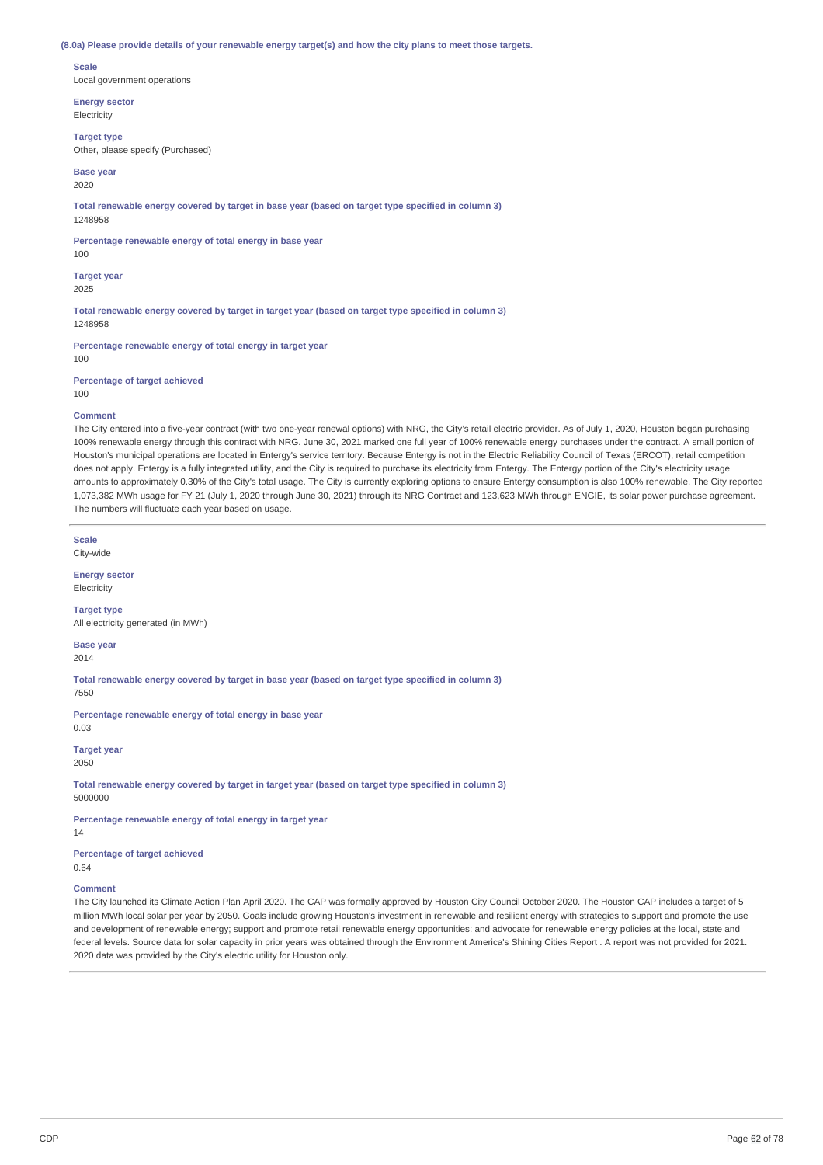#### (8.0a) Please provide details of your renewable energy target(s) and how the city plans to meet those targets.

#### **Scale**

Local government operations

**Energy sector Electricity** 

#### **Target type**

Other, please specify (Purchased)

#### **Base year** 2020

**Total renewable energy covered by target in base year (based on target type specified in column 3)** 1248958

**Percentage renewable energy of total energy in base year**

# 100

**Target year** 2025

**Total renewable energy covered by target in target year (based on target type specified in column 3)** 1248958

**Percentage renewable energy of total energy in target year** 100

**Percentage of target achieved**

100

## **Comment**

The City entered into a five-year contract (with two one-year renewal options) with NRG, the City's retail electric provider. As of July 1, 2020, Houston began purchasing 100% renewable energy through this contract with NRG. June 30, 2021 marked one full year of 100% renewable energy purchases under the contract. A small portion of Houston's municipal operations are located in Entergy's service territory. Because Entergy is not in the Electric Reliability Council of Texas (ERCOT), retail competition does not apply. Entergy is a fully integrated utility, and the City is required to purchase its electricity from Entergy. The Entergy portion of the City's electricity usage amounts to approximately 0.30% of the City's total usage. The City is currently exploring options to ensure Entergy consumption is also 100% renewable. The City reported 1,073,382 MWh usage for FY 21 (July 1, 2020 through June 30, 2021) through its NRG Contract and 123,623 MWh through ENGIE, its solar power purchase agreement. The numbers will fluctuate each year based on usage.

**Scale** City-wide

#### **Energy sector**

Electricity

#### **Target type**

All electricity generated (in MWh)

# **Base year**

2014

**Total renewable energy covered by target in base year (based on target type specified in column 3)**

7550

**Percentage renewable energy of total energy in base year** 0.03

**Target year** 2050

**Total renewable energy covered by target in target year (based on target type specified in column 3)** 5000000

**Percentage renewable energy of total energy in target year**

14

**Percentage of target achieved** 0.64

#### **Comment**

The City launched its Climate Action Plan April 2020. The CAP was formally approved by Houston City Council October 2020. The Houston CAP includes a target of 5 million MWh local solar per year by 2050. Goals include growing Houston's investment in renewable and resilient energy with strategies to support and promote the use and development of renewable energy; support and promote retail renewable energy opportunities: and advocate for renewable energy policies at the local, state and federal levels. Source data for solar capacity in prior years was obtained through the Environment America's Shining Cities Report . A report was not provided for 2021. 2020 data was provided by the City's electric utility for Houston only.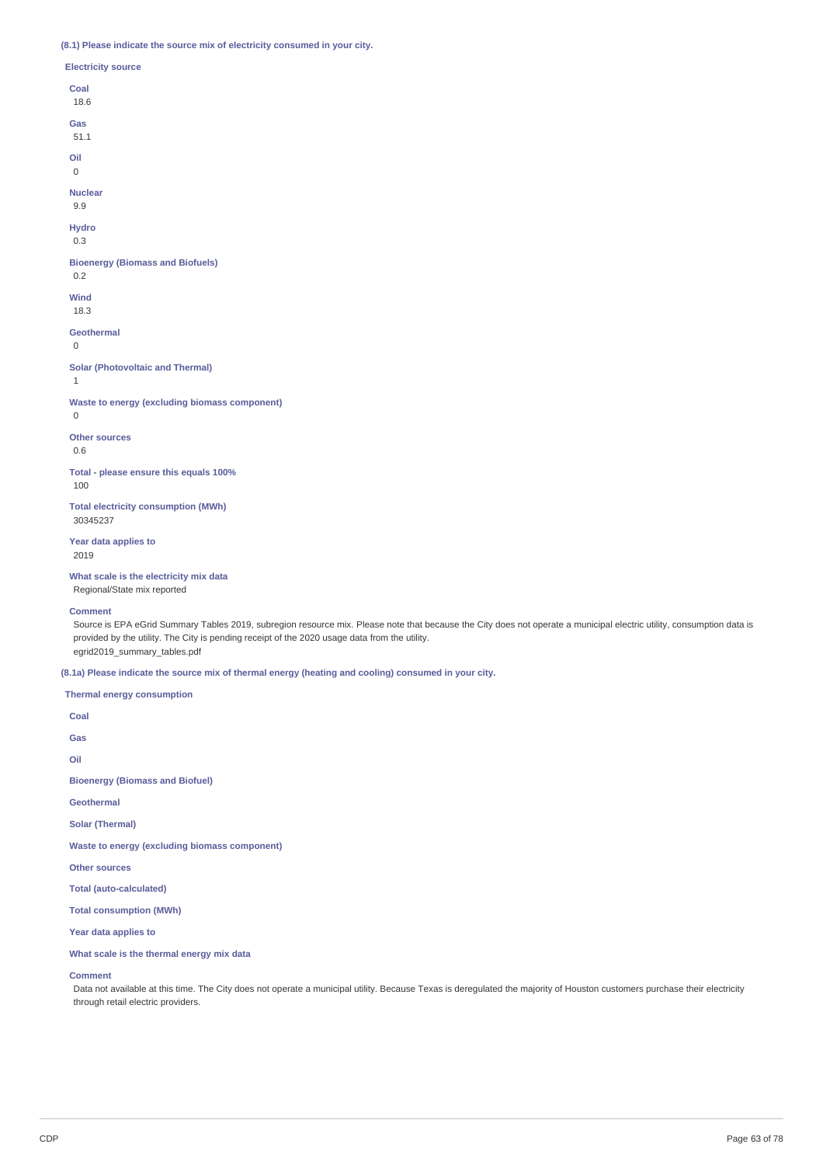# **(8.1) Please indicate the source mix of electricity consumed in your city.**

| <b>Electricity source</b>                               |
|---------------------------------------------------------|
| Coal<br>18.6                                            |
| Gas<br>51.1                                             |
| Oil<br>$\Omega$                                         |
| <b>Nuclear</b><br>9.9                                   |
| <b>Hydro</b><br>0.3                                     |
| <b>Bioenergy (Biomass and Biofuels)</b><br>0.2          |
| Wind<br>18.3                                            |
| <b>Geothermal</b><br>$\Omega$                           |
| <b>Solar (Photovoltaic and Thermal)</b><br>$\mathbf{1}$ |
| Waste to energy (excluding biomass component)<br>0      |
| <b>Other sources</b><br>0.6                             |

**Total - please ensure this equals 100%** 100

**Total electricity consumption (MWh)** 30345237

**Year data applies to** 2019

**What scale is the electricity mix data**

Regional/State mix reported

**Comment**

Source is EPA eGrid Summary Tables 2019, subregion resource mix. Please note that because the City does not operate a municipal electric utility, consumption data is provided by the utility. The City is pending receipt of the 2020 usage data from the utility. egrid2019\_summary\_tables.pdf

**(8.1a) Please indicate the source mix of thermal energy (heating and cooling) consumed in your city.**

#### **Thermal energy consumption**

**Coal Gas Oil Bioenergy (Biomass and Biofuel) Geothermal Solar (Thermal) Waste to energy (excluding biomass component) Other sources Total (auto-calculated) Total consumption (MWh) Year data applies to**

**What scale is the thermal energy mix data**

# **Comment**

Data not available at this time. The City does not operate a municipal utility. Because Texas is deregulated the majority of Houston customers purchase their electricity through retail electric providers.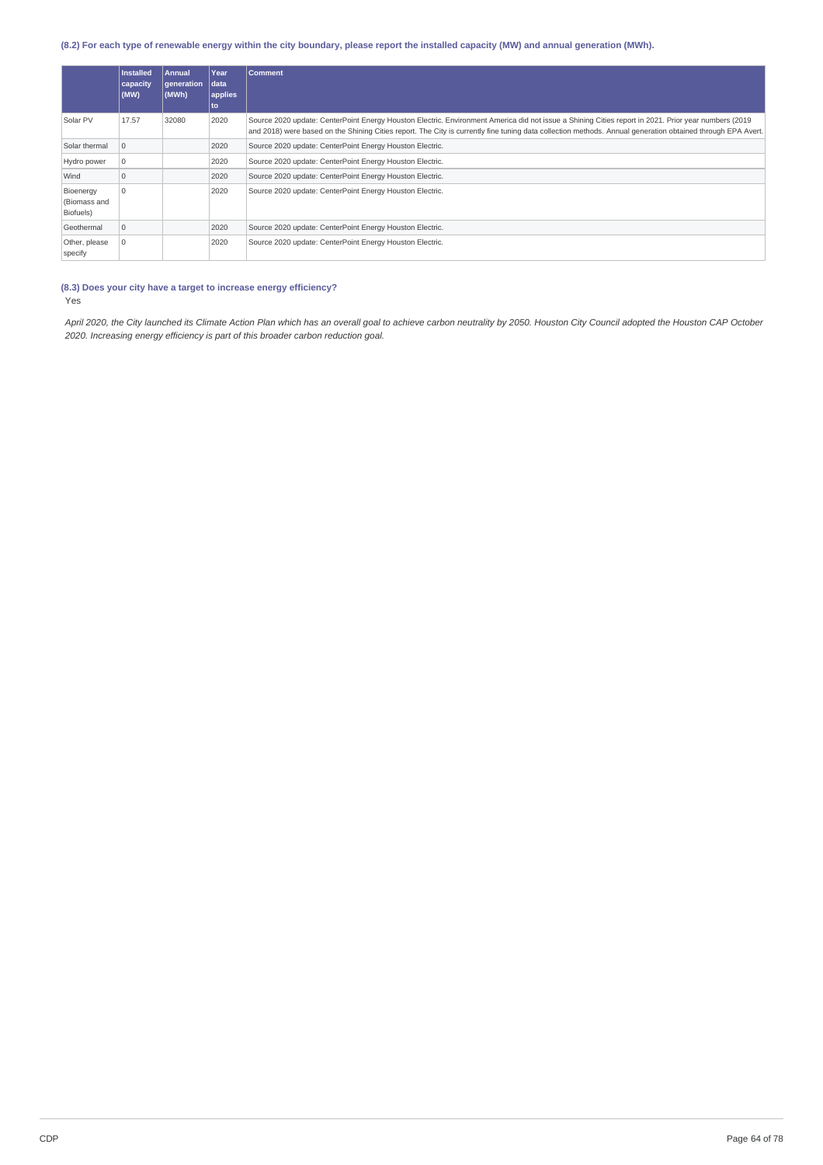# (8.2) For each type of renewable energy within the city boundary, please report the installed capacity (MW) and annual generation (MWh).

|                                        | <b>Installed</b><br>capacity<br>(MW) | <b>Annual</b><br>generation<br>(MWh) | Year<br>data<br>applies<br>to | <b>Comment</b>                                                                                                                                                                                                                                                                                                      |
|----------------------------------------|--------------------------------------|--------------------------------------|-------------------------------|---------------------------------------------------------------------------------------------------------------------------------------------------------------------------------------------------------------------------------------------------------------------------------------------------------------------|
| Solar PV                               | 17.57                                | 32080                                | 2020                          | Source 2020 update: CenterPoint Energy Houston Electric. Environment America did not issue a Shining Cities report in 2021. Prior year numbers (2019<br>and 2018) were based on the Shining Cities report. The City is currently fine tuning data collection methods. Annual generation obtained through EPA Avert. |
| Solar thermal                          | l O                                  |                                      | 2020                          | Source 2020 update: CenterPoint Energy Houston Electric.                                                                                                                                                                                                                                                            |
| Hydro power                            |                                      |                                      | 2020                          | Source 2020 update: CenterPoint Energy Houston Electric.                                                                                                                                                                                                                                                            |
| Wind                                   | $\Omega$                             |                                      | 2020                          | Source 2020 update: CenterPoint Energy Houston Electric.                                                                                                                                                                                                                                                            |
| Bioenergy<br>(Biomass and<br>Biofuels) | $\Omega$                             |                                      | 2020                          | Source 2020 update: CenterPoint Energy Houston Electric.                                                                                                                                                                                                                                                            |
| Geothermal                             | $\Omega$                             |                                      | 2020                          | Source 2020 update: CenterPoint Energy Houston Electric.                                                                                                                                                                                                                                                            |
| Other, please<br>specify               |                                      |                                      | 2020                          | Source 2020 update: CenterPoint Energy Houston Electric.                                                                                                                                                                                                                                                            |

#### **(8.3) Does your city have a target to increase energy efficiency?** Yes

April 2020, the City launched its Climate Action Plan which has an overall goal to achieve carbon neutrality by 2050. Houston City Council adopted the Houston CAP October *2020. Increasing energy efficiency is part of this broader carbon reduction goal.*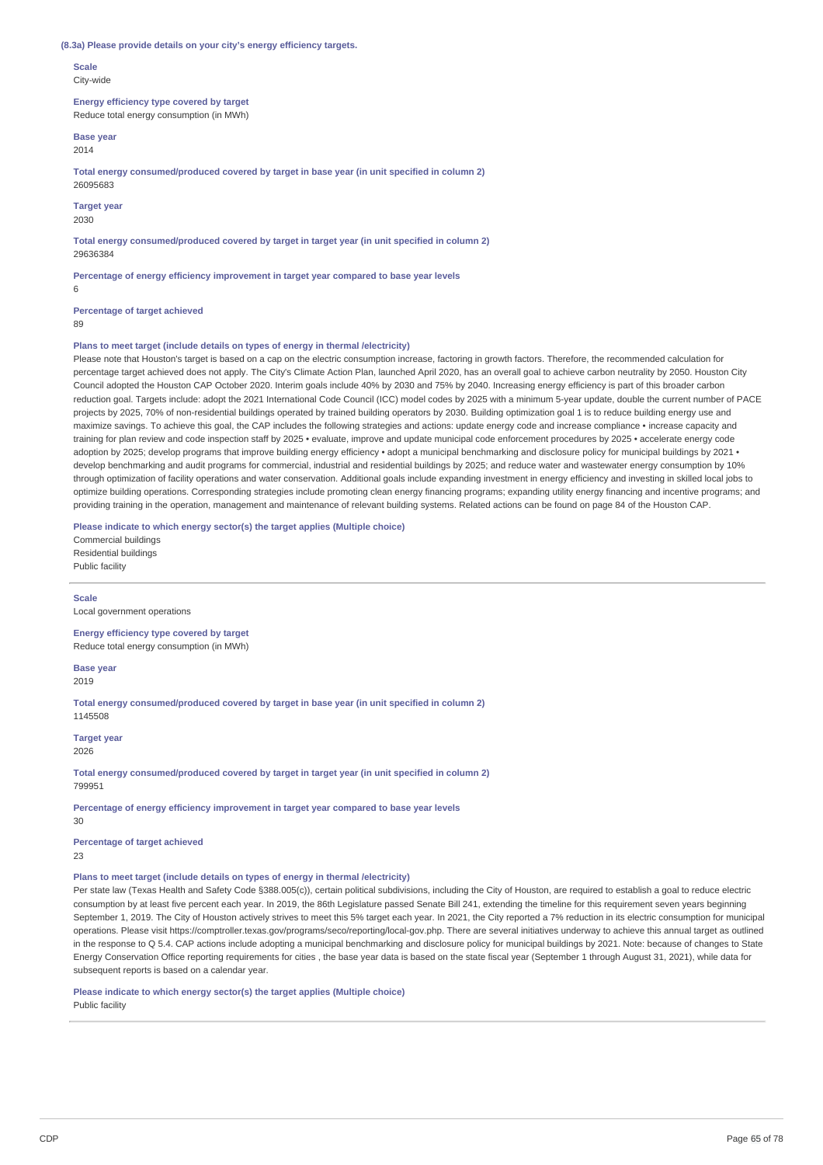#### **(8.3a) Please provide details on your city's energy efficiency targets.**

**Scale** City-wide

**Energy efficiency type covered by target** Reduce total energy consumption (in MWh)

**Base year** 2014

**Total energy consumed/produced covered by target in base year (in unit specified in column 2)** 26095683

**Target year**

2030

**Total energy consumed/produced covered by target in target year (in unit specified in column 2)** 29636384

**Percentage of energy efficiency improvement in target year compared to base year levels**

**Percentage of target achieved**

89

6

#### **Plans to meet target (include details on types of energy in thermal /electricity)**

Please note that Houston's target is based on a cap on the electric consumption increase, factoring in growth factors. Therefore, the recommended calculation for percentage target achieved does not apply. The City's Climate Action Plan, launched April 2020, has an overall goal to achieve carbon neutrality by 2050. Houston City Council adopted the Houston CAP October 2020. Interim goals include 40% by 2030 and 75% by 2040. Increasing energy efficiency is part of this broader carbon reduction goal. Targets include: adopt the 2021 International Code Council (ICC) model codes by 2025 with a minimum 5-year update, double the current number of PACE projects by 2025, 70% of non-residential buildings operated by trained building operators by 2030. Building optimization goal 1 is to reduce building energy use and maximize savings. To achieve this goal, the CAP includes the following strategies and actions: update energy code and increase compliance • increase capacity and training for plan review and code inspection staff by 2025 • evaluate, improve and update municipal code enforcement procedures by 2025 • accelerate energy code adoption by 2025; develop programs that improve building energy efficiency • adopt a municipal benchmarking and disclosure policy for municipal buildings by 2021 • develop benchmarking and audit programs for commercial, industrial and residential buildings by 2025; and reduce water and wastewater energy consumption by 10% through optimization of facility operations and water conservation. Additional goals include expanding investment in energy efficiency and investing in skilled local jobs to optimize building operations. Corresponding strategies include promoting clean energy financing programs; expanding utility energy financing and incentive programs; and providing training in the operation, management and maintenance of relevant building systems. Related actions can be found on page 84 of the Houston CAP.

**Please indicate to which energy sector(s) the target applies (Multiple choice)**

Commercial buildings Residential buildings Public facility

**Scale** Local government operations

**Energy efficiency type covered by target** Reduce total energy consumption (in MWh)

**Base year** 2019

**Total energy consumed/produced covered by target in base year (in unit specified in column 2)** 1145508

**Target year** 2026

**Total energy consumed/produced covered by target in target year (in unit specified in column 2)** 799951

**Percentage of energy efficiency improvement in target year compared to base year levels**  $30$ 

**Percentage of target achieved**

23

**Plans to meet target (include details on types of energy in thermal /electricity)**

Per state law (Texas Health and Safety Code §388.005(c)), certain political subdivisions, including the City of Houston, are required to establish a goal to reduce electric consumption by at least five percent each year. In 2019, the 86th Legislature passed Senate Bill 241, extending the timeline for this requirement seven years beginning September 1, 2019. The City of Houston actively strives to meet this 5% target each year. In 2021, the City reported a 7% reduction in its electric consumption for municipal operations. Please visit https://comptroller.texas.gov/programs/seco/reporting/local-gov.php. There are several initiatives underway to achieve this annual target as outlined in the response to Q 5.4. CAP actions include adopting a municipal benchmarking and disclosure policy for municipal buildings by 2021. Note: because of changes to State Energy Conservation Office reporting requirements for cities , the base year data is based on the state fiscal year (September 1 through August 31, 2021), while data for subsequent reports is based on a calendar year.

#### **Please indicate to which energy sector(s) the target applies (Multiple choice)**

Public facility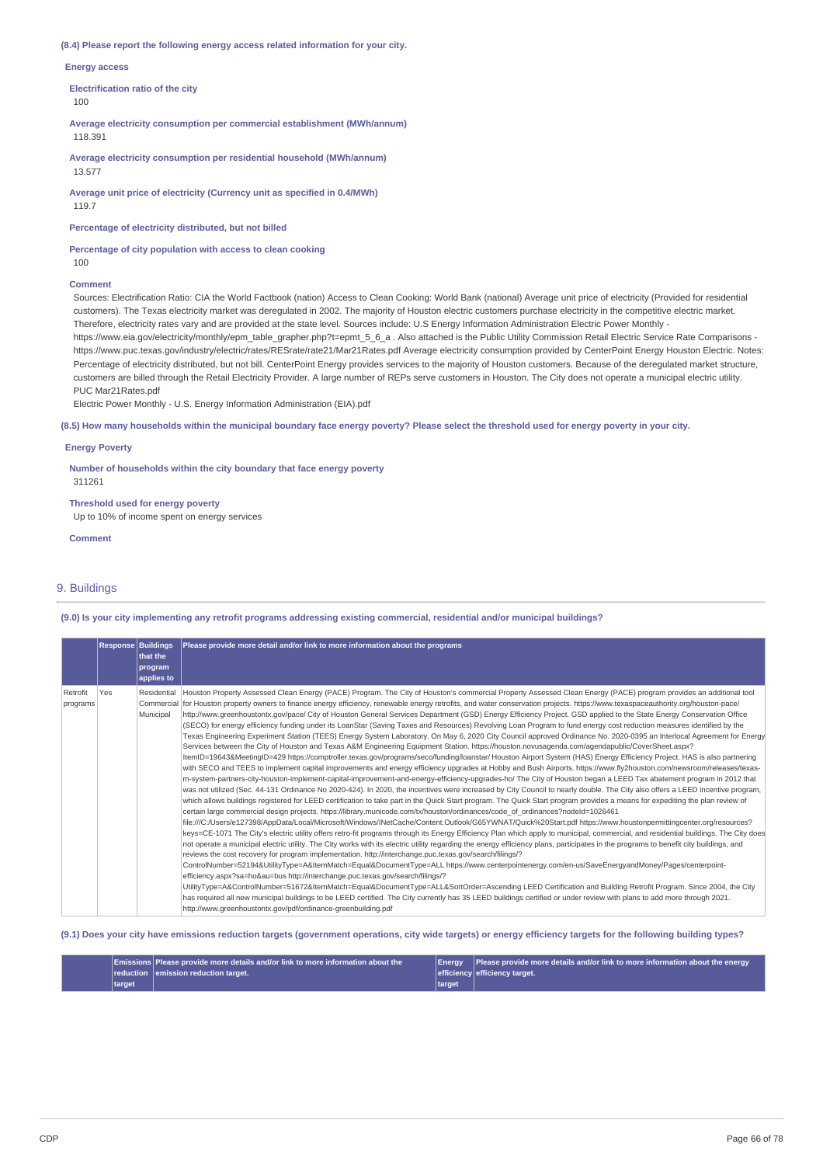**(8.4) Please report the following energy access related information for your city.**

**Energy access**

**Electrification ratio of the city**

100

**Average electricity consumption per commercial establishment (MWh/annum)** 118.391

**Average electricity consumption per residential household (MWh/annum)** 13.577

**Average unit price of electricity (Currency unit as specified in 0.4/MWh)** 119.7

**Percentage of electricity distributed, but not billed**

**Percentage of city population with access to clean cooking** 100

#### **Comment**

Sources: Electrification Ratio: CIA the World Factbook (nation) Access to Clean Cooking: World Bank (national) Average unit price of electricity (Provided for residential customers). The Texas electricity market was deregulated in 2002. The majority of Houston electric customers purchase electricity in the competitive electric market. Therefore, electricity rates vary and are provided at the state level. Sources include: U.S Energy Information Administration Electric Power Monthly -

https://www.eia.gov/electricity/monthly/epm\_table\_grapher.php?t=epmt\_5\_6\_a . Also attached is the Public Utility Commission Retail Electric Service Rate Comparisons https://www.puc.texas.gov/industry/electric/rates/RESrate/rate21/Mar21Rates.pdf Average electricity consumption provided by CenterPoint Energy Houston Electric. Notes: Percentage of electricity distributed, but not bill. CenterPoint Energy provides services to the majority of Houston customers. Because of the deregulated market structure, customers are billed through the Retail Electricity Provider. A large number of REPs serve customers in Houston. The City does not operate a municipal electric utility. PUC Mar21Rates.pdf

Electric Power Monthly - U.S. Energy Information Administration (EIA).pdf

(8.5) How many households within the municipal boundary face energy poverty? Please select the threshold used for energy poverty in your city.

#### **Energy Poverty**

**Number of households within the city boundary that face energy poverty** 311261

**Threshold used for energy poverty** Up to 10% of income spent on energy services

**Comment**

# 9. Buildings

#### (9.0) Is your city implementing any retrofit programs addressing existing commercial, residential and/or municipal buildings?

|                      | <b>Response Buildings</b> | that the<br>program<br>applies to      | Please provide more detail and/or link to more information about the programs                                                                                                                                                                                                                                                                                                                                                                                                                                                                                                                                                                                                                                                                                                                                                                                                                                                                                                                                                                                                                                                                                                                                                                                                                                                                                                                                                                                                                                                                                                                                                                                                                                                                                                                                                                                                                                                                                                                                                                                                                                                                                                                                                                                                                                                                                                                                                                                                                                                                                                                                                                                                                                                                                                                                                                                                                                                                                                                                                                                                                                                                                                                                                                                                                                                                                           |
|----------------------|---------------------------|----------------------------------------|-------------------------------------------------------------------------------------------------------------------------------------------------------------------------------------------------------------------------------------------------------------------------------------------------------------------------------------------------------------------------------------------------------------------------------------------------------------------------------------------------------------------------------------------------------------------------------------------------------------------------------------------------------------------------------------------------------------------------------------------------------------------------------------------------------------------------------------------------------------------------------------------------------------------------------------------------------------------------------------------------------------------------------------------------------------------------------------------------------------------------------------------------------------------------------------------------------------------------------------------------------------------------------------------------------------------------------------------------------------------------------------------------------------------------------------------------------------------------------------------------------------------------------------------------------------------------------------------------------------------------------------------------------------------------------------------------------------------------------------------------------------------------------------------------------------------------------------------------------------------------------------------------------------------------------------------------------------------------------------------------------------------------------------------------------------------------------------------------------------------------------------------------------------------------------------------------------------------------------------------------------------------------------------------------------------------------------------------------------------------------------------------------------------------------------------------------------------------------------------------------------------------------------------------------------------------------------------------------------------------------------------------------------------------------------------------------------------------------------------------------------------------------------------------------------------------------------------------------------------------------------------------------------------------------------------------------------------------------------------------------------------------------------------------------------------------------------------------------------------------------------------------------------------------------------------------------------------------------------------------------------------------------------------------------------------------------------------------------------------------------|
| Retrofit<br>programs | Yes                       | Residential<br>Commercial<br>Municipal | Houston Property Assessed Clean Energy (PACE) Program. The City of Houston's commercial Property Assessed Clean Energy (PACE) program provides an additional tool<br>for Houston property owners to finance energy efficiency, renewable energy retrofits, and water conservation projects. https://www.texaspaceauthority.org/houston-pace/<br>http://www.greenhoustontx.gov/pace/ City of Houston General Services Department (GSD) Energy Efficiency Project. GSD applied to the State Energy Conservation Office<br>(SECO) for energy efficiency funding under its LoanStar (Saving Taxes and Resources) Revolving Loan Program to fund energy cost reduction measures identified by the<br>Texas Engineering Experiment Station (TEES) Energy System Laboratory. On May 6, 2020 City Council approved Ordinance No. 2020-0395 an Interlocal Agreement for Energy<br>Services between the City of Houston and Texas A&M Engineering Equipment Station. https://houston.novusagenda.com/agendapublic/CoverSheet.aspx?<br>ItemID=19643&MeetingID=429 https://comptroller.texas.gov/programs/seco/funding/loanstar/ Houston Airport System (HAS) Energy Efficiency Project. HAS is also partnering<br>with SECO and TEES to implement capital improvements and energy efficiency upgrades at Hobby and Bush Airports. https://www.fly2houston.com/newsroom/releases/texas-<br>m-system-partners-city-houston-implement-capital-improvement-and-energy-efficiency-upgrades-ho/ The City of Houston began a LEED Tax abatement program in 2012 that<br>was not utilized (Sec. 44-131 Ordinance No 2020-424). In 2020, the incentives were increased by City Council to nearly double. The City also offers a LEED incentive program,<br>which allows buildings registered for LEED certification to take part in the Quick Start program. The Quick Start program provides a means for expediting the plan review of<br>certain large commercial design projects. https://library.municode.com/tx/houston/ordinances/code of ordinances?nodeId=1026461<br>file:///C:/Users/e127398/AppData/Local/Microsoft/Windows/INetCache/Content.Outlook/G65YWNAT/Quick%20Start.pdf https://www.houstonpermittingcenter.org/resources?<br>keys=CE-1071 The City's electric utility offers retro-fit programs through its Energy Efficiency Plan which apply to municipal, commercial, and residential buildings. The City does<br>not operate a municipal electric utility. The City works with its electric utility regarding the energy efficiency plans, participates in the programs to benefit city buildings, and<br>reviews the cost recovery for program implementation. http://interchange.puc.texas.gov/search/filings/?<br>ControlNumber=52194&UtilityType=A&ItemMatch=Equal&DocumentType=ALL https://www.centerpointenergy.com/en-us/SaveEnergyandMoney/Pages/centerpoint-<br>efficiency.aspx?sa=ho&au=bus http://interchange.puc.texas.gov/search/filings/?<br>UtilityType=A&ControlNumber=51672&ItemMatch=Equal&DocumentType=ALL&SortOrder=Ascending LEED Certification and Building Retrofit Program. Since 2004, the City<br>has required all new municipal buildings to be LEED certified. The City currently has 35 LEED buildings certified or under review with plans to add more through 2021.<br>http://www.greenhoustontx.gov/pdf/ordinance-greenbuilding.pdf |

(9.1) Does your city have emissions reduction targets (government operations, city wide targets) or energy efficiency targets for the following building types?

|        | Emissions Please provide more details and/or link to more information about the | <b>Energy</b> | Please provide more details and/or link to more information about the energy 1 |
|--------|---------------------------------------------------------------------------------|---------------|--------------------------------------------------------------------------------|
|        | reduction emission reduction target.                                            |               | efficiency efficiency target.                                                  |
| target |                                                                                 | target        |                                                                                |
|        |                                                                                 |               |                                                                                |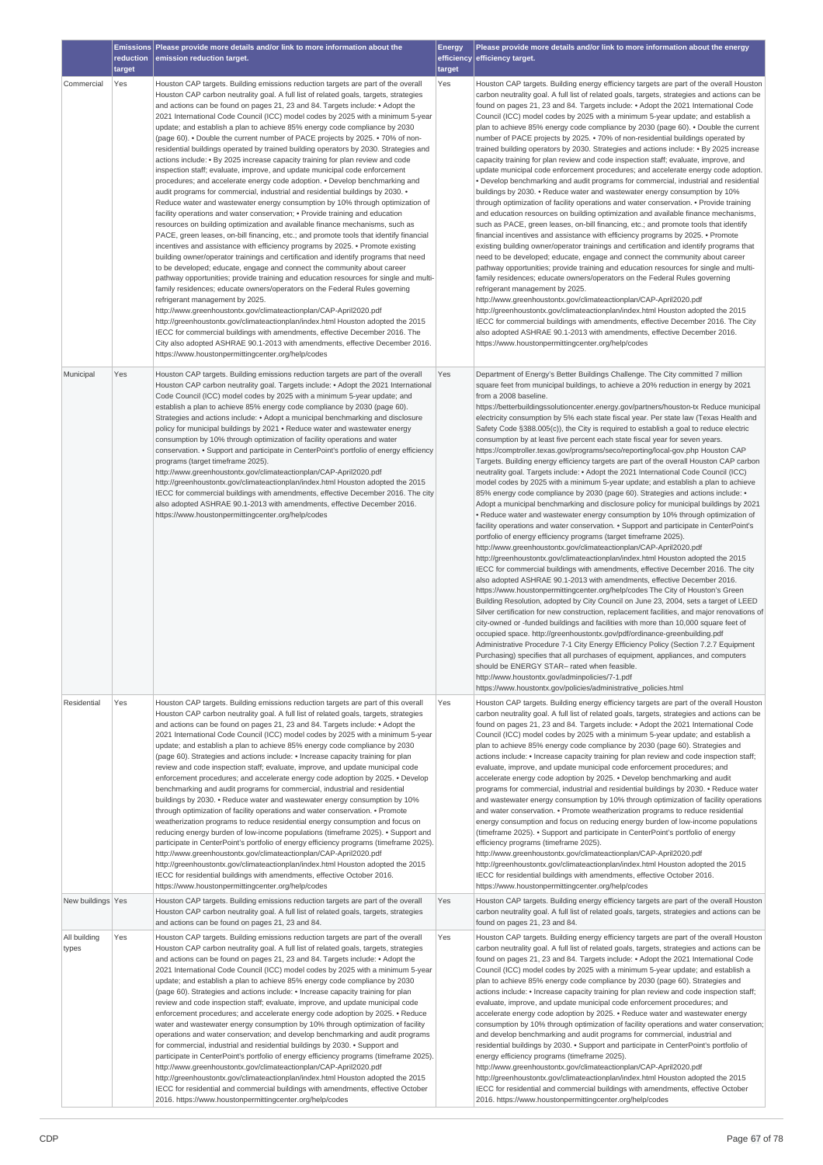|                                            | reduction<br>target | Emissions Please provide more details and/or link to more information about the<br>emission reduction target.                                                                                                                                                                                                                                                                                                                                                                                                                                                                                                                                                                                                                                                                                                                                                                                                                                                                                                                                                                                                                                                                                                                                                                                                                                                                                                                                                                                                                                                                                                                                                                                                                                                                                                                                                                                                                                                                                                                                                                                                                 | <b>Energy</b><br>target | Please provide more details and/or link to more information about the energy<br>efficiency efficiency target.                                                                                                                                                                                                                                                                                                                                                                                                                                                                                                                                                                                                                                                                                                                                                                                                                                                                                                                                                                                                                                                                                                                                                                                                                                                                                                                                                                                                                                                                                                                                                                                                                                                                                                                                                                                                                                                                                                                                                                                                                                                                                                                                                                                                                                                                                                                                                     |
|--------------------------------------------|---------------------|-------------------------------------------------------------------------------------------------------------------------------------------------------------------------------------------------------------------------------------------------------------------------------------------------------------------------------------------------------------------------------------------------------------------------------------------------------------------------------------------------------------------------------------------------------------------------------------------------------------------------------------------------------------------------------------------------------------------------------------------------------------------------------------------------------------------------------------------------------------------------------------------------------------------------------------------------------------------------------------------------------------------------------------------------------------------------------------------------------------------------------------------------------------------------------------------------------------------------------------------------------------------------------------------------------------------------------------------------------------------------------------------------------------------------------------------------------------------------------------------------------------------------------------------------------------------------------------------------------------------------------------------------------------------------------------------------------------------------------------------------------------------------------------------------------------------------------------------------------------------------------------------------------------------------------------------------------------------------------------------------------------------------------------------------------------------------------------------------------------------------------|-------------------------|-------------------------------------------------------------------------------------------------------------------------------------------------------------------------------------------------------------------------------------------------------------------------------------------------------------------------------------------------------------------------------------------------------------------------------------------------------------------------------------------------------------------------------------------------------------------------------------------------------------------------------------------------------------------------------------------------------------------------------------------------------------------------------------------------------------------------------------------------------------------------------------------------------------------------------------------------------------------------------------------------------------------------------------------------------------------------------------------------------------------------------------------------------------------------------------------------------------------------------------------------------------------------------------------------------------------------------------------------------------------------------------------------------------------------------------------------------------------------------------------------------------------------------------------------------------------------------------------------------------------------------------------------------------------------------------------------------------------------------------------------------------------------------------------------------------------------------------------------------------------------------------------------------------------------------------------------------------------------------------------------------------------------------------------------------------------------------------------------------------------------------------------------------------------------------------------------------------------------------------------------------------------------------------------------------------------------------------------------------------------------------------------------------------------------------------------------------------------|
| Commercial                                 | Yes                 | Houston CAP targets. Building emissions reduction targets are part of the overall<br>Houston CAP carbon neutrality goal. A full list of related goals, targets, strategies<br>and actions can be found on pages 21, 23 and 84. Targets include: • Adopt the<br>2021 International Code Council (ICC) model codes by 2025 with a minimum 5-year<br>update; and establish a plan to achieve 85% energy code compliance by 2030<br>(page 60). • Double the current number of PACE projects by 2025. • 70% of non-<br>residential buildings operated by trained building operators by 2030. Strategies and<br>actions include: • By 2025 increase capacity training for plan review and code<br>inspection staff; evaluate, improve, and update municipal code enforcement<br>procedures; and accelerate energy code adoption. • Develop benchmarking and<br>audit programs for commercial, industrial and residential buildings by 2030. •<br>Reduce water and wastewater energy consumption by 10% through optimization of<br>facility operations and water conservation; . Provide training and education<br>resources on building optimization and available finance mechanisms, such as<br>PACE, green leases, on-bill financing, etc.; and promote tools that identify financial<br>incentives and assistance with efficiency programs by 2025. • Promote existing<br>building owner/operator trainings and certification and identify programs that need<br>to be developed; educate, engage and connect the community about career<br>pathway opportunities; provide training and education resources for single and multi-<br>family residences; educate owners/operators on the Federal Rules governing<br>refrigerant management by 2025.<br>http://www.greenhoustontx.gov/climateactionplan/CAP-April2020.pdf<br>http://greenhoustontx.gov/climateactionplan/index.html Houston adopted the 2015<br>IECC for commercial buildings with amendments, effective December 2016. The<br>City also adopted ASHRAE 90.1-2013 with amendments, effective December 2016.<br>https://www.houstonpermittingcenter.org/help/codes | Yes                     | Houston CAP targets. Building energy efficiency targets are part of the overall Houston<br>carbon neutrality goal. A full list of related goals, targets, strategies and actions can be<br>found on pages 21, 23 and 84. Targets include: • Adopt the 2021 International Code<br>Council (ICC) model codes by 2025 with a minimum 5-year update; and establish a<br>plan to achieve 85% energy code compliance by 2030 (page 60). • Double the current<br>number of PACE projects by 2025. • 70% of non-residential buildings operated by<br>trained building operators by 2030. Strategies and actions include: • By 2025 increase<br>capacity training for plan review and code inspection staff; evaluate, improve, and<br>update municipal code enforcement procedures; and accelerate energy code adoption.<br>. Develop benchmarking and audit programs for commercial, industrial and residential<br>buildings by 2030. • Reduce water and wastewater energy consumption by 10%<br>through optimization of facility operations and water conservation. • Provide training<br>and education resources on building optimization and available finance mechanisms,<br>such as PACE, green leases, on-bill financing, etc.; and promote tools that identify<br>financial incentives and assistance with efficiency programs by 2025. • Promote<br>existing building owner/operator trainings and certification and identify programs that<br>need to be developed; educate, engage and connect the community about career<br>pathway opportunities; provide training and education resources for single and multi-<br>family residences; educate owners/operators on the Federal Rules governing<br>refrigerant management by 2025.<br>http://www.greenhoustontx.gov/climateactionplan/CAP-April2020.pdf<br>http://greenhoustontx.gov/climateactionplan/index.html Houston adopted the 2015<br>IECC for commercial buildings with amendments, effective December 2016. The City<br>also adopted ASHRAE 90.1-2013 with amendments, effective December 2016.<br>https://www.houstonpermittingcenter.org/help/codes                                                                                                                                                                                                                                                                                                                                               |
| Municipal                                  | Yes                 | Houston CAP targets. Building emissions reduction targets are part of the overall<br>Houston CAP carbon neutrality goal. Targets include: • Adopt the 2021 International<br>Code Council (ICC) model codes by 2025 with a minimum 5-year update; and<br>establish a plan to achieve 85% energy code compliance by 2030 (page 60).<br>Strategies and actions include: • Adopt a municipal benchmarking and disclosure<br>policy for municipal buildings by 2021 . Reduce water and wastewater energy<br>consumption by 10% through optimization of facility operations and water<br>conservation. • Support and participate in CenterPoint's portfolio of energy efficiency<br>programs (target timeframe 2025).<br>http://www.greenhoustontx.gov/climateactionplan/CAP-April2020.pdf<br>http://greenhoustontx.gov/climateactionplan/index.html Houston adopted the 2015<br>IECC for commercial buildings with amendments, effective December 2016. The city<br>also adopted ASHRAE 90.1-2013 with amendments, effective December 2016.<br>https://www.houstonpermittingcenter.org/help/codes                                                                                                                                                                                                                                                                                                                                                                                                                                                                                                                                                                                                                                                                                                                                                                                                                                                                                                                                                                                                                                  | Yes                     | Department of Energy's Better Buildings Challenge. The City committed 7 million<br>square feet from municipal buildings, to achieve a 20% reduction in energy by 2021<br>from a 2008 baseline.<br>https://betterbuildingssolutioncenter.energy.gov/partners/houston-tx Reduce municipal<br>electricity consumption by 5% each state fiscal year. Per state law (Texas Health and<br>Safety Code §388.005(c)), the City is required to establish a goal to reduce electric<br>consumption by at least five percent each state fiscal year for seven years.<br>https://comptroller.texas.gov/programs/seco/reporting/local-gov.php Houston CAP<br>Targets. Building energy efficiency targets are part of the overall Houston CAP carbon<br>neutrality goal. Targets include: • Adopt the 2021 International Code Council (ICC)<br>model codes by 2025 with a minimum 5-year update; and establish a plan to achieve<br>85% energy code compliance by 2030 (page 60). Strategies and actions include: •<br>Adopt a municipal benchmarking and disclosure policy for municipal buildings by 2021<br>. Reduce water and wastewater energy consumption by 10% through optimization of<br>facility operations and water conservation. • Support and participate in CenterPoint's<br>portfolio of energy efficiency programs (target timeframe 2025).<br>http://www.greenhoustontx.gov/climateactionplan/CAP-April2020.pdf<br>http://greenhoustontx.gov/climateactionplan/index.html Houston adopted the 2015<br>IECC for commercial buildings with amendments, effective December 2016. The city<br>also adopted ASHRAE 90.1-2013 with amendments, effective December 2016.<br>https://www.houstonpermittingcenter.org/help/codes The City of Houston's Green<br>Building Resolution, adopted by City Council on June 23, 2004, sets a target of LEED<br>Silver certification for new construction, replacement facilities, and major renovations of<br>city-owned or -funded buildings and facilities with more than 10,000 square feet of<br>occupied space. http://greenhoustontx.gov/pdf/ordinance-greenbuilding.pdf<br>Administrative Procedure 7-1 City Energy Efficiency Policy (Section 7.2.7 Equipment<br>Purchasing) specifies that all purchases of equipment, appliances, and computers<br>should be ENERGY STAR- rated when feasible.<br>http://www.houstontx.gov/adminpolicies/7-1.pdf<br>https://www.houstontx.gov/policies/administrative_policies.html |
| Residential                                | Yes                 | Houston CAP targets. Building emissions reduction targets are part of this overall<br>Houston CAP carbon neutrality goal. A full list of related goals, targets, strategies<br>and actions can be found on pages 21, 23 and 84. Targets include: • Adopt the<br>2021 International Code Council (ICC) model codes by 2025 with a minimum 5-year<br>update; and establish a plan to achieve 85% energy code compliance by 2030<br>(page 60). Strategies and actions include: • Increase capacity training for plan<br>review and code inspection staff; evaluate, improve, and update municipal code<br>enforcement procedures; and accelerate energy code adoption by 2025. • Develop<br>benchmarking and audit programs for commercial, industrial and residential<br>buildings by 2030. • Reduce water and wastewater energy consumption by 10%<br>through optimization of facility operations and water conservation. • Promote<br>weatherization programs to reduce residential energy consumption and focus on<br>reducing energy burden of low-income populations (timeframe 2025). • Support and<br>participate in CenterPoint's portfolio of energy efficiency programs (timeframe 2025).<br>http://www.greenhoustontx.gov/climateactionplan/CAP-April2020.pdf<br>http://greenhoustontx.gov/climateactionplan/index.html Houston adopted the 2015<br>IECC for residential buildings with amendments, effective October 2016.<br>https://www.houstonpermittingcenter.org/help/codes                                                                                                                                                                                                                                                                                                                                                                                                                                                                                                                                                                                                                                    | Yes                     | Houston CAP targets. Building energy efficiency targets are part of the overall Houston<br>carbon neutrality goal. A full list of related goals, targets, strategies and actions can be<br>found on pages 21, 23 and 84. Targets include: • Adopt the 2021 International Code<br>Council (ICC) model codes by 2025 with a minimum 5-year update; and establish a<br>plan to achieve 85% energy code compliance by 2030 (page 60). Strategies and<br>actions include: • Increase capacity training for plan review and code inspection staff;<br>evaluate, improve, and update municipal code enforcement procedures; and<br>accelerate energy code adoption by 2025. • Develop benchmarking and audit<br>programs for commercial, industrial and residential buildings by 2030. • Reduce water<br>and wastewater energy consumption by 10% through optimization of facility operations<br>and water conservation. • Promote weatherization programs to reduce residential<br>energy consumption and focus on reducing energy burden of low-income populations<br>(timeframe 2025). • Support and participate in CenterPoint's portfolio of energy<br>efficiency programs (timeframe 2025).<br>http://www.greenhoustontx.gov/climateactionplan/CAP-April2020.pdf<br>http://greenhoustontx.gov/climateactionplan/index.html Houston adopted the 2015<br>IECC for residential buildings with amendments, effective October 2016.<br>https://www.houstonpermittingcenter.org/help/codes                                                                                                                                                                                                                                                                                                                                                                                                                                                                                                                                                                                                                                                                                                                                                                                                                                                                                                                                                                               |
| New buildings Yes<br>All building<br>types | Yes                 | Houston CAP targets. Building emissions reduction targets are part of the overall<br>Houston CAP carbon neutrality goal. A full list of related goals, targets, strategies<br>and actions can be found on pages 21, 23 and 84.<br>Houston CAP targets. Building emissions reduction targets are part of the overall<br>Houston CAP carbon neutrality goal. A full list of related goals, targets, strategies<br>and actions can be found on pages 21, 23 and 84. Targets include: • Adopt the<br>2021 International Code Council (ICC) model codes by 2025 with a minimum 5-year<br>update; and establish a plan to achieve 85% energy code compliance by 2030<br>(page 60). Strategies and actions include: • Increase capacity training for plan<br>review and code inspection staff; evaluate, improve, and update municipal code<br>enforcement procedures; and accelerate energy code adoption by 2025. • Reduce<br>water and wastewater energy consumption by 10% through optimization of facility<br>operations and water conservation; and develop benchmarking and audit programs<br>for commercial, industrial and residential buildings by 2030. • Support and                                                                                                                                                                                                                                                                                                                                                                                                                                                                                                                                                                                                                                                                                                                                                                                                                                                                                                                                                     | Yes<br>Yes              | Houston CAP targets. Building energy efficiency targets are part of the overall Houston<br>carbon neutrality goal. A full list of related goals, targets, strategies and actions can be<br>found on pages 21, 23 and 84.<br>Houston CAP targets. Building energy efficiency targets are part of the overall Houston<br>carbon neutrality goal. A full list of related goals, targets, strategies and actions can be<br>found on pages 21, 23 and 84. Targets include: • Adopt the 2021 International Code<br>Council (ICC) model codes by 2025 with a minimum 5-year update; and establish a<br>plan to achieve 85% energy code compliance by 2030 (page 60). Strategies and<br>actions include: • Increase capacity training for plan review and code inspection staff;<br>evaluate, improve, and update municipal code enforcement procedures; and<br>accelerate energy code adoption by 2025. • Reduce water and wastewater energy<br>consumption by 10% through optimization of facility operations and water conservation;<br>and develop benchmarking and audit programs for commercial, industrial and<br>residential buildings by 2030. • Support and participate in CenterPoint's portfolio of                                                                                                                                                                                                                                                                                                                                                                                                                                                                                                                                                                                                                                                                                                                                                                                                                                                                                                                                                                                                                                                                                                                                                                                                                                                           |
|                                            |                     | participate in CenterPoint's portfolio of energy efficiency programs (timeframe 2025).<br>http://www.greenhoustontx.gov/climateactionplan/CAP-April2020.pdf<br>http://greenhoustontx.gov/climateactionplan/index.html Houston adopted the 2015<br>IECC for residential and commercial buildings with amendments, effective October<br>2016. https://www.houstonpermittingcenter.org/help/codes                                                                                                                                                                                                                                                                                                                                                                                                                                                                                                                                                                                                                                                                                                                                                                                                                                                                                                                                                                                                                                                                                                                                                                                                                                                                                                                                                                                                                                                                                                                                                                                                                                                                                                                                |                         | energy efficiency programs (timeframe 2025).<br>http://www.greenhoustontx.gov/climateactionplan/CAP-April2020.pdf<br>http://greenhoustontx.gov/climateactionplan/index.html Houston adopted the 2015<br>IECC for residential and commercial buildings with amendments, effective October<br>2016. https://www.houstonpermittingcenter.org/help/codes                                                                                                                                                                                                                                                                                                                                                                                                                                                                                                                                                                                                                                                                                                                                                                                                                                                                                                                                                                                                                                                                                                                                                                                                                                                                                                                                                                                                                                                                                                                                                                                                                                                                                                                                                                                                                                                                                                                                                                                                                                                                                                              |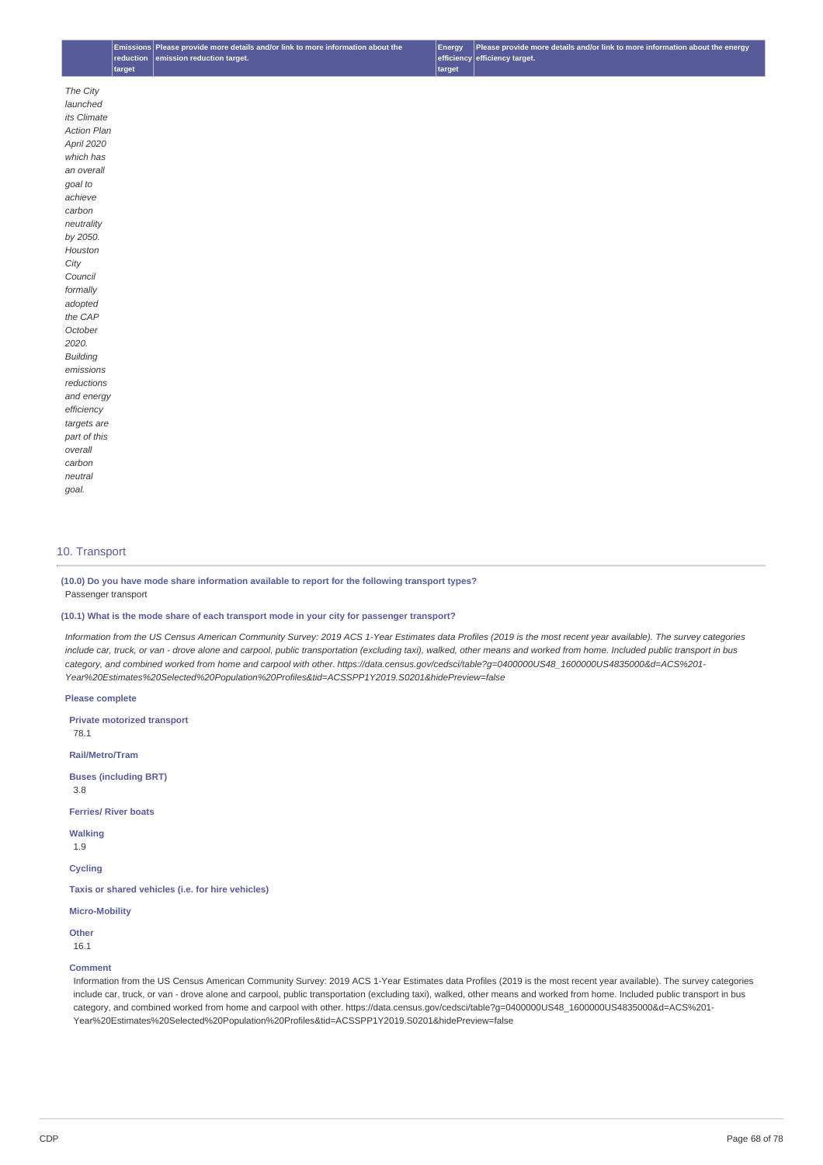# 10. Transport

**(10.0) Do you have mode share information available to report for the following transport types?** Passenger transport

#### **(10.1) What is the mode share of each transport mode in your city for passenger transport?**

Information from the US Census American Community Survey: 2019 ACS 1-Year Estimates data Profiles (2019 is the most recent year available). The survey categories include car, truck, or van - drove alone and carpool, public transportation (excluding taxi), walked, other means and worked from home. Included public transport in bus *category, and combined worked from home and carpool with other. https://data.census.gov/cedsci/table?g=0400000US48\_1600000US4835000&d=ACS%201- Year%20Estimates%20Selected%20Population%20Profiles&tid=ACSSPP1Y2019.S0201&hidePreview=false*

**Please complete**

**Private motorized transport**

78.1

**Rail/Metro/Tram**

**Buses (including BRT)**

3.8

**Ferries/ River boats**

**Walking**

1.9

**Cycling**

**Taxis or shared vehicles (i.e. for hire vehicles)**

## **Micro-Mobility**

**Other** 16.1

#### **Comment**

Information from the US Census American Community Survey: 2019 ACS 1-Year Estimates data Profiles (2019 is the most recent year available). The survey categories include car, truck, or van - drove alone and carpool, public transportation (excluding taxi), walked, other means and worked from home. Included public transport in bus category, and combined worked from home and carpool with other. https://data.census.gov/cedsci/table?g=0400000US48\_1600000US4835000&d=ACS%201- Year%20Estimates%20Selected%20Population%20Profiles&tid=ACSSPP1Y2019.S0201&hidePreview=false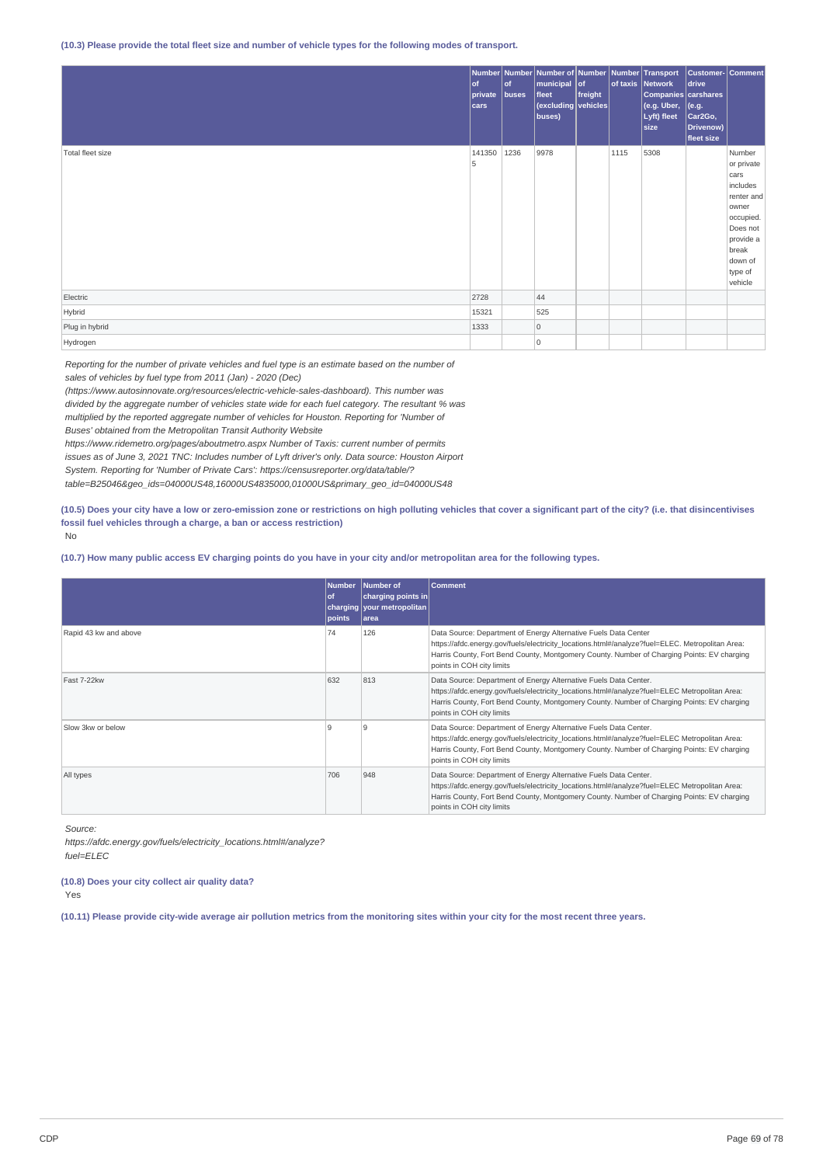#### (10.3) Please provide the total fleet size and number of vehicle types for the following modes of transport.

|                  | $ $ of<br>private<br> cars | $ $ of<br>buses | Number Number Number of Number Number Transport<br>  municipal of<br>fleet<br>$ $ (excluding vehicles)<br>buses) | freight |      | of taxis Network<br>Companies carshares<br>(e.g. Uber,<br>Lyft) fleet<br>size | Customer- Comment<br>drive<br>$ $ (e.g.<br>Car <sub>2Go</sub> ,<br>Drivenow)<br>fleet size |                                                                                                                                                 |
|------------------|----------------------------|-----------------|------------------------------------------------------------------------------------------------------------------|---------|------|-------------------------------------------------------------------------------|--------------------------------------------------------------------------------------------|-------------------------------------------------------------------------------------------------------------------------------------------------|
| Total fleet size | 141350<br>5                | 1236            | 9978                                                                                                             |         | 1115 | 5308                                                                          |                                                                                            | Number<br>or private<br>cars<br>includes<br>renter and<br>owner<br>occupied.<br>Does not<br>provide a<br>break<br>down of<br>type of<br>vehicle |
| Electric         | 2728                       |                 | 44                                                                                                               |         |      |                                                                               |                                                                                            |                                                                                                                                                 |
| Hybrid           | 15321                      |                 | 525                                                                                                              |         |      |                                                                               |                                                                                            |                                                                                                                                                 |
| Plug in hybrid   | 1333                       |                 | 0                                                                                                                |         |      |                                                                               |                                                                                            |                                                                                                                                                 |
| Hydrogen         |                            |                 | 10                                                                                                               |         |      |                                                                               |                                                                                            |                                                                                                                                                 |

*Reporting for the number of private vehicles and fuel type is an estimate based on the number of sales of vehicles by fuel type from 2011 (Jan) - 2020 (Dec)*

*(https://www.autosinnovate.org/resources/electric-vehicle-sales-dashboard). This number was*

*divided by the aggregate number of vehicles state wide for each fuel category. The resultant % was*

*multiplied by the reported aggregate number of vehicles for Houston. Reporting for 'Number of*

*Buses' obtained from the Metropolitan Transit Authority Website*

*https://www.ridemetro.org/pages/aboutmetro.aspx Number of Taxis: current number of permits*

*issues as of June 3, 2021 TNC: Includes number of Lyft driver's only. Data source: Houston Airport*

*System. Reporting for 'Number of Private Cars': https://censusreporter.org/data/table/?*

*table=B25046&geo\_ids=04000US48,16000US4835000,01000US&primary\_geo\_id=04000US48*

(10.5) Does your city have a low or zero-emission zone or restrictions on high polluting vehicles that cover a significant part of the city? (i.e. that disincentivises **fossil fuel vehicles through a charge, a ban or access restriction)** No

(10.7) How many public access EV charging points do you have in your city and/or metropolitan area for the following types.

|                       | <b>Number</b><br>0f<br>points | Number of<br>charging points in<br>charging vour metropolitan<br>larea | <b>Comment</b>                                                                                                                                                                                                                                                                                |
|-----------------------|-------------------------------|------------------------------------------------------------------------|-----------------------------------------------------------------------------------------------------------------------------------------------------------------------------------------------------------------------------------------------------------------------------------------------|
| Rapid 43 kw and above | 74                            | 126                                                                    | Data Source: Department of Energy Alternative Fuels Data Center<br>https://afdc.energy.gov/fuels/electricity locations.html#/analyze?fuel=ELEC. Metropolitan Area:<br>Harris County, Fort Bend County, Montgomery County. Number of Charging Points: EV charging<br>points in COH city limits |
| Fast 7-22kw           | 632                           | 813                                                                    | Data Source: Department of Energy Alternative Fuels Data Center.<br>https://afdc.energy.gov/fuels/electricity_locations.html#/analyze?fuel=ELEC_Metropolitan Area:<br>Harris County, Fort Bend County, Montgomery County. Number of Charging Points: EV charging<br>points in COH city limits |
| Slow 3kw or below     | 9                             | 9                                                                      | Data Source: Department of Energy Alternative Fuels Data Center.<br>https://afdc.energy.gov/fuels/electricity locations.html#/analyze?fuel=ELEC Metropolitan Area:<br>Harris County, Fort Bend County, Montgomery County. Number of Charging Points: EV charging<br>points in COH city limits |
| All types             | 706                           | 948                                                                    | Data Source: Department of Energy Alternative Fuels Data Center.<br>https://afdc.energy.gov/fuels/electricity_locations.html#/analyze?fuel=ELEC_Metropolitan Area:<br>Harris County, Fort Bend County, Montgomery County. Number of Charging Points: EV charging<br>points in COH city limits |

*Source:*

*https://afdc.energy.gov/fuels/electricity\_locations.html#/analyze? fuel=ELEC*

**(10.8) Does your city collect air quality data?**

Yes

(10.11) Please provide city-wide average air pollution metrics from the monitoring sites within your city for the most recent three years.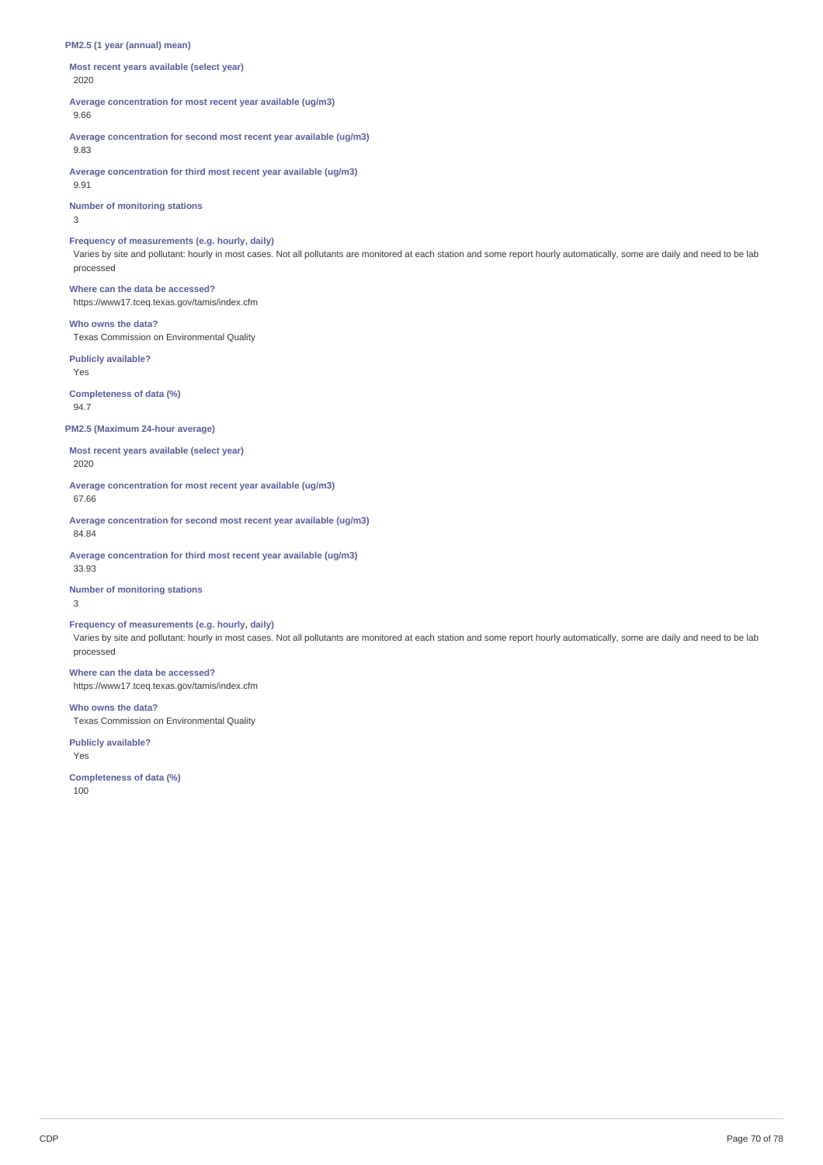#### **PM2.5 (1 year (annual) mean)**

**Most recent years available (select year)** 2020

**Average concentration for most recent year available (ug/m3)** 9.66

**Average concentration for second most recent year available (ug/m3)** 9.83

**Average concentration for third most recent year available (ug/m3)** 9.91

**Number of monitoring stations**

3

#### **Frequency of measurements (e.g. hourly, daily)**

Varies by site and pollutant: hourly in most cases. Not all pollutants are monitored at each station and some report hourly automatically, some are daily and need to be lab processed

**Where can the data be accessed?** https://www17.tceq.texas.gov/tamis/index.cfm

#### **Who owns the data?**

Texas Commission on Environmental Quality

**Publicly available?** Yes

**Completeness of data (%)**

94.7

#### **PM2.5 (Maximum 24-hour average)**

**Most recent years available (select year)** 2020

**Average concentration for most recent year available (ug/m3)**

67.66

**Average concentration for second most recent year available (ug/m3)** 84.84

**Average concentration for third most recent year available (ug/m3)** 33.93

**Number of monitoring stations**

3

# **Frequency of measurements (e.g. hourly, daily)**

Varies by site and pollutant: hourly in most cases. Not all pollutants are monitored at each station and some report hourly automatically, some are daily and need to be lab processed

# **Where can the data be accessed?**

https://www17.tceq.texas.gov/tamis/index.cfm

**Who owns the data?** Texas Commission on Environmental Quality

**Publicly available?**

Yes

**Completeness of data (%)** 100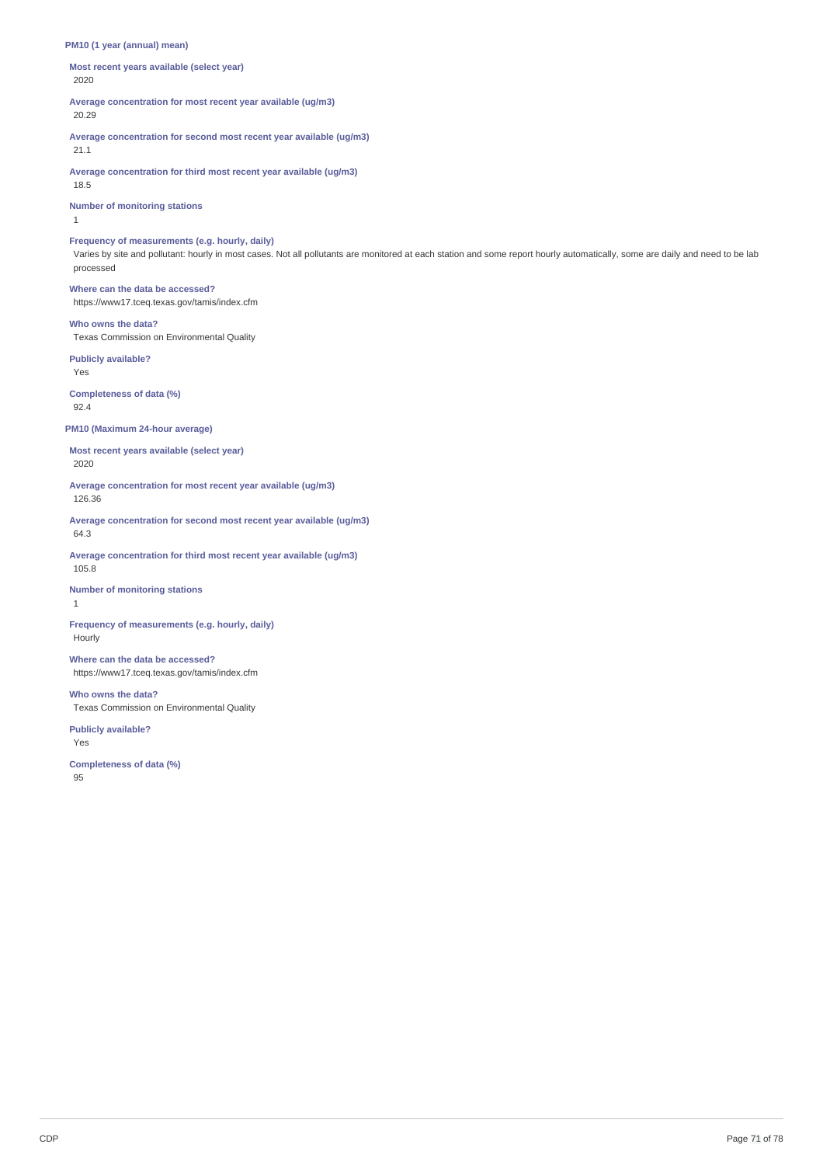#### **PM10 (1 year (annual) mean)**

**Most recent years available (select year)** 2020

**Average concentration for most recent year available (ug/m3)** 20.29

**Average concentration for second most recent year available (ug/m3)** 21.1

**Average concentration for third most recent year available (ug/m3)** 18.5

**Number of monitoring stations**

1

#### **Frequency of measurements (e.g. hourly, daily)**

Varies by site and pollutant: hourly in most cases. Not all pollutants are monitored at each station and some report hourly automatically, some are daily and need to be lab processed

**Where can the data be accessed?** https://www17.tceq.texas.gov/tamis/index.cfm

#### **Who owns the data?**

Texas Commission on Environmental Quality

**Publicly available?** Yes

**Completeness of data (%)** 92.4

#### **PM10 (Maximum 24-hour average)**

**Most recent years available (select year)** 2020

**Average concentration for most recent year available (ug/m3)** 126.36

**Average concentration for second most recent year available (ug/m3)** 64.3

**Average concentration for third most recent year available (ug/m3)** 105.8

**Number of monitoring stations** 1

**Frequency of measurements (e.g. hourly, daily)** Hourly

## **Where can the data be accessed?**

https://www17.tceq.texas.gov/tamis/index.cfm

**Who owns the data?**

Texas Commission on Environmental Quality

**Publicly available?** Yes

**Completeness of data (%)** 95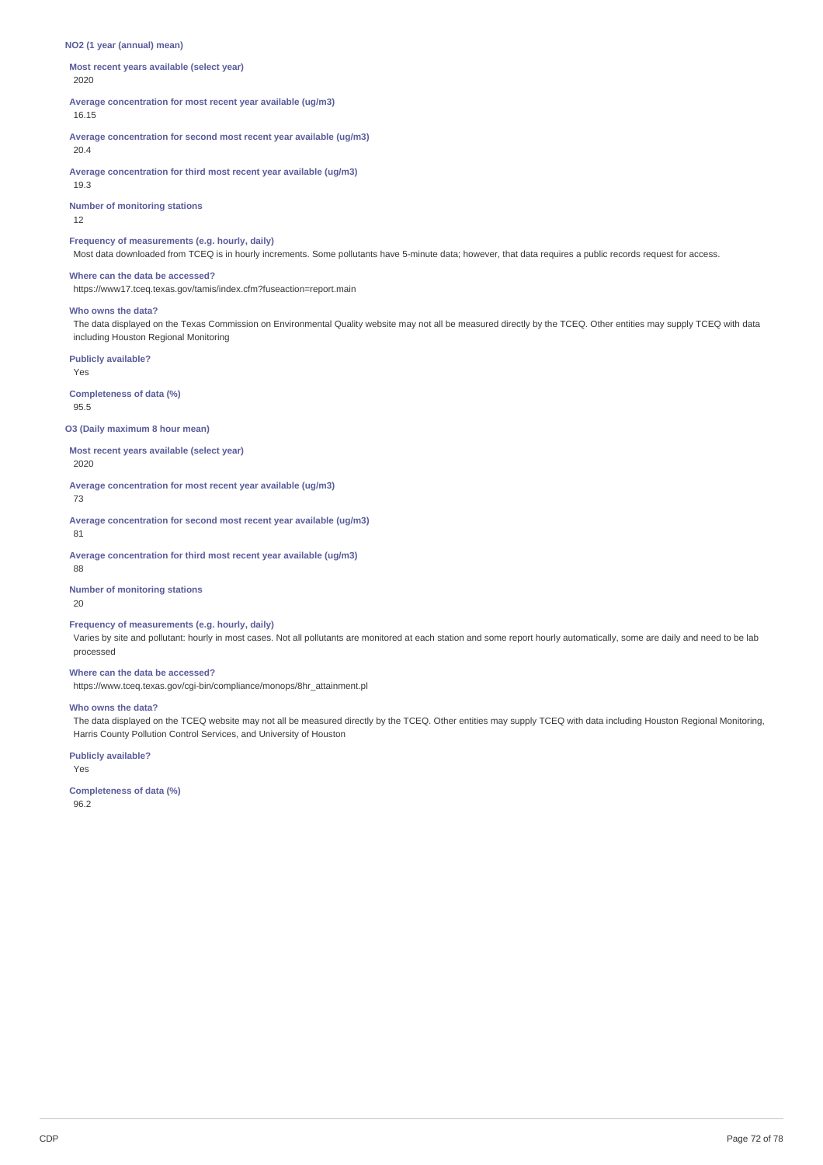#### **NO2 (1 year (annual) mean)**

**Most recent years available (select year)** 2020

**Average concentration for most recent year available (ug/m3)** 16.15

**Average concentration for second most recent year available (ug/m3)**

20.4

**Average concentration for third most recent year available (ug/m3)** 19.3

**Number of monitoring stations**

12

## **Frequency of measurements (e.g. hourly, daily)**

Most data downloaded from TCEQ is in hourly increments. Some pollutants have 5-minute data; however, that data requires a public records request for access.

# **Where can the data be accessed?**

https://www17.tceq.texas.gov/tamis/index.cfm?fuseaction=report.main

#### **Who owns the data?**

The data displayed on the Texas Commission on Environmental Quality website may not all be measured directly by the TCEQ. Other entities may supply TCEQ with data including Houston Regional Monitoring

**Publicly available?**

Yes

**Completeness of data (%)** 95.5

**O3 (Daily maximum 8 hour mean)**

**Most recent years available (select year)**

2020

**Average concentration for most recent year available (ug/m3)**

73

**Average concentration for second most recent year available (ug/m3)** 81

**Average concentration for third most recent year available (ug/m3)**

88

**Number of monitoring stations**

20

#### **Frequency of measurements (e.g. hourly, daily)**

Varies by site and pollutant: hourly in most cases. Not all pollutants are monitored at each station and some report hourly automatically, some are daily and need to be lab processed

#### **Where can the data be accessed?**

https://www.tceq.texas.gov/cgi-bin/compliance/monops/8hr\_attainment.pl

#### **Who owns the data?**

The data displayed on the TCEQ website may not all be measured directly by the TCEQ. Other entities may supply TCEQ with data including Houston Regional Monitoring, Harris County Pollution Control Services, and University of Houston

**Publicly available?**

Yes

**Completeness of data (%)** 96.2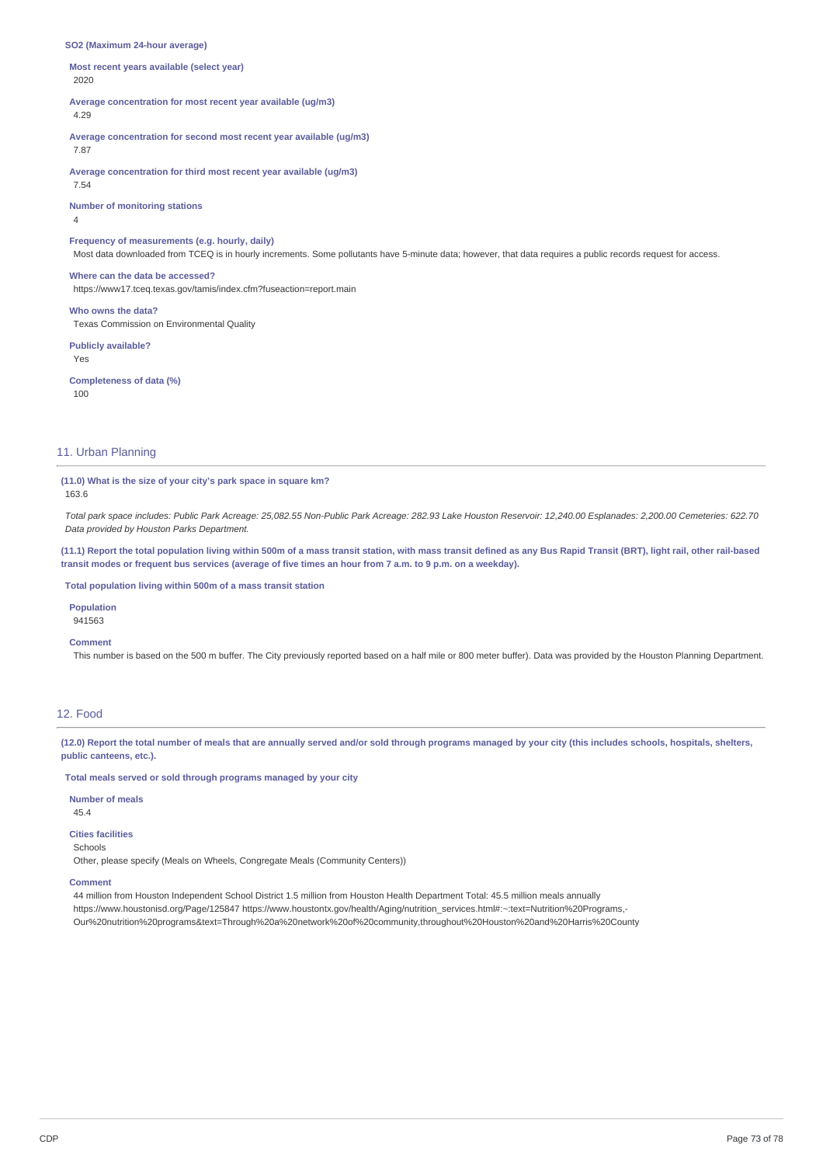#### **SO2 (Maximum 24-hour average)**

**Most recent years available (select year)** 2020

**Average concentration for most recent year available (ug/m3)** 4.29

**Average concentration for second most recent year available (ug/m3)** 7.87

**Average concentration for third most recent year available (ug/m3)** 7.54

**Number of monitoring stations**

4

# **Frequency of measurements (e.g. hourly, daily)**

Most data downloaded from TCEQ is in hourly increments. Some pollutants have 5-minute data; however, that data requires a public records request for access.

## **Where can the data be accessed?**

https://www17.tceq.texas.gov/tamis/index.cfm?fuseaction=report.main

**Who owns the data?** Texas Commission on Environmental Quality

**Publicly available?** Yes

**Completeness of data (%)** 100

# 11. Urban Planning

**(11.0) What is the size of your city's park space in square km?**

163.6

Total park space includes: Public Park Acreage: 25,082.55 Non-Public Park Acreage: 282.93 Lake Houston Reservoir: 12,240.00 Esplanades: 2,200.00 Cemeteries: 622.70 *Data provided by Houston Parks Department.*

(11.1) Report the total population living within 500m of a mass transit station, with mass transit defined as any Bus Rapid Transit (BRT), light rail, other rail-based transit modes or frequent bus services (average of five times an hour from 7 a.m. to 9 p.m. on a weekday).

**Total population living within 500m of a mass transit station**

**Population** 941563

### **Comment**

This number is based on the 500 m buffer. The City previously reported based on a half mile or 800 meter buffer). Data was provided by the Houston Planning Department.

# 12. Food

(12.0) Report the total number of meals that are annually served and/or sold through programs managed by your city (this includes schools, hospitals, shelters, **public canteens, etc.).**

**Total meals served or sold through programs managed by your city**

# **Number of meals**

45.4

# **Cities facilities**

Schools

Other, please specify (Meals on Wheels, Congregate Meals (Community Centers))

# **Comment**

44 million from Houston Independent School District 1.5 million from Houston Health Department Total: 45.5 million meals annually https://www.houstonisd.org/Page/125847 https://www.houstontx.gov/health/Aging/nutrition\_services.html#:~:text=Nutrition%20Programs,-Our%20nutrition%20programs&text=Through%20a%20network%20of%20community,throughout%20Houston%20and%20Harris%20County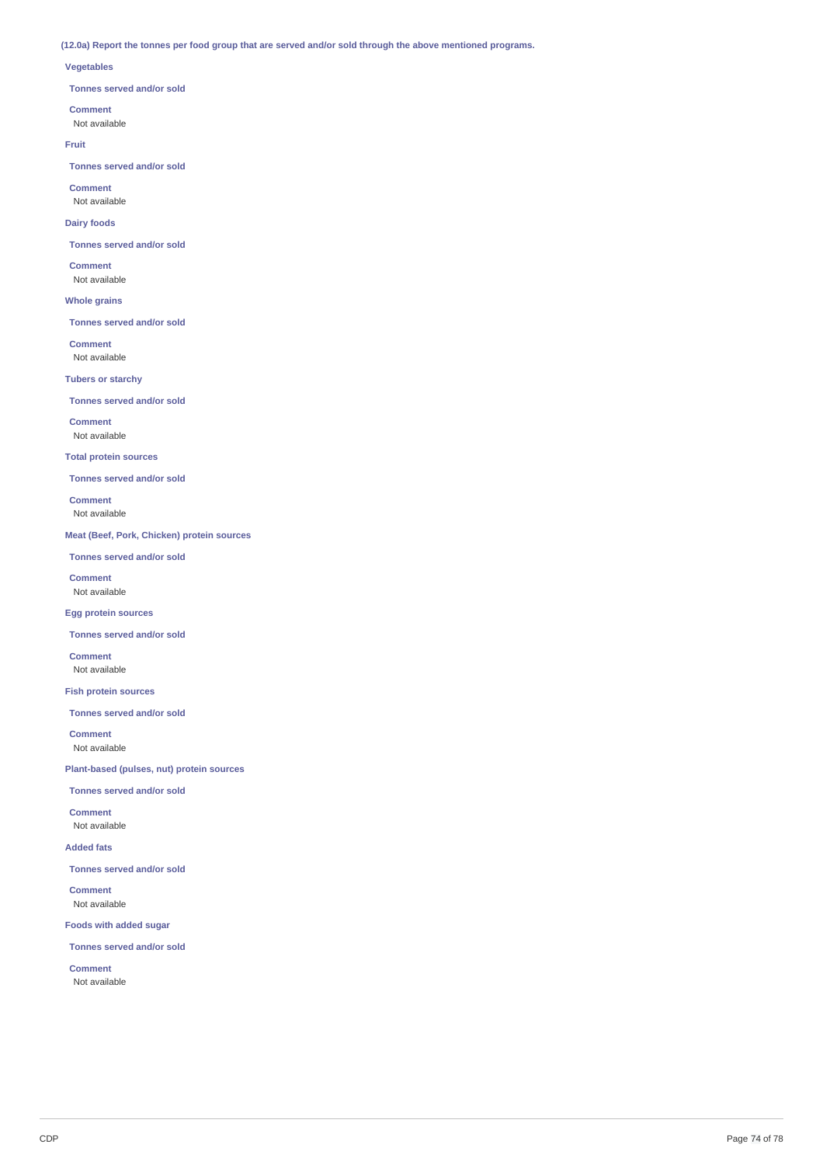(12.0a) Report the tonnes per food group that are served and/or sold through the above mentioned programs.

# **Vegetables**

**Tonnes served and/or sold**

## **Comment**

Not available

# **Fruit**

**Tonnes served and/or sold**

**Comment** Not available

# **Dairy foods**

**Tonnes served and/or sold**

**Comment** Not available

# **Whole grains**

**Tonnes served and/or sold**

**Comment** Not available

**Tubers or starchy**

# **Tonnes served and/or sold**

**Comment**

Not available

# **Total protein sources**

**Tonnes served and/or sold**

**Comment** Not available

**Meat (Beef, Pork, Chicken) protein sources**

**Tonnes served and/or sold**

**Comment** Not available

# **Egg protein sources**

**Tonnes served and/or sold**

**Comment** Not available

# **Fish protein sources**

**Tonnes served and/or sold**

**Comment** Not available

**Plant-based (pulses, nut) protein sources**

**Tonnes served and/or sold**

**Comment** Not available

**Added fats**

**Tonnes served and/or sold**

**Comment** Not available

**Foods with added sugar**

**Tonnes served and/or sold**

**Comment** Not available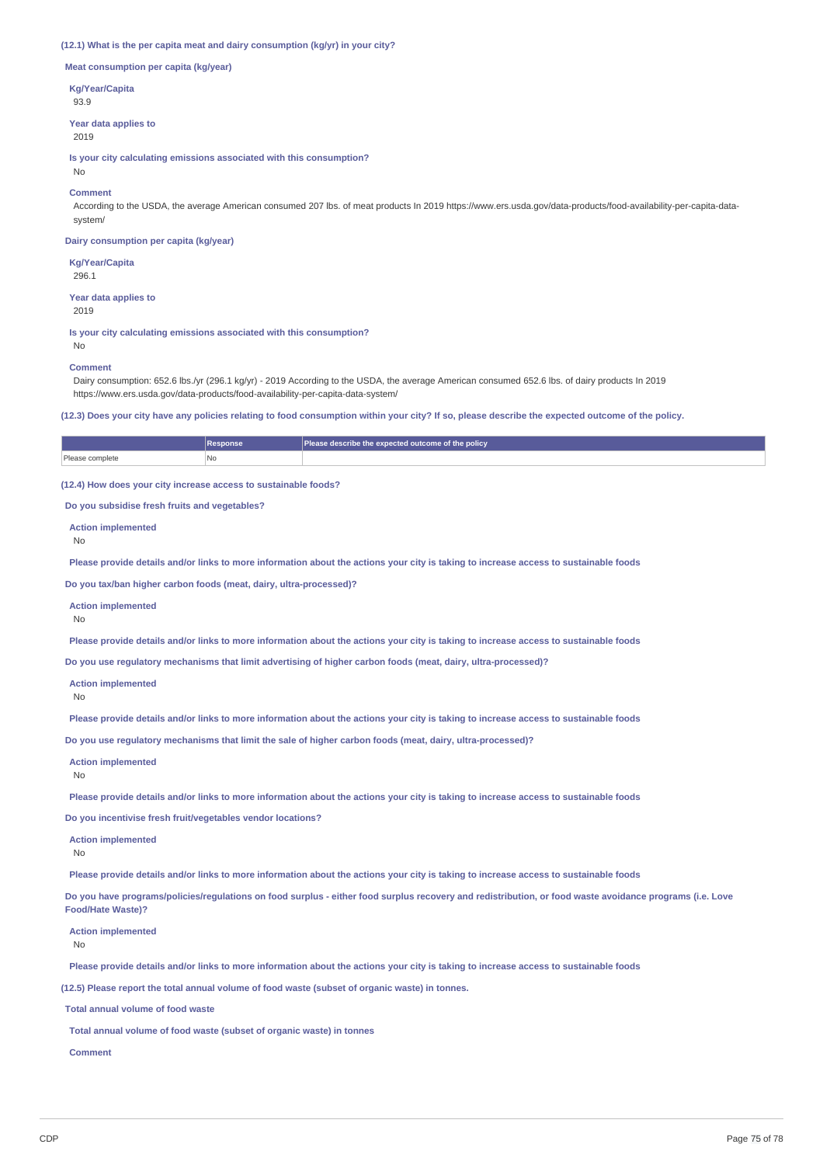### **(12.1) What is the per capita meat and dairy consumption (kg/yr) in your city?**

**Meat consumption per capita (kg/year)**

**Kg/Year/Capita**

93.9

**Year data applies to** 2019

**Is your city calculating emissions associated with this consumption?** No

# **Comment**

According to the USDA, the average American consumed 207 lbs. of meat products In 2019 https://www.ers.usda.gov/data-products/food-availability-per-capita-datasystem/

**Dairy consumption per capita (kg/year)**

**Kg/Year/Capita** 296.1

**Year data applies to** 2019

**Is your city calculating emissions associated with this consumption?**

No

#### **Comment**

Dairy consumption: 652.6 lbs./yr (296.1 kg/yr) - 2019 According to the USDA, the average American consumed 652.6 lbs. of dairy products In 2019 https://www.ers.usda.gov/data-products/food-availability-per-capita-data-system/

(12.3) Does your city have any policies relating to food consumption within your city? If so, please describe the expected outcome of the policy.

|                 | <b>Response</b> | Please describe the expected outcome of the policy |
|-----------------|-----------------|----------------------------------------------------|
| Please complete | No              |                                                    |

**(12.4) How does your city increase access to sustainable foods?**

**Do you subsidise fresh fruits and vegetables?**

**Action implemented**

No

Please provide details and/or links to more information about the actions your city is taking to increase access to sustainable foods

**Do you tax/ban higher carbon foods (meat, dairy, ultra-processed)?**

**Action implemented**

No

Please provide details and/or links to more information about the actions your city is taking to increase access to sustainable foods

**Do you use regulatory mechanisms that limit advertising of higher carbon foods (meat, dairy, ultra-processed)?**

```
Action implemented
```
No

Please provide details and/or links to more information about the actions your city is taking to increase access to sustainable foods

**Do you use regulatory mechanisms that limit the sale of higher carbon foods (meat, dairy, ultra-processed)?**

**Action implemented**

No

Please provide details and/or links to more information about the actions your city is taking to increase access to sustainable foods

**Do you incentivise fresh fruit/vegetables vendor locations?**

**Action implemented**

No

Please provide details and/or links to more information about the actions your city is taking to increase access to sustainable foods

Do you have programs/policies/regulations on food surplus - either food surplus recovery and redistribution, or food waste avoidance programs (i.e. Love **Food/Hate Waste)?**

**Action implemented**

No

Please provide details and/or links to more information about the actions your city is taking to increase access to sustainable foods

**(12.5) Please report the total annual volume of food waste (subset of organic waste) in tonnes.**

**Total annual volume of food waste**

**Total annual volume of food waste (subset of organic waste) in tonnes**

**Comment**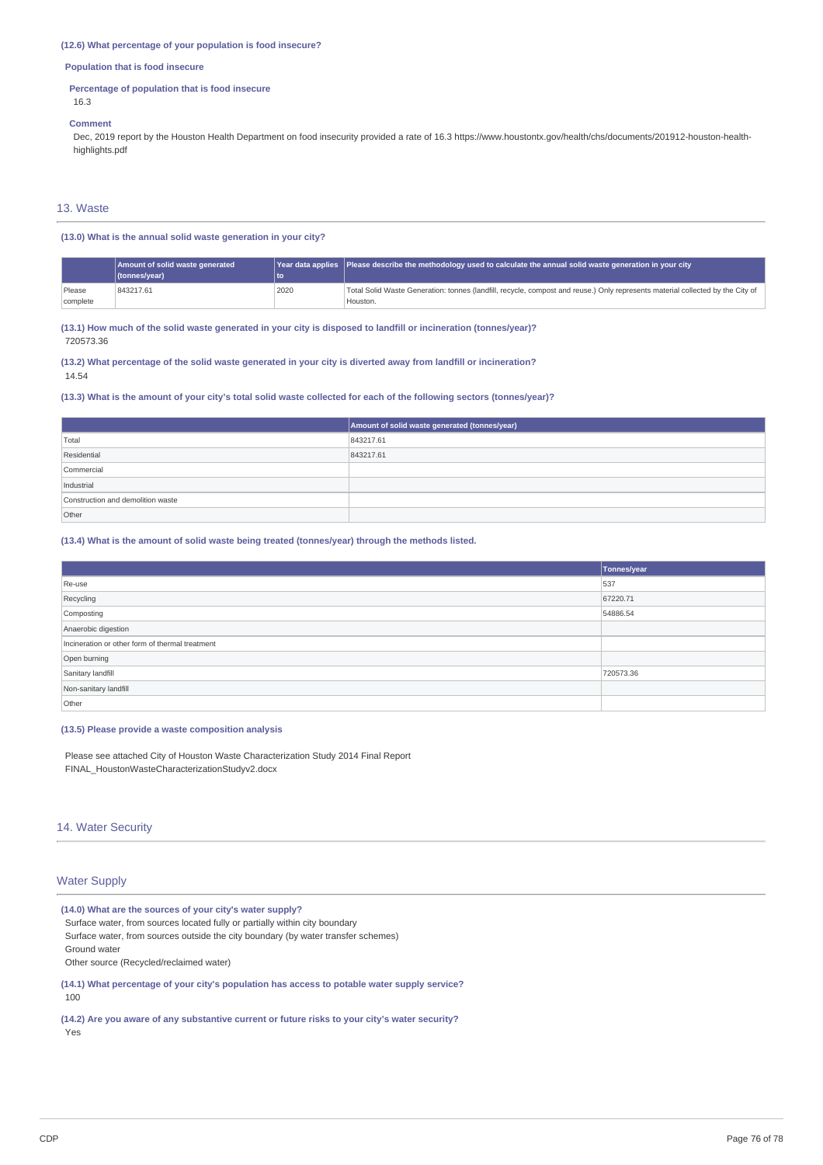## **(12.6) What percentage of your population is food insecure?**

# **Population that is food insecure**

## **Percentage of population that is food insecure**

16.3

#### **Comment**

Dec, 2019 report by the Houston Health Department on food insecurity provided a rate of 16.3 https://www.houstontx.gov/health/chs/documents/201912-houston-healthhighlights.pdf

# 13. Waste

# **(13.0) What is the annual solid waste generation in your city?**

|          | Amount of solid waste generated |      | Year data applies Please describe the methodology used to calculate the annual solid waste generation in your city             |
|----------|---------------------------------|------|--------------------------------------------------------------------------------------------------------------------------------|
|          | (tonnes/year)                   | lto  |                                                                                                                                |
| Please   | 843217.61                       | 2020 | Total Solid Waste Generation: tonnes (landfill, recycle, compost and reuse.) Only represents material collected by the City of |
| complete |                                 |      | I Houston.                                                                                                                     |

(13.1) How much of the solid waste generated in your city is disposed to landfill or incineration (tonnes/year)? 720573.36

(13.2) What percentage of the solid waste generated in your city is diverted away from landfill or incineration? 14.54

# (13.3) What is the amount of your city's total solid waste collected for each of the following sectors (tonnes/year)?

|                                   | Amount of solid waste generated (tonnes/year) |
|-----------------------------------|-----------------------------------------------|
| Total                             | 843217.61                                     |
| Residential                       | 843217.61                                     |
| Commercial                        |                                               |
| Industrial                        |                                               |
| Construction and demolition waste |                                               |
| Other                             |                                               |

## **(13.4) What is the amount of solid waste being treated (tonnes/year) through the methods listed.**

|                                                 | Tonnes/year |
|-------------------------------------------------|-------------|
| Re-use                                          | 537         |
| Recycling                                       | 67220.71    |
| Composting                                      | 54886.54    |
| Anaerobic digestion                             |             |
| Incineration or other form of thermal treatment |             |
| Open burning                                    |             |
| Sanitary landfill                               | 720573.36   |
| Non-sanitary landfill                           |             |
| Other                                           |             |

## **(13.5) Please provide a waste composition analysis**

Please see attached City of Houston Waste Characterization Study 2014 Final Report FINAL\_HoustonWasteCharacterizationStudyv2.docx

# 14. Water Security

# Water Supply

**(14.0) What are the sources of your city's water supply?** Surface water, from sources located fully or partially within city boundary Surface water, from sources outside the city boundary (by water transfer schemes) Ground water Other source (Recycled/reclaimed water)

**(14.1) What percentage of your city's population has access to potable water supply service?** 100

**(14.2) Are you aware of any substantive current or future risks to your city's water security?** Yes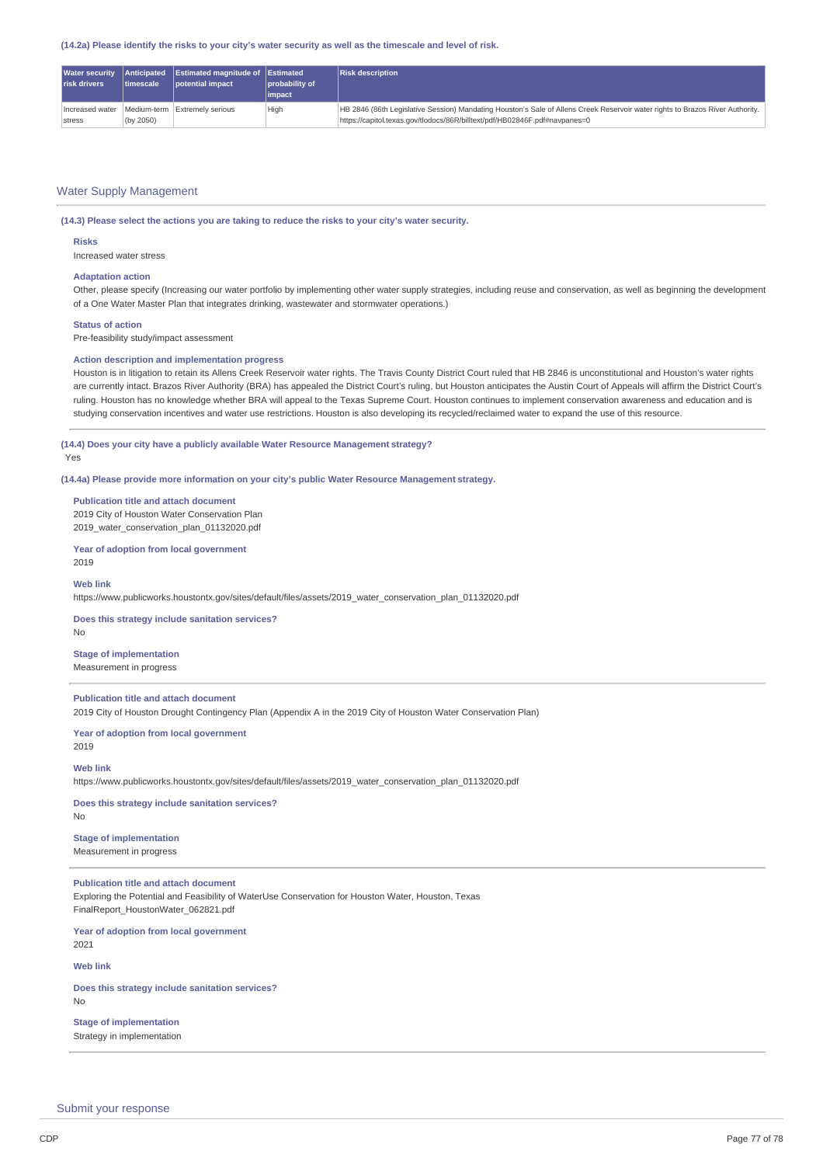(14.2a) Please identify the risks to your city's water security as well as the timescale and level of risk.

| <b>risk drivers</b>       | timescale | Water security Anticipated Estimated magnitude of Estimated<br>potential impact | probability of<br><i>impact</i> | <b>Risk description</b>                                                                                                                                                                                       |
|---------------------------|-----------|---------------------------------------------------------------------------------|---------------------------------|---------------------------------------------------------------------------------------------------------------------------------------------------------------------------------------------------------------|
| Increased water<br>stress | (by 2050) | Medium-term Extremely serious                                                   | High                            | HB 2846 (86th Legislative Session) Mandating Houston's Sale of Allens Creek Reservoir water rights to Brazos River Authority.  <br>https://capitol.texas.qov/tlodocs/86R/billtext/pdf/HB02846F.pdf#navpanes=0 |

# Water Supply Management

**(14.3) Please select the actions you are taking to reduce the risks to your city's water security.**

#### **Risks**

Increased water stress

## **Adaptation action**

Other, please specify (Increasing our water portfolio by implementing other water supply strategies, including reuse and conservation, as well as beginning the development of a One Water Master Plan that integrates drinking, wastewater and stormwater operations.)

# **Status of action**

Pre-feasibility study/impact assessment

#### **Action description and implementation progress**

Houston is in litigation to retain its Allens Creek Reservoir water rights. The Travis County District Court ruled that HB 2846 is unconstitutional and Houston's water rights are currently intact. Brazos River Authority (BRA) has appealed the District Court's ruling, but Houston anticipates the Austin Court of Appeals will affirm the District Court's ruling. Houston has no knowledge whether BRA will appeal to the Texas Supreme Court. Houston continues to implement conservation awareness and education and is studying conservation incentives and water use restrictions. Houston is also developing its recycled/reclaimed water to expand the use of this resource.

# **(14.4) Does your city have a publicly available Water Resource Management strategy?**

#### Yes

**(14.4a) Please provide more information on your city's public Water Resource Management strategy.**

**Publication title and attach document** 2019 City of Houston Water Conservation Plan 2019\_water\_conservation\_plan\_01132020.pdf

**Year of adoption from local government** 2019

#### **Web link**

https://www.publicworks.houstontx.gov/sites/default/files/assets/2019\_water\_conservation\_plan\_01132020.pdf

## **Does this strategy include sanitation services?** No

**Stage of implementation** Measurement in progress

# **Publication title and attach document**

2019 City of Houston Drought Contingency Plan (Appendix A in the 2019 City of Houston Water Conservation Plan)

### **Year of adoption from local government** 2019

**Web link**

https://www.publicworks.houstontx.gov/sites/default/files/assets/2019\_water\_conservation\_plan\_01132020.pdf

# **Does this strategy include sanitation services?**

# No

**Stage of implementation**

Measurement in progress

# **Publication title and attach document**

Exploring the Potential and Feasibility of WaterUse Conservation for Houston Water, Houston, Texas FinalReport\_HoustonWater\_062821.pdf

**Year of adoption from local government** 2021

**Web link**

**Does this strategy include sanitation services?** No

# **Stage of implementation**

Strategy in implementation